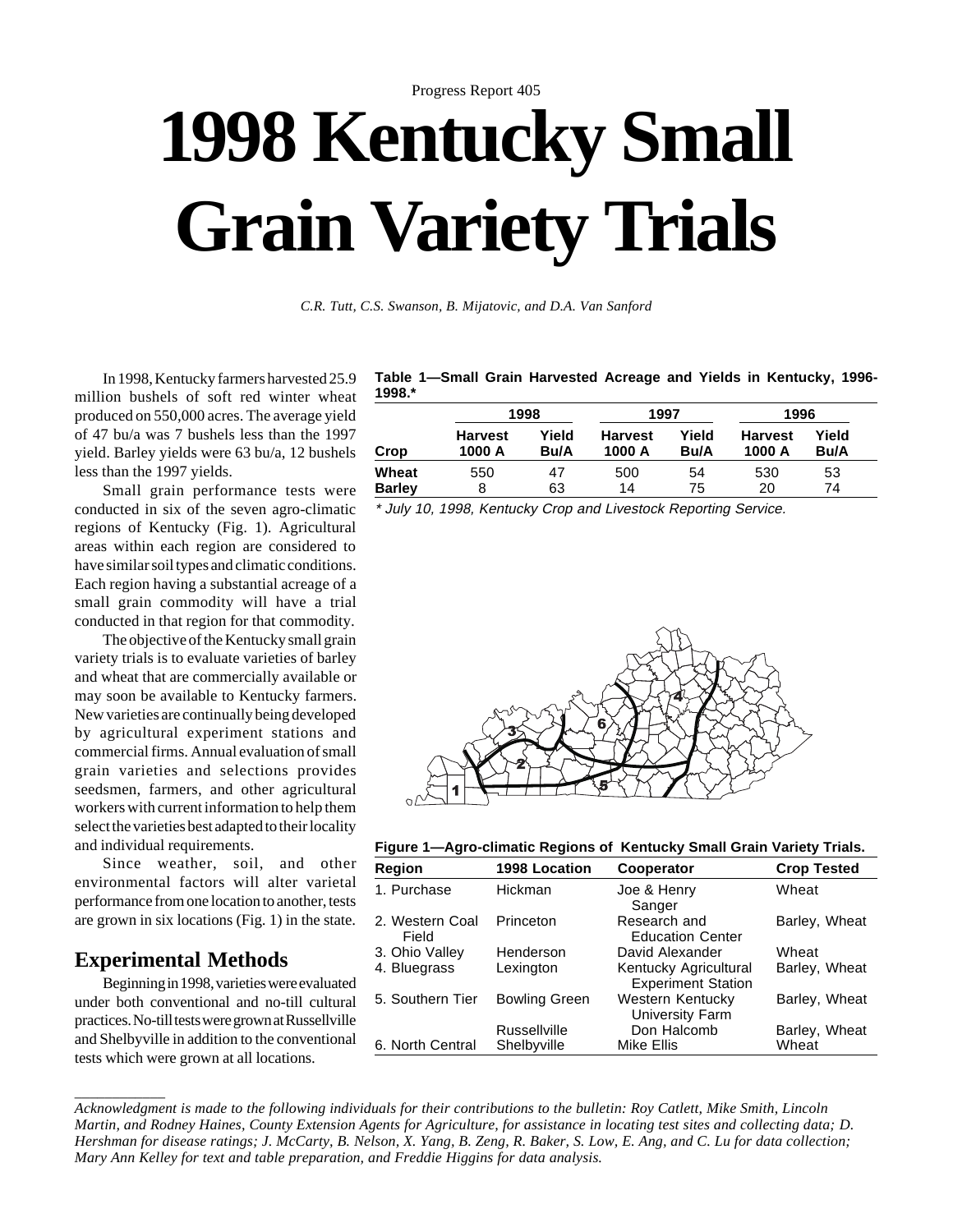# Progress Report 405 **1998 Kentucky Small Grain Variety Trials**

*C.R. Tutt, C.S. Swanson, B. Mijatovic, and D.A. Van Sanford*

In 1998, Kentucky farmers harvested 25.9 million bushels of soft red winter wheat produced on 550,000 acres. The average yield of 47 bu/a was 7 bushels less than the 1997 yield. Barley yields were 63 bu/a, 12 bushels less than the 1997 yields.

Small grain performance tests were conducted in six of the seven agro-climatic regions of Kentucky (Fig. 1). Agricultural areas within each region are considered to have similar soil types and climatic conditions. Each region having a substantial acreage of a small grain commodity will have a trial conducted in that region for that commodity.

The objective of the Kentucky small grain variety trials is to evaluate varieties of barley and wheat that are commercially available or may soon be available to Kentucky farmers. New varieties are continually being developed by agricultural experiment stations and commercial firms. Annual evaluation of small grain varieties and selections provides seedsmen, farmers, and other agricultural workers with current information to help them select the varieties best adapted to their locality and individual requirements.

Since weather, soil, and other environmental factors will alter varietal performance from one location to another, tests are grown in six locations (Fig. 1) in the state.

## **Experimental Methods**

Beginning in 1998, varieties were evaluated under both conventional and no-till cultural practices. No-till tests were grown at Russellville and Shelbyville in addition to the conventional tests which were grown at all locations.

**Table 1—Small Grain Harvested Acreage and Yields in Kentucky, 1996- 1998.\***

|                        |                          | 1998          | 1997                     |               | 1996                     |               |  |
|------------------------|--------------------------|---------------|--------------------------|---------------|--------------------------|---------------|--|
| Crop                   | <b>Harvest</b><br>1000 A | Yield<br>Bu/A | <b>Harvest</b><br>1000 A | Yield<br>Bu/A | <b>Harvest</b><br>1000 A | Yield<br>Bu/A |  |
| Wheat<br><b>Barley</b> | 550<br>8                 | 47<br>63      | 500<br>14                | 54<br>75      | 530<br>20                | 53<br>74      |  |

\* July 10, 1998, Kentucky Crop and Livestock Reporting Service.



**Figure 1—Agro-climatic Regions of Kentucky Small Grain Variety Trials.**

| <b>Region</b>            | 1998 Location        | Cooperator                                         | <b>Crop Tested</b> |
|--------------------------|----------------------|----------------------------------------------------|--------------------|
| 1. Purchase              | Hickman              | Joe & Henry<br>Sanger                              | Wheat              |
| 2. Western Coal<br>Field | Princeton            | Research and<br><b>Education Center</b>            | Barley, Wheat      |
| 3. Ohio Valley           | Henderson            | David Alexander                                    | Wheat              |
| 4. Bluegrass             | Lexington            | Kentucky Agricultural<br><b>Experiment Station</b> | Barley, Wheat      |
| 5. Southern Tier         | <b>Bowling Green</b> | Western Kentucky<br>University Farm                | Barley, Wheat      |
|                          | <b>Russellville</b>  | Don Halcomb                                        | Barley, Wheat      |
| 6. North Central         | Shelbyville          | Mike Ellis                                         | Wheat              |

*\_\_\_\_\_\_\_\_\_\_\_\_ Acknowledgment is made to the following individuals for their contributions to the bulletin: Roy Catlett, Mike Smith, Lincoln Martin, and Rodney Haines, County Extension Agents for Agriculture, for assistance in locating test sites and collecting data; D. Hershman for disease ratings; J. McCarty, B. Nelson, X. Yang, B. Zeng, R. Baker, S. Low, E. Ang, and C. Lu for data collection; Mary Ann Kelley for text and table preparation, and Freddie Higgins for data analysis.*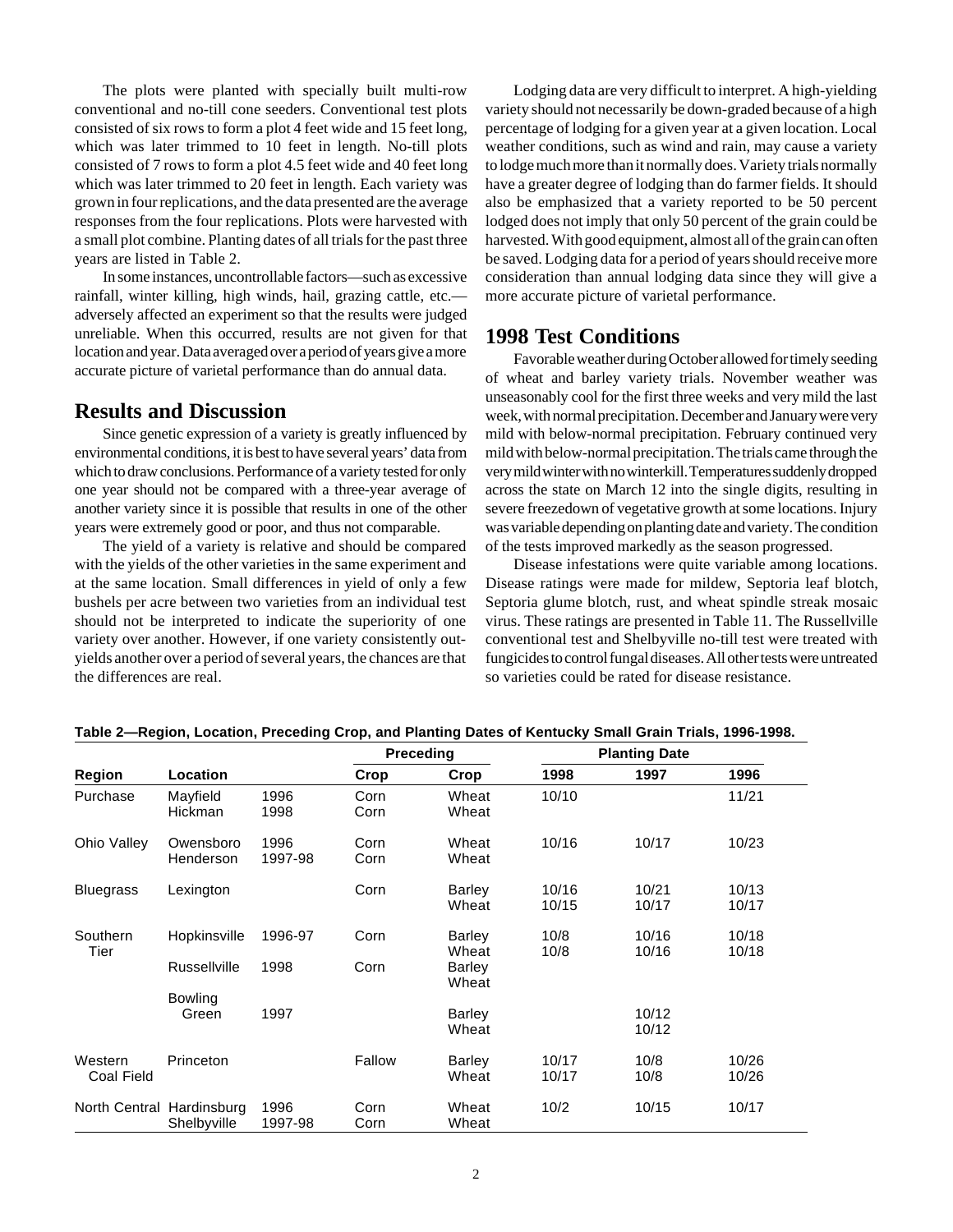The plots were planted with specially built multi-row conventional and no-till cone seeders. Conventional test plots consisted of six rows to form a plot 4 feet wide and 15 feet long, which was later trimmed to 10 feet in length. No-till plots consisted of 7 rows to form a plot 4.5 feet wide and 40 feet long which was later trimmed to 20 feet in length. Each variety was grown in four replications, and the data presented are the average responses from the four replications. Plots were harvested with a small plot combine. Planting dates of all trials for the past three years are listed in Table 2.

In some instances, uncontrollable factors—such as excessive rainfall, winter killing, high winds, hail, grazing cattle, etc. adversely affected an experiment so that the results were judged unreliable. When this occurred, results are not given for that location and year. Data averaged over a period of years give a more accurate picture of varietal performance than do annual data.

### **Results and Discussion**

Since genetic expression of a variety is greatly influenced by environmental conditions, it is best to have several years' data from which to draw conclusions. Performance of a variety tested for only one year should not be compared with a three-year average of another variety since it is possible that results in one of the other years were extremely good or poor, and thus not comparable.

The yield of a variety is relative and should be compared with the yields of the other varieties in the same experiment and at the same location. Small differences in yield of only a few bushels per acre between two varieties from an individual test should not be interpreted to indicate the superiority of one variety over another. However, if one variety consistently outyields another over a period of several years, the chances are that the differences are real.

Lodging data are very difficult to interpret. A high-yielding variety should not necessarily be down-graded because of a high percentage of lodging for a given year at a given location. Local weather conditions, such as wind and rain, may cause a variety to lodge much more than it normally does. Variety trials normally have a greater degree of lodging than do farmer fields. It should also be emphasized that a variety reported to be 50 percent lodged does not imply that only 50 percent of the grain could be harvested. With good equipment, almost all of the grain can often be saved. Lodging data for a period of years should receive more consideration than annual lodging data since they will give a more accurate picture of varietal performance.

## **1998 Test Conditions**

Favorable weather during October allowed for timely seeding of wheat and barley variety trials. November weather was unseasonably cool for the first three weeks and very mild the last week, with normal precipitation. December and January were very mild with below-normal precipitation. February continued very mild with below-normal precipitation. The trials came through the very mild winter with no winterkill. Temperatures suddenly dropped across the state on March 12 into the single digits, resulting in severe freezedown of vegetative growth at some locations. Injury was variable depending on planting date and variety. The condition of the tests improved markedly as the season progressed.

Disease infestations were quite variable among locations. Disease ratings were made for mildew, Septoria leaf blotch, Septoria glume blotch, rust, and wheat spindle streak mosaic virus. These ratings are presented in Table 11. The Russellville conventional test and Shelbyville no-till test were treated with fungicides to control fungal diseases. All other tests were untreated so varieties could be rated for disease resistance.

|                           |                         |                 | <b>Preceding</b> |                        |                | <b>Planting Date</b> |                |
|---------------------------|-------------------------|-----------------|------------------|------------------------|----------------|----------------------|----------------|
| Region                    | Location                |                 | Crop             | Crop                   | 1998           | 1997                 | 1996           |
| Purchase                  | Mayfield<br>Hickman     | 1996<br>1998    | Corn<br>Corn     | Wheat<br>Wheat         | 10/10          |                      | 11/21          |
| Ohio Valley               | Owensboro<br>Henderson  | 1996<br>1997-98 | Corn<br>Corn     | Wheat<br>Wheat         | 10/16          | 10/17                | 10/23          |
| <b>Bluegrass</b>          | Lexington               |                 | Corn             | Barley<br>Wheat        | 10/16<br>10/15 | 10/21<br>10/17       | 10/13<br>10/17 |
| Southern<br>Tier          | Hopkinsville            | 1996-97         | Corn             | <b>Barley</b><br>Wheat | 10/8<br>10/8   | 10/16<br>10/16       | 10/18<br>10/18 |
|                           | <b>Russellville</b>     | 1998            | Corn             | Barley<br>Wheat        |                |                      |                |
|                           | <b>Bowling</b><br>Green | 1997            |                  | Barley<br>Wheat        |                | 10/12<br>10/12       |                |
| Western<br>Coal Field     | Princeton               |                 | Fallow           | Barley<br>Wheat        | 10/17<br>10/17 | 10/8<br>10/8         | 10/26<br>10/26 |
| North Central Hardinsburg | Shelbyville             | 1996<br>1997-98 | Corn<br>Corn     | Wheat<br>Wheat         | 10/2           | 10/15                | 10/17          |

#### **Table 2—Region, Location, Preceding Crop, and Planting Dates of Kentucky Small Grain Trials, 1996-1998.**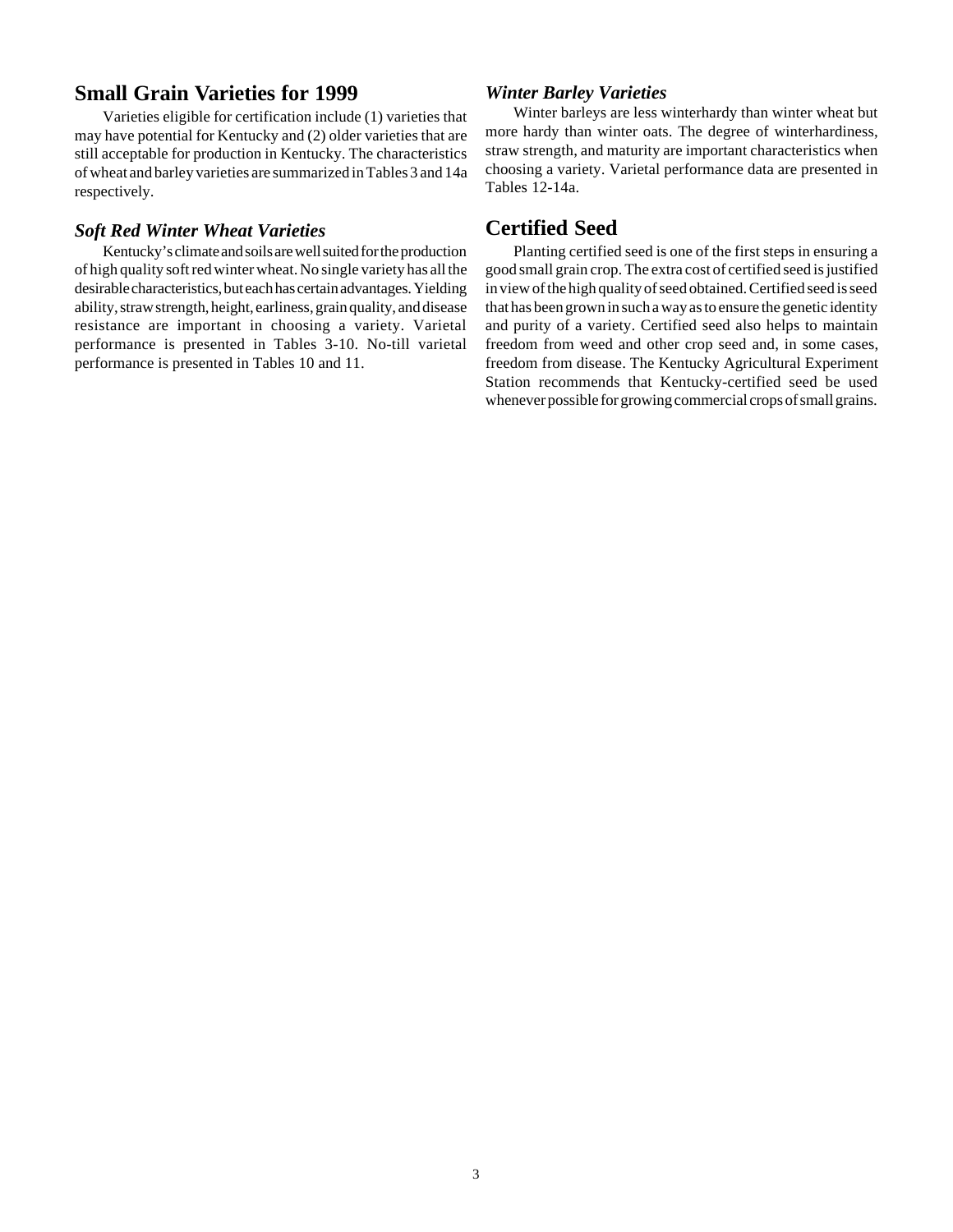## **Small Grain Varieties for 1999**

Varieties eligible for certification include (1) varieties that may have potential for Kentucky and (2) older varieties that are still acceptable for production in Kentucky. The characteristics of wheat and barley varieties are summarized in Tables 3 and 14a respectively.

## *Soft Red Winter Wheat Varieties*

Kentucky's climate and soils are well suited for the production of high quality soft red winter wheat. No single variety has all the desirable characteristics, but each has certain advantages. Yielding ability, straw strength, height, earliness, grain quality, and disease resistance are important in choosing a variety. Varietal performance is presented in Tables 3-10. No-till varietal performance is presented in Tables 10 and 11.

#### *Winter Barley Varieties*

Winter barleys are less winterhardy than winter wheat but more hardy than winter oats. The degree of winterhardiness, straw strength, and maturity are important characteristics when choosing a variety. Varietal performance data are presented in Tables 12-14a.

# **Certified Seed**

Planting certified seed is one of the first steps in ensuring a good small grain crop. The extra cost of certified seed is justified in view of the high quality of seed obtained. Certified seed is seed that has been grown in such a way as to ensure the genetic identity and purity of a variety. Certified seed also helps to maintain freedom from weed and other crop seed and, in some cases, freedom from disease. The Kentucky Agricultural Experiment Station recommends that Kentucky-certified seed be used whenever possible for growing commercial crops of small grains.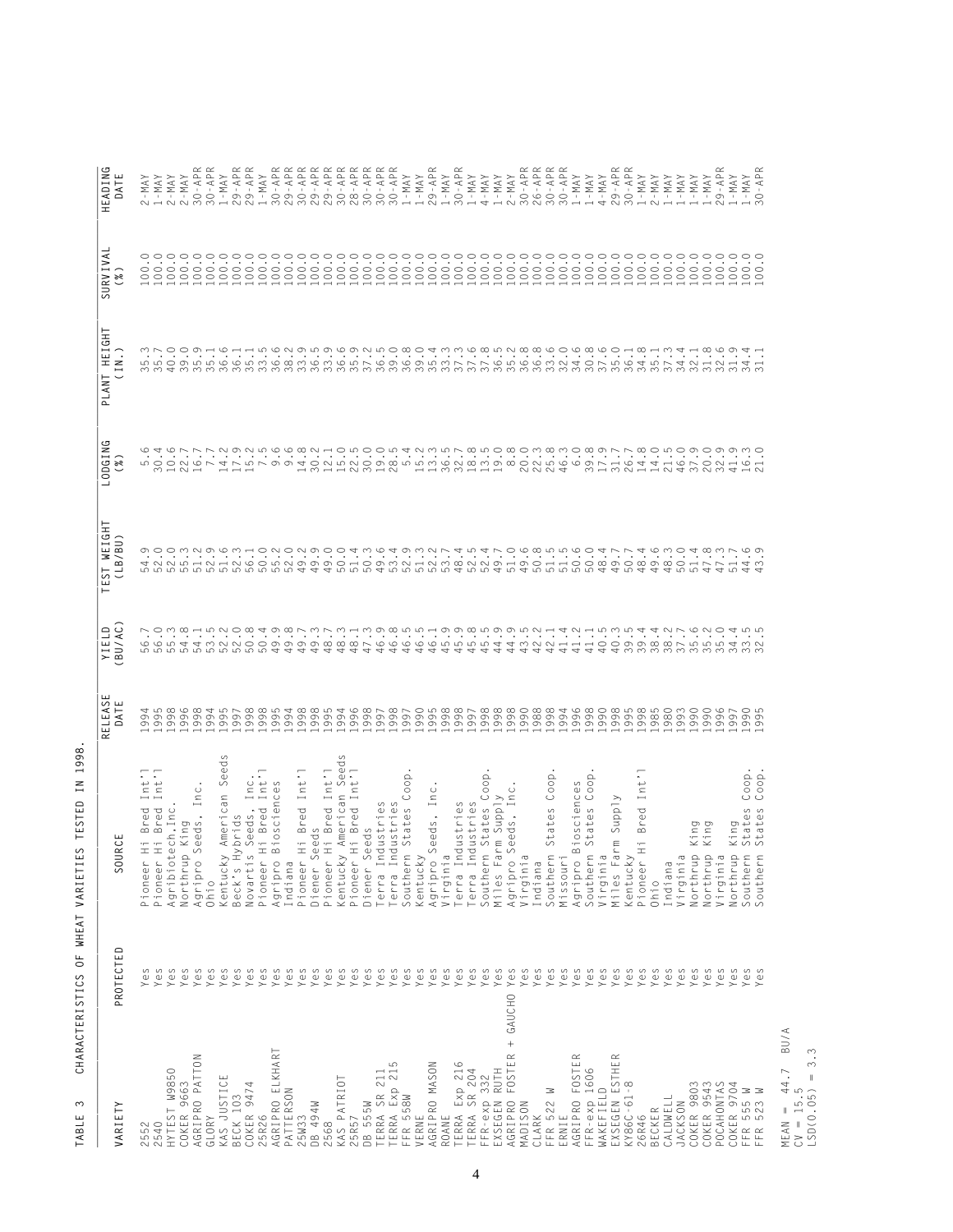| VARIETY                         | PROTECTED         | RC <sub>I</sub><br>SOL                                           | <b>ELEASE</b><br>DATE<br>$\simeq$ | YIELD<br>BU/AC)                                   | TEST WEIGHT<br>(LB/BU)                                            | G<br>LODGIN<br>(%)                                                                                   | PLANT HEIGHT<br>(IN.)                                                                                                | SURVIVA<br>$\left(\begin{smallmatrix} 0 & \infty \\ \infty & \infty \end{smallmatrix}\right)$ | HEADING<br>DATE                                                |
|---------------------------------|-------------------|------------------------------------------------------------------|-----------------------------------|---------------------------------------------------|-------------------------------------------------------------------|------------------------------------------------------------------------------------------------------|----------------------------------------------------------------------------------------------------------------------|-----------------------------------------------------------------------------------------------|----------------------------------------------------------------|
| 552                             | Yes               | 7<br>Int<br>Pioneer                                              |                                   |                                                   |                                                                   |                                                                                                      |                                                                                                                      |                                                                                               | MAY<br>$\pm$                                                   |
| 2540                            | Yes               | Ξ<br>Int<br>Hi Bred<br>Hi Bred<br>Pioneer                        | 458<br>99                         | $\stackrel{\textstyle\sim}{\cdot}$ .<br>665<br>66 |                                                                   |                                                                                                      |                                                                                                                      | $\sim$<br>$\begin{matrix} 0 \\ 0 \end{matrix}$                                                | $-N$ A $N$                                                     |
| HYTEST W9850                    | Yes               | ech, Inc<br>Agribiot                                             |                                   |                                                   |                                                                   |                                                                                                      |                                                                                                                      | $\frac{1}{2}$                                                                                 | $2 - MAX$                                                      |
| COKER 9663                      | Yes               | King<br>Northrup                                                 |                                   |                                                   |                                                                   |                                                                                                      |                                                                                                                      | $-0.00$                                                                                       | $\frac{2 - \mathsf{MAX}}{30 - \mathsf{AP}}$                    |
| AGRIPRO PATTON<br>GLORY         | Yes               | Inc<br>$\cdot$<br>eds<br>$\mathbb U$<br>$\mathcal{S}$<br>Agripro | $\overline{\phantom{0}}$          |                                                   | O O O M N O W M H O N O N O O<br>ro ro ro ro ro ro ro ro ro ro 44 | られるアファッシュ。そのようによりのこうは、そうほうというのです。これはあればありのこのことです。これはアファンとしているのは、これはあるのは、これをあることはあるのでは、これはありのことをおいえるよ | ちえんひとしるよしさるともらるのところのものようとのところであるのです。 こうじょうじょしきょうじょうこう こうりょう こうきょう あっとう こうこう こうとう こうとう こうとう こうきょうてき こうじょう おまいとう こうじょう | °°°°°°°°°°°°°°°<br>$\rm ^{\circ}$                                                             | $\propto \propto$<br>$30 - AP$                                 |
| ш<br>KAS JUSTIC                 | Yes<br>Yes        | S<br>Seed:<br>American<br>Kentucky<br>Ohio                       | $\overline{\phantom{0}}$          |                                                   |                                                                   |                                                                                                      |                                                                                                                      | $\cdot$<br>$\blacksquare$                                                                     | $. -MAX$                                                       |
| BECK 103                        | Yes               | brids<br>$\geq$<br>Beck's                                        | $\overline{\phantom{0}}$          |                                                   |                                                                   |                                                                                                      |                                                                                                                      | $\blacksquare$ :<br>$\substack{0\\00}$                                                        | $\square$<br>$\overline{A}$ - $\overline{6}$ .<br>$\sim$       |
| COKER 9474                      | Yes               | Novartis                                                         |                                   |                                                   |                                                                   |                                                                                                      |                                                                                                                      |                                                                                               | $\propto \propto$<br>$29 - AP$                                 |
| 25R26                           | Yes               | $\cdot$ .<br>s Seeds, Inc.<br>Hi Bred Int'<br>Pioneer            |                                   |                                                   |                                                                   |                                                                                                      |                                                                                                                      |                                                                                               | $-MAY$                                                         |
| AGRIPRO ELKHART                 | Yes               | Biosciences<br>Agripro                                           |                                   |                                                   |                                                                   |                                                                                                      |                                                                                                                      |                                                                                               | $30 - AP$                                                      |
| PATTERSON                       | Yes               | Indiana                                                          |                                   |                                                   |                                                                   |                                                                                                      |                                                                                                                      | 38888                                                                                         | $29 - AP$                                                      |
| 25W33                           | Yes               | Hi Bred Int<br>Pioneer                                           |                                   |                                                   |                                                                   |                                                                                                      |                                                                                                                      |                                                                                               | <b>RRRRRRRRR</b>                                               |
| DB 494W                         | Yes               | eeds<br>S<br>Diener                                              |                                   |                                                   |                                                                   |                                                                                                      |                                                                                                                      | $-50$                                                                                         |                                                                |
| 2568                            | Yes               | i Bred Int'l<br>American Seed<br>Hi Bred<br>Pioneer              | $\overline{\phantom{0}}$          |                                                   |                                                                   |                                                                                                      |                                                                                                                      | coc                                                                                           |                                                                |
| KAS PATRIOT                     | Yes               | $\mathcal{O}$<br>Kentucky                                        | $\overline{\phantom{0}}$          |                                                   | $\circ$                                                           |                                                                                                      |                                                                                                                      | $\,$ .<br>$\rm ^{\circ}$                                                                      |                                                                |
| 25R57                           | Yes               | $\overline{\phantom{a}}$<br>Hi Bred Int<br>Pioneer               | $\overline{\phantom{0}}$          |                                                   | 400                                                               |                                                                                                      |                                                                                                                      | coc<br>$-0.00$                                                                                | 29 - AP<br>29 - AP<br>20 - AP<br>30 - AP<br>30 - AP<br>30 - AP |
| DB 555W                         | Yes               | eeds<br>S<br>Diener                                              | $\overline{\phantom{0}}$          |                                                   |                                                                   |                                                                                                      |                                                                                                                      |                                                                                               |                                                                |
| TERRA Exp 215<br>TERRA SR 211   | Yes               | $\mathcal{O}$<br>erra Industries<br>dustrie<br>Terra In          | $\overline{\phantom{0}}$          |                                                   |                                                                   |                                                                                                      |                                                                                                                      | $\frac{1}{2}$                                                                                 | $30 - AP$                                                      |
| FFR 558W                        | Yes<br>Yes        | $\circlearrowright$<br>tates<br>$\circ$<br>Southern              |                                   |                                                   |                                                                   |                                                                                                      |                                                                                                                      | $\circ$<br>$-50$                                                                              | $-MAY$                                                         |
| VERNE                           | Yes               | 00p<br>Kentucky                                                  |                                   |                                                   |                                                                   |                                                                                                      |                                                                                                                      | $\circ$<br>$-100$                                                                             | $YAM -$                                                        |
| AGRIPRO MASON                   | Yes               | Seeds, Inc<br>Agripro                                            |                                   |                                                   |                                                                   |                                                                                                      |                                                                                                                      |                                                                                               | $\propto$                                                      |
| ROANE                           | Yes               | Virginia                                                         |                                   |                                                   |                                                                   |                                                                                                      |                                                                                                                      | $\circ$<br>$-50$                                                                              | $29 - AP$<br>$I - MAX$                                         |
| TERRA Exp 216                   | Yes               | $\mathcal{O}$<br>dustrie<br>Terra In                             |                                   |                                                   |                                                                   |                                                                                                      |                                                                                                                      | $\circ$<br>$-100$                                                                             | $\propto$<br>$30 - AP$                                         |
| TERRA SR 204                    | Yes               | dustries<br>Terra In                                             |                                   |                                                   |                                                                   |                                                                                                      |                                                                                                                      |                                                                                               | $1 - MAX$                                                      |
| 332<br>$FFR-exp$                | Yes               | oop<br>Southern                                                  |                                   |                                                   | 4932745470<br>45545                                               |                                                                                                      |                                                                                                                      | $\circ$<br>$-50$                                                                              | $4-MAY$                                                        |
| <b>RUTH</b><br>EXSEGEN          | Yes               | Miles Fa                                                         |                                   |                                                   |                                                                   |                                                                                                      |                                                                                                                      | $\circ$<br>$-50$                                                                              | $1 - MAY$<br>$2 - MAY$                                         |
| AGRIPRO FOSTER                  | Yes<br>$+$ GAUCHO | n States Coo<br>arm Supply<br>Seeds, Inc.<br>Agripro             |                                   |                                                   |                                                                   |                                                                                                      |                                                                                                                      |                                                                                               | $\sim$                                                         |
| MADISON                         | Yes               | Virginia                                                         |                                   |                                                   |                                                                   |                                                                                                      |                                                                                                                      | $-0.0$                                                                                        | $\simeq$ $\simeq$<br>$30 - AP$                                 |
| CLARK                           | Yes               | Indiana                                                          |                                   |                                                   | 0000000<br>455555                                                 |                                                                                                      |                                                                                                                      | $\circ \circ \circ$<br>$-50$                                                                  | $26 - AP$                                                      |
| ≊<br>FFR 522                    | Yes               | States Coop<br>Southern                                          |                                   |                                                   |                                                                   |                                                                                                      |                                                                                                                      |                                                                                               | $\simeq$                                                       |
| AGRIPRO FOSTER<br>ERNIE         | Yes               | Missouri                                                         |                                   |                                                   |                                                                   |                                                                                                      |                                                                                                                      | $\circ$ $\circ$<br>$\overline{\phantom{a}}$ .<br>$\substack{0\\0\ 0}$                         | $\propto$<br>$30 - AP$<br>$-MAY$                               |
|                                 | Yes<br>Yes        | tates Coop<br>Biosciences<br>$\backsim$<br>Southern<br>Agripro   |                                   |                                                   |                                                                   |                                                                                                      |                                                                                                                      | $\blacksquare$ .<br>$-100$                                                                    | $1 - MAX$                                                      |
| FFR-exp 1606<br>WAKEFIELD       | Yes               | Virginia                                                         |                                   |                                                   |                                                                   |                                                                                                      |                                                                                                                      | $\cdot$                                                                                       | $4-MAY$                                                        |
| EXSEGEN ESTHER                  | Yes               | Supply<br>E<br>Miles Fa                                          |                                   |                                                   | 4774600<br>44                                                     |                                                                                                      |                                                                                                                      | $\circ$ $\circ$<br>$\sim$<br>$\substack{0\\0\ 0}$                                             | $\square$<br>$29 - AI$                                         |
| KY86C-61-8                      | Yes               | Kentucky                                                         |                                   |                                                   | 5                                                                 |                                                                                                      |                                                                                                                      | $\cdot$ .00                                                                                   | $\propto \propto$<br>$30 - AP$                                 |
| 26R46                           | Yes               | Int<br><b>Bred</b><br>Ξ<br>Pioneer                               |                                   |                                                   | $\overline{a}$                                                    |                                                                                                      |                                                                                                                      | $\,$ .<br>$_{\odot}$                                                                          | $-MAY$<br>$\overline{ }$                                       |
| BECKER                          | Yes               | Ohio                                                             |                                   |                                                   | $\overline{\phantom{0}}$                                          |                                                                                                      |                                                                                                                      | $\blacksquare$ .<br>$\rm ^{\circ}$                                                            | $YAM - i$<br>$\sim$                                            |
| CALDWELL                        | Yes               | Indiana                                                          |                                   |                                                   |                                                                   |                                                                                                      |                                                                                                                      | $\,$ .<br>$\rm ^{\circ}$                                                                      | $-MAY$                                                         |
| JACKSON                         | Yes               | Virginia                                                         |                                   |                                                   | 455                                                               |                                                                                                      |                                                                                                                      | $\blacksquare$ .<br>$\underset{0}{\circ}$                                                     | $-MAY$                                                         |
| COKER 9803                      | Yes               | Duri:<br>$\mathbb{\times} \mathbb{\times}$<br>Northrup           |                                   |                                                   |                                                                   |                                                                                                      |                                                                                                                      | $\blacksquare$ .                                                                              | $-{\sf MAX}$                                                   |
| COKER 9543                      | Yes               | Northrup                                                         |                                   |                                                   | $4\omega\omega\vee$<br>$\overline{\phantom{a}}$                   |                                                                                                      |                                                                                                                      | 000000000<br>$\cdot$<br>$\rm ^{\circ}$                                                        | $-MAY$                                                         |
| POCAHONTAS                      | Yes               | Virginia                                                         |                                   |                                                   | 4                                                                 |                                                                                                      |                                                                                                                      | $\blacksquare$<br>$\rm ^{\circ}$                                                              | $\propto$<br>$9 - AP$<br>$\sim$                                |
| COKER 9704                      | Yes               | ing<br>$\times$ 00<br>Northrup                                   |                                   |                                                   | ഥ<br>$\overline{\phantom{a}}$                                     |                                                                                                      |                                                                                                                      | $\overline{\phantom{a}}$ .<br>$\rm ^{\circ}$                                                  | $-MAY$                                                         |
| Ξ<br>FFR 555 1<br>FFR 523 1     | Yes               | Coop.<br>tates<br>Southern                                       |                                   |                                                   | $\circ$                                                           |                                                                                                      |                                                                                                                      | $\begin{smallmatrix} 0 & 0 \\ 0 & 0 \end{smallmatrix}$                                        | $1 - MAX$<br>30 $- API$<br>$-MAY$                              |
| ≊                               | $\circ$<br>Ψë     | Coop.<br>tates<br>outhern                                        |                                   |                                                   | ന<br>₹                                                            |                                                                                                      |                                                                                                                      |                                                                                               |                                                                |
| BU/A<br>44.7<br>$MEAN =$        |                   |                                                                  |                                   |                                                   |                                                                   |                                                                                                      |                                                                                                                      |                                                                                               |                                                                |
| 5<br>$CV = 15.$                 |                   |                                                                  |                                   |                                                   |                                                                   |                                                                                                      |                                                                                                                      |                                                                                               |                                                                |
| 3.3<br>$\parallel$<br>LSD(0.05) |                   |                                                                  |                                   |                                                   |                                                                   |                                                                                                      |                                                                                                                      |                                                                                               |                                                                |

CHARACTERISTICS OF WHEAT VARIETIES TESTED IN 1998. **TABLE 3 CHARACTERISTICS OF WHEAT VARIETIES TESTED IN 1998.** TABLE 3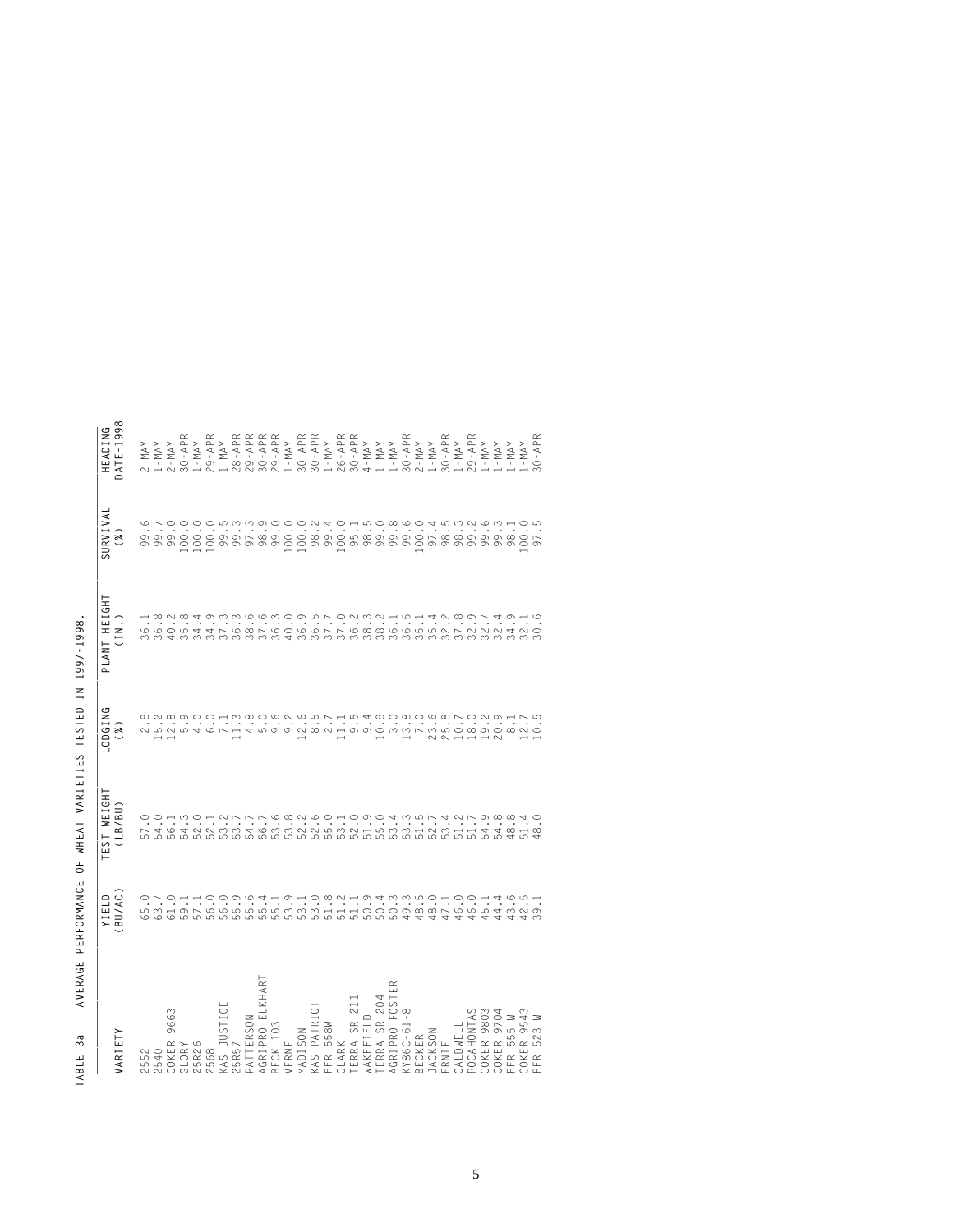| <b>JARIETY</b>                                                                                                | YIELD<br>BU/AC)                                                | TEST WEIGHT<br>(LB/BU) | LODGING<br>$(\begin{smallmatrix} 0 \\ k \end{smallmatrix})$          | PLANT HEIGHT<br>(IN.) | SURVIVAL<br>$(\mathcal{U})$ | HEADING<br>DATE-1998                                                                                                                                                                                                                   |
|---------------------------------------------------------------------------------------------------------------|----------------------------------------------------------------|------------------------|----------------------------------------------------------------------|-----------------------|-----------------------------|----------------------------------------------------------------------------------------------------------------------------------------------------------------------------------------------------------------------------------------|
|                                                                                                               |                                                                |                        |                                                                      |                       |                             |                                                                                                                                                                                                                                        |
| :552                                                                                                          | 65.0                                                           |                        |                                                                      | 36.1                  |                             | $2 - MAX$                                                                                                                                                                                                                              |
| 540                                                                                                           |                                                                |                        |                                                                      |                       |                             |                                                                                                                                                                                                                                        |
| 9663                                                                                                          |                                                                |                        |                                                                      |                       |                             | $1 - \mathsf{MAX}$<br>$2 - \mathsf{MAX}$                                                                                                                                                                                               |
| COKER !<br>GLORY                                                                                              | $\begin{array}{c}\n 1.5 \\  1.5 \\  0.5 \\  0.5\n \end{array}$ |                        |                                                                      | $36.38$<br>$40.8$     |                             | $30 - APR$                                                                                                                                                                                                                             |
| 25R26                                                                                                         |                                                                |                        |                                                                      |                       |                             | $1 - MAX$                                                                                                                                                                                                                              |
| '568                                                                                                          |                                                                |                        | ると。このことはあり。このは、はちょ。いい。このはいといいだけです。これはありのようです。これはものもとは、これはあり。これのこのものは | $34.9$<br>$34.9$      |                             | $29 - APR$                                                                                                                                                                                                                             |
|                                                                                                               |                                                                |                        |                                                                      |                       |                             | $1 - MAX$                                                                                                                                                                                                                              |
| KAS JUSTICE<br>25R57                                                                                          |                                                                |                        |                                                                      |                       |                             |                                                                                                                                                                                                                                        |
| PATTERSON                                                                                                     |                                                                |                        |                                                                      |                       |                             |                                                                                                                                                                                                                                        |
| AGRIPRO ELKHAR                                                                                                |                                                                |                        |                                                                      |                       |                             |                                                                                                                                                                                                                                        |
|                                                                                                               |                                                                |                        |                                                                      |                       |                             |                                                                                                                                                                                                                                        |
| BECK 103<br>VERNE                                                                                             |                                                                |                        |                                                                      |                       |                             |                                                                                                                                                                                                                                        |
| <b>MADISON</b>                                                                                                |                                                                |                        |                                                                      |                       |                             | α απα απο της προσφαλαστικής της προσφαλαστικής της προσφαλαστικής της προσφαλαστικής της προσφαλαστικής της π<br>1990 - Το Προσφαλαστικός της προσφαλαστικής<br>1990 - Το Προσφαλαστικός της προσφαλαστικής<br>1990 - Το Προσφαλαστικ |
|                                                                                                               |                                                                |                        |                                                                      |                       |                             |                                                                                                                                                                                                                                        |
|                                                                                                               |                                                                |                        |                                                                      |                       |                             |                                                                                                                                                                                                                                        |
| KAS PATRIOT<br>FFR 558W<br>CLARK                                                                              |                                                                |                        |                                                                      |                       |                             |                                                                                                                                                                                                                                        |
|                                                                                                               |                                                                |                        |                                                                      |                       |                             |                                                                                                                                                                                                                                        |
|                                                                                                               |                                                                |                        |                                                                      |                       |                             |                                                                                                                                                                                                                                        |
| TERRA SR 211<br>WAKEFIELD<br>TERRA SR 204<br>AGRIPRO FOSTER<br>AGRIPRO FOSTER<br>BECKEC<br>JACKSON<br>JACKSON |                                                                |                        |                                                                      |                       |                             |                                                                                                                                                                                                                                        |
|                                                                                                               |                                                                |                        |                                                                      |                       |                             |                                                                                                                                                                                                                                        |
|                                                                                                               |                                                                |                        |                                                                      |                       |                             |                                                                                                                                                                                                                                        |
|                                                                                                               |                                                                |                        |                                                                      |                       |                             |                                                                                                                                                                                                                                        |
|                                                                                                               |                                                                |                        |                                                                      |                       |                             |                                                                                                                                                                                                                                        |
|                                                                                                               |                                                                |                        |                                                                      |                       |                             |                                                                                                                                                                                                                                        |
| CALDWELL                                                                                                      |                                                                |                        |                                                                      |                       |                             |                                                                                                                                                                                                                                        |
| POCAHONTAS<br>COKER 9803<br>COKER 9704<br>FFR 555 W<br>COKER 9543<br>FFR 523 W                                |                                                                |                        |                                                                      |                       |                             |                                                                                                                                                                                                                                        |
|                                                                                                               |                                                                |                        |                                                                      |                       |                             |                                                                                                                                                                                                                                        |
|                                                                                                               |                                                                |                        |                                                                      |                       |                             |                                                                                                                                                                                                                                        |
|                                                                                                               |                                                                |                        |                                                                      |                       |                             |                                                                                                                                                                                                                                        |
|                                                                                                               |                                                                |                        |                                                                      |                       |                             |                                                                                                                                                                                                                                        |
|                                                                                                               |                                                                | $.8^{+0}$              |                                                                      |                       |                             | $30 - APR$                                                                                                                                                                                                                             |

| Ì<br>١<br>¢<br>١<br>d<br>֠<br>ı<br>ï<br>Ï<br>¢<br>i<br>ś<br>¢<br>l<br>é<br>í<br>ׇ֘֝֬֕<br>Ï |  |
|--------------------------------------------------------------------------------------------|--|
| Ï<br>١<br>Ï<br>l<br>I<br>¢<br>í<br>J<br>Ī                                                  |  |
| Ì<br>Į<br>J<br>j<br>֠<br>I<br>ļ<br>I<br>l<br>ׇ֘֝֬֡<br>í                                    |  |
| I<br>Ï<br>J<br>1                                                                           |  |
| l<br>d<br>ś                                                                                |  |
| Ï<br>j<br>Ó<br>i<br>j<br>í<br>ĺ<br>¢<br>I<br>ï<br>í<br>Ï<br>J                              |  |
| Ï<br>J<br>¢<br>j<br>I<br>ׇ֚֘֝֬֝<br>l<br>l<br>J<br>1                                        |  |
| í<br>ı<br>l<br><b>Service Service</b><br>J<br>١<br>ı<br>l                                  |  |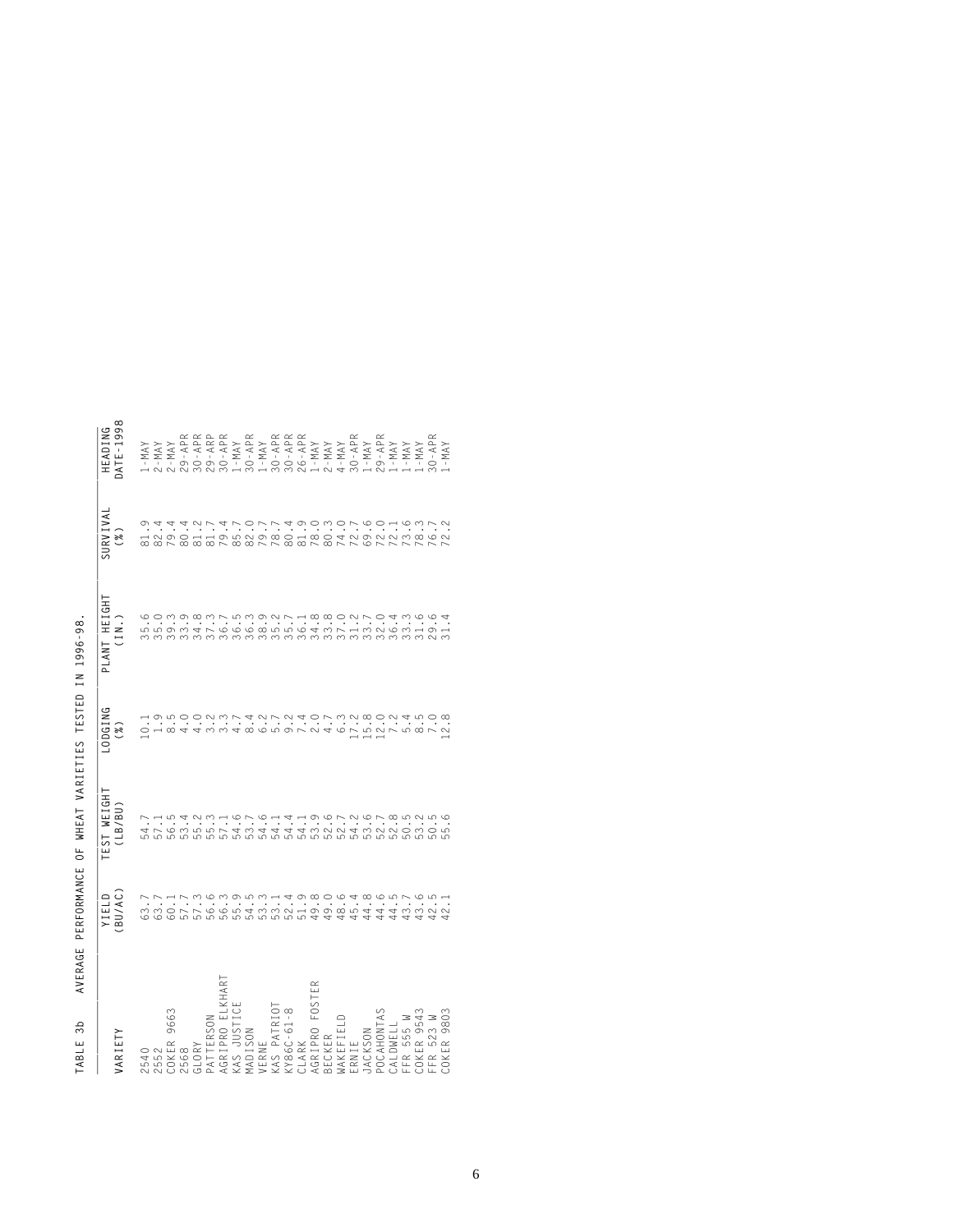| ARIETY                                                                                                                                                                                                                     | YIELD<br>BU/AC) | TEST WEIGHT<br>(LB/BU) | -ODGING<br>(%)                                           | PLANT HEIGHT<br>(IN.)                                                            | SURVIVAL<br>(%) | HEADING<br>ATE-1998 |
|----------------------------------------------------------------------------------------------------------------------------------------------------------------------------------------------------------------------------|-----------------|------------------------|----------------------------------------------------------|----------------------------------------------------------------------------------|-----------------|---------------------|
| 540                                                                                                                                                                                                                        |                 |                        |                                                          | るとことはことであるところにあることであるとない。<br>ここととは、こうらのさうでんしています。 こうとうしょう<br>このとしろうこうとうとうこうかいしょう |                 |                     |
|                                                                                                                                                                                                                            |                 |                        |                                                          |                                                                                  |                 |                     |
| 2552<br>COKER 9663<br>COKER 9663<br>AGRIPRO ELKHART<br>AGRIPRO ELKHART<br>MADISON<br>MADISON<br>VERVE 5554<br>AGRIPRO FOSTER<br>AGRIPRO FOSTER<br>ERR 553 W<br>COLOMELL<br>CALDMELL<br>CRR 553 W<br>CRR 553 W<br>CRR 553 W |                 |                        | U<br>OURAAWWARRDVVAADVWYDVYD<br>HONOOMWYANVMAOVWYRONANOR |                                                                                  |                 |                     |
|                                                                                                                                                                                                                            |                 |                        |                                                          |                                                                                  |                 |                     |
|                                                                                                                                                                                                                            |                 |                        |                                                          |                                                                                  |                 |                     |
|                                                                                                                                                                                                                            |                 |                        |                                                          |                                                                                  |                 |                     |
|                                                                                                                                                                                                                            |                 |                        |                                                          |                                                                                  |                 |                     |
|                                                                                                                                                                                                                            |                 |                        |                                                          |                                                                                  |                 |                     |
|                                                                                                                                                                                                                            |                 |                        |                                                          |                                                                                  |                 |                     |
|                                                                                                                                                                                                                            |                 |                        |                                                          |                                                                                  |                 |                     |
|                                                                                                                                                                                                                            |                 |                        |                                                          |                                                                                  |                 |                     |
|                                                                                                                                                                                                                            |                 |                        |                                                          |                                                                                  |                 |                     |
|                                                                                                                                                                                                                            |                 |                        |                                                          |                                                                                  |                 |                     |
|                                                                                                                                                                                                                            |                 |                        |                                                          |                                                                                  |                 |                     |
|                                                                                                                                                                                                                            |                 |                        |                                                          |                                                                                  |                 |                     |
|                                                                                                                                                                                                                            |                 |                        |                                                          |                                                                                  |                 |                     |
|                                                                                                                                                                                                                            |                 |                        |                                                          |                                                                                  |                 |                     |
|                                                                                                                                                                                                                            |                 |                        |                                                          |                                                                                  |                 |                     |
|                                                                                                                                                                                                                            |                 |                        |                                                          |                                                                                  |                 |                     |
|                                                                                                                                                                                                                            |                 |                        |                                                          |                                                                                  |                 |                     |
|                                                                                                                                                                                                                            |                 |                        |                                                          |                                                                                  |                 |                     |
|                                                                                                                                                                                                                            |                 |                        |                                                          |                                                                                  |                 |                     |
|                                                                                                                                                                                                                            |                 |                        |                                                          |                                                                                  |                 |                     |
|                                                                                                                                                                                                                            |                 |                        |                                                          |                                                                                  |                 |                     |

AVERAGE PERFORMANCE OF WHEAT VARIETIES TESTED IN 1996-98.  **TABLE 3b AVERAGE PERFORMANCE OF WHEAT VARIETIES TESTED IN 1996-98.** TABLE 3b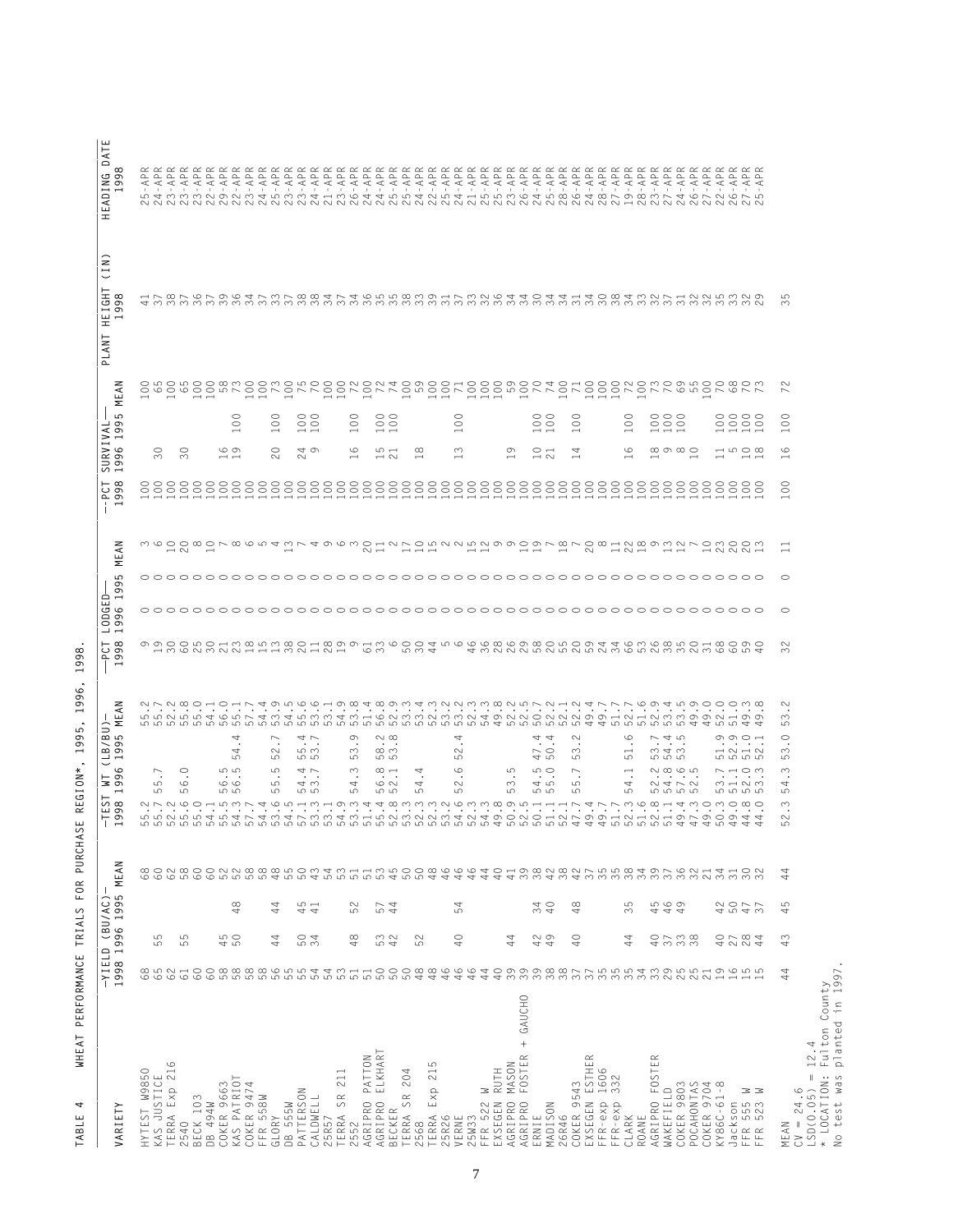| VARIETY                                                     | 1998                          | -YIELD (BU/AC)                     | 1996 1995 MEAN    |                          | $\geq$<br>$\sigma$<br>$\sigma$<br>– ⊣<br>$\check{ }$<br>$\circ$<br>들흥<br>$\overline{\phantom{0}}$<br>$-TES$ <sup>1998</sup> | MEAN<br>ລີ<br>ຮັ                                                                                                                                                                                                                                                                                                                           | 58<br>டி வ<br>$\overline{\phantom{0}}$      | LODGED-<br>1996 1: | Σ<br>ပ<br>$\sigma$<br>$\sigma$ | z<br>진                                            | $\sigma$<br>$\overline{ }$<br>$\mathfrak{g}$<br>ဉ် ခွဲ<br>$\mathbf i$<br>$\overline{ }$ | 1995<br>SURVIVA<br>$\circ$<br>$\sigma$                                        | $\tilde{\preccurlyeq}$<br>تىر<br>Σ                     | (1N)<br>HEIGHT<br>$\infty$<br>$\overline{\sigma}$<br>$\sigma$<br>1<br>PLANT | DATE<br>$\infty$<br>HEADING<br>99<br>$\overline{\phantom{0}}$                                                         |
|-------------------------------------------------------------|-------------------------------|------------------------------------|-------------------|--------------------------|-----------------------------------------------------------------------------------------------------------------------------|--------------------------------------------------------------------------------------------------------------------------------------------------------------------------------------------------------------------------------------------------------------------------------------------------------------------------------------------|---------------------------------------------|--------------------|--------------------------------|---------------------------------------------------|-----------------------------------------------------------------------------------------|-------------------------------------------------------------------------------|--------------------------------------------------------|-----------------------------------------------------------------------------|-----------------------------------------------------------------------------------------------------------------------|
| HYTEST W9850                                                | 65                            |                                    |                   |                          |                                                                                                                             |                                                                                                                                                                                                                                                                                                                                            |                                             |                    |                                |                                                   |                                                                                         |                                                                               | $\overline{\phantom{0}}$                               |                                                                             |                                                                                                                       |
| KAS JUSTICE                                                 |                               | 5<br>ယာ                            |                   |                          | $\overline{\phantom{0}}$<br>LO<br>ம                                                                                         |                                                                                                                                                                                                                                                                                                                                            |                                             |                    |                                |                                                   |                                                                                         | $\circ$<br>$\infty$                                                           |                                                        |                                                                             |                                                                                                                       |
| TERRA Exp 216                                               | $62$                          |                                    |                   | 88288                    |                                                                                                                             |                                                                                                                                                                                                                                                                                                                                            |                                             |                    |                                | $\sim$ $\sim$                                     |                                                                                         |                                                                               | $\overline{\phantom{0}}$                               |                                                                             |                                                                                                                       |
| 540<br>$\sim$                                               | $\overline{6}$                | 5<br>5                             |                   |                          | $\circ$<br>$\circ$<br>ഥ                                                                                                     |                                                                                                                                                                                                                                                                                                                                            |                                             |                    |                                |                                                   |                                                                                         | $\circ$<br>$\infty$                                                           |                                                        |                                                                             |                                                                                                                       |
| BECK 103                                                    | $60\,$                        |                                    |                   |                          |                                                                                                                             |                                                                                                                                                                                                                                                                                                                                            |                                             |                    |                                |                                                   |                                                                                         |                                                                               |                                                        |                                                                             |                                                                                                                       |
| DB 494W                                                     | $\rm ^{\odot}$                |                                    |                   |                          |                                                                                                                             |                                                                                                                                                                                                                                                                                                                                            |                                             |                    |                                |                                                   |                                                                                         |                                                                               |                                                        |                                                                             |                                                                                                                       |
| COKER 9663                                                  | 66666666446666666666          | ro o<br>45                         |                   |                          | ဟ ဟ<br>$\circ$<br><u> ഗ</u><br>.                                                                                            |                                                                                                                                                                                                                                                                                                                                            | 136232111122                                |                    |                                |                                                   |                                                                                         | ဖော<br>$\overline{\phantom{a}}$                                               |                                                        |                                                                             |                                                                                                                       |
| KAS PATRIOT                                                 |                               |                                    | $\infty$<br>4     |                          | 4<br>4<br>ഗ                                                                                                                 |                                                                                                                                                                                                                                                                                                                                            |                                             |                    |                                |                                                   |                                                                                         | $\overline{\phantom{0}}$                                                      | $_{\odot}$                                             |                                                                             | - 11                                                                                                                  |
| COKER 9474                                                  |                               |                                    |                   |                          |                                                                                                                             |                                                                                                                                                                                                                                                                                                                                            |                                             |                    |                                |                                                   |                                                                                         |                                                                               |                                                        |                                                                             | - 11                                                                                                                  |
| FFR 558W                                                    |                               |                                    |                   |                          |                                                                                                                             |                                                                                                                                                                                                                                                                                                                                            |                                             |                    |                                |                                                   |                                                                                         |                                                                               | $\overline{\phantom{0}}$                               |                                                                             | $\mathbf{I}$                                                                                                          |
| GLORY                                                       |                               | 4<br>4                             | 44                |                          | ↖<br>$\sim$<br>မဂ<br>မာ<br>S<br>မာ                                                                                          |                                                                                                                                                                                                                                                                                                                                            |                                             |                    |                                |                                                   |                                                                                         | $\overline{\phantom{0}}$<br>$\circ$<br>$\sim$                                 | $\rm ^{\circ}$                                         |                                                                             | - 11                                                                                                                  |
| DB 555W                                                     |                               |                                    |                   |                          |                                                                                                                             |                                                                                                                                                                                                                                                                                                                                            |                                             |                    |                                |                                                   |                                                                                         |                                                                               | $\overline{\phantom{0}}$                               |                                                                             | - 11                                                                                                                  |
| PATTERSON<br>CALDWELL<br>25R57<br>TERRA SR 2                |                               | $\circ$ 4<br>ഗ ന                   | 45                |                          | $\rightarrow$ $\sim$<br>ഗ സ<br>மெ<br>$\rightarrow$ $\sim$<br>٠<br>4 <sub>o</sub><br>ம                                       |                                                                                                                                                                                                                                                                                                                                            |                                             |                    |                                |                                                   |                                                                                         | $\overline{\phantom{a}}$<br>40<br>$\sim$                                      | $\begin{smallmatrix} 0 & 0 \\ 0 & 0 \end{smallmatrix}$ |                                                                             | -11<br>- 1                                                                                                            |
|                                                             |                               |                                    |                   |                          |                                                                                                                             |                                                                                                                                                                                                                                                                                                                                            |                                             |                    |                                |                                                   |                                                                                         |                                                                               |                                                        |                                                                             | $\blacksquare$                                                                                                        |
|                                                             |                               |                                    |                   |                          | $\cdot$ $\cdot$                                                                                                             |                                                                                                                                                                                                                                                                                                                                            |                                             |                    |                                |                                                   |                                                                                         |                                                                               | $\overline{\phantom{0}}$<br>$\overline{\phantom{0}}$   |                                                                             | - 11                                                                                                                  |
| 211                                                         |                               |                                    |                   |                          | ഥ                                                                                                                           |                                                                                                                                                                                                                                                                                                                                            |                                             |                    |                                |                                                   |                                                                                         | $\overline{\phantom{0}}$                                                      |                                                        |                                                                             | $\mathbf{I}$                                                                                                          |
| PATTON<br>AGRIPRO<br>2552                                   | $5\,\mathrm{J}$<br>51         | $\infty$<br>4                      | 52                |                          | $\circ$<br>S<br>ഥ<br>$\infty$<br>4                                                                                          |                                                                                                                                                                                                                                                                                                                                            |                                             |                    |                                |                                                   |                                                                                         | $\overline{\phantom{0}}$<br>$\circ$                                           | $_{\odot}$                                             |                                                                             | <b>A</b>                                                                                                              |
| ELKHAR <sup>-</sup><br>AGRIPRO                              | 50                            |                                    |                   |                          | .                                                                                                                           |                                                                                                                                                                                                                                                                                                                                            | ഗ ന                                         |                    |                                | $\sim$ $-$                                        |                                                                                         | $\overline{\phantom{0}}$                                                      |                                                        |                                                                             | $\mathbf{r}$                                                                                                          |
| $\simeq$<br>BECKER                                          |                               | $\infty$<br>ro 4                   | 574               | $\overline{\phantom{a}}$ | $\sim$ $\infty$<br>$\infty$ m<br>மம<br>$\infty$ $\rightarrow$<br>$\circ$ $\circ$<br>ဟ ဟ                                     |                                                                                                                                                                                                                                                                                                                                            |                                             |                    |                                |                                                   |                                                                                         | $\overline{\phantom{0}}$<br>$\omega$ $-$<br>$\overline{\phantom{0}}$          | $\begin{smallmatrix} 0 & 0 \\ 0 & 0 \end{smallmatrix}$ |                                                                             | - 11                                                                                                                  |
| 204                                                         |                               |                                    |                   |                          | $\cdot$                                                                                                                     |                                                                                                                                                                                                                                                                                                                                            |                                             |                    |                                |                                                   |                                                                                         |                                                                               | $\overline{\phantom{0}}$                               |                                                                             | - 11                                                                                                                  |
|                                                             |                               | $\sim$<br>5                        |                   |                          | 4<br>4<br>ယာ<br>$\cdot$                                                                                                     |                                                                                                                                                                                                                                                                                                                                            |                                             |                    |                                |                                                   |                                                                                         | $\infty$<br>$\overline{\phantom{0}}$                                          |                                                        |                                                                             | $\mathbf{I}$                                                                                                          |
| 5<br>$\frac{1}{2}$                                          |                               |                                    |                   |                          | $\sim$                                                                                                                      |                                                                                                                                                                                                                                                                                                                                            | ru w 4                                      |                    |                                | $\rightarrow$ $\rightarrow$ $\rightarrow$         |                                                                                         |                                                                               | $\overline{\phantom{0}}$                               |                                                                             | -11                                                                                                                   |
|                                                             |                               |                                    |                   |                          |                                                                                                                             |                                                                                                                                                                                                                                                                                                                                            |                                             |                    |                                |                                                   |                                                                                         |                                                                               | $\overline{\phantom{0}}$                               |                                                                             | $\mathbf{r}$                                                                                                          |
| TERRA SR 20<br>2568<br>2568 Exp 2<br>25R26<br>VERNE         |                               | $\circ$<br>4                       | 54                |                          | 4<br>$\sim$<br>ம<br>$\circ$<br>$\sim$<br>ယာ<br>the company of the company of the company of                                 |                                                                                                                                                                                                                                                                                                                                            |                                             |                    |                                |                                                   |                                                                                         | $\overline{\phantom{0}}$<br>$\sim$<br>$\overline{\phantom{0}}$                | $_{\odot}$                                             |                                                                             | $\mathbf{I}$                                                                                                          |
| 25W33                                                       |                               |                                    |                   |                          |                                                                                                                             |                                                                                                                                                                                                                                                                                                                                            |                                             |                    |                                | $\overline{\phantom{0}}$                          |                                                                                         |                                                                               |                                                        |                                                                             | $\mathbf{I}$                                                                                                          |
| Ξ<br>FFR 522  <br>EXSEGEN  <br>AGRIPRO                      |                               |                                    |                   |                          |                                                                                                                             |                                                                                                                                                                                                                                                                                                                                            |                                             |                    |                                |                                                   |                                                                                         |                                                                               |                                                        |                                                                             | - 11                                                                                                                  |
| RUTH                                                        |                               |                                    |                   |                          |                                                                                                                             |                                                                                                                                                                                                                                                                                                                                            |                                             |                    |                                |                                                   |                                                                                         |                                                                               | $\overline{ }$                                         |                                                                             | - 11                                                                                                                  |
| MASON                                                       |                               | 4<br>4                             |                   |                          | 5<br>$\infty$<br>ယ                                                                                                          |                                                                                                                                                                                                                                                                                                                                            |                                             |                    |                                |                                                   |                                                                                         | $\sigma$<br>$\overline{\phantom{0}}$                                          |                                                        |                                                                             | - 11                                                                                                                  |
| + GAUCHO<br>FOSTER<br>AGRIPRO                               |                               |                                    |                   |                          |                                                                                                                             |                                                                                                                                                                                                                                                                                                                                            |                                             |                    |                                | $\overline{a}$                                    |                                                                                         |                                                                               | $\overline{\phantom{0}}$                               |                                                                             | $\mathbf{I}$                                                                                                          |
| ERNIE<br>MADISON                                            |                               | $\sim$ $\circ$<br>44               | 340               |                          | 4<br>470<br>$\circ$<br>45<br>ဟ ဟ                                                                                            |                                                                                                                                                                                                                                                                                                                                            |                                             |                    |                                |                                                   |                                                                                         | $\overline{\phantom{0}}$<br>$\circ$ $\rightarrow$<br>$\overline{\phantom{0}}$ | $\begin{smallmatrix} 0 & 0 \\ 0 & 0 \end{smallmatrix}$ |                                                                             | $\mathbf{r}$                                                                                                          |
|                                                             |                               |                                    |                   |                          | 4<br>$\cdots$                                                                                                               |                                                                                                                                                                                                                                                                                                                                            |                                             |                    |                                |                                                   |                                                                                         | $\rightarrow$                                                                 |                                                        |                                                                             | $\mathbf{L}$                                                                                                          |
| 26R46                                                       |                               |                                    |                   |                          |                                                                                                                             |                                                                                                                                                                                                                                                                                                                                            |                                             |                    |                                | $\overline{\phantom{0}}$                          |                                                                                         |                                                                               |                                                        |                                                                             |                                                                                                                       |
| COKER 9543                                                  |                               | $\circ$<br>4                       | $\infty$<br>4     | $\overline{\phantom{a}}$ | $\sim$<br>$\infty$<br>မဂ<br>$\sim$<br>LO<br>ယ<br>.                                                                          |                                                                                                                                                                                                                                                                                                                                            |                                             |                    |                                |                                                   |                                                                                         | $\overline{\phantom{0}}$<br>4<br>$\overline{\phantom{0}}$                     | $\circ$<br>$\circ$                                     |                                                                             | - 11                                                                                                                  |
| EXSEGEN ESTHER<br>FFR-exp 1606                              |                               |                                    |                   |                          |                                                                                                                             |                                                                                                                                                                                                                                                                                                                                            |                                             |                    |                                | $\sim$                                            |                                                                                         |                                                                               |                                                        |                                                                             | $\mathbf{I}$<br>- 11                                                                                                  |
| 32<br>$\infty$<br>$FFR-exp$                                 |                               |                                    |                   |                          |                                                                                                                             |                                                                                                                                                                                                                                                                                                                                            |                                             |                    |                                |                                                   |                                                                                         |                                                                               | $\overline{ }$                                         |                                                                             | $\mathbf{I}$                                                                                                          |
|                                                             |                               | 4<br>4                             | ယ<br>$\infty$     |                          | $\circ$<br>io.<br>$\overline{\phantom{0}}$<br>4<br>5                                                                        |                                                                                                                                                                                                                                                                                                                                            |                                             |                    |                                |                                                   |                                                                                         | $\overline{\phantom{0}}$<br>6<br>$\overline{\phantom{0}}$                     | $\epsilon$                                             |                                                                             | $\mathcal{A}$                                                                                                         |
| CLARK<br>ROANE                                              |                               |                                    |                   |                          |                                                                                                                             |                                                                                                                                                                                                                                                                                                                                            |                                             |                    |                                | $\overline{\phantom{0}}$ $\overline{\phantom{0}}$ |                                                                                         |                                                                               |                                                        |                                                                             |                                                                                                                       |
| $\simeq$<br>FOSTEF<br>AGRIPRO                               |                               | $\circ$<br>4                       | 4                 |                          |                                                                                                                             |                                                                                                                                                                                                                                                                                                                                            |                                             |                    |                                |                                                   |                                                                                         | ī<br>$\overline{\phantom{0}}$                                                 |                                                        |                                                                             | $\mathbf{I}$                                                                                                          |
| WAKEFIELD                                                   |                               | $\overline{ }$<br>$\sim$           | <b>.</b> ഗ ത<br>₹ |                          | $\sim$ 4 $\approx$<br>$\omega \neq \omega$<br><b>ഗ</b> ഗ ഗ<br>$\cdot$                                                       |                                                                                                                                                                                                                                                                                                                                            |                                             |                    |                                |                                                   |                                                                                         |                                                                               | 888                                                    |                                                                             | $\mathbf{I}$                                                                                                          |
| COKER 9803                                                  | 50886664099988775554395519655 | $\infty$<br>m m                    | ₹                 |                          | N 00 VO LO<br>$\cdot$<br>$\sim 4 \sim 2$<br>LO LO LO LO<br>47736814303080                                                   | N N N & O H O H N + O W W O H O & H & & O W H & W Y W W W W W W W W W W W W H N + N N W O O O W W W<br>ה הטמטים המשפח המשפח המשפח המשפח המשפח המשפח המשפח המשפח המשפח המשפח המשפח המשפח המשפח המשפח המשפח המשפח המשפח<br>המשפח המשפח המשפח המשפח המשפח המשפח המשפח המשפח המשפח המשפח המשפח המשפח המשפח המשפח המשפח המשפח המשפח המשפח ה<br> | 4 M N N N W N W N W N M W N M M W M W W W H |                    |                                |                                                   |                                                                                         | $\overline{\phantom{0}}$<br>$\infty$ $\infty$ $\infty$                        |                                                        |                                                                             | - 11<br>G T M M M M M M M T L M M T H M G T T L G H T M H T L G M M G T L G M D G T M M M M T T G N M G N M C N G N M |
| POCAHONTAS                                                  |                               |                                    |                   |                          |                                                                                                                             |                                                                                                                                                                                                                                                                                                                                            |                                             |                    |                                |                                                   |                                                                                         | $\overline{\phantom{0}}$                                                      |                                                        |                                                                             |                                                                                                                       |
| COKER 9704                                                  |                               |                                    |                   |                          | $\cdot$                                                                                                                     |                                                                                                                                                                                                                                                                                                                                            |                                             |                    |                                |                                                   |                                                                                         |                                                                               | $\overline{\phantom{0}}$                               |                                                                             | - 11                                                                                                                  |
| KY86C-61-8                                                  |                               | $\circ$ $\sim$<br>4                | $4047$<br>$4047$  |                          | $\circ$ $\circ$ $\circ$ $\circ$<br><b>59999</b><br>$\sim$ $\rightarrow$ $\sim$ $\sim$<br>$M \rightarrow N$<br>LO LO LO LO   |                                                                                                                                                                                                                                                                                                                                            |                                             |                    |                                | <b>NNN</b>                                        |                                                                                         | $\overline{\phantom{a}}$ 500<br>$\overline{\phantom{0}}$                      | 8888                                                   |                                                                             | - 11                                                                                                                  |
|                                                             |                               |                                    |                   |                          | $\cdot$<br>$\cdot$                                                                                                          |                                                                                                                                                                                                                                                                                                                                            |                                             |                    |                                |                                                   |                                                                                         | $\overline{\phantom{0}}$                                                      |                                                        |                                                                             |                                                                                                                       |
| ≥<br>≊<br>Jackson<br>FFR 555<br>FFR 523                     |                               | $\infty$ 4<br>$\sim$ $\sim$ $\sim$ |                   |                          | $\,$ .<br>$\rightarrow \sim \rightarrow \sim$<br>₹                                                                          |                                                                                                                                                                                                                                                                                                                                            |                                             |                    |                                |                                                   |                                                                                         | $\overline{\phantom{0}}$                                                      |                                                        |                                                                             | $\mathbf{I}$                                                                                                          |
|                                                             |                               |                                    |                   |                          |                                                                                                                             |                                                                                                                                                                                                                                                                                                                                            |                                             |                    |                                |                                                   |                                                                                         |                                                                               |                                                        |                                                                             |                                                                                                                       |
| MEAN                                                        | 44                            | $\sim$<br>4                        | ம<br>4            | 44                       | $\circ$<br>$\infty$<br>ம<br>$\infty$<br>4<br>ம<br>$\sim$<br>$\sim$<br>ம                                                     | $\sim$<br>$\sim$<br>ம                                                                                                                                                                                                                                                                                                                      | $\sim$<br>$\infty$                          | $\circ$            | $\circ$                        | $\overline{\phantom{0}}$                          | $\circ$<br>$\circ$<br>$\overline{\phantom{0}}$                                          | $\overline{\phantom{0}}$<br>$\circ$<br>$\overline{\phantom{0}}$               | $\sim$<br>$\overline{\phantom{0}}$<br>$\rm ^{\circ}$   | ഥ<br>$\infty$                                                               |                                                                                                                       |
| $CV = 24.6$                                                 |                               |                                    |                   |                          |                                                                                                                             |                                                                                                                                                                                                                                                                                                                                            |                                             |                    |                                |                                                   |                                                                                         |                                                                               |                                                        |                                                                             |                                                                                                                       |
| $LSD(0.05) = 12.4$                                          |                               |                                    |                   |                          |                                                                                                                             |                                                                                                                                                                                                                                                                                                                                            |                                             |                    |                                |                                                   |                                                                                         |                                                                               |                                                        |                                                                             |                                                                                                                       |
| planted in 1997<br>* LOCATION: Fulton County<br>No test was |                               |                                    |                   |                          |                                                                                                                             |                                                                                                                                                                                                                                                                                                                                            |                                             |                    |                                |                                                   |                                                                                         |                                                                               |                                                        |                                                                             |                                                                                                                       |
|                                                             |                               |                                    |                   |                          |                                                                                                                             |                                                                                                                                                                                                                                                                                                                                            |                                             |                    |                                |                                                   |                                                                                         |                                                                               |                                                        |                                                                             |                                                                                                                       |

WHEAT PERFORMANCE TRIALS FOR PURCHASE REGION\*, 1995, 1996, 1998. **TABLE 4 WHEAT PERFORMANCE TRIALS FOR PURCHASE REGION\*, 1995, 1996, 1998.** TABLE 4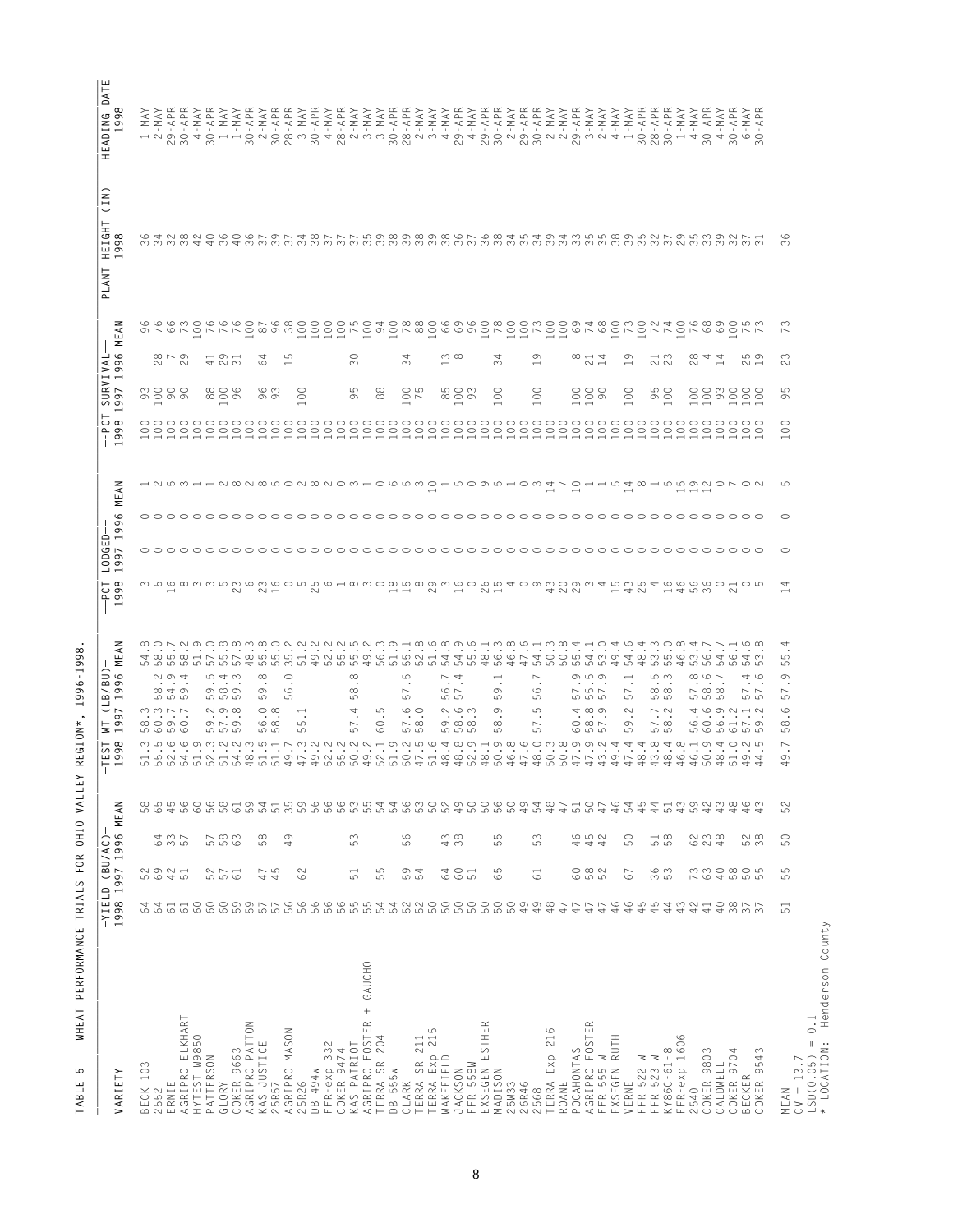| $\mathbb{R}^n$<br>$\pm$<br>$\pm 1$<br>$\sim$ 1 $\sim$<br>$\sim$<br>$\sim$ 1.<br>$\sim$ 1 $\sim$<br>$\sim$<br>$\mathbb{R}^n$<br>$\pm$<br>$\sim 10$<br>$\sim$ 1 $\,$<br>$\sim$<br>$\sim$ 1 $\sim$<br>$\sim 10$<br>$\mathbf{L}$<br>$\sim$ 1 $\sim$<br>$\sim$ 1.<br>$\sim$ 1 $\sim$<br>$\mathbf{1}$<br>$\sim$ 1 $\sim$<br>$\mathbf{L}$<br>$\pm$<br>$\sim$ 1<br>$\sim$ 1 $\,$<br><b>CONTRACTOR</b><br>$\sim$ 1 $\sim$<br>$\sim$<br>$\sim$<br>$\sim$ 1 $\,$<br>$\sim$ 1 $\,$<br>$\sim$<br>$\sim 10$<br>$\sim$<br>$\sim$<br>$\sim$<br>$\sim$ 1 $\,$<br>$\sim$<br>$\sim$ 1 $\sim$<br><b>COLLEGE</b><br>$\sim$<br>$\sim$ 1 $\,$<br>$\sim$<br>- 11<br>-11<br>H N 9 O 4 O H H O N O W M O 4 W N M N O W N 4 O 4 O N O N O N O W O N N O H O N O W O H O 4 O 4 O 6 O<br>$\sim$ $\sim$<br>$\sim$<br>$\sim$<br>$\sim$ $\sim$<br>$\sim$<br>$\sim$ $\sim$<br>$\sim$ $\sim$<br>$m \sim m$<br>$\sim$<br>$\sim$<br>$\infty$<br>$\sim$<br>$\sim$<br>GAU QUO GO GU PO<br>G<br>$\infty$<br>CO CONCIDO DO DE A EL DO COR O CONCORDO DO CONCORDO DE ANGO DO CONCORDO DO CONDIA E A EL DO CORDO DO CONCORDO D<br>A RIGIDO DO ANGUNO DO ANGO DO ANGUNO DO CORDO DO CORDO DO CORDO DO CORDO DO CORDO DO CORDO DO CORDO DO CORDO D<br>$\sim$<br>$\overline{\phantom{0}}$<br>Σ<br>1997 1996<br>-14VIVRUS<br>$\infty \sim \infty$<br>4231<br>54<br>ഗ<br>$\overline{30}$<br>34<br>ന യ<br>34<br>Ō<br>$\infty$ $\rightarrow$ 4<br>ത<br>$\rightarrow$ $\sim$<br>$\infty$ 4 4<br>ഥ ന<br>$\infty$<br>$\sim$ $\sim$<br>$\sim$<br>$\sim$<br>$\sim$<br>$\sim$<br>$\overline{\phantom{0}}$<br>$\overline{\phantom{0}}$<br>$\overline{\phantom{0}}$<br>$\overline{\phantom{0}}$<br>$\overline{\phantom{0}}$<br>$\sim$<br>$\sim$ $-$<br>$\overline{\phantom{0}}$<br>30000<br>6 m<br>5<br>808<br>$\rm ^{\rm C}$<br>5<br>88<br>0075<br>85<br>S<br>$\rm ^{\circ}$<br>$_{\odot}$<br>888<br>$\rm ^{\circ}$<br>95<br>888888<br>ത ത<br>ത<br>ന<br>ത<br>$\circ$<br>$\circ$<br>H N W M H H N W N W W O N W N O M H O W M O H W O W H O M H O H H W H W H W W N O N O N O N<br>ഥ<br>$\overline{\phantom{0}}$<br>$- - -$<br>6<br>$\circ$<br>$\overline{ }$<br>$\circ$<br>35183352624055183018301991109419911591114510105<br>4<br>$-400$<br>$\overline{\phantom{0}}$<br>4<br>ယ<br>o o o o o o o o o <del>o o o o o o o o</del> o o<br>4 0 0 0 0 0 0 0 0 0 4 0 4<br>4 row row row 4 row<br>4 5 5 5 5 5 6 7 6<br>5<br>$\infty$<br>$\circ$<br>$\infty$<br>$\infty$ $\infty$ $\sim$<br>9<br>$\sim \infty$ 4<br>543<br>ပ<br>$\dot{\phantom{1}}$ $\dot{\phantom{1}}$<br>$\overline{\phantom{0}}$<br>ത ഥ ത<br>$\overline{\phantom{0}}$<br>ഥ ന<br>4 ∞<br>$\overline{\phantom{0}}$<br>$\frac{1}{\infty}$ 4 $\infty$<br>$\cdot$ $\cdot$<br>$\bullet$<br>$\bullet$<br>$\cdot$<br>$\bullet$<br>$\cdots$<br>$\bullet$<br>$\cdot$ $\cdot$<br>$\cdot$<br>$\cdot$ $\cdot$<br>$\cdot$<br>$\bullet$<br>$\bullet$<br>$\cdot$<br>$\cdot$<br>തയത<br>$\circ$<br>$\circ$ $\sim$<br>$\sim$ 10 $\sim$<br>$\infty$ $\infty$<br>$\sim \infty$ $\infty$<br>ന<br>ന<br>$\sim$<br>ത<br>$\circ$<br>$\sim$<br>$\sim$ $\sim$<br>$\sim$<br>ம்<br>S<br>S<br>ဟ ဟ<br><b>5555</b><br>ဟ ဟ<br>10 IN 10<br>ഗ<br>ഗ<br>ഗ<br>LO LO LO<br>ဟ ဟ ဟ<br>ഥ<br>ഥ<br>மற<br>$\circ$<br>$\omega \omega \sim$<br>$\sim$ $\infty$<br>$\circ$ $\infty$<br>5<br>$\circ$<br>N O M<br>$\sigma$<br>5<br>400<br>$\sim$<br>$\sim \infty$<br>4 6 9 7 4 7<br>4<br>$\overline{\phantom{0}}$<br>$\blacksquare$<br>$\blacksquare$<br>$\infty$ $\circ$ $\circ$ $\circ$<br>$\circ$ $\sim$ $\circ$<br>$\circ$ $\infty$<br>5<br>$\circ$<br>$\sim \infty$<br>ത യ യ<br>$\infty$<br>$\overline{\phantom{a}}$<br>$\circ$ $\circ$ $\sim$<br>$\circ$<br>$\sim \infty$<br>$\circ \circ \circ \circ \circ \circ \circ$<br>$\infty$<br>$\overline{ }$<br>$\geq$ $\rightarrow$<br>5656<br>LO LO LO<br>ယာ<br>5<br>5<br>5<br>5<br>5<br>5<br>5<br>LO<br>655<br>ယ ယ<br><b>565655</b><br>ဖာ ဖာ<br>5<br>G<br>ഗ<br>ഗ<br>ပ<br>M LO COMMUNA DH LA MUNU MUNU HON LO CHO CHO CO CO CO CO CO CHO 4 CO CHO 4 CO VIO<br>$\sim$<br>$\circ$<br>44444444<br>$\overline{\phantom{a}}$<br>404044<br>4<br>-YIELD (BU/AC)-<br>1998 1997 1996 MEAN<br>$\sim$<br>ഥ<br>56<br><b>6</b> 25<br>935<br>583<br>58<br>49<br>53<br>43<br>55<br>53<br>6<br>4 4 4<br>4 4<br>50<br>$\frac{1}{5}8$<br>8238<br>528<br>50<br>5921<br>5921<br>45<br>55<br>54<br>60<br>65<br>$\overline{6}$<br>582<br>86<br>53<br>RSARGES<br>5<br>52761<br>62<br>5<br>67<br>51<br>51<br>$\overline{6}$<br>5<br>ம<br>くろち ひょうちょうちょう しゅうしょう こうしつりつりつりつ ファイル こうり しょうちょう しょうしつ しょうちょうちょう ちょうさ しょうこう しょうせい しょうしょう しょうしょう しょうしょう<br>64<br>$\begin{array}{c} 6 \\ 0 \\ 0 \\ 0 \\ \end{array}$<br>51<br>GAUCHO<br>$^{+}$<br>216<br>FR-exp 1606<br><b>OKER 9663</b><br>OKER 9803<br><b>OKER 9543</b><br>ERRA Exp<br>BECK 103<br><b>ECKER</b><br>5R26<br>RNIE<br>540 | $\overline{\phantom{0}}$ .<br>AGRIPRO ELKHART<br>AGRIPRO FOSTER<br>AGRIPRO PATTON<br>EXSEGEN ESTHER<br>AGRIPRO MASON<br>HYTEST W9850<br>TERRA SR 204<br>KAS JUSTICE<br>KAS PATRIOT<br>COKER 9474<br>POCAHONTAS<br>KY86C-61-8<br>PATTERSON<br><b>WAKEFIELD</b><br>FFR 558W<br>JACKSON<br>DB 555W<br>MADISON<br>ROANE<br>GLORY<br>$\infty$<br>$\sim$<br>$\sqcup$<br>$\cup$<br>$\sim$<br>$\mathbf{L}$<br>$\sim$<br>C<br>$\infty$<br>$\cup$ |         |  |  | 58<br>யல்<br>H H | $\frac{8}{19}$<br>┙<br>$\backsim$ $\sim$<br>$\vdash$ | $\frac{5}{96}$         | $-998$ | 읍<br>┙                        |         |                        | $\overline{5}$ $\overline{5}$<br>$-9.9$ |                          |        | $\widehat{z}$<br>$\overline{\overline{C}}$<br>눈<br>HE IGH<br>$\overline{z}$<br>⋖<br>┙<br>$\mathbf{\underline{\small{o}}}$ | $\vdash$<br>Ä<br>IEADING<br>1998<br>ᆂ |
|---------------------------------------------------------------------------------------------------------------------------------------------------------------------------------------------------------------------------------------------------------------------------------------------------------------------------------------------------------------------------------------------------------------------------------------------------------------------------------------------------------------------------------------------------------------------------------------------------------------------------------------------------------------------------------------------------------------------------------------------------------------------------------------------------------------------------------------------------------------------------------------------------------------------------------------------------------------------------------------------------------------------------------------------------------------------------------------------------------------------------------------------------------------------------------------------------------------------------------------------------------------------------------------------------------------------------------------------------------------------------------------------------------------------------------------------------------------------------------------------------------------------------------------------------------------------------------------------------------------------------------------------------------------------------------------------------------------------------------------------------------------------------------------------------------------------------------------------------------------------------------------------------------------------------------------------------------------------------------------------------------------------------------------------------------------------------------------------------------------------------------------------------------------------------------------------------------------------------------------------------------------------------------------------------------------------------------------------------------------------------------------------------------------------------------------------------------------------------------------------------------------------------------------------------------------------------------------------------------------------------------------------------------------------------------------------------------------------------------------------------------------------------------------------------------------------------------------------------------------------------------------------------------------------------------------------------------------------------------------------------------------------------------------------------------------------------------------------------------------------------------------------------------------------------------------------------------------------------------------------------------------------------------------------------------------------------------------------------------------------------------------------------------------------------------------------------------------------------------------------------------------------------------------------------------------------------------------------------------------------------------------------------------------------------------------------------------------------------------------------------------------------------------------------------------------------------------------------------------------------------------------------------------------------------------------------------------------------------------------------------------------------------------------------------------------------------------------------------------------------------------------------------------------------------------------------------------------------------------------------------------------------------------------------------------------------------------------------------------------------------------------------------------------------------------------------------------------------------------------------------------------------------------------------------------------------------------------------------------------------------------------------------------------------------------------------------------------------------------------------------------|-----------------------------------------------------------------------------------------------------------------------------------------------------------------------------------------------------------------------------------------------------------------------------------------------------------------------------------------------------------------------------------------------------------------------------------------|---------|--|--|------------------|------------------------------------------------------|------------------------|--------|-------------------------------|---------|------------------------|-----------------------------------------|--------------------------|--------|---------------------------------------------------------------------------------------------------------------------------|---------------------------------------|
|                                                                                                                                                                                                                                                                                                                                                                                                                                                                                                                                                                                                                                                                                                                                                                                                                                                                                                                                                                                                                                                                                                                                                                                                                                                                                                                                                                                                                                                                                                                                                                                                                                                                                                                                                                                                                                                                                                                                                                                                                                                                                                                                                                                                                                                                                                                                                                                                                                                                                                                                                                                                                                                                                                                                                                                                                                                                                                                                                                                                                                                                                                                                                                                                                                                                                                                                                                                                                                                                                                                                                                                                                                                                                                                                                                                                                                                                                                                                                                                                                                                                                                                                                                                                                                                                                                                                                                                                                                                                                                                                                                                                                                                                                                                                                         | AGRIPRO FOSTER<br>FFR 555 W<br>EXSEGEN RUTH<br>VERNE<br>FFR 522 W<br>CLARK<br>TERRA SR 211<br>TERRA Exp 215<br>$CV = 13.7$<br>$LSD(0.05) =$<br>* LOCATION:<br>DB 494W<br>FFR-exp 332<br>CALDWELL<br>COKER 9704<br>25W33<br>26R46<br>2568<br>25R57<br>MEAN                                                                                                                                                                               | VARIETY |  |  |                  | $\sigma$<br>$\sigma$                                 | $\lesssim$<br>نبا<br>Σ |        | 0DGI<br>997<br>$\overline{ }$ | Σ<br>99 | z<br>$\widetilde{\Xi}$ | $\overline{ }$                          | $\overline{\phantom{0}}$ | z<br>로 |                                                                                                                           | $\infty$                              |
|                                                                                                                                                                                                                                                                                                                                                                                                                                                                                                                                                                                                                                                                                                                                                                                                                                                                                                                                                                                                                                                                                                                                                                                                                                                                                                                                                                                                                                                                                                                                                                                                                                                                                                                                                                                                                                                                                                                                                                                                                                                                                                                                                                                                                                                                                                                                                                                                                                                                                                                                                                                                                                                                                                                                                                                                                                                                                                                                                                                                                                                                                                                                                                                                                                                                                                                                                                                                                                                                                                                                                                                                                                                                                                                                                                                                                                                                                                                                                                                                                                                                                                                                                                                                                                                                                                                                                                                                                                                                                                                                                                                                                                                                                                                                                         |                                                                                                                                                                                                                                                                                                                                                                                                                                         |         |  |  |                  |                                                      |                        |        |                               |         |                        |                                         |                          |        |                                                                                                                           |                                       |
|                                                                                                                                                                                                                                                                                                                                                                                                                                                                                                                                                                                                                                                                                                                                                                                                                                                                                                                                                                                                                                                                                                                                                                                                                                                                                                                                                                                                                                                                                                                                                                                                                                                                                                                                                                                                                                                                                                                                                                                                                                                                                                                                                                                                                                                                                                                                                                                                                                                                                                                                                                                                                                                                                                                                                                                                                                                                                                                                                                                                                                                                                                                                                                                                                                                                                                                                                                                                                                                                                                                                                                                                                                                                                                                                                                                                                                                                                                                                                                                                                                                                                                                                                                                                                                                                                                                                                                                                                                                                                                                                                                                                                                                                                                                                                         |                                                                                                                                                                                                                                                                                                                                                                                                                                         |         |  |  |                  |                                                      |                        |        |                               |         |                        |                                         |                          |        |                                                                                                                           |                                       |
|                                                                                                                                                                                                                                                                                                                                                                                                                                                                                                                                                                                                                                                                                                                                                                                                                                                                                                                                                                                                                                                                                                                                                                                                                                                                                                                                                                                                                                                                                                                                                                                                                                                                                                                                                                                                                                                                                                                                                                                                                                                                                                                                                                                                                                                                                                                                                                                                                                                                                                                                                                                                                                                                                                                                                                                                                                                                                                                                                                                                                                                                                                                                                                                                                                                                                                                                                                                                                                                                                                                                                                                                                                                                                                                                                                                                                                                                                                                                                                                                                                                                                                                                                                                                                                                                                                                                                                                                                                                                                                                                                                                                                                                                                                                                                         |                                                                                                                                                                                                                                                                                                                                                                                                                                         |         |  |  |                  |                                                      |                        |        |                               |         |                        |                                         |                          |        |                                                                                                                           |                                       |
|                                                                                                                                                                                                                                                                                                                                                                                                                                                                                                                                                                                                                                                                                                                                                                                                                                                                                                                                                                                                                                                                                                                                                                                                                                                                                                                                                                                                                                                                                                                                                                                                                                                                                                                                                                                                                                                                                                                                                                                                                                                                                                                                                                                                                                                                                                                                                                                                                                                                                                                                                                                                                                                                                                                                                                                                                                                                                                                                                                                                                                                                                                                                                                                                                                                                                                                                                                                                                                                                                                                                                                                                                                                                                                                                                                                                                                                                                                                                                                                                                                                                                                                                                                                                                                                                                                                                                                                                                                                                                                                                                                                                                                                                                                                                                         |                                                                                                                                                                                                                                                                                                                                                                                                                                         |         |  |  |                  |                                                      |                        |        |                               |         |                        |                                         |                          |        |                                                                                                                           |                                       |
|                                                                                                                                                                                                                                                                                                                                                                                                                                                                                                                                                                                                                                                                                                                                                                                                                                                                                                                                                                                                                                                                                                                                                                                                                                                                                                                                                                                                                                                                                                                                                                                                                                                                                                                                                                                                                                                                                                                                                                                                                                                                                                                                                                                                                                                                                                                                                                                                                                                                                                                                                                                                                                                                                                                                                                                                                                                                                                                                                                                                                                                                                                                                                                                                                                                                                                                                                                                                                                                                                                                                                                                                                                                                                                                                                                                                                                                                                                                                                                                                                                                                                                                                                                                                                                                                                                                                                                                                                                                                                                                                                                                                                                                                                                                                                         |                                                                                                                                                                                                                                                                                                                                                                                                                                         |         |  |  |                  |                                                      |                        |        |                               |         |                        |                                         |                          |        |                                                                                                                           |                                       |
|                                                                                                                                                                                                                                                                                                                                                                                                                                                                                                                                                                                                                                                                                                                                                                                                                                                                                                                                                                                                                                                                                                                                                                                                                                                                                                                                                                                                                                                                                                                                                                                                                                                                                                                                                                                                                                                                                                                                                                                                                                                                                                                                                                                                                                                                                                                                                                                                                                                                                                                                                                                                                                                                                                                                                                                                                                                                                                                                                                                                                                                                                                                                                                                                                                                                                                                                                                                                                                                                                                                                                                                                                                                                                                                                                                                                                                                                                                                                                                                                                                                                                                                                                                                                                                                                                                                                                                                                                                                                                                                                                                                                                                                                                                                                                         |                                                                                                                                                                                                                                                                                                                                                                                                                                         |         |  |  |                  |                                                      |                        |        |                               |         |                        |                                         |                          |        |                                                                                                                           |                                       |
|                                                                                                                                                                                                                                                                                                                                                                                                                                                                                                                                                                                                                                                                                                                                                                                                                                                                                                                                                                                                                                                                                                                                                                                                                                                                                                                                                                                                                                                                                                                                                                                                                                                                                                                                                                                                                                                                                                                                                                                                                                                                                                                                                                                                                                                                                                                                                                                                                                                                                                                                                                                                                                                                                                                                                                                                                                                                                                                                                                                                                                                                                                                                                                                                                                                                                                                                                                                                                                                                                                                                                                                                                                                                                                                                                                                                                                                                                                                                                                                                                                                                                                                                                                                                                                                                                                                                                                                                                                                                                                                                                                                                                                                                                                                                                         |                                                                                                                                                                                                                                                                                                                                                                                                                                         |         |  |  |                  |                                                      |                        |        |                               |         |                        |                                         |                          |        |                                                                                                                           |                                       |
|                                                                                                                                                                                                                                                                                                                                                                                                                                                                                                                                                                                                                                                                                                                                                                                                                                                                                                                                                                                                                                                                                                                                                                                                                                                                                                                                                                                                                                                                                                                                                                                                                                                                                                                                                                                                                                                                                                                                                                                                                                                                                                                                                                                                                                                                                                                                                                                                                                                                                                                                                                                                                                                                                                                                                                                                                                                                                                                                                                                                                                                                                                                                                                                                                                                                                                                                                                                                                                                                                                                                                                                                                                                                                                                                                                                                                                                                                                                                                                                                                                                                                                                                                                                                                                                                                                                                                                                                                                                                                                                                                                                                                                                                                                                                                         |                                                                                                                                                                                                                                                                                                                                                                                                                                         |         |  |  |                  |                                                      |                        |        |                               |         |                        |                                         |                          |        |                                                                                                                           |                                       |
|                                                                                                                                                                                                                                                                                                                                                                                                                                                                                                                                                                                                                                                                                                                                                                                                                                                                                                                                                                                                                                                                                                                                                                                                                                                                                                                                                                                                                                                                                                                                                                                                                                                                                                                                                                                                                                                                                                                                                                                                                                                                                                                                                                                                                                                                                                                                                                                                                                                                                                                                                                                                                                                                                                                                                                                                                                                                                                                                                                                                                                                                                                                                                                                                                                                                                                                                                                                                                                                                                                                                                                                                                                                                                                                                                                                                                                                                                                                                                                                                                                                                                                                                                                                                                                                                                                                                                                                                                                                                                                                                                                                                                                                                                                                                                         |                                                                                                                                                                                                                                                                                                                                                                                                                                         |         |  |  |                  |                                                      |                        |        |                               |         |                        |                                         |                          |        |                                                                                                                           |                                       |
|                                                                                                                                                                                                                                                                                                                                                                                                                                                                                                                                                                                                                                                                                                                                                                                                                                                                                                                                                                                                                                                                                                                                                                                                                                                                                                                                                                                                                                                                                                                                                                                                                                                                                                                                                                                                                                                                                                                                                                                                                                                                                                                                                                                                                                                                                                                                                                                                                                                                                                                                                                                                                                                                                                                                                                                                                                                                                                                                                                                                                                                                                                                                                                                                                                                                                                                                                                                                                                                                                                                                                                                                                                                                                                                                                                                                                                                                                                                                                                                                                                                                                                                                                                                                                                                                                                                                                                                                                                                                                                                                                                                                                                                                                                                                                         |                                                                                                                                                                                                                                                                                                                                                                                                                                         |         |  |  |                  |                                                      |                        |        |                               |         |                        |                                         |                          |        |                                                                                                                           |                                       |
|                                                                                                                                                                                                                                                                                                                                                                                                                                                                                                                                                                                                                                                                                                                                                                                                                                                                                                                                                                                                                                                                                                                                                                                                                                                                                                                                                                                                                                                                                                                                                                                                                                                                                                                                                                                                                                                                                                                                                                                                                                                                                                                                                                                                                                                                                                                                                                                                                                                                                                                                                                                                                                                                                                                                                                                                                                                                                                                                                                                                                                                                                                                                                                                                                                                                                                                                                                                                                                                                                                                                                                                                                                                                                                                                                                                                                                                                                                                                                                                                                                                                                                                                                                                                                                                                                                                                                                                                                                                                                                                                                                                                                                                                                                                                                         |                                                                                                                                                                                                                                                                                                                                                                                                                                         |         |  |  |                  |                                                      |                        |        |                               |         |                        |                                         |                          |        |                                                                                                                           |                                       |
|                                                                                                                                                                                                                                                                                                                                                                                                                                                                                                                                                                                                                                                                                                                                                                                                                                                                                                                                                                                                                                                                                                                                                                                                                                                                                                                                                                                                                                                                                                                                                                                                                                                                                                                                                                                                                                                                                                                                                                                                                                                                                                                                                                                                                                                                                                                                                                                                                                                                                                                                                                                                                                                                                                                                                                                                                                                                                                                                                                                                                                                                                                                                                                                                                                                                                                                                                                                                                                                                                                                                                                                                                                                                                                                                                                                                                                                                                                                                                                                                                                                                                                                                                                                                                                                                                                                                                                                                                                                                                                                                                                                                                                                                                                                                                         |                                                                                                                                                                                                                                                                                                                                                                                                                                         |         |  |  |                  |                                                      |                        |        |                               |         |                        |                                         |                          |        |                                                                                                                           |                                       |
|                                                                                                                                                                                                                                                                                                                                                                                                                                                                                                                                                                                                                                                                                                                                                                                                                                                                                                                                                                                                                                                                                                                                                                                                                                                                                                                                                                                                                                                                                                                                                                                                                                                                                                                                                                                                                                                                                                                                                                                                                                                                                                                                                                                                                                                                                                                                                                                                                                                                                                                                                                                                                                                                                                                                                                                                                                                                                                                                                                                                                                                                                                                                                                                                                                                                                                                                                                                                                                                                                                                                                                                                                                                                                                                                                                                                                                                                                                                                                                                                                                                                                                                                                                                                                                                                                                                                                                                                                                                                                                                                                                                                                                                                                                                                                         |                                                                                                                                                                                                                                                                                                                                                                                                                                         |         |  |  |                  |                                                      |                        |        |                               |         |                        |                                         |                          |        |                                                                                                                           |                                       |
|                                                                                                                                                                                                                                                                                                                                                                                                                                                                                                                                                                                                                                                                                                                                                                                                                                                                                                                                                                                                                                                                                                                                                                                                                                                                                                                                                                                                                                                                                                                                                                                                                                                                                                                                                                                                                                                                                                                                                                                                                                                                                                                                                                                                                                                                                                                                                                                                                                                                                                                                                                                                                                                                                                                                                                                                                                                                                                                                                                                                                                                                                                                                                                                                                                                                                                                                                                                                                                                                                                                                                                                                                                                                                                                                                                                                                                                                                                                                                                                                                                                                                                                                                                                                                                                                                                                                                                                                                                                                                                                                                                                                                                                                                                                                                         |                                                                                                                                                                                                                                                                                                                                                                                                                                         |         |  |  |                  |                                                      |                        |        |                               |         |                        |                                         |                          |        |                                                                                                                           |                                       |
|                                                                                                                                                                                                                                                                                                                                                                                                                                                                                                                                                                                                                                                                                                                                                                                                                                                                                                                                                                                                                                                                                                                                                                                                                                                                                                                                                                                                                                                                                                                                                                                                                                                                                                                                                                                                                                                                                                                                                                                                                                                                                                                                                                                                                                                                                                                                                                                                                                                                                                                                                                                                                                                                                                                                                                                                                                                                                                                                                                                                                                                                                                                                                                                                                                                                                                                                                                                                                                                                                                                                                                                                                                                                                                                                                                                                                                                                                                                                                                                                                                                                                                                                                                                                                                                                                                                                                                                                                                                                                                                                                                                                                                                                                                                                                         |                                                                                                                                                                                                                                                                                                                                                                                                                                         |         |  |  |                  |                                                      |                        |        |                               |         |                        |                                         |                          |        |                                                                                                                           |                                       |
|                                                                                                                                                                                                                                                                                                                                                                                                                                                                                                                                                                                                                                                                                                                                                                                                                                                                                                                                                                                                                                                                                                                                                                                                                                                                                                                                                                                                                                                                                                                                                                                                                                                                                                                                                                                                                                                                                                                                                                                                                                                                                                                                                                                                                                                                                                                                                                                                                                                                                                                                                                                                                                                                                                                                                                                                                                                                                                                                                                                                                                                                                                                                                                                                                                                                                                                                                                                                                                                                                                                                                                                                                                                                                                                                                                                                                                                                                                                                                                                                                                                                                                                                                                                                                                                                                                                                                                                                                                                                                                                                                                                                                                                                                                                                                         |                                                                                                                                                                                                                                                                                                                                                                                                                                         |         |  |  |                  |                                                      |                        |        |                               |         |                        |                                         |                          |        |                                                                                                                           |                                       |
|                                                                                                                                                                                                                                                                                                                                                                                                                                                                                                                                                                                                                                                                                                                                                                                                                                                                                                                                                                                                                                                                                                                                                                                                                                                                                                                                                                                                                                                                                                                                                                                                                                                                                                                                                                                                                                                                                                                                                                                                                                                                                                                                                                                                                                                                                                                                                                                                                                                                                                                                                                                                                                                                                                                                                                                                                                                                                                                                                                                                                                                                                                                                                                                                                                                                                                                                                                                                                                                                                                                                                                                                                                                                                                                                                                                                                                                                                                                                                                                                                                                                                                                                                                                                                                                                                                                                                                                                                                                                                                                                                                                                                                                                                                                                                         |                                                                                                                                                                                                                                                                                                                                                                                                                                         |         |  |  |                  |                                                      |                        |        |                               |         |                        |                                         |                          |        |                                                                                                                           |                                       |
|                                                                                                                                                                                                                                                                                                                                                                                                                                                                                                                                                                                                                                                                                                                                                                                                                                                                                                                                                                                                                                                                                                                                                                                                                                                                                                                                                                                                                                                                                                                                                                                                                                                                                                                                                                                                                                                                                                                                                                                                                                                                                                                                                                                                                                                                                                                                                                                                                                                                                                                                                                                                                                                                                                                                                                                                                                                                                                                                                                                                                                                                                                                                                                                                                                                                                                                                                                                                                                                                                                                                                                                                                                                                                                                                                                                                                                                                                                                                                                                                                                                                                                                                                                                                                                                                                                                                                                                                                                                                                                                                                                                                                                                                                                                                                         |                                                                                                                                                                                                                                                                                                                                                                                                                                         |         |  |  |                  |                                                      |                        |        |                               |         |                        |                                         |                          |        |                                                                                                                           |                                       |
|                                                                                                                                                                                                                                                                                                                                                                                                                                                                                                                                                                                                                                                                                                                                                                                                                                                                                                                                                                                                                                                                                                                                                                                                                                                                                                                                                                                                                                                                                                                                                                                                                                                                                                                                                                                                                                                                                                                                                                                                                                                                                                                                                                                                                                                                                                                                                                                                                                                                                                                                                                                                                                                                                                                                                                                                                                                                                                                                                                                                                                                                                                                                                                                                                                                                                                                                                                                                                                                                                                                                                                                                                                                                                                                                                                                                                                                                                                                                                                                                                                                                                                                                                                                                                                                                                                                                                                                                                                                                                                                                                                                                                                                                                                                                                         |                                                                                                                                                                                                                                                                                                                                                                                                                                         |         |  |  |                  |                                                      |                        |        |                               |         |                        |                                         |                          |        |                                                                                                                           |                                       |
|                                                                                                                                                                                                                                                                                                                                                                                                                                                                                                                                                                                                                                                                                                                                                                                                                                                                                                                                                                                                                                                                                                                                                                                                                                                                                                                                                                                                                                                                                                                                                                                                                                                                                                                                                                                                                                                                                                                                                                                                                                                                                                                                                                                                                                                                                                                                                                                                                                                                                                                                                                                                                                                                                                                                                                                                                                                                                                                                                                                                                                                                                                                                                                                                                                                                                                                                                                                                                                                                                                                                                                                                                                                                                                                                                                                                                                                                                                                                                                                                                                                                                                                                                                                                                                                                                                                                                                                                                                                                                                                                                                                                                                                                                                                                                         |                                                                                                                                                                                                                                                                                                                                                                                                                                         |         |  |  |                  |                                                      |                        |        |                               |         |                        |                                         |                          |        |                                                                                                                           |                                       |
|                                                                                                                                                                                                                                                                                                                                                                                                                                                                                                                                                                                                                                                                                                                                                                                                                                                                                                                                                                                                                                                                                                                                                                                                                                                                                                                                                                                                                                                                                                                                                                                                                                                                                                                                                                                                                                                                                                                                                                                                                                                                                                                                                                                                                                                                                                                                                                                                                                                                                                                                                                                                                                                                                                                                                                                                                                                                                                                                                                                                                                                                                                                                                                                                                                                                                                                                                                                                                                                                                                                                                                                                                                                                                                                                                                                                                                                                                                                                                                                                                                                                                                                                                                                                                                                                                                                                                                                                                                                                                                                                                                                                                                                                                                                                                         |                                                                                                                                                                                                                                                                                                                                                                                                                                         |         |  |  |                  |                                                      |                        |        |                               |         |                        |                                         |                          |        |                                                                                                                           |                                       |
|                                                                                                                                                                                                                                                                                                                                                                                                                                                                                                                                                                                                                                                                                                                                                                                                                                                                                                                                                                                                                                                                                                                                                                                                                                                                                                                                                                                                                                                                                                                                                                                                                                                                                                                                                                                                                                                                                                                                                                                                                                                                                                                                                                                                                                                                                                                                                                                                                                                                                                                                                                                                                                                                                                                                                                                                                                                                                                                                                                                                                                                                                                                                                                                                                                                                                                                                                                                                                                                                                                                                                                                                                                                                                                                                                                                                                                                                                                                                                                                                                                                                                                                                                                                                                                                                                                                                                                                                                                                                                                                                                                                                                                                                                                                                                         |                                                                                                                                                                                                                                                                                                                                                                                                                                         |         |  |  |                  |                                                      |                        |        |                               |         |                        |                                         |                          |        |                                                                                                                           |                                       |
|                                                                                                                                                                                                                                                                                                                                                                                                                                                                                                                                                                                                                                                                                                                                                                                                                                                                                                                                                                                                                                                                                                                                                                                                                                                                                                                                                                                                                                                                                                                                                                                                                                                                                                                                                                                                                                                                                                                                                                                                                                                                                                                                                                                                                                                                                                                                                                                                                                                                                                                                                                                                                                                                                                                                                                                                                                                                                                                                                                                                                                                                                                                                                                                                                                                                                                                                                                                                                                                                                                                                                                                                                                                                                                                                                                                                                                                                                                                                                                                                                                                                                                                                                                                                                                                                                                                                                                                                                                                                                                                                                                                                                                                                                                                                                         |                                                                                                                                                                                                                                                                                                                                                                                                                                         |         |  |  |                  |                                                      |                        |        |                               |         |                        |                                         |                          |        |                                                                                                                           |                                       |
|                                                                                                                                                                                                                                                                                                                                                                                                                                                                                                                                                                                                                                                                                                                                                                                                                                                                                                                                                                                                                                                                                                                                                                                                                                                                                                                                                                                                                                                                                                                                                                                                                                                                                                                                                                                                                                                                                                                                                                                                                                                                                                                                                                                                                                                                                                                                                                                                                                                                                                                                                                                                                                                                                                                                                                                                                                                                                                                                                                                                                                                                                                                                                                                                                                                                                                                                                                                                                                                                                                                                                                                                                                                                                                                                                                                                                                                                                                                                                                                                                                                                                                                                                                                                                                                                                                                                                                                                                                                                                                                                                                                                                                                                                                                                                         |                                                                                                                                                                                                                                                                                                                                                                                                                                         |         |  |  |                  |                                                      |                        |        |                               |         |                        |                                         |                          |        |                                                                                                                           |                                       |
|                                                                                                                                                                                                                                                                                                                                                                                                                                                                                                                                                                                                                                                                                                                                                                                                                                                                                                                                                                                                                                                                                                                                                                                                                                                                                                                                                                                                                                                                                                                                                                                                                                                                                                                                                                                                                                                                                                                                                                                                                                                                                                                                                                                                                                                                                                                                                                                                                                                                                                                                                                                                                                                                                                                                                                                                                                                                                                                                                                                                                                                                                                                                                                                                                                                                                                                                                                                                                                                                                                                                                                                                                                                                                                                                                                                                                                                                                                                                                                                                                                                                                                                                                                                                                                                                                                                                                                                                                                                                                                                                                                                                                                                                                                                                                         |                                                                                                                                                                                                                                                                                                                                                                                                                                         |         |  |  |                  |                                                      |                        |        |                               |         |                        |                                         |                          |        |                                                                                                                           |                                       |
|                                                                                                                                                                                                                                                                                                                                                                                                                                                                                                                                                                                                                                                                                                                                                                                                                                                                                                                                                                                                                                                                                                                                                                                                                                                                                                                                                                                                                                                                                                                                                                                                                                                                                                                                                                                                                                                                                                                                                                                                                                                                                                                                                                                                                                                                                                                                                                                                                                                                                                                                                                                                                                                                                                                                                                                                                                                                                                                                                                                                                                                                                                                                                                                                                                                                                                                                                                                                                                                                                                                                                                                                                                                                                                                                                                                                                                                                                                                                                                                                                                                                                                                                                                                                                                                                                                                                                                                                                                                                                                                                                                                                                                                                                                                                                         |                                                                                                                                                                                                                                                                                                                                                                                                                                         |         |  |  |                  |                                                      |                        |        |                               |         |                        |                                         |                          |        |                                                                                                                           |                                       |
|                                                                                                                                                                                                                                                                                                                                                                                                                                                                                                                                                                                                                                                                                                                                                                                                                                                                                                                                                                                                                                                                                                                                                                                                                                                                                                                                                                                                                                                                                                                                                                                                                                                                                                                                                                                                                                                                                                                                                                                                                                                                                                                                                                                                                                                                                                                                                                                                                                                                                                                                                                                                                                                                                                                                                                                                                                                                                                                                                                                                                                                                                                                                                                                                                                                                                                                                                                                                                                                                                                                                                                                                                                                                                                                                                                                                                                                                                                                                                                                                                                                                                                                                                                                                                                                                                                                                                                                                                                                                                                                                                                                                                                                                                                                                                         |                                                                                                                                                                                                                                                                                                                                                                                                                                         |         |  |  |                  |                                                      |                        |        |                               |         |                        |                                         |                          |        |                                                                                                                           |                                       |
|                                                                                                                                                                                                                                                                                                                                                                                                                                                                                                                                                                                                                                                                                                                                                                                                                                                                                                                                                                                                                                                                                                                                                                                                                                                                                                                                                                                                                                                                                                                                                                                                                                                                                                                                                                                                                                                                                                                                                                                                                                                                                                                                                                                                                                                                                                                                                                                                                                                                                                                                                                                                                                                                                                                                                                                                                                                                                                                                                                                                                                                                                                                                                                                                                                                                                                                                                                                                                                                                                                                                                                                                                                                                                                                                                                                                                                                                                                                                                                                                                                                                                                                                                                                                                                                                                                                                                                                                                                                                                                                                                                                                                                                                                                                                                         |                                                                                                                                                                                                                                                                                                                                                                                                                                         |         |  |  |                  |                                                      |                        |        |                               |         |                        |                                         |                          |        |                                                                                                                           |                                       |
|                                                                                                                                                                                                                                                                                                                                                                                                                                                                                                                                                                                                                                                                                                                                                                                                                                                                                                                                                                                                                                                                                                                                                                                                                                                                                                                                                                                                                                                                                                                                                                                                                                                                                                                                                                                                                                                                                                                                                                                                                                                                                                                                                                                                                                                                                                                                                                                                                                                                                                                                                                                                                                                                                                                                                                                                                                                                                                                                                                                                                                                                                                                                                                                                                                                                                                                                                                                                                                                                                                                                                                                                                                                                                                                                                                                                                                                                                                                                                                                                                                                                                                                                                                                                                                                                                                                                                                                                                                                                                                                                                                                                                                                                                                                                                         |                                                                                                                                                                                                                                                                                                                                                                                                                                         |         |  |  |                  |                                                      |                        |        |                               |         |                        |                                         |                          |        |                                                                                                                           |                                       |
|                                                                                                                                                                                                                                                                                                                                                                                                                                                                                                                                                                                                                                                                                                                                                                                                                                                                                                                                                                                                                                                                                                                                                                                                                                                                                                                                                                                                                                                                                                                                                                                                                                                                                                                                                                                                                                                                                                                                                                                                                                                                                                                                                                                                                                                                                                                                                                                                                                                                                                                                                                                                                                                                                                                                                                                                                                                                                                                                                                                                                                                                                                                                                                                                                                                                                                                                                                                                                                                                                                                                                                                                                                                                                                                                                                                                                                                                                                                                                                                                                                                                                                                                                                                                                                                                                                                                                                                                                                                                                                                                                                                                                                                                                                                                                         |                                                                                                                                                                                                                                                                                                                                                                                                                                         |         |  |  |                  |                                                      |                        |        |                               |         |                        |                                         |                          |        |                                                                                                                           |                                       |
|                                                                                                                                                                                                                                                                                                                                                                                                                                                                                                                                                                                                                                                                                                                                                                                                                                                                                                                                                                                                                                                                                                                                                                                                                                                                                                                                                                                                                                                                                                                                                                                                                                                                                                                                                                                                                                                                                                                                                                                                                                                                                                                                                                                                                                                                                                                                                                                                                                                                                                                                                                                                                                                                                                                                                                                                                                                                                                                                                                                                                                                                                                                                                                                                                                                                                                                                                                                                                                                                                                                                                                                                                                                                                                                                                                                                                                                                                                                                                                                                                                                                                                                                                                                                                                                                                                                                                                                                                                                                                                                                                                                                                                                                                                                                                         |                                                                                                                                                                                                                                                                                                                                                                                                                                         |         |  |  |                  |                                                      |                        |        |                               |         |                        |                                         |                          |        |                                                                                                                           |                                       |
|                                                                                                                                                                                                                                                                                                                                                                                                                                                                                                                                                                                                                                                                                                                                                                                                                                                                                                                                                                                                                                                                                                                                                                                                                                                                                                                                                                                                                                                                                                                                                                                                                                                                                                                                                                                                                                                                                                                                                                                                                                                                                                                                                                                                                                                                                                                                                                                                                                                                                                                                                                                                                                                                                                                                                                                                                                                                                                                                                                                                                                                                                                                                                                                                                                                                                                                                                                                                                                                                                                                                                                                                                                                                                                                                                                                                                                                                                                                                                                                                                                                                                                                                                                                                                                                                                                                                                                                                                                                                                                                                                                                                                                                                                                                                                         |                                                                                                                                                                                                                                                                                                                                                                                                                                         |         |  |  |                  |                                                      |                        |        |                               |         |                        |                                         |                          |        |                                                                                                                           |                                       |
|                                                                                                                                                                                                                                                                                                                                                                                                                                                                                                                                                                                                                                                                                                                                                                                                                                                                                                                                                                                                                                                                                                                                                                                                                                                                                                                                                                                                                                                                                                                                                                                                                                                                                                                                                                                                                                                                                                                                                                                                                                                                                                                                                                                                                                                                                                                                                                                                                                                                                                                                                                                                                                                                                                                                                                                                                                                                                                                                                                                                                                                                                                                                                                                                                                                                                                                                                                                                                                                                                                                                                                                                                                                                                                                                                                                                                                                                                                                                                                                                                                                                                                                                                                                                                                                                                                                                                                                                                                                                                                                                                                                                                                                                                                                                                         |                                                                                                                                                                                                                                                                                                                                                                                                                                         |         |  |  |                  |                                                      |                        |        |                               |         |                        |                                         |                          |        |                                                                                                                           |                                       |
|                                                                                                                                                                                                                                                                                                                                                                                                                                                                                                                                                                                                                                                                                                                                                                                                                                                                                                                                                                                                                                                                                                                                                                                                                                                                                                                                                                                                                                                                                                                                                                                                                                                                                                                                                                                                                                                                                                                                                                                                                                                                                                                                                                                                                                                                                                                                                                                                                                                                                                                                                                                                                                                                                                                                                                                                                                                                                                                                                                                                                                                                                                                                                                                                                                                                                                                                                                                                                                                                                                                                                                                                                                                                                                                                                                                                                                                                                                                                                                                                                                                                                                                                                                                                                                                                                                                                                                                                                                                                                                                                                                                                                                                                                                                                                         |                                                                                                                                                                                                                                                                                                                                                                                                                                         |         |  |  |                  |                                                      |                        |        |                               |         |                        |                                         |                          |        |                                                                                                                           |                                       |
|                                                                                                                                                                                                                                                                                                                                                                                                                                                                                                                                                                                                                                                                                                                                                                                                                                                                                                                                                                                                                                                                                                                                                                                                                                                                                                                                                                                                                                                                                                                                                                                                                                                                                                                                                                                                                                                                                                                                                                                                                                                                                                                                                                                                                                                                                                                                                                                                                                                                                                                                                                                                                                                                                                                                                                                                                                                                                                                                                                                                                                                                                                                                                                                                                                                                                                                                                                                                                                                                                                                                                                                                                                                                                                                                                                                                                                                                                                                                                                                                                                                                                                                                                                                                                                                                                                                                                                                                                                                                                                                                                                                                                                                                                                                                                         |                                                                                                                                                                                                                                                                                                                                                                                                                                         |         |  |  |                  |                                                      |                        |        |                               |         |                        |                                         |                          |        |                                                                                                                           |                                       |
|                                                                                                                                                                                                                                                                                                                                                                                                                                                                                                                                                                                                                                                                                                                                                                                                                                                                                                                                                                                                                                                                                                                                                                                                                                                                                                                                                                                                                                                                                                                                                                                                                                                                                                                                                                                                                                                                                                                                                                                                                                                                                                                                                                                                                                                                                                                                                                                                                                                                                                                                                                                                                                                                                                                                                                                                                                                                                                                                                                                                                                                                                                                                                                                                                                                                                                                                                                                                                                                                                                                                                                                                                                                                                                                                                                                                                                                                                                                                                                                                                                                                                                                                                                                                                                                                                                                                                                                                                                                                                                                                                                                                                                                                                                                                                         |                                                                                                                                                                                                                                                                                                                                                                                                                                         |         |  |  |                  |                                                      |                        |        |                               |         |                        |                                         |                          |        |                                                                                                                           |                                       |
|                                                                                                                                                                                                                                                                                                                                                                                                                                                                                                                                                                                                                                                                                                                                                                                                                                                                                                                                                                                                                                                                                                                                                                                                                                                                                                                                                                                                                                                                                                                                                                                                                                                                                                                                                                                                                                                                                                                                                                                                                                                                                                                                                                                                                                                                                                                                                                                                                                                                                                                                                                                                                                                                                                                                                                                                                                                                                                                                                                                                                                                                                                                                                                                                                                                                                                                                                                                                                                                                                                                                                                                                                                                                                                                                                                                                                                                                                                                                                                                                                                                                                                                                                                                                                                                                                                                                                                                                                                                                                                                                                                                                                                                                                                                                                         |                                                                                                                                                                                                                                                                                                                                                                                                                                         |         |  |  |                  |                                                      |                        |        |                               |         |                        |                                         |                          |        |                                                                                                                           |                                       |
|                                                                                                                                                                                                                                                                                                                                                                                                                                                                                                                                                                                                                                                                                                                                                                                                                                                                                                                                                                                                                                                                                                                                                                                                                                                                                                                                                                                                                                                                                                                                                                                                                                                                                                                                                                                                                                                                                                                                                                                                                                                                                                                                                                                                                                                                                                                                                                                                                                                                                                                                                                                                                                                                                                                                                                                                                                                                                                                                                                                                                                                                                                                                                                                                                                                                                                                                                                                                                                                                                                                                                                                                                                                                                                                                                                                                                                                                                                                                                                                                                                                                                                                                                                                                                                                                                                                                                                                                                                                                                                                                                                                                                                                                                                                                                         |                                                                                                                                                                                                                                                                                                                                                                                                                                         |         |  |  |                  |                                                      |                        |        |                               |         |                        |                                         |                          |        |                                                                                                                           |                                       |
|                                                                                                                                                                                                                                                                                                                                                                                                                                                                                                                                                                                                                                                                                                                                                                                                                                                                                                                                                                                                                                                                                                                                                                                                                                                                                                                                                                                                                                                                                                                                                                                                                                                                                                                                                                                                                                                                                                                                                                                                                                                                                                                                                                                                                                                                                                                                                                                                                                                                                                                                                                                                                                                                                                                                                                                                                                                                                                                                                                                                                                                                                                                                                                                                                                                                                                                                                                                                                                                                                                                                                                                                                                                                                                                                                                                                                                                                                                                                                                                                                                                                                                                                                                                                                                                                                                                                                                                                                                                                                                                                                                                                                                                                                                                                                         |                                                                                                                                                                                                                                                                                                                                                                                                                                         |         |  |  |                  |                                                      |                        |        |                               |         |                        |                                         |                          |        |                                                                                                                           |                                       |
|                                                                                                                                                                                                                                                                                                                                                                                                                                                                                                                                                                                                                                                                                                                                                                                                                                                                                                                                                                                                                                                                                                                                                                                                                                                                                                                                                                                                                                                                                                                                                                                                                                                                                                                                                                                                                                                                                                                                                                                                                                                                                                                                                                                                                                                                                                                                                                                                                                                                                                                                                                                                                                                                                                                                                                                                                                                                                                                                                                                                                                                                                                                                                                                                                                                                                                                                                                                                                                                                                                                                                                                                                                                                                                                                                                                                                                                                                                                                                                                                                                                                                                                                                                                                                                                                                                                                                                                                                                                                                                                                                                                                                                                                                                                                                         |                                                                                                                                                                                                                                                                                                                                                                                                                                         |         |  |  |                  |                                                      |                        |        |                               |         |                        |                                         |                          |        |                                                                                                                           |                                       |
|                                                                                                                                                                                                                                                                                                                                                                                                                                                                                                                                                                                                                                                                                                                                                                                                                                                                                                                                                                                                                                                                                                                                                                                                                                                                                                                                                                                                                                                                                                                                                                                                                                                                                                                                                                                                                                                                                                                                                                                                                                                                                                                                                                                                                                                                                                                                                                                                                                                                                                                                                                                                                                                                                                                                                                                                                                                                                                                                                                                                                                                                                                                                                                                                                                                                                                                                                                                                                                                                                                                                                                                                                                                                                                                                                                                                                                                                                                                                                                                                                                                                                                                                                                                                                                                                                                                                                                                                                                                                                                                                                                                                                                                                                                                                                         |                                                                                                                                                                                                                                                                                                                                                                                                                                         |         |  |  |                  |                                                      |                        |        |                               |         |                        |                                         |                          |        |                                                                                                                           |                                       |
|                                                                                                                                                                                                                                                                                                                                                                                                                                                                                                                                                                                                                                                                                                                                                                                                                                                                                                                                                                                                                                                                                                                                                                                                                                                                                                                                                                                                                                                                                                                                                                                                                                                                                                                                                                                                                                                                                                                                                                                                                                                                                                                                                                                                                                                                                                                                                                                                                                                                                                                                                                                                                                                                                                                                                                                                                                                                                                                                                                                                                                                                                                                                                                                                                                                                                                                                                                                                                                                                                                                                                                                                                                                                                                                                                                                                                                                                                                                                                                                                                                                                                                                                                                                                                                                                                                                                                                                                                                                                                                                                                                                                                                                                                                                                                         |                                                                                                                                                                                                                                                                                                                                                                                                                                         |         |  |  |                  |                                                      |                        |        |                               |         |                        |                                         |                          |        |                                                                                                                           |                                       |
|                                                                                                                                                                                                                                                                                                                                                                                                                                                                                                                                                                                                                                                                                                                                                                                                                                                                                                                                                                                                                                                                                                                                                                                                                                                                                                                                                                                                                                                                                                                                                                                                                                                                                                                                                                                                                                                                                                                                                                                                                                                                                                                                                                                                                                                                                                                                                                                                                                                                                                                                                                                                                                                                                                                                                                                                                                                                                                                                                                                                                                                                                                                                                                                                                                                                                                                                                                                                                                                                                                                                                                                                                                                                                                                                                                                                                                                                                                                                                                                                                                                                                                                                                                                                                                                                                                                                                                                                                                                                                                                                                                                                                                                                                                                                                         |                                                                                                                                                                                                                                                                                                                                                                                                                                         |         |  |  |                  |                                                      |                        |        |                               |         |                        |                                         |                          |        |                                                                                                                           |                                       |
|                                                                                                                                                                                                                                                                                                                                                                                                                                                                                                                                                                                                                                                                                                                                                                                                                                                                                                                                                                                                                                                                                                                                                                                                                                                                                                                                                                                                                                                                                                                                                                                                                                                                                                                                                                                                                                                                                                                                                                                                                                                                                                                                                                                                                                                                                                                                                                                                                                                                                                                                                                                                                                                                                                                                                                                                                                                                                                                                                                                                                                                                                                                                                                                                                                                                                                                                                                                                                                                                                                                                                                                                                                                                                                                                                                                                                                                                                                                                                                                                                                                                                                                                                                                                                                                                                                                                                                                                                                                                                                                                                                                                                                                                                                                                                         |                                                                                                                                                                                                                                                                                                                                                                                                                                         |         |  |  |                  |                                                      |                        |        |                               |         |                        |                                         |                          |        |                                                                                                                           |                                       |
|                                                                                                                                                                                                                                                                                                                                                                                                                                                                                                                                                                                                                                                                                                                                                                                                                                                                                                                                                                                                                                                                                                                                                                                                                                                                                                                                                                                                                                                                                                                                                                                                                                                                                                                                                                                                                                                                                                                                                                                                                                                                                                                                                                                                                                                                                                                                                                                                                                                                                                                                                                                                                                                                                                                                                                                                                                                                                                                                                                                                                                                                                                                                                                                                                                                                                                                                                                                                                                                                                                                                                                                                                                                                                                                                                                                                                                                                                                                                                                                                                                                                                                                                                                                                                                                                                                                                                                                                                                                                                                                                                                                                                                                                                                                                                         |                                                                                                                                                                                                                                                                                                                                                                                                                                         |         |  |  |                  |                                                      |                        |        |                               |         |                        |                                         |                          |        |                                                                                                                           |                                       |
|                                                                                                                                                                                                                                                                                                                                                                                                                                                                                                                                                                                                                                                                                                                                                                                                                                                                                                                                                                                                                                                                                                                                                                                                                                                                                                                                                                                                                                                                                                                                                                                                                                                                                                                                                                                                                                                                                                                                                                                                                                                                                                                                                                                                                                                                                                                                                                                                                                                                                                                                                                                                                                                                                                                                                                                                                                                                                                                                                                                                                                                                                                                                                                                                                                                                                                                                                                                                                                                                                                                                                                                                                                                                                                                                                                                                                                                                                                                                                                                                                                                                                                                                                                                                                                                                                                                                                                                                                                                                                                                                                                                                                                                                                                                                                         |                                                                                                                                                                                                                                                                                                                                                                                                                                         |         |  |  |                  |                                                      |                        |        |                               |         |                        |                                         |                          |        |                                                                                                                           |                                       |
|                                                                                                                                                                                                                                                                                                                                                                                                                                                                                                                                                                                                                                                                                                                                                                                                                                                                                                                                                                                                                                                                                                                                                                                                                                                                                                                                                                                                                                                                                                                                                                                                                                                                                                                                                                                                                                                                                                                                                                                                                                                                                                                                                                                                                                                                                                                                                                                                                                                                                                                                                                                                                                                                                                                                                                                                                                                                                                                                                                                                                                                                                                                                                                                                                                                                                                                                                                                                                                                                                                                                                                                                                                                                                                                                                                                                                                                                                                                                                                                                                                                                                                                                                                                                                                                                                                                                                                                                                                                                                                                                                                                                                                                                                                                                                         |                                                                                                                                                                                                                                                                                                                                                                                                                                         |         |  |  |                  |                                                      |                        |        |                               |         |                        |                                         |                          |        |                                                                                                                           |                                       |
|                                                                                                                                                                                                                                                                                                                                                                                                                                                                                                                                                                                                                                                                                                                                                                                                                                                                                                                                                                                                                                                                                                                                                                                                                                                                                                                                                                                                                                                                                                                                                                                                                                                                                                                                                                                                                                                                                                                                                                                                                                                                                                                                                                                                                                                                                                                                                                                                                                                                                                                                                                                                                                                                                                                                                                                                                                                                                                                                                                                                                                                                                                                                                                                                                                                                                                                                                                                                                                                                                                                                                                                                                                                                                                                                                                                                                                                                                                                                                                                                                                                                                                                                                                                                                                                                                                                                                                                                                                                                                                                                                                                                                                                                                                                                                         |                                                                                                                                                                                                                                                                                                                                                                                                                                         |         |  |  |                  |                                                      |                        |        |                               |         |                        |                                         |                          |        |                                                                                                                           |                                       |
|                                                                                                                                                                                                                                                                                                                                                                                                                                                                                                                                                                                                                                                                                                                                                                                                                                                                                                                                                                                                                                                                                                                                                                                                                                                                                                                                                                                                                                                                                                                                                                                                                                                                                                                                                                                                                                                                                                                                                                                                                                                                                                                                                                                                                                                                                                                                                                                                                                                                                                                                                                                                                                                                                                                                                                                                                                                                                                                                                                                                                                                                                                                                                                                                                                                                                                                                                                                                                                                                                                                                                                                                                                                                                                                                                                                                                                                                                                                                                                                                                                                                                                                                                                                                                                                                                                                                                                                                                                                                                                                                                                                                                                                                                                                                                         |                                                                                                                                                                                                                                                                                                                                                                                                                                         |         |  |  |                  |                                                      |                        |        |                               |         |                        |                                         |                          |        |                                                                                                                           |                                       |

8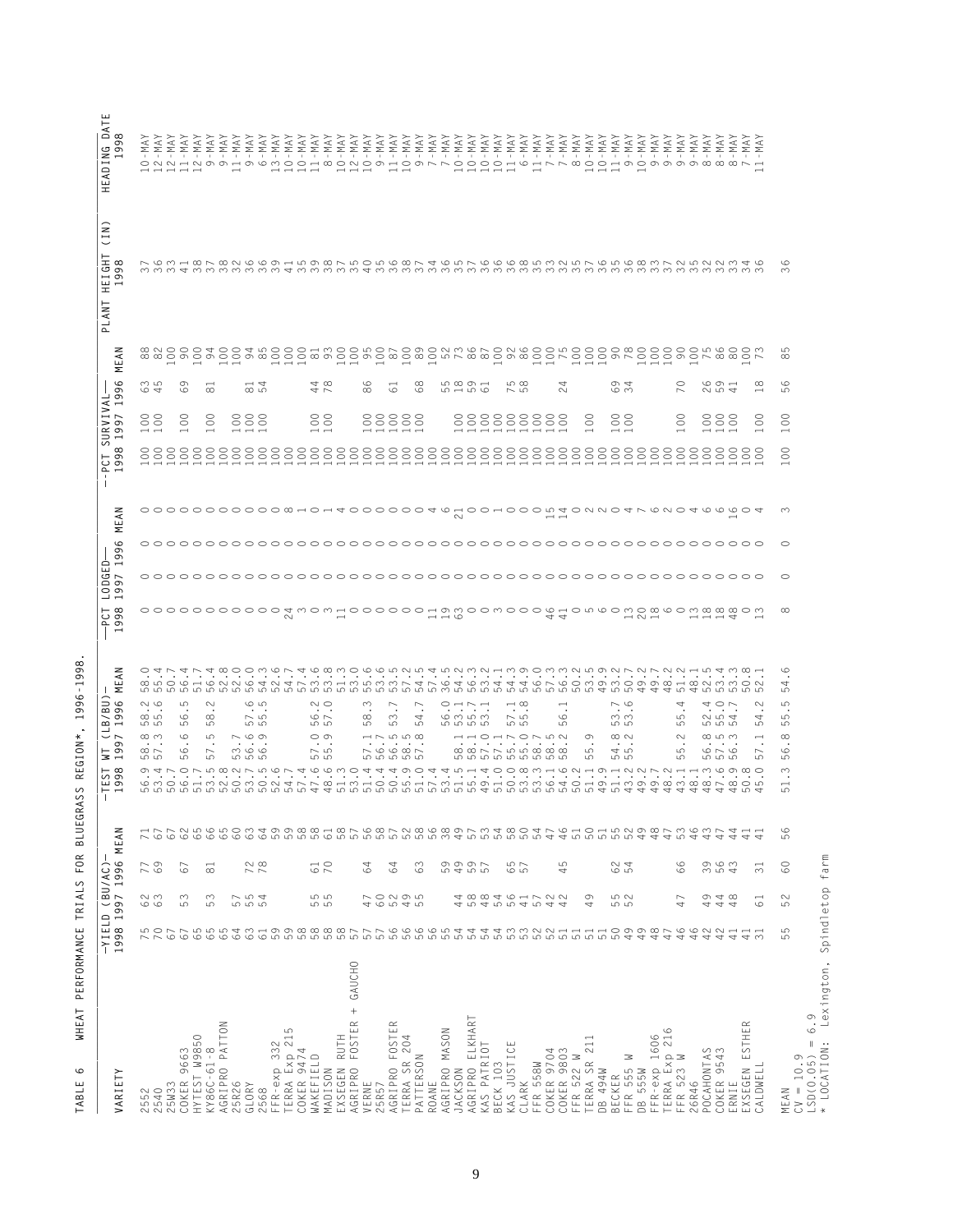| $\circ$<br>$\infty$<br>@NOOO+OO+wOOO-MOOWONO@ONM@NON@OOWOOO@@OOOOOW@OOM<br>ம<br><u>ង ធ្នាំងាង ក្នុង ក្នុង ក្នុង ក្នុង ក្នុង ក្នុង ក្នុង ក្នុង ក្នុង ក្នុង ក្នុង ក្នុង ក្នុង ក្នុង ក្នុង ក្នុង ក្ន<br/>តាំង ក្នុង ក្នុង ក្នុង ក្នុង ក្នុង ក្នុង ក្នុង ក្នុង ក្នុង ក្នុង ក្នុង ក្នុង ក្នុង ក្នុង ក្នុង ក្នុង ក្នុង ក្</u><br>$\infty$<br>$\circ$<br>က ဟ<br>$\sigma$<br>$\overline{\phantom{a}}$<br>4 ∞<br>$\circ$<br>$\infty$<br><u> ഗ ര ത —</u><br>ഗത<br>₹<br>$\omega$ 4<br>$\circ$<br>$\circ$ $\circ$ $\circ$<br>$\infty$<br>$\overline{\phantom{0}}$<br>$\overline{\phantom{0}}$<br>$\circ$<br>$\infty$<br>$\infty$<br>$\circ$<br>ഗ ന<br>⊙ 4<br>₹ ⊢<br>ന<br>$\circ$<br>ru – ru <i>r</i> o<br>$\sim$ 10<br>$\sim$<br>$\sim$<br>U N 4<br>$\overline{\phantom{0}}$<br>ഗ<br>$\rm ^{\circ}$<br>$\begin{smallmatrix} 0 & 0 \\ 0 & 0 \end{smallmatrix}$<br>$\rm ^{\rm c}$<br>888<br>$\begin{matrix} 8 & 0 \\ 0 & 0 \end{matrix}$<br>88888<br>88888888<br>$\begin{matrix} 0 \\ 0 \end{matrix}$<br>$\rm ^{\circ}$<br>$\rm ^{\rm C}$<br>$\rm ^{\circ}$<br>$\infty$<br>888<br>$\overline{\phantom{0}}$<br>$\rm ^{\circ}$<br>$\overline{\phantom{0}}$<br>HOOHOOOW4ONNO4NWOQ4WWWOO<br>$\infty$<br>0000000000000000000000000<br>$\sim$<br>$\circ$<br>$\circ$<br>$\infty$<br>$\sim$<br>$\overline{\phantom{a}}$ $\overline{\phantom{a}}$ $\overline{\phantom{a}}$ $\overline{\phantom{a}}$<br>44<br>$\overline{\phantom{a}}$<br>$\begin{array}{c} \n - & \n - & \n - & \n \end{array}$<br>$\circ$<br>$\cdot$<br>Q LO O H Q N N Q T N T N M M M H M L M N H N N H N Q T Q M H T T A G N Q D M D M D O D Q H Q N M M O N<br>4<br>5<br>S<br>$\sim$ $\circ$<br>S<br>6<br>$\sim$ $\sim$<br>$\sim$<br>$\rightarrow \infty$<br>$\sim$ $\circ$<br>LO<br>$\sim$<br>$\overline{ }$<br>O H N H<br>4<br>4 O L<br>$\sim$<br>$\overline{ }$<br>$\overline{\phantom{0}}$<br>$\cdot$ .<br>$\cdot$ $\cdot$<br>$\cdot$<br>$\cdot$<br>$\bullet$<br>$\cdot$<br>$\blacksquare$<br>$\bullet$<br>$\cdot$<br>$\cdot$<br>$\cdots$<br>$\cdot$ $\cdot$<br>$\cdot$<br>ထက<br>$\circ$<br>$\infty$<br>$\sim$ 10<br>$\circ$ $\sim$<br>$\infty$<br>$\sim$<br>6 m m m<br>$\sim$ 10<br>$\circ$<br>ოო<br>04<br>5<br>4<br>မာ<br>4<br>ဟ ဟ<br>LO<br>ഗ<br>மம<br>மம<br>ഥ<br>ഥ<br>ம<br><b>55555</b><br>மம<br>ഥ<br>ဟ ဟ<br>ഥ<br><b>5555</b><br>ഗ<br>ഗ<br>$\overset{\infty}{\cdot}$ .<br>$\circ$<br>$\sim$ $\circ$ $\circ$<br>$\circ$<br>$\begin{array}{c}\n\cdots \\ \cdots \\ \cdots \\ \cdots \\ \cdots \\ \cdots\n\end{array}$<br>$\infty$ $\sim$<br>ထ ယ က<br>$\infty$<br>S<br>a a rinne a a a<br>Tionne a a a<br>$\sigma$<br>$\sim$<br>$\overline{\phantom{a}}$<br>$\cdot$<br>$\blacksquare$ .<br>$\sim$ $\circ$ $\circ$ $\circ$ $\sim$<br>$\infty$ $\sim$<br>$\circ$ $\circ$<br>$\sim$ 10<br>45<br>$\circ$ $\sim$ $\circ$<br>$\circ$<br>ம<br>ယာ<br>$\circ$<br>5<br>5<br>မာ<br>555<br>5<br><b>55555</b><br>656666666<br>55<br>5<br>5<br>5<br>5<br>5<br>5<br>$\sqrt{2}$<br>5<br>LO<br>ഥ<br>$\omega \neq \omega$<br>$\bar{\phantom{a}}$ .<br>nadrinaria da una tat<br>$\begin{array}{c} \circ \\ \circ \\ \circ \end{array} \begin{array}{c} \circ \\ \circ \\ \circ \end{array} \begin{array}{c} \circ \\ \circ \\ \circ \end{array}$<br>$\begin{array}{c} -1 & 0 & 0 \\ 0 & 0 & 0 \\ 0 & 0 & 0 \\ 0 & 0 & 0 \\ 0 & 0 & 0 \\ 0 & 0 & 0 \\ 0 & 0 & 0 \\ 0 & 0 & 0 \\ 0 & 0 & 0 \\ 0 & 0 & 0 \\ 0 & 0 & 0 \\ 0 & 0 & 0 \\ 0 & 0 & 0 & 0 \\ 0 & 0 & 0 & 0 \\ 0 & 0 & 0 & 0 \\ 0 & 0 & 0 & 0 & 0 \\ 0 & 0 & 0 & 0 & 0 \\ 0 & 0 & 0 & 0 & 0 \\ 0 & 0 & 0 & 0 & 0 & 0 \\ 0 & 0 &$<br>$\infty$<br>S<br>$\overline{\phantom{0}}$<br>$\overline{4}$<br>5<br>$\overline{a}$<br>$\overline{ }$<br>$\overline{ }$<br>$\overline{ }$<br>4<br>4<br>60000<br>$60\,$<br>$63$<br>59<br>R B B B B P D P B P B P B P B P<br>500<br>$46$<br>SHEN987<br>$M \circ M$<br>65<br>547<br>$\overline{51}$<br>$\circ$<br>44<br>$67\,$<br>$\overline{4}$<br>$\overline{\phantom{0}}$<br>ە<br>ம<br>$\Rightarrow$<br>4<br>4<br>4<br>5<br>78<br>$\frac{1}{7}$<br>5997<br>5997<br>5<br>624<br>99<br>9<br>9<br>9<br>9<br>9<br>9<br>9<br>$60$<br>779<br>63<br>657<br>$67$<br>64<br>64<br>$\overline{31}$<br>$\Xi$<br>4<br>S N<br>$\sim$<br>$\sim$<br>rv 4<br>5<br>47<br>0005<br>0009<br>000<br>4<br>58<br>484<br>56<br>$57\,$<br>$\sim$ $\sim$<br>9<br>52<br>0<br>4<br>$\infty$<br>$\sim$<br>$\overline{\phantom{0}}$<br>$41$<br>$\overline{ }$<br>$\overline{6}$<br>$\circ$<br>5<br>555<br>44<br>4<br>5<br>5<br>4<br>5<br>4<br>4<br>$\overline{\phantom{a}}$<br>5<br>$63$<br>59<br>0000007<br>57666654<br>$\frac{1}{5}$<br>49<br>49<br>48<br>46<br>46<br>75<br>65<br>59<br>59<br>64<br>$\overline{51}$<br>42<br>42<br>5<br>$67$<br>$67\,$<br>$41$<br>$\overline{41}$<br>$\overline{31}$<br>5<br>AGRIPRO FOSTER + GAUCHO<br>AGRIPRO ELKHART<br>EXSEGEN ESTHER<br>AGRIPRO PATTON<br>$\simeq$<br>AGRIPRO FOSTE<br>TERRA Exp 215<br>COKER 9474<br>AGRIPRO MASON<br>FFR-exp 1606<br>TERRA Exp 216<br>FFR 523 W<br>EXSEGEN RUTH<br>HYTEST W9850<br>TERRA SR 204<br>TERRA SR 211<br>DB 494W<br>FFR-exp 332<br>KAS JUSTICE<br>KAS PATRIOT<br>KY86C-61-8<br>POCAHONTAS<br>COKER 9543<br>COKER 9663<br>COKER 9704<br>COKER 9803<br>WAKEFIELD<br>PATTERSON<br>FFR 522 W<br>$CV = 10.9$<br>3<br>FFR 558W<br>BECK 103<br>FFR 555<br>CALDWELL<br>DB 555W<br>MADISON<br>JACKSON<br>BECKER<br>25R26<br>VERNE<br>CLARK<br>26R46<br>25W33<br>ROANE<br>GLORY<br>25R57<br>IRNIE<br>2552<br>2540<br>2568<br>MEAN<br>ш |                                              |  |  |  |  | $\begin{array}{c}\n \lambda \forall M - 1 \\  \lambda \forall M - 1 \\  \lambda \forall M - 1\n \end{array}$ |
|---------------------------------------------------------------------------------------------------------------------------------------------------------------------------------------------------------------------------------------------------------------------------------------------------------------------------------------------------------------------------------------------------------------------------------------------------------------------------------------------------------------------------------------------------------------------------------------------------------------------------------------------------------------------------------------------------------------------------------------------------------------------------------------------------------------------------------------------------------------------------------------------------------------------------------------------------------------------------------------------------------------------------------------------------------------------------------------------------------------------------------------------------------------------------------------------------------------------------------------------------------------------------------------------------------------------------------------------------------------------------------------------------------------------------------------------------------------------------------------------------------------------------------------------------------------------------------------------------------------------------------------------------------------------------------------------------------------------------------------------------------------------------------------------------------------------------------------------------------------------------------------------------------------------------------------------------------------------------------------------------------------------------------------------------------------------------------------------------------------------------------------------------------------------------------------------------------------------------------------------------------------------------------------------------------------------------------------------------------------------------------------------------------------------------------------------------------------------------------------------------------------------------------------------------------------------------------------------------------------------------------------------------------------------------------------------------------------------------------------------------------------------------------------------------------------------------------------------------------------------------------------------------------------------------------------------------------------------------------------------------------------------------------------------------------------------------------------------------------------------------------------------------------------------------------------------------------------------------------------------------------------------------------------------------------------------------------------------------------------------------------------------------------------------------------------------------------------------------------------------------------------------------------------------------------------------------------------------------------------------------------------------------------------------------------------------------------------------------------------------------------------------------------------------------------------------------------------------------------------------------------------------------------------------------------------------------------------------------------------------------------------------------------------------------------------------------------------------------------------------------------------------------------------------------------------------------------------------------------------------------------------------------------------------------------------------------------------------------------------------------------------------------------------------------------------------------------------------------------------------------------------------------------------------------------------------------------------------------------------------------------------------------------------------------------------------------------------------------------------------------------------------------------------------------------------------------------------------------------------------------------------------------------------------------------------------------------------------------------------------------------------------------------------------------------------------------------------------------------------------------------------------------------------------------------------------------------------------------------------------------------------------------------------------------------------------------------------------------------------------------------------------------------|----------------------------------------------|--|--|--|--|--------------------------------------------------------------------------------------------------------------|
|                                                                                                                                                                                                                                                                                                                                                                                                                                                                                                                                                                                                                                                                                                                                                                                                                                                                                                                                                                                                                                                                                                                                                                                                                                                                                                                                                                                                                                                                                                                                                                                                                                                                                                                                                                                                                                                                                                                                                                                                                                                                                                                                                                                                                                                                                                                                                                                                                                                                                                                                                                                                                                                                                                                                                                                                                                                                                                                                                                                                                                                                                                                                                                                                                                                                                                                                                                                                                                                                                                                                                                                                                                                                                                                                                                                                                                                                                                                                                                                                                                                                                                                                                                                                                                                                                                                                                                                                                                                                                                                                                                                                                                                                                                                                                                                                                                                                                                                                                                                                                                                                                                                                                                                                                                                                                                                                                                                                         |                                              |  |  |  |  |                                                                                                              |
|                                                                                                                                                                                                                                                                                                                                                                                                                                                                                                                                                                                                                                                                                                                                                                                                                                                                                                                                                                                                                                                                                                                                                                                                                                                                                                                                                                                                                                                                                                                                                                                                                                                                                                                                                                                                                                                                                                                                                                                                                                                                                                                                                                                                                                                                                                                                                                                                                                                                                                                                                                                                                                                                                                                                                                                                                                                                                                                                                                                                                                                                                                                                                                                                                                                                                                                                                                                                                                                                                                                                                                                                                                                                                                                                                                                                                                                                                                                                                                                                                                                                                                                                                                                                                                                                                                                                                                                                                                                                                                                                                                                                                                                                                                                                                                                                                                                                                                                                                                                                                                                                                                                                                                                                                                                                                                                                                                                                         |                                              |  |  |  |  |                                                                                                              |
|                                                                                                                                                                                                                                                                                                                                                                                                                                                                                                                                                                                                                                                                                                                                                                                                                                                                                                                                                                                                                                                                                                                                                                                                                                                                                                                                                                                                                                                                                                                                                                                                                                                                                                                                                                                                                                                                                                                                                                                                                                                                                                                                                                                                                                                                                                                                                                                                                                                                                                                                                                                                                                                                                                                                                                                                                                                                                                                                                                                                                                                                                                                                                                                                                                                                                                                                                                                                                                                                                                                                                                                                                                                                                                                                                                                                                                                                                                                                                                                                                                                                                                                                                                                                                                                                                                                                                                                                                                                                                                                                                                                                                                                                                                                                                                                                                                                                                                                                                                                                                                                                                                                                                                                                                                                                                                                                                                                                         |                                              |  |  |  |  |                                                                                                              |
|                                                                                                                                                                                                                                                                                                                                                                                                                                                                                                                                                                                                                                                                                                                                                                                                                                                                                                                                                                                                                                                                                                                                                                                                                                                                                                                                                                                                                                                                                                                                                                                                                                                                                                                                                                                                                                                                                                                                                                                                                                                                                                                                                                                                                                                                                                                                                                                                                                                                                                                                                                                                                                                                                                                                                                                                                                                                                                                                                                                                                                                                                                                                                                                                                                                                                                                                                                                                                                                                                                                                                                                                                                                                                                                                                                                                                                                                                                                                                                                                                                                                                                                                                                                                                                                                                                                                                                                                                                                                                                                                                                                                                                                                                                                                                                                                                                                                                                                                                                                                                                                                                                                                                                                                                                                                                                                                                                                                         |                                              |  |  |  |  |                                                                                                              |
|                                                                                                                                                                                                                                                                                                                                                                                                                                                                                                                                                                                                                                                                                                                                                                                                                                                                                                                                                                                                                                                                                                                                                                                                                                                                                                                                                                                                                                                                                                                                                                                                                                                                                                                                                                                                                                                                                                                                                                                                                                                                                                                                                                                                                                                                                                                                                                                                                                                                                                                                                                                                                                                                                                                                                                                                                                                                                                                                                                                                                                                                                                                                                                                                                                                                                                                                                                                                                                                                                                                                                                                                                                                                                                                                                                                                                                                                                                                                                                                                                                                                                                                                                                                                                                                                                                                                                                                                                                                                                                                                                                                                                                                                                                                                                                                                                                                                                                                                                                                                                                                                                                                                                                                                                                                                                                                                                                                                         |                                              |  |  |  |  |                                                                                                              |
|                                                                                                                                                                                                                                                                                                                                                                                                                                                                                                                                                                                                                                                                                                                                                                                                                                                                                                                                                                                                                                                                                                                                                                                                                                                                                                                                                                                                                                                                                                                                                                                                                                                                                                                                                                                                                                                                                                                                                                                                                                                                                                                                                                                                                                                                                                                                                                                                                                                                                                                                                                                                                                                                                                                                                                                                                                                                                                                                                                                                                                                                                                                                                                                                                                                                                                                                                                                                                                                                                                                                                                                                                                                                                                                                                                                                                                                                                                                                                                                                                                                                                                                                                                                                                                                                                                                                                                                                                                                                                                                                                                                                                                                                                                                                                                                                                                                                                                                                                                                                                                                                                                                                                                                                                                                                                                                                                                                                         |                                              |  |  |  |  |                                                                                                              |
|                                                                                                                                                                                                                                                                                                                                                                                                                                                                                                                                                                                                                                                                                                                                                                                                                                                                                                                                                                                                                                                                                                                                                                                                                                                                                                                                                                                                                                                                                                                                                                                                                                                                                                                                                                                                                                                                                                                                                                                                                                                                                                                                                                                                                                                                                                                                                                                                                                                                                                                                                                                                                                                                                                                                                                                                                                                                                                                                                                                                                                                                                                                                                                                                                                                                                                                                                                                                                                                                                                                                                                                                                                                                                                                                                                                                                                                                                                                                                                                                                                                                                                                                                                                                                                                                                                                                                                                                                                                                                                                                                                                                                                                                                                                                                                                                                                                                                                                                                                                                                                                                                                                                                                                                                                                                                                                                                                                                         |                                              |  |  |  |  |                                                                                                              |
|                                                                                                                                                                                                                                                                                                                                                                                                                                                                                                                                                                                                                                                                                                                                                                                                                                                                                                                                                                                                                                                                                                                                                                                                                                                                                                                                                                                                                                                                                                                                                                                                                                                                                                                                                                                                                                                                                                                                                                                                                                                                                                                                                                                                                                                                                                                                                                                                                                                                                                                                                                                                                                                                                                                                                                                                                                                                                                                                                                                                                                                                                                                                                                                                                                                                                                                                                                                                                                                                                                                                                                                                                                                                                                                                                                                                                                                                                                                                                                                                                                                                                                                                                                                                                                                                                                                                                                                                                                                                                                                                                                                                                                                                                                                                                                                                                                                                                                                                                                                                                                                                                                                                                                                                                                                                                                                                                                                                         |                                              |  |  |  |  |                                                                                                              |
|                                                                                                                                                                                                                                                                                                                                                                                                                                                                                                                                                                                                                                                                                                                                                                                                                                                                                                                                                                                                                                                                                                                                                                                                                                                                                                                                                                                                                                                                                                                                                                                                                                                                                                                                                                                                                                                                                                                                                                                                                                                                                                                                                                                                                                                                                                                                                                                                                                                                                                                                                                                                                                                                                                                                                                                                                                                                                                                                                                                                                                                                                                                                                                                                                                                                                                                                                                                                                                                                                                                                                                                                                                                                                                                                                                                                                                                                                                                                                                                                                                                                                                                                                                                                                                                                                                                                                                                                                                                                                                                                                                                                                                                                                                                                                                                                                                                                                                                                                                                                                                                                                                                                                                                                                                                                                                                                                                                                         |                                              |  |  |  |  |                                                                                                              |
|                                                                                                                                                                                                                                                                                                                                                                                                                                                                                                                                                                                                                                                                                                                                                                                                                                                                                                                                                                                                                                                                                                                                                                                                                                                                                                                                                                                                                                                                                                                                                                                                                                                                                                                                                                                                                                                                                                                                                                                                                                                                                                                                                                                                                                                                                                                                                                                                                                                                                                                                                                                                                                                                                                                                                                                                                                                                                                                                                                                                                                                                                                                                                                                                                                                                                                                                                                                                                                                                                                                                                                                                                                                                                                                                                                                                                                                                                                                                                                                                                                                                                                                                                                                                                                                                                                                                                                                                                                                                                                                                                                                                                                                                                                                                                                                                                                                                                                                                                                                                                                                                                                                                                                                                                                                                                                                                                                                                         |                                              |  |  |  |  |                                                                                                              |
|                                                                                                                                                                                                                                                                                                                                                                                                                                                                                                                                                                                                                                                                                                                                                                                                                                                                                                                                                                                                                                                                                                                                                                                                                                                                                                                                                                                                                                                                                                                                                                                                                                                                                                                                                                                                                                                                                                                                                                                                                                                                                                                                                                                                                                                                                                                                                                                                                                                                                                                                                                                                                                                                                                                                                                                                                                                                                                                                                                                                                                                                                                                                                                                                                                                                                                                                                                                                                                                                                                                                                                                                                                                                                                                                                                                                                                                                                                                                                                                                                                                                                                                                                                                                                                                                                                                                                                                                                                                                                                                                                                                                                                                                                                                                                                                                                                                                                                                                                                                                                                                                                                                                                                                                                                                                                                                                                                                                         |                                              |  |  |  |  |                                                                                                              |
|                                                                                                                                                                                                                                                                                                                                                                                                                                                                                                                                                                                                                                                                                                                                                                                                                                                                                                                                                                                                                                                                                                                                                                                                                                                                                                                                                                                                                                                                                                                                                                                                                                                                                                                                                                                                                                                                                                                                                                                                                                                                                                                                                                                                                                                                                                                                                                                                                                                                                                                                                                                                                                                                                                                                                                                                                                                                                                                                                                                                                                                                                                                                                                                                                                                                                                                                                                                                                                                                                                                                                                                                                                                                                                                                                                                                                                                                                                                                                                                                                                                                                                                                                                                                                                                                                                                                                                                                                                                                                                                                                                                                                                                                                                                                                                                                                                                                                                                                                                                                                                                                                                                                                                                                                                                                                                                                                                                                         |                                              |  |  |  |  |                                                                                                              |
|                                                                                                                                                                                                                                                                                                                                                                                                                                                                                                                                                                                                                                                                                                                                                                                                                                                                                                                                                                                                                                                                                                                                                                                                                                                                                                                                                                                                                                                                                                                                                                                                                                                                                                                                                                                                                                                                                                                                                                                                                                                                                                                                                                                                                                                                                                                                                                                                                                                                                                                                                                                                                                                                                                                                                                                                                                                                                                                                                                                                                                                                                                                                                                                                                                                                                                                                                                                                                                                                                                                                                                                                                                                                                                                                                                                                                                                                                                                                                                                                                                                                                                                                                                                                                                                                                                                                                                                                                                                                                                                                                                                                                                                                                                                                                                                                                                                                                                                                                                                                                                                                                                                                                                                                                                                                                                                                                                                                         |                                              |  |  |  |  |                                                                                                              |
|                                                                                                                                                                                                                                                                                                                                                                                                                                                                                                                                                                                                                                                                                                                                                                                                                                                                                                                                                                                                                                                                                                                                                                                                                                                                                                                                                                                                                                                                                                                                                                                                                                                                                                                                                                                                                                                                                                                                                                                                                                                                                                                                                                                                                                                                                                                                                                                                                                                                                                                                                                                                                                                                                                                                                                                                                                                                                                                                                                                                                                                                                                                                                                                                                                                                                                                                                                                                                                                                                                                                                                                                                                                                                                                                                                                                                                                                                                                                                                                                                                                                                                                                                                                                                                                                                                                                                                                                                                                                                                                                                                                                                                                                                                                                                                                                                                                                                                                                                                                                                                                                                                                                                                                                                                                                                                                                                                                                         |                                              |  |  |  |  |                                                                                                              |
|                                                                                                                                                                                                                                                                                                                                                                                                                                                                                                                                                                                                                                                                                                                                                                                                                                                                                                                                                                                                                                                                                                                                                                                                                                                                                                                                                                                                                                                                                                                                                                                                                                                                                                                                                                                                                                                                                                                                                                                                                                                                                                                                                                                                                                                                                                                                                                                                                                                                                                                                                                                                                                                                                                                                                                                                                                                                                                                                                                                                                                                                                                                                                                                                                                                                                                                                                                                                                                                                                                                                                                                                                                                                                                                                                                                                                                                                                                                                                                                                                                                                                                                                                                                                                                                                                                                                                                                                                                                                                                                                                                                                                                                                                                                                                                                                                                                                                                                                                                                                                                                                                                                                                                                                                                                                                                                                                                                                         |                                              |  |  |  |  |                                                                                                              |
|                                                                                                                                                                                                                                                                                                                                                                                                                                                                                                                                                                                                                                                                                                                                                                                                                                                                                                                                                                                                                                                                                                                                                                                                                                                                                                                                                                                                                                                                                                                                                                                                                                                                                                                                                                                                                                                                                                                                                                                                                                                                                                                                                                                                                                                                                                                                                                                                                                                                                                                                                                                                                                                                                                                                                                                                                                                                                                                                                                                                                                                                                                                                                                                                                                                                                                                                                                                                                                                                                                                                                                                                                                                                                                                                                                                                                                                                                                                                                                                                                                                                                                                                                                                                                                                                                                                                                                                                                                                                                                                                                                                                                                                                                                                                                                                                                                                                                                                                                                                                                                                                                                                                                                                                                                                                                                                                                                                                         |                                              |  |  |  |  |                                                                                                              |
|                                                                                                                                                                                                                                                                                                                                                                                                                                                                                                                                                                                                                                                                                                                                                                                                                                                                                                                                                                                                                                                                                                                                                                                                                                                                                                                                                                                                                                                                                                                                                                                                                                                                                                                                                                                                                                                                                                                                                                                                                                                                                                                                                                                                                                                                                                                                                                                                                                                                                                                                                                                                                                                                                                                                                                                                                                                                                                                                                                                                                                                                                                                                                                                                                                                                                                                                                                                                                                                                                                                                                                                                                                                                                                                                                                                                                                                                                                                                                                                                                                                                                                                                                                                                                                                                                                                                                                                                                                                                                                                                                                                                                                                                                                                                                                                                                                                                                                                                                                                                                                                                                                                                                                                                                                                                                                                                                                                                         |                                              |  |  |  |  |                                                                                                              |
|                                                                                                                                                                                                                                                                                                                                                                                                                                                                                                                                                                                                                                                                                                                                                                                                                                                                                                                                                                                                                                                                                                                                                                                                                                                                                                                                                                                                                                                                                                                                                                                                                                                                                                                                                                                                                                                                                                                                                                                                                                                                                                                                                                                                                                                                                                                                                                                                                                                                                                                                                                                                                                                                                                                                                                                                                                                                                                                                                                                                                                                                                                                                                                                                                                                                                                                                                                                                                                                                                                                                                                                                                                                                                                                                                                                                                                                                                                                                                                                                                                                                                                                                                                                                                                                                                                                                                                                                                                                                                                                                                                                                                                                                                                                                                                                                                                                                                                                                                                                                                                                                                                                                                                                                                                                                                                                                                                                                         |                                              |  |  |  |  |                                                                                                              |
|                                                                                                                                                                                                                                                                                                                                                                                                                                                                                                                                                                                                                                                                                                                                                                                                                                                                                                                                                                                                                                                                                                                                                                                                                                                                                                                                                                                                                                                                                                                                                                                                                                                                                                                                                                                                                                                                                                                                                                                                                                                                                                                                                                                                                                                                                                                                                                                                                                                                                                                                                                                                                                                                                                                                                                                                                                                                                                                                                                                                                                                                                                                                                                                                                                                                                                                                                                                                                                                                                                                                                                                                                                                                                                                                                                                                                                                                                                                                                                                                                                                                                                                                                                                                                                                                                                                                                                                                                                                                                                                                                                                                                                                                                                                                                                                                                                                                                                                                                                                                                                                                                                                                                                                                                                                                                                                                                                                                         |                                              |  |  |  |  |                                                                                                              |
|                                                                                                                                                                                                                                                                                                                                                                                                                                                                                                                                                                                                                                                                                                                                                                                                                                                                                                                                                                                                                                                                                                                                                                                                                                                                                                                                                                                                                                                                                                                                                                                                                                                                                                                                                                                                                                                                                                                                                                                                                                                                                                                                                                                                                                                                                                                                                                                                                                                                                                                                                                                                                                                                                                                                                                                                                                                                                                                                                                                                                                                                                                                                                                                                                                                                                                                                                                                                                                                                                                                                                                                                                                                                                                                                                                                                                                                                                                                                                                                                                                                                                                                                                                                                                                                                                                                                                                                                                                                                                                                                                                                                                                                                                                                                                                                                                                                                                                                                                                                                                                                                                                                                                                                                                                                                                                                                                                                                         |                                              |  |  |  |  |                                                                                                              |
|                                                                                                                                                                                                                                                                                                                                                                                                                                                                                                                                                                                                                                                                                                                                                                                                                                                                                                                                                                                                                                                                                                                                                                                                                                                                                                                                                                                                                                                                                                                                                                                                                                                                                                                                                                                                                                                                                                                                                                                                                                                                                                                                                                                                                                                                                                                                                                                                                                                                                                                                                                                                                                                                                                                                                                                                                                                                                                                                                                                                                                                                                                                                                                                                                                                                                                                                                                                                                                                                                                                                                                                                                                                                                                                                                                                                                                                                                                                                                                                                                                                                                                                                                                                                                                                                                                                                                                                                                                                                                                                                                                                                                                                                                                                                                                                                                                                                                                                                                                                                                                                                                                                                                                                                                                                                                                                                                                                                         |                                              |  |  |  |  |                                                                                                              |
|                                                                                                                                                                                                                                                                                                                                                                                                                                                                                                                                                                                                                                                                                                                                                                                                                                                                                                                                                                                                                                                                                                                                                                                                                                                                                                                                                                                                                                                                                                                                                                                                                                                                                                                                                                                                                                                                                                                                                                                                                                                                                                                                                                                                                                                                                                                                                                                                                                                                                                                                                                                                                                                                                                                                                                                                                                                                                                                                                                                                                                                                                                                                                                                                                                                                                                                                                                                                                                                                                                                                                                                                                                                                                                                                                                                                                                                                                                                                                                                                                                                                                                                                                                                                                                                                                                                                                                                                                                                                                                                                                                                                                                                                                                                                                                                                                                                                                                                                                                                                                                                                                                                                                                                                                                                                                                                                                                                                         |                                              |  |  |  |  |                                                                                                              |
|                                                                                                                                                                                                                                                                                                                                                                                                                                                                                                                                                                                                                                                                                                                                                                                                                                                                                                                                                                                                                                                                                                                                                                                                                                                                                                                                                                                                                                                                                                                                                                                                                                                                                                                                                                                                                                                                                                                                                                                                                                                                                                                                                                                                                                                                                                                                                                                                                                                                                                                                                                                                                                                                                                                                                                                                                                                                                                                                                                                                                                                                                                                                                                                                                                                                                                                                                                                                                                                                                                                                                                                                                                                                                                                                                                                                                                                                                                                                                                                                                                                                                                                                                                                                                                                                                                                                                                                                                                                                                                                                                                                                                                                                                                                                                                                                                                                                                                                                                                                                                                                                                                                                                                                                                                                                                                                                                                                                         |                                              |  |  |  |  |                                                                                                              |
|                                                                                                                                                                                                                                                                                                                                                                                                                                                                                                                                                                                                                                                                                                                                                                                                                                                                                                                                                                                                                                                                                                                                                                                                                                                                                                                                                                                                                                                                                                                                                                                                                                                                                                                                                                                                                                                                                                                                                                                                                                                                                                                                                                                                                                                                                                                                                                                                                                                                                                                                                                                                                                                                                                                                                                                                                                                                                                                                                                                                                                                                                                                                                                                                                                                                                                                                                                                                                                                                                                                                                                                                                                                                                                                                                                                                                                                                                                                                                                                                                                                                                                                                                                                                                                                                                                                                                                                                                                                                                                                                                                                                                                                                                                                                                                                                                                                                                                                                                                                                                                                                                                                                                                                                                                                                                                                                                                                                         |                                              |  |  |  |  |                                                                                                              |
|                                                                                                                                                                                                                                                                                                                                                                                                                                                                                                                                                                                                                                                                                                                                                                                                                                                                                                                                                                                                                                                                                                                                                                                                                                                                                                                                                                                                                                                                                                                                                                                                                                                                                                                                                                                                                                                                                                                                                                                                                                                                                                                                                                                                                                                                                                                                                                                                                                                                                                                                                                                                                                                                                                                                                                                                                                                                                                                                                                                                                                                                                                                                                                                                                                                                                                                                                                                                                                                                                                                                                                                                                                                                                                                                                                                                                                                                                                                                                                                                                                                                                                                                                                                                                                                                                                                                                                                                                                                                                                                                                                                                                                                                                                                                                                                                                                                                                                                                                                                                                                                                                                                                                                                                                                                                                                                                                                                                         |                                              |  |  |  |  |                                                                                                              |
|                                                                                                                                                                                                                                                                                                                                                                                                                                                                                                                                                                                                                                                                                                                                                                                                                                                                                                                                                                                                                                                                                                                                                                                                                                                                                                                                                                                                                                                                                                                                                                                                                                                                                                                                                                                                                                                                                                                                                                                                                                                                                                                                                                                                                                                                                                                                                                                                                                                                                                                                                                                                                                                                                                                                                                                                                                                                                                                                                                                                                                                                                                                                                                                                                                                                                                                                                                                                                                                                                                                                                                                                                                                                                                                                                                                                                                                                                                                                                                                                                                                                                                                                                                                                                                                                                                                                                                                                                                                                                                                                                                                                                                                                                                                                                                                                                                                                                                                                                                                                                                                                                                                                                                                                                                                                                                                                                                                                         |                                              |  |  |  |  |                                                                                                              |
|                                                                                                                                                                                                                                                                                                                                                                                                                                                                                                                                                                                                                                                                                                                                                                                                                                                                                                                                                                                                                                                                                                                                                                                                                                                                                                                                                                                                                                                                                                                                                                                                                                                                                                                                                                                                                                                                                                                                                                                                                                                                                                                                                                                                                                                                                                                                                                                                                                                                                                                                                                                                                                                                                                                                                                                                                                                                                                                                                                                                                                                                                                                                                                                                                                                                                                                                                                                                                                                                                                                                                                                                                                                                                                                                                                                                                                                                                                                                                                                                                                                                                                                                                                                                                                                                                                                                                                                                                                                                                                                                                                                                                                                                                                                                                                                                                                                                                                                                                                                                                                                                                                                                                                                                                                                                                                                                                                                                         |                                              |  |  |  |  |                                                                                                              |
|                                                                                                                                                                                                                                                                                                                                                                                                                                                                                                                                                                                                                                                                                                                                                                                                                                                                                                                                                                                                                                                                                                                                                                                                                                                                                                                                                                                                                                                                                                                                                                                                                                                                                                                                                                                                                                                                                                                                                                                                                                                                                                                                                                                                                                                                                                                                                                                                                                                                                                                                                                                                                                                                                                                                                                                                                                                                                                                                                                                                                                                                                                                                                                                                                                                                                                                                                                                                                                                                                                                                                                                                                                                                                                                                                                                                                                                                                                                                                                                                                                                                                                                                                                                                                                                                                                                                                                                                                                                                                                                                                                                                                                                                                                                                                                                                                                                                                                                                                                                                                                                                                                                                                                                                                                                                                                                                                                                                         |                                              |  |  |  |  |                                                                                                              |
|                                                                                                                                                                                                                                                                                                                                                                                                                                                                                                                                                                                                                                                                                                                                                                                                                                                                                                                                                                                                                                                                                                                                                                                                                                                                                                                                                                                                                                                                                                                                                                                                                                                                                                                                                                                                                                                                                                                                                                                                                                                                                                                                                                                                                                                                                                                                                                                                                                                                                                                                                                                                                                                                                                                                                                                                                                                                                                                                                                                                                                                                                                                                                                                                                                                                                                                                                                                                                                                                                                                                                                                                                                                                                                                                                                                                                                                                                                                                                                                                                                                                                                                                                                                                                                                                                                                                                                                                                                                                                                                                                                                                                                                                                                                                                                                                                                                                                                                                                                                                                                                                                                                                                                                                                                                                                                                                                                                                         |                                              |  |  |  |  |                                                                                                              |
|                                                                                                                                                                                                                                                                                                                                                                                                                                                                                                                                                                                                                                                                                                                                                                                                                                                                                                                                                                                                                                                                                                                                                                                                                                                                                                                                                                                                                                                                                                                                                                                                                                                                                                                                                                                                                                                                                                                                                                                                                                                                                                                                                                                                                                                                                                                                                                                                                                                                                                                                                                                                                                                                                                                                                                                                                                                                                                                                                                                                                                                                                                                                                                                                                                                                                                                                                                                                                                                                                                                                                                                                                                                                                                                                                                                                                                                                                                                                                                                                                                                                                                                                                                                                                                                                                                                                                                                                                                                                                                                                                                                                                                                                                                                                                                                                                                                                                                                                                                                                                                                                                                                                                                                                                                                                                                                                                                                                         |                                              |  |  |  |  |                                                                                                              |
|                                                                                                                                                                                                                                                                                                                                                                                                                                                                                                                                                                                                                                                                                                                                                                                                                                                                                                                                                                                                                                                                                                                                                                                                                                                                                                                                                                                                                                                                                                                                                                                                                                                                                                                                                                                                                                                                                                                                                                                                                                                                                                                                                                                                                                                                                                                                                                                                                                                                                                                                                                                                                                                                                                                                                                                                                                                                                                                                                                                                                                                                                                                                                                                                                                                                                                                                                                                                                                                                                                                                                                                                                                                                                                                                                                                                                                                                                                                                                                                                                                                                                                                                                                                                                                                                                                                                                                                                                                                                                                                                                                                                                                                                                                                                                                                                                                                                                                                                                                                                                                                                                                                                                                                                                                                                                                                                                                                                         |                                              |  |  |  |  |                                                                                                              |
|                                                                                                                                                                                                                                                                                                                                                                                                                                                                                                                                                                                                                                                                                                                                                                                                                                                                                                                                                                                                                                                                                                                                                                                                                                                                                                                                                                                                                                                                                                                                                                                                                                                                                                                                                                                                                                                                                                                                                                                                                                                                                                                                                                                                                                                                                                                                                                                                                                                                                                                                                                                                                                                                                                                                                                                                                                                                                                                                                                                                                                                                                                                                                                                                                                                                                                                                                                                                                                                                                                                                                                                                                                                                                                                                                                                                                                                                                                                                                                                                                                                                                                                                                                                                                                                                                                                                                                                                                                                                                                                                                                                                                                                                                                                                                                                                                                                                                                                                                                                                                                                                                                                                                                                                                                                                                                                                                                                                         |                                              |  |  |  |  |                                                                                                              |
|                                                                                                                                                                                                                                                                                                                                                                                                                                                                                                                                                                                                                                                                                                                                                                                                                                                                                                                                                                                                                                                                                                                                                                                                                                                                                                                                                                                                                                                                                                                                                                                                                                                                                                                                                                                                                                                                                                                                                                                                                                                                                                                                                                                                                                                                                                                                                                                                                                                                                                                                                                                                                                                                                                                                                                                                                                                                                                                                                                                                                                                                                                                                                                                                                                                                                                                                                                                                                                                                                                                                                                                                                                                                                                                                                                                                                                                                                                                                                                                                                                                                                                                                                                                                                                                                                                                                                                                                                                                                                                                                                                                                                                                                                                                                                                                                                                                                                                                                                                                                                                                                                                                                                                                                                                                                                                                                                                                                         |                                              |  |  |  |  |                                                                                                              |
|                                                                                                                                                                                                                                                                                                                                                                                                                                                                                                                                                                                                                                                                                                                                                                                                                                                                                                                                                                                                                                                                                                                                                                                                                                                                                                                                                                                                                                                                                                                                                                                                                                                                                                                                                                                                                                                                                                                                                                                                                                                                                                                                                                                                                                                                                                                                                                                                                                                                                                                                                                                                                                                                                                                                                                                                                                                                                                                                                                                                                                                                                                                                                                                                                                                                                                                                                                                                                                                                                                                                                                                                                                                                                                                                                                                                                                                                                                                                                                                                                                                                                                                                                                                                                                                                                                                                                                                                                                                                                                                                                                                                                                                                                                                                                                                                                                                                                                                                                                                                                                                                                                                                                                                                                                                                                                                                                                                                         |                                              |  |  |  |  |                                                                                                              |
|                                                                                                                                                                                                                                                                                                                                                                                                                                                                                                                                                                                                                                                                                                                                                                                                                                                                                                                                                                                                                                                                                                                                                                                                                                                                                                                                                                                                                                                                                                                                                                                                                                                                                                                                                                                                                                                                                                                                                                                                                                                                                                                                                                                                                                                                                                                                                                                                                                                                                                                                                                                                                                                                                                                                                                                                                                                                                                                                                                                                                                                                                                                                                                                                                                                                                                                                                                                                                                                                                                                                                                                                                                                                                                                                                                                                                                                                                                                                                                                                                                                                                                                                                                                                                                                                                                                                                                                                                                                                                                                                                                                                                                                                                                                                                                                                                                                                                                                                                                                                                                                                                                                                                                                                                                                                                                                                                                                                         |                                              |  |  |  |  |                                                                                                              |
|                                                                                                                                                                                                                                                                                                                                                                                                                                                                                                                                                                                                                                                                                                                                                                                                                                                                                                                                                                                                                                                                                                                                                                                                                                                                                                                                                                                                                                                                                                                                                                                                                                                                                                                                                                                                                                                                                                                                                                                                                                                                                                                                                                                                                                                                                                                                                                                                                                                                                                                                                                                                                                                                                                                                                                                                                                                                                                                                                                                                                                                                                                                                                                                                                                                                                                                                                                                                                                                                                                                                                                                                                                                                                                                                                                                                                                                                                                                                                                                                                                                                                                                                                                                                                                                                                                                                                                                                                                                                                                                                                                                                                                                                                                                                                                                                                                                                                                                                                                                                                                                                                                                                                                                                                                                                                                                                                                                                         |                                              |  |  |  |  |                                                                                                              |
|                                                                                                                                                                                                                                                                                                                                                                                                                                                                                                                                                                                                                                                                                                                                                                                                                                                                                                                                                                                                                                                                                                                                                                                                                                                                                                                                                                                                                                                                                                                                                                                                                                                                                                                                                                                                                                                                                                                                                                                                                                                                                                                                                                                                                                                                                                                                                                                                                                                                                                                                                                                                                                                                                                                                                                                                                                                                                                                                                                                                                                                                                                                                                                                                                                                                                                                                                                                                                                                                                                                                                                                                                                                                                                                                                                                                                                                                                                                                                                                                                                                                                                                                                                                                                                                                                                                                                                                                                                                                                                                                                                                                                                                                                                                                                                                                                                                                                                                                                                                                                                                                                                                                                                                                                                                                                                                                                                                                         |                                              |  |  |  |  |                                                                                                              |
|                                                                                                                                                                                                                                                                                                                                                                                                                                                                                                                                                                                                                                                                                                                                                                                                                                                                                                                                                                                                                                                                                                                                                                                                                                                                                                                                                                                                                                                                                                                                                                                                                                                                                                                                                                                                                                                                                                                                                                                                                                                                                                                                                                                                                                                                                                                                                                                                                                                                                                                                                                                                                                                                                                                                                                                                                                                                                                                                                                                                                                                                                                                                                                                                                                                                                                                                                                                                                                                                                                                                                                                                                                                                                                                                                                                                                                                                                                                                                                                                                                                                                                                                                                                                                                                                                                                                                                                                                                                                                                                                                                                                                                                                                                                                                                                                                                                                                                                                                                                                                                                                                                                                                                                                                                                                                                                                                                                                         |                                              |  |  |  |  |                                                                                                              |
|                                                                                                                                                                                                                                                                                                                                                                                                                                                                                                                                                                                                                                                                                                                                                                                                                                                                                                                                                                                                                                                                                                                                                                                                                                                                                                                                                                                                                                                                                                                                                                                                                                                                                                                                                                                                                                                                                                                                                                                                                                                                                                                                                                                                                                                                                                                                                                                                                                                                                                                                                                                                                                                                                                                                                                                                                                                                                                                                                                                                                                                                                                                                                                                                                                                                                                                                                                                                                                                                                                                                                                                                                                                                                                                                                                                                                                                                                                                                                                                                                                                                                                                                                                                                                                                                                                                                                                                                                                                                                                                                                                                                                                                                                                                                                                                                                                                                                                                                                                                                                                                                                                                                                                                                                                                                                                                                                                                                         |                                              |  |  |  |  |                                                                                                              |
|                                                                                                                                                                                                                                                                                                                                                                                                                                                                                                                                                                                                                                                                                                                                                                                                                                                                                                                                                                                                                                                                                                                                                                                                                                                                                                                                                                                                                                                                                                                                                                                                                                                                                                                                                                                                                                                                                                                                                                                                                                                                                                                                                                                                                                                                                                                                                                                                                                                                                                                                                                                                                                                                                                                                                                                                                                                                                                                                                                                                                                                                                                                                                                                                                                                                                                                                                                                                                                                                                                                                                                                                                                                                                                                                                                                                                                                                                                                                                                                                                                                                                                                                                                                                                                                                                                                                                                                                                                                                                                                                                                                                                                                                                                                                                                                                                                                                                                                                                                                                                                                                                                                                                                                                                                                                                                                                                                                                         |                                              |  |  |  |  |                                                                                                              |
|                                                                                                                                                                                                                                                                                                                                                                                                                                                                                                                                                                                                                                                                                                                                                                                                                                                                                                                                                                                                                                                                                                                                                                                                                                                                                                                                                                                                                                                                                                                                                                                                                                                                                                                                                                                                                                                                                                                                                                                                                                                                                                                                                                                                                                                                                                                                                                                                                                                                                                                                                                                                                                                                                                                                                                                                                                                                                                                                                                                                                                                                                                                                                                                                                                                                                                                                                                                                                                                                                                                                                                                                                                                                                                                                                                                                                                                                                                                                                                                                                                                                                                                                                                                                                                                                                                                                                                                                                                                                                                                                                                                                                                                                                                                                                                                                                                                                                                                                                                                                                                                                                                                                                                                                                                                                                                                                                                                                         |                                              |  |  |  |  |                                                                                                              |
|                                                                                                                                                                                                                                                                                                                                                                                                                                                                                                                                                                                                                                                                                                                                                                                                                                                                                                                                                                                                                                                                                                                                                                                                                                                                                                                                                                                                                                                                                                                                                                                                                                                                                                                                                                                                                                                                                                                                                                                                                                                                                                                                                                                                                                                                                                                                                                                                                                                                                                                                                                                                                                                                                                                                                                                                                                                                                                                                                                                                                                                                                                                                                                                                                                                                                                                                                                                                                                                                                                                                                                                                                                                                                                                                                                                                                                                                                                                                                                                                                                                                                                                                                                                                                                                                                                                                                                                                                                                                                                                                                                                                                                                                                                                                                                                                                                                                                                                                                                                                                                                                                                                                                                                                                                                                                                                                                                                                         |                                              |  |  |  |  |                                                                                                              |
|                                                                                                                                                                                                                                                                                                                                                                                                                                                                                                                                                                                                                                                                                                                                                                                                                                                                                                                                                                                                                                                                                                                                                                                                                                                                                                                                                                                                                                                                                                                                                                                                                                                                                                                                                                                                                                                                                                                                                                                                                                                                                                                                                                                                                                                                                                                                                                                                                                                                                                                                                                                                                                                                                                                                                                                                                                                                                                                                                                                                                                                                                                                                                                                                                                                                                                                                                                                                                                                                                                                                                                                                                                                                                                                                                                                                                                                                                                                                                                                                                                                                                                                                                                                                                                                                                                                                                                                                                                                                                                                                                                                                                                                                                                                                                                                                                                                                                                                                                                                                                                                                                                                                                                                                                                                                                                                                                                                                         |                                              |  |  |  |  |                                                                                                              |
|                                                                                                                                                                                                                                                                                                                                                                                                                                                                                                                                                                                                                                                                                                                                                                                                                                                                                                                                                                                                                                                                                                                                                                                                                                                                                                                                                                                                                                                                                                                                                                                                                                                                                                                                                                                                                                                                                                                                                                                                                                                                                                                                                                                                                                                                                                                                                                                                                                                                                                                                                                                                                                                                                                                                                                                                                                                                                                                                                                                                                                                                                                                                                                                                                                                                                                                                                                                                                                                                                                                                                                                                                                                                                                                                                                                                                                                                                                                                                                                                                                                                                                                                                                                                                                                                                                                                                                                                                                                                                                                                                                                                                                                                                                                                                                                                                                                                                                                                                                                                                                                                                                                                                                                                                                                                                                                                                                                                         |                                              |  |  |  |  |                                                                                                              |
|                                                                                                                                                                                                                                                                                                                                                                                                                                                                                                                                                                                                                                                                                                                                                                                                                                                                                                                                                                                                                                                                                                                                                                                                                                                                                                                                                                                                                                                                                                                                                                                                                                                                                                                                                                                                                                                                                                                                                                                                                                                                                                                                                                                                                                                                                                                                                                                                                                                                                                                                                                                                                                                                                                                                                                                                                                                                                                                                                                                                                                                                                                                                                                                                                                                                                                                                                                                                                                                                                                                                                                                                                                                                                                                                                                                                                                                                                                                                                                                                                                                                                                                                                                                                                                                                                                                                                                                                                                                                                                                                                                                                                                                                                                                                                                                                                                                                                                                                                                                                                                                                                                                                                                                                                                                                                                                                                                                                         |                                              |  |  |  |  |                                                                                                              |
|                                                                                                                                                                                                                                                                                                                                                                                                                                                                                                                                                                                                                                                                                                                                                                                                                                                                                                                                                                                                                                                                                                                                                                                                                                                                                                                                                                                                                                                                                                                                                                                                                                                                                                                                                                                                                                                                                                                                                                                                                                                                                                                                                                                                                                                                                                                                                                                                                                                                                                                                                                                                                                                                                                                                                                                                                                                                                                                                                                                                                                                                                                                                                                                                                                                                                                                                                                                                                                                                                                                                                                                                                                                                                                                                                                                                                                                                                                                                                                                                                                                                                                                                                                                                                                                                                                                                                                                                                                                                                                                                                                                                                                                                                                                                                                                                                                                                                                                                                                                                                                                                                                                                                                                                                                                                                                                                                                                                         |                                              |  |  |  |  |                                                                                                              |
|                                                                                                                                                                                                                                                                                                                                                                                                                                                                                                                                                                                                                                                                                                                                                                                                                                                                                                                                                                                                                                                                                                                                                                                                                                                                                                                                                                                                                                                                                                                                                                                                                                                                                                                                                                                                                                                                                                                                                                                                                                                                                                                                                                                                                                                                                                                                                                                                                                                                                                                                                                                                                                                                                                                                                                                                                                                                                                                                                                                                                                                                                                                                                                                                                                                                                                                                                                                                                                                                                                                                                                                                                                                                                                                                                                                                                                                                                                                                                                                                                                                                                                                                                                                                                                                                                                                                                                                                                                                                                                                                                                                                                                                                                                                                                                                                                                                                                                                                                                                                                                                                                                                                                                                                                                                                                                                                                                                                         |                                              |  |  |  |  |                                                                                                              |
|                                                                                                                                                                                                                                                                                                                                                                                                                                                                                                                                                                                                                                                                                                                                                                                                                                                                                                                                                                                                                                                                                                                                                                                                                                                                                                                                                                                                                                                                                                                                                                                                                                                                                                                                                                                                                                                                                                                                                                                                                                                                                                                                                                                                                                                                                                                                                                                                                                                                                                                                                                                                                                                                                                                                                                                                                                                                                                                                                                                                                                                                                                                                                                                                                                                                                                                                                                                                                                                                                                                                                                                                                                                                                                                                                                                                                                                                                                                                                                                                                                                                                                                                                                                                                                                                                                                                                                                                                                                                                                                                                                                                                                                                                                                                                                                                                                                                                                                                                                                                                                                                                                                                                                                                                                                                                                                                                                                                         |                                              |  |  |  |  |                                                                                                              |
|                                                                                                                                                                                                                                                                                                                                                                                                                                                                                                                                                                                                                                                                                                                                                                                                                                                                                                                                                                                                                                                                                                                                                                                                                                                                                                                                                                                                                                                                                                                                                                                                                                                                                                                                                                                                                                                                                                                                                                                                                                                                                                                                                                                                                                                                                                                                                                                                                                                                                                                                                                                                                                                                                                                                                                                                                                                                                                                                                                                                                                                                                                                                                                                                                                                                                                                                                                                                                                                                                                                                                                                                                                                                                                                                                                                                                                                                                                                                                                                                                                                                                                                                                                                                                                                                                                                                                                                                                                                                                                                                                                                                                                                                                                                                                                                                                                                                                                                                                                                                                                                                                                                                                                                                                                                                                                                                                                                                         |                                              |  |  |  |  |                                                                                                              |
|                                                                                                                                                                                                                                                                                                                                                                                                                                                                                                                                                                                                                                                                                                                                                                                                                                                                                                                                                                                                                                                                                                                                                                                                                                                                                                                                                                                                                                                                                                                                                                                                                                                                                                                                                                                                                                                                                                                                                                                                                                                                                                                                                                                                                                                                                                                                                                                                                                                                                                                                                                                                                                                                                                                                                                                                                                                                                                                                                                                                                                                                                                                                                                                                                                                                                                                                                                                                                                                                                                                                                                                                                                                                                                                                                                                                                                                                                                                                                                                                                                                                                                                                                                                                                                                                                                                                                                                                                                                                                                                                                                                                                                                                                                                                                                                                                                                                                                                                                                                                                                                                                                                                                                                                                                                                                                                                                                                                         |                                              |  |  |  |  |                                                                                                              |
|                                                                                                                                                                                                                                                                                                                                                                                                                                                                                                                                                                                                                                                                                                                                                                                                                                                                                                                                                                                                                                                                                                                                                                                                                                                                                                                                                                                                                                                                                                                                                                                                                                                                                                                                                                                                                                                                                                                                                                                                                                                                                                                                                                                                                                                                                                                                                                                                                                                                                                                                                                                                                                                                                                                                                                                                                                                                                                                                                                                                                                                                                                                                                                                                                                                                                                                                                                                                                                                                                                                                                                                                                                                                                                                                                                                                                                                                                                                                                                                                                                                                                                                                                                                                                                                                                                                                                                                                                                                                                                                                                                                                                                                                                                                                                                                                                                                                                                                                                                                                                                                                                                                                                                                                                                                                                                                                                                                                         |                                              |  |  |  |  |                                                                                                              |
|                                                                                                                                                                                                                                                                                                                                                                                                                                                                                                                                                                                                                                                                                                                                                                                                                                                                                                                                                                                                                                                                                                                                                                                                                                                                                                                                                                                                                                                                                                                                                                                                                                                                                                                                                                                                                                                                                                                                                                                                                                                                                                                                                                                                                                                                                                                                                                                                                                                                                                                                                                                                                                                                                                                                                                                                                                                                                                                                                                                                                                                                                                                                                                                                                                                                                                                                                                                                                                                                                                                                                                                                                                                                                                                                                                                                                                                                                                                                                                                                                                                                                                                                                                                                                                                                                                                                                                                                                                                                                                                                                                                                                                                                                                                                                                                                                                                                                                                                                                                                                                                                                                                                                                                                                                                                                                                                                                                                         |                                              |  |  |  |  |                                                                                                              |
|                                                                                                                                                                                                                                                                                                                                                                                                                                                                                                                                                                                                                                                                                                                                                                                                                                                                                                                                                                                                                                                                                                                                                                                                                                                                                                                                                                                                                                                                                                                                                                                                                                                                                                                                                                                                                                                                                                                                                                                                                                                                                                                                                                                                                                                                                                                                                                                                                                                                                                                                                                                                                                                                                                                                                                                                                                                                                                                                                                                                                                                                                                                                                                                                                                                                                                                                                                                                                                                                                                                                                                                                                                                                                                                                                                                                                                                                                                                                                                                                                                                                                                                                                                                                                                                                                                                                                                                                                                                                                                                                                                                                                                                                                                                                                                                                                                                                                                                                                                                                                                                                                                                                                                                                                                                                                                                                                                                                         |                                              |  |  |  |  |                                                                                                              |
|                                                                                                                                                                                                                                                                                                                                                                                                                                                                                                                                                                                                                                                                                                                                                                                                                                                                                                                                                                                                                                                                                                                                                                                                                                                                                                                                                                                                                                                                                                                                                                                                                                                                                                                                                                                                                                                                                                                                                                                                                                                                                                                                                                                                                                                                                                                                                                                                                                                                                                                                                                                                                                                                                                                                                                                                                                                                                                                                                                                                                                                                                                                                                                                                                                                                                                                                                                                                                                                                                                                                                                                                                                                                                                                                                                                                                                                                                                                                                                                                                                                                                                                                                                                                                                                                                                                                                                                                                                                                                                                                                                                                                                                                                                                                                                                                                                                                                                                                                                                                                                                                                                                                                                                                                                                                                                                                                                                                         |                                              |  |  |  |  |                                                                                                              |
|                                                                                                                                                                                                                                                                                                                                                                                                                                                                                                                                                                                                                                                                                                                                                                                                                                                                                                                                                                                                                                                                                                                                                                                                                                                                                                                                                                                                                                                                                                                                                                                                                                                                                                                                                                                                                                                                                                                                                                                                                                                                                                                                                                                                                                                                                                                                                                                                                                                                                                                                                                                                                                                                                                                                                                                                                                                                                                                                                                                                                                                                                                                                                                                                                                                                                                                                                                                                                                                                                                                                                                                                                                                                                                                                                                                                                                                                                                                                                                                                                                                                                                                                                                                                                                                                                                                                                                                                                                                                                                                                                                                                                                                                                                                                                                                                                                                                                                                                                                                                                                                                                                                                                                                                                                                                                                                                                                                                         |                                              |  |  |  |  |                                                                                                              |
|                                                                                                                                                                                                                                                                                                                                                                                                                                                                                                                                                                                                                                                                                                                                                                                                                                                                                                                                                                                                                                                                                                                                                                                                                                                                                                                                                                                                                                                                                                                                                                                                                                                                                                                                                                                                                                                                                                                                                                                                                                                                                                                                                                                                                                                                                                                                                                                                                                                                                                                                                                                                                                                                                                                                                                                                                                                                                                                                                                                                                                                                                                                                                                                                                                                                                                                                                                                                                                                                                                                                                                                                                                                                                                                                                                                                                                                                                                                                                                                                                                                                                                                                                                                                                                                                                                                                                                                                                                                                                                                                                                                                                                                                                                                                                                                                                                                                                                                                                                                                                                                                                                                                                                                                                                                                                                                                                                                                         |                                              |  |  |  |  |                                                                                                              |
|                                                                                                                                                                                                                                                                                                                                                                                                                                                                                                                                                                                                                                                                                                                                                                                                                                                                                                                                                                                                                                                                                                                                                                                                                                                                                                                                                                                                                                                                                                                                                                                                                                                                                                                                                                                                                                                                                                                                                                                                                                                                                                                                                                                                                                                                                                                                                                                                                                                                                                                                                                                                                                                                                                                                                                                                                                                                                                                                                                                                                                                                                                                                                                                                                                                                                                                                                                                                                                                                                                                                                                                                                                                                                                                                                                                                                                                                                                                                                                                                                                                                                                                                                                                                                                                                                                                                                                                                                                                                                                                                                                                                                                                                                                                                                                                                                                                                                                                                                                                                                                                                                                                                                                                                                                                                                                                                                                                                         |                                              |  |  |  |  |                                                                                                              |
|                                                                                                                                                                                                                                                                                                                                                                                                                                                                                                                                                                                                                                                                                                                                                                                                                                                                                                                                                                                                                                                                                                                                                                                                                                                                                                                                                                                                                                                                                                                                                                                                                                                                                                                                                                                                                                                                                                                                                                                                                                                                                                                                                                                                                                                                                                                                                                                                                                                                                                                                                                                                                                                                                                                                                                                                                                                                                                                                                                                                                                                                                                                                                                                                                                                                                                                                                                                                                                                                                                                                                                                                                                                                                                                                                                                                                                                                                                                                                                                                                                                                                                                                                                                                                                                                                                                                                                                                                                                                                                                                                                                                                                                                                                                                                                                                                                                                                                                                                                                                                                                                                                                                                                                                                                                                                                                                                                                                         | $LSD(0.05) = 6.9$<br>* $LOGTION:$ Lexington, |  |  |  |  |                                                                                                              |

WHEAT PERFORMANCE TRIALS FOR BLUEGRASS REGION\*, 1996-1998.  **TABLE 6 WHEAT PERFORMANCE TRIALS FOR BLUEGRASS REGION\*, 1996-1998.** TABLE 6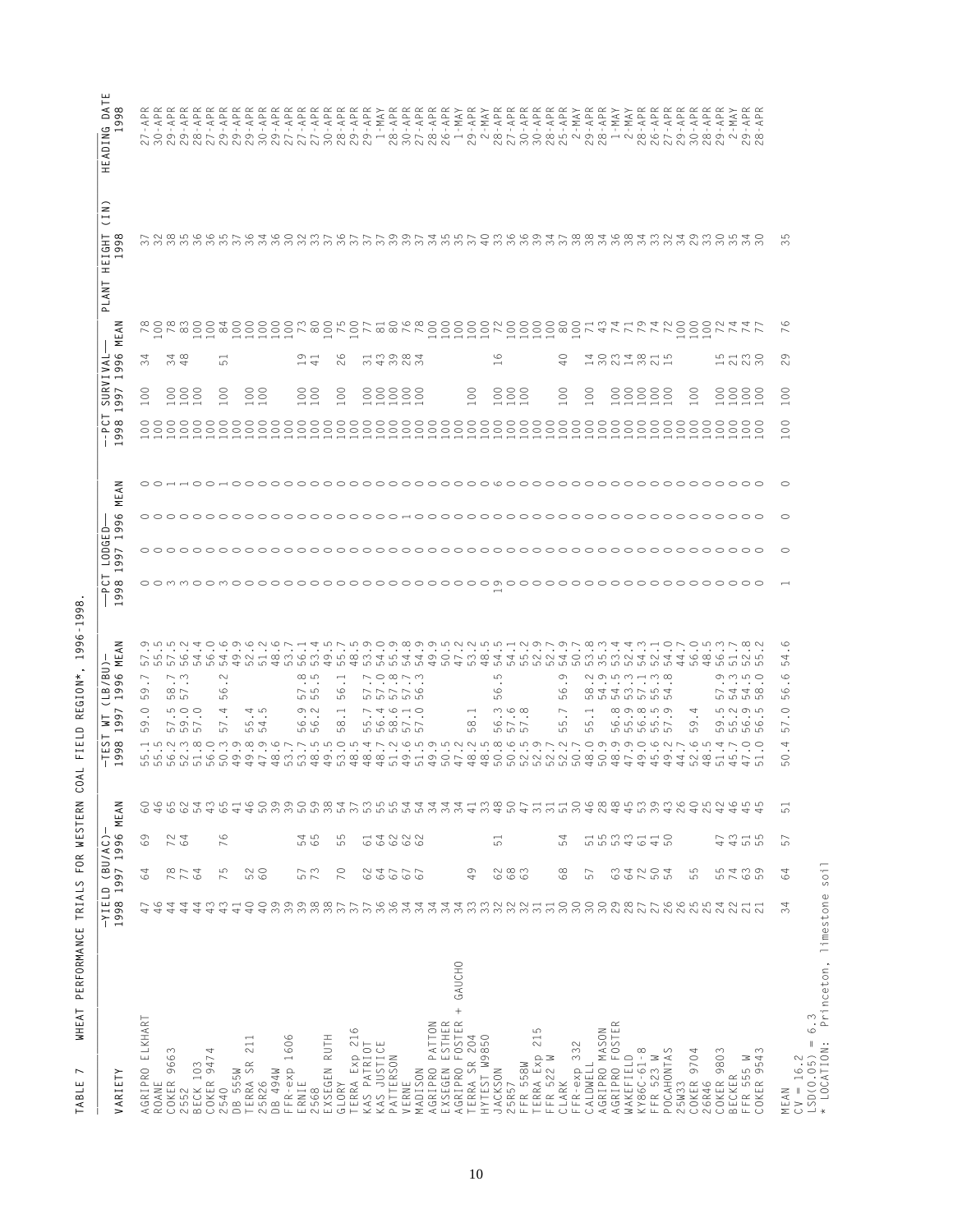| NANNNNNNNNNNNNNNN<br>NNMMNN<br><b>NMNNN</b><br>$\sim$<br>$\sim$ $\sim$<br>NNNNMNN<br>$\sim$ $\sim$<br>$\overline{\phantom{a}}$<br>$\circ$<br>ഥ<br>$\infty$<br>$\begin{picture}(16,15) \put(0,0){\dashbox{0.5}(16,0){ }} \thicklines \put(0,0){\dashbox{0.5}(16,0){ }} \thicklines \put(0,0){\dashbox{0.5}(16,0){ }} \thicklines \put(0,0){\dashbox{0.5}(16,0){ }} \thicklines \put(0,0){\dashbox{0.5}(16,0){ }} \thicklines \put(0,0){\dashbox{0.5}(16,0){ }} \thicklines \put(0,0){\dashbox{0.5}(16,0){ }} \thicklines \put(0,0){\dashbox{0.5}(16,0){ }} \thicklines \put(0,0){\dash$<br>$\circ$<br>$\sim$<br>$\overline{\phantom{0}}$<br>$\overline{\phantom{0}}$<br>$\overline{ }$<br>$\overline{\phantom{0}}$<br>$\overline{ }$<br>$\overline{\phantom{a}}$ $\overline{\phantom{a}}$ $\overline{\phantom{a}}$<br>22222<br>348<br>19<br>$\circ$<br>G<br>40<br>はの348151<br>15130<br>1525<br>29<br>$\approx$<br>ம்<br>$\sim$<br>$\overline{\phantom{0}}$<br>$_{\odot}$<br>888<br>$_{\odot}$<br>$\begin{matrix} 0 \\ 0 \end{matrix}$<br>$\begin{matrix} 0 \\ 0 \end{matrix}$<br>$_{\odot}$<br>88888<br>$\rm{S}$<br>888<br>$\rm{S}$<br>$\rm ^{\circ}$<br>88888<br>$\circ$<br>8888<br>$\Xi$<br>$\overline{\phantom{0}}$<br>$- - -$<br>$\overline{\phantom{0}}$<br>$\overline{\phantom{0}}$<br>$\rightarrow$<br>$\overline{\phantom{0}}$<br>$\overline{\phantom{0}}$<br>$\overline{\phantom{0}}$<br>$\overline{\phantom{0}}$<br>$\rightarrow$<br>$\overline{\phantom{0}}$<br>$\overline{\phantom{0}}$<br>$\overline{\phantom{0}}$<br>$\overline{\phantom{0}}$<br>$\overline{\phantom{0}}$<br>$\overline{\phantom{0}}$<br>$\overline{\phantom{0}}$<br>$\overline{\phantom{0}}$<br>⊣<br>$\overline{\phantom{0}}$<br>$\circ$<br>$\circ$<br>$-1$<br>$-1$<br>$\overline{\phantom{a}}$<br>$- - - -$<br>$\circ$<br>$\circ$<br>$\circ$<br>$^{\circ}$<br>54<br>4004000<br>474<br>மைக்க<br>4040<br>d p o o o o o o o o o o o o o o o d d<br>45555<br>$\sim$<br>$\infty$<br>$\sim$ $\infty$ $\sim$ $\sim$<br>5<br>G<br>$\mathcal{O} \circ \mathcal{O} \circ \mathcal{O} \circ \mathcal{O} \circ \mathcal{O} \circ \mathcal{O} \circ \mathcal{O}$<br>$\circ$ $\circ$ $\circ$ $\circ$<br>$\circ$<br>$\overline{ }$<br>$\sim \infty$<br>$\overline{\phantom{a}}$<br>77776<br>$0.440$ $-0.4$<br>$-2448$<br>$\bullet$<br>$\circ$<br>$\sigma$<br>$\infty$ $\sim$<br>CO<br>$\sim$ 10<br>5.<br>G<br>CO<br>ம<br><u> မာ</u><br><b>in in in in</b><br><u>ம் ம் ம் ம் ம் ம்</u><br>S<br>ம<br>LO<br>ம<br>ഗ<br>ഹ<br>$\circ$<br>$\circ$<br>500<br>4<br>45<br>$\circ$ $\sim$<br>$\omega \circ \omega$<br>$\overline{\phantom{a}}$<br>$\infty$ on $\infty$ un on<br>4<br><b>LONOLO</b><br>$\overline{\phantom{0}}$<br>$\overline{\phantom{0}}$<br>$\overline{\phantom{0}}$<br>$\sim$ $\sim$<br>$\sim$ $\sim$<br>$\cdot$<br>$\bullet$<br>$\cdots$<br>$\sim$ $\sim$<br>$\,$ .<br>$\sim$<br>$\sim$ $\sim$ $\sim$<br>$\cdots$<br>$\cdot$<br>G<br>595<br>rv 4<br>00<br>$\infty$<br>56877<br>$\infty$<br>$\circ$ $\sim$ $\sim$<br>5<br>5<br>65657<br>G<br>0 5 6 6<br>57<br>57<br><b>5555</b><br>မဂ<br>மம<br>மம<br>ഗ<br>ပ<br>ഗ<br>ம<br><b>599999</b><br>LO<br>ro ro ro<br>4<br>$\bullet$<br>$\circ$<br>coocoocood da dood dodda caddadd da coocoocoocad daddadada caddadad coocood ah caddada caddada caddada caddada<br>5<br>43<br>644<br>5<br>4 7 7 9 9 9 4 4<br>$\begin{array}{c} 3 \\ 4 \end{array}$<br>3100<br>46<br>8853336<br>88533<br>$40$<br>5<br>2<br>4<br>4<br>4<br>$^{0}$<br>46<br>6<br>6<br>6<br>5<br>4<br>50<br>34<br>34<br>34<br>507<br>$45$<br>$\overline{31}$<br>$\overline{4}$ l<br>$\overline{5}$ 1<br>6226<br>69<br>724<br>76<br>54<br>65<br>55<br>$64$<br>5533<br>5533<br>$43$<br>$\overline{61}$<br>51<br>54<br>$\overline{61}$<br>$\frac{1}{6}$<br>47<br>$\begin{array}{c} 5 \\ 5 \end{array}$<br>57<br>78<br>64<br>75<br>52<br>573<br>70<br>62<br>62<br>68<br>89<br>$\mathbb{S}^3$<br>64<br>72<br>504<br>55<br>55<br>74<br>63<br>64<br>60<br>$67$ $\,$<br>49<br>64<br>67<br>57<br>39<br>6655<br>46<br>4<br>44<br>4<br>$\sim$<br>$\infty$<br>$\overline{40}$<br>$\overline{40}$<br>27665<br>27665<br>$\overline{\phantom{a}}$<br>$\sim$<br>N<br>41<br>4<br>4<br>4<br>4<br>4<br>4<br>$\sim \sim \sim$<br>$\sim$<br>$\sim$<br>+ GAUCHO<br>ELKHART<br>ESTHER<br>FOSTER<br>AGRIPRO PATTON<br>AGRIPRO FOSTER<br>TERRA Exp 216<br>AGRIPRO MASON<br>215<br>TERRA SR 204<br>1606<br>EXSEGEN RUTH<br>HYTEST W9850<br>211<br>$LSD(0.05) =$<br>KAS PATRIOT<br>$\mathbf{L}$<br>FFR-exp 332<br>KAS JUSTIC<br>4<br>KY86C-61-8<br>POCAHONTAS<br>COKER 9803<br>9543<br>9663<br>COKER 9704<br>TIRRA Exp<br>TERRA Exp<br>TTP 522 W<br>WAKEFIELD<br>$CV = 16.2$<br>PATTERSON<br><sup>z</sup><br>FFR 555 W<br>COKER 947<br>TERRA SR<br>CALDWELL<br>BECK 103<br>$FFR-exp$<br>FFR 558W<br>AGRIPRO<br>AGRIPRO<br>EXSEGEN<br>FFR 523<br>MADISON<br>JACKSON<br>DB 555W<br>DB 494W<br><b>ECKER</b><br>COKER<br>25R57<br>CLARK<br>5W33<br>OKER<br>ROANE<br>5R26<br>ERNIE<br>VERNE<br>26R46<br>GLORY<br>2540<br>2552<br>568<br>MEAN<br>$\scriptstyle\mathrel{\textstyle\sim}$<br>$\sim$<br>$\sim$<br>$\sim$<br>$\cup$ | VARIETY | -YIELD (BU/AC) | 1998 1997 1996 MEAN | $-1398$ | $\overline{ }$<br>$\overline{\phantom{a}}$<br>$\sigma$<br>თ | 996 MEAN<br>(LB/BU)<br>$\overline{\phantom{0}}$ | $\overline{\phantom{0}}$<br>98<br>$\sigma$<br>$\overline{\phantom{0}}$ | $\overline{ }$<br>997 | Σ<br>996<br>LODGED | z<br>$\tilde{\Xi}$ | $\infty$<br>99<br>$\overline{ }$ | 997<br>$\overline{\phantom{0}}$ | 1996 | z<br>⋖<br>토 | $\infty$<br>თ<br>$\sigma$<br>$\overline{\phantom{0}}$ | <b>145</b><br>99<br>$\overline{ }$ |
|----------------------------------------------------------------------------------------------------------------------------------------------------------------------------------------------------------------------------------------------------------------------------------------------------------------------------------------------------------------------------------------------------------------------------------------------------------------------------------------------------------------------------------------------------------------------------------------------------------------------------------------------------------------------------------------------------------------------------------------------------------------------------------------------------------------------------------------------------------------------------------------------------------------------------------------------------------------------------------------------------------------------------------------------------------------------------------------------------------------------------------------------------------------------------------------------------------------------------------------------------------------------------------------------------------------------------------------------------------------------------------------------------------------------------------------------------------------------------------------------------------------------------------------------------------------------------------------------------------------------------------------------------------------------------------------------------------------------------------------------------------------------------------------------------------------------------------------------------------------------------------------------------------------------------------------------------------------------------------------------------------------------------------------------------------------------------------------------------------------------------------------------------------------------------------------------------------------------------------------------------------------------------------------------------------------------------------------------------------------------------------------------------------------------------------------------------------------------------------------------------------------------------------------------------------------------------------------------------------------------------------------------------------------------------------------------------------------------------------------------------------------------------------------------------------------------------------------------------------------------------------------------------------------------------------------------------------------------------------------------------------------------------------------------------------------------------------------------------------------------------------------------------------------------------------------------------------------------------------------------------------------------------------------------------------------------------------------------------------------------------------------------------------------------------------------------------------------------------------------------------------------------------------------------------------------------------------------------------------------------------------------------------------------------------------------------------------------------------------------------------------------------------------------------------------------------------------------------------------------------------------------------------------------------------------------------------------------------------------------------------------------------------------------------------------------------------------------------------------------------------------------------------------------------------------------------------------------------------------------------------------------------------------------------------------------------------------------------------------------------------------------------------------------------------------------------------------------------------------------------------------------------------------------------------------------------------------------------------------------------------------------------------------------------------------------------------------------------------------------------------------------------------------------------------------------------------------------------------------------------------------------------------------------------------------------------------------------------------------------------------------------------------------------------------------------------------|---------|----------------|---------------------|---------|-------------------------------------------------------------|-------------------------------------------------|------------------------------------------------------------------------|-----------------------|--------------------|--------------------|----------------------------------|---------------------------------|------|-------------|-------------------------------------------------------|------------------------------------|
|                                                                                                                                                                                                                                                                                                                                                                                                                                                                                                                                                                                                                                                                                                                                                                                                                                                                                                                                                                                                                                                                                                                                                                                                                                                                                                                                                                                                                                                                                                                                                                                                                                                                                                                                                                                                                                                                                                                                                                                                                                                                                                                                                                                                                                                                                                                                                                                                                                                                                                                                                                                                                                                                                                                                                                                                                                                                                                                                                                                                                                                                                                                                                                                                                                                                                                                                                                                                                                                                                                                                                                                                                                                                                                                                                                                                                                                                                                                                                                                                                                                                                                                                                                                                                                                                                                                                                                                                                                                                                                                                                                                                                                                                                                                                                                                                                                                                                                                                                                                                                                                                            |         |                |                     |         |                                                             |                                                 |                                                                        |                       |                    |                    |                                  |                                 |      |             |                                                       |                                    |
|                                                                                                                                                                                                                                                                                                                                                                                                                                                                                                                                                                                                                                                                                                                                                                                                                                                                                                                                                                                                                                                                                                                                                                                                                                                                                                                                                                                                                                                                                                                                                                                                                                                                                                                                                                                                                                                                                                                                                                                                                                                                                                                                                                                                                                                                                                                                                                                                                                                                                                                                                                                                                                                                                                                                                                                                                                                                                                                                                                                                                                                                                                                                                                                                                                                                                                                                                                                                                                                                                                                                                                                                                                                                                                                                                                                                                                                                                                                                                                                                                                                                                                                                                                                                                                                                                                                                                                                                                                                                                                                                                                                                                                                                                                                                                                                                                                                                                                                                                                                                                                                                            |         |                |                     |         |                                                             |                                                 |                                                                        |                       |                    |                    |                                  |                                 |      |             |                                                       |                                    |
|                                                                                                                                                                                                                                                                                                                                                                                                                                                                                                                                                                                                                                                                                                                                                                                                                                                                                                                                                                                                                                                                                                                                                                                                                                                                                                                                                                                                                                                                                                                                                                                                                                                                                                                                                                                                                                                                                                                                                                                                                                                                                                                                                                                                                                                                                                                                                                                                                                                                                                                                                                                                                                                                                                                                                                                                                                                                                                                                                                                                                                                                                                                                                                                                                                                                                                                                                                                                                                                                                                                                                                                                                                                                                                                                                                                                                                                                                                                                                                                                                                                                                                                                                                                                                                                                                                                                                                                                                                                                                                                                                                                                                                                                                                                                                                                                                                                                                                                                                                                                                                                                            |         |                |                     |         |                                                             |                                                 |                                                                        |                       |                    |                    |                                  |                                 |      |             |                                                       |                                    |
|                                                                                                                                                                                                                                                                                                                                                                                                                                                                                                                                                                                                                                                                                                                                                                                                                                                                                                                                                                                                                                                                                                                                                                                                                                                                                                                                                                                                                                                                                                                                                                                                                                                                                                                                                                                                                                                                                                                                                                                                                                                                                                                                                                                                                                                                                                                                                                                                                                                                                                                                                                                                                                                                                                                                                                                                                                                                                                                                                                                                                                                                                                                                                                                                                                                                                                                                                                                                                                                                                                                                                                                                                                                                                                                                                                                                                                                                                                                                                                                                                                                                                                                                                                                                                                                                                                                                                                                                                                                                                                                                                                                                                                                                                                                                                                                                                                                                                                                                                                                                                                                                            |         |                |                     |         |                                                             |                                                 |                                                                        |                       |                    |                    |                                  |                                 |      |             |                                                       |                                    |
|                                                                                                                                                                                                                                                                                                                                                                                                                                                                                                                                                                                                                                                                                                                                                                                                                                                                                                                                                                                                                                                                                                                                                                                                                                                                                                                                                                                                                                                                                                                                                                                                                                                                                                                                                                                                                                                                                                                                                                                                                                                                                                                                                                                                                                                                                                                                                                                                                                                                                                                                                                                                                                                                                                                                                                                                                                                                                                                                                                                                                                                                                                                                                                                                                                                                                                                                                                                                                                                                                                                                                                                                                                                                                                                                                                                                                                                                                                                                                                                                                                                                                                                                                                                                                                                                                                                                                                                                                                                                                                                                                                                                                                                                                                                                                                                                                                                                                                                                                                                                                                                                            |         |                |                     |         |                                                             |                                                 |                                                                        |                       |                    |                    |                                  |                                 |      |             |                                                       |                                    |
|                                                                                                                                                                                                                                                                                                                                                                                                                                                                                                                                                                                                                                                                                                                                                                                                                                                                                                                                                                                                                                                                                                                                                                                                                                                                                                                                                                                                                                                                                                                                                                                                                                                                                                                                                                                                                                                                                                                                                                                                                                                                                                                                                                                                                                                                                                                                                                                                                                                                                                                                                                                                                                                                                                                                                                                                                                                                                                                                                                                                                                                                                                                                                                                                                                                                                                                                                                                                                                                                                                                                                                                                                                                                                                                                                                                                                                                                                                                                                                                                                                                                                                                                                                                                                                                                                                                                                                                                                                                                                                                                                                                                                                                                                                                                                                                                                                                                                                                                                                                                                                                                            |         |                |                     |         |                                                             |                                                 |                                                                        |                       |                    |                    |                                  |                                 |      |             |                                                       |                                    |
|                                                                                                                                                                                                                                                                                                                                                                                                                                                                                                                                                                                                                                                                                                                                                                                                                                                                                                                                                                                                                                                                                                                                                                                                                                                                                                                                                                                                                                                                                                                                                                                                                                                                                                                                                                                                                                                                                                                                                                                                                                                                                                                                                                                                                                                                                                                                                                                                                                                                                                                                                                                                                                                                                                                                                                                                                                                                                                                                                                                                                                                                                                                                                                                                                                                                                                                                                                                                                                                                                                                                                                                                                                                                                                                                                                                                                                                                                                                                                                                                                                                                                                                                                                                                                                                                                                                                                                                                                                                                                                                                                                                                                                                                                                                                                                                                                                                                                                                                                                                                                                                                            |         |                |                     |         |                                                             |                                                 |                                                                        |                       |                    |                    |                                  |                                 |      |             |                                                       |                                    |
|                                                                                                                                                                                                                                                                                                                                                                                                                                                                                                                                                                                                                                                                                                                                                                                                                                                                                                                                                                                                                                                                                                                                                                                                                                                                                                                                                                                                                                                                                                                                                                                                                                                                                                                                                                                                                                                                                                                                                                                                                                                                                                                                                                                                                                                                                                                                                                                                                                                                                                                                                                                                                                                                                                                                                                                                                                                                                                                                                                                                                                                                                                                                                                                                                                                                                                                                                                                                                                                                                                                                                                                                                                                                                                                                                                                                                                                                                                                                                                                                                                                                                                                                                                                                                                                                                                                                                                                                                                                                                                                                                                                                                                                                                                                                                                                                                                                                                                                                                                                                                                                                            |         |                |                     |         |                                                             |                                                 |                                                                        |                       |                    |                    |                                  |                                 |      |             |                                                       |                                    |
|                                                                                                                                                                                                                                                                                                                                                                                                                                                                                                                                                                                                                                                                                                                                                                                                                                                                                                                                                                                                                                                                                                                                                                                                                                                                                                                                                                                                                                                                                                                                                                                                                                                                                                                                                                                                                                                                                                                                                                                                                                                                                                                                                                                                                                                                                                                                                                                                                                                                                                                                                                                                                                                                                                                                                                                                                                                                                                                                                                                                                                                                                                                                                                                                                                                                                                                                                                                                                                                                                                                                                                                                                                                                                                                                                                                                                                                                                                                                                                                                                                                                                                                                                                                                                                                                                                                                                                                                                                                                                                                                                                                                                                                                                                                                                                                                                                                                                                                                                                                                                                                                            |         |                |                     |         |                                                             |                                                 |                                                                        |                       |                    |                    |                                  |                                 |      |             |                                                       |                                    |
|                                                                                                                                                                                                                                                                                                                                                                                                                                                                                                                                                                                                                                                                                                                                                                                                                                                                                                                                                                                                                                                                                                                                                                                                                                                                                                                                                                                                                                                                                                                                                                                                                                                                                                                                                                                                                                                                                                                                                                                                                                                                                                                                                                                                                                                                                                                                                                                                                                                                                                                                                                                                                                                                                                                                                                                                                                                                                                                                                                                                                                                                                                                                                                                                                                                                                                                                                                                                                                                                                                                                                                                                                                                                                                                                                                                                                                                                                                                                                                                                                                                                                                                                                                                                                                                                                                                                                                                                                                                                                                                                                                                                                                                                                                                                                                                                                                                                                                                                                                                                                                                                            |         |                |                     |         |                                                             |                                                 |                                                                        |                       |                    |                    |                                  |                                 |      |             |                                                       |                                    |
|                                                                                                                                                                                                                                                                                                                                                                                                                                                                                                                                                                                                                                                                                                                                                                                                                                                                                                                                                                                                                                                                                                                                                                                                                                                                                                                                                                                                                                                                                                                                                                                                                                                                                                                                                                                                                                                                                                                                                                                                                                                                                                                                                                                                                                                                                                                                                                                                                                                                                                                                                                                                                                                                                                                                                                                                                                                                                                                                                                                                                                                                                                                                                                                                                                                                                                                                                                                                                                                                                                                                                                                                                                                                                                                                                                                                                                                                                                                                                                                                                                                                                                                                                                                                                                                                                                                                                                                                                                                                                                                                                                                                                                                                                                                                                                                                                                                                                                                                                                                                                                                                            |         |                |                     |         |                                                             |                                                 |                                                                        |                       |                    |                    |                                  |                                 |      |             |                                                       |                                    |
|                                                                                                                                                                                                                                                                                                                                                                                                                                                                                                                                                                                                                                                                                                                                                                                                                                                                                                                                                                                                                                                                                                                                                                                                                                                                                                                                                                                                                                                                                                                                                                                                                                                                                                                                                                                                                                                                                                                                                                                                                                                                                                                                                                                                                                                                                                                                                                                                                                                                                                                                                                                                                                                                                                                                                                                                                                                                                                                                                                                                                                                                                                                                                                                                                                                                                                                                                                                                                                                                                                                                                                                                                                                                                                                                                                                                                                                                                                                                                                                                                                                                                                                                                                                                                                                                                                                                                                                                                                                                                                                                                                                                                                                                                                                                                                                                                                                                                                                                                                                                                                                                            |         |                |                     |         |                                                             |                                                 |                                                                        |                       |                    |                    |                                  |                                 |      |             |                                                       |                                    |
|                                                                                                                                                                                                                                                                                                                                                                                                                                                                                                                                                                                                                                                                                                                                                                                                                                                                                                                                                                                                                                                                                                                                                                                                                                                                                                                                                                                                                                                                                                                                                                                                                                                                                                                                                                                                                                                                                                                                                                                                                                                                                                                                                                                                                                                                                                                                                                                                                                                                                                                                                                                                                                                                                                                                                                                                                                                                                                                                                                                                                                                                                                                                                                                                                                                                                                                                                                                                                                                                                                                                                                                                                                                                                                                                                                                                                                                                                                                                                                                                                                                                                                                                                                                                                                                                                                                                                                                                                                                                                                                                                                                                                                                                                                                                                                                                                                                                                                                                                                                                                                                                            |         |                |                     |         |                                                             |                                                 |                                                                        |                       |                    |                    |                                  |                                 |      |             |                                                       |                                    |
|                                                                                                                                                                                                                                                                                                                                                                                                                                                                                                                                                                                                                                                                                                                                                                                                                                                                                                                                                                                                                                                                                                                                                                                                                                                                                                                                                                                                                                                                                                                                                                                                                                                                                                                                                                                                                                                                                                                                                                                                                                                                                                                                                                                                                                                                                                                                                                                                                                                                                                                                                                                                                                                                                                                                                                                                                                                                                                                                                                                                                                                                                                                                                                                                                                                                                                                                                                                                                                                                                                                                                                                                                                                                                                                                                                                                                                                                                                                                                                                                                                                                                                                                                                                                                                                                                                                                                                                                                                                                                                                                                                                                                                                                                                                                                                                                                                                                                                                                                                                                                                                                            |         |                |                     |         |                                                             |                                                 |                                                                        |                       |                    |                    |                                  |                                 |      |             |                                                       |                                    |
|                                                                                                                                                                                                                                                                                                                                                                                                                                                                                                                                                                                                                                                                                                                                                                                                                                                                                                                                                                                                                                                                                                                                                                                                                                                                                                                                                                                                                                                                                                                                                                                                                                                                                                                                                                                                                                                                                                                                                                                                                                                                                                                                                                                                                                                                                                                                                                                                                                                                                                                                                                                                                                                                                                                                                                                                                                                                                                                                                                                                                                                                                                                                                                                                                                                                                                                                                                                                                                                                                                                                                                                                                                                                                                                                                                                                                                                                                                                                                                                                                                                                                                                                                                                                                                                                                                                                                                                                                                                                                                                                                                                                                                                                                                                                                                                                                                                                                                                                                                                                                                                                            |         |                |                     |         |                                                             |                                                 |                                                                        |                       |                    |                    |                                  |                                 |      |             |                                                       |                                    |
|                                                                                                                                                                                                                                                                                                                                                                                                                                                                                                                                                                                                                                                                                                                                                                                                                                                                                                                                                                                                                                                                                                                                                                                                                                                                                                                                                                                                                                                                                                                                                                                                                                                                                                                                                                                                                                                                                                                                                                                                                                                                                                                                                                                                                                                                                                                                                                                                                                                                                                                                                                                                                                                                                                                                                                                                                                                                                                                                                                                                                                                                                                                                                                                                                                                                                                                                                                                                                                                                                                                                                                                                                                                                                                                                                                                                                                                                                                                                                                                                                                                                                                                                                                                                                                                                                                                                                                                                                                                                                                                                                                                                                                                                                                                                                                                                                                                                                                                                                                                                                                                                            |         |                |                     |         |                                                             |                                                 |                                                                        |                       |                    |                    |                                  |                                 |      |             |                                                       |                                    |
|                                                                                                                                                                                                                                                                                                                                                                                                                                                                                                                                                                                                                                                                                                                                                                                                                                                                                                                                                                                                                                                                                                                                                                                                                                                                                                                                                                                                                                                                                                                                                                                                                                                                                                                                                                                                                                                                                                                                                                                                                                                                                                                                                                                                                                                                                                                                                                                                                                                                                                                                                                                                                                                                                                                                                                                                                                                                                                                                                                                                                                                                                                                                                                                                                                                                                                                                                                                                                                                                                                                                                                                                                                                                                                                                                                                                                                                                                                                                                                                                                                                                                                                                                                                                                                                                                                                                                                                                                                                                                                                                                                                                                                                                                                                                                                                                                                                                                                                                                                                                                                                                            |         |                |                     |         |                                                             |                                                 |                                                                        |                       |                    |                    |                                  |                                 |      |             |                                                       |                                    |
|                                                                                                                                                                                                                                                                                                                                                                                                                                                                                                                                                                                                                                                                                                                                                                                                                                                                                                                                                                                                                                                                                                                                                                                                                                                                                                                                                                                                                                                                                                                                                                                                                                                                                                                                                                                                                                                                                                                                                                                                                                                                                                                                                                                                                                                                                                                                                                                                                                                                                                                                                                                                                                                                                                                                                                                                                                                                                                                                                                                                                                                                                                                                                                                                                                                                                                                                                                                                                                                                                                                                                                                                                                                                                                                                                                                                                                                                                                                                                                                                                                                                                                                                                                                                                                                                                                                                                                                                                                                                                                                                                                                                                                                                                                                                                                                                                                                                                                                                                                                                                                                                            |         |                |                     |         |                                                             |                                                 |                                                                        |                       |                    |                    |                                  |                                 |      |             |                                                       |                                    |
|                                                                                                                                                                                                                                                                                                                                                                                                                                                                                                                                                                                                                                                                                                                                                                                                                                                                                                                                                                                                                                                                                                                                                                                                                                                                                                                                                                                                                                                                                                                                                                                                                                                                                                                                                                                                                                                                                                                                                                                                                                                                                                                                                                                                                                                                                                                                                                                                                                                                                                                                                                                                                                                                                                                                                                                                                                                                                                                                                                                                                                                                                                                                                                                                                                                                                                                                                                                                                                                                                                                                                                                                                                                                                                                                                                                                                                                                                                                                                                                                                                                                                                                                                                                                                                                                                                                                                                                                                                                                                                                                                                                                                                                                                                                                                                                                                                                                                                                                                                                                                                                                            |         |                |                     |         |                                                             |                                                 |                                                                        |                       |                    |                    |                                  |                                 |      |             |                                                       |                                    |
|                                                                                                                                                                                                                                                                                                                                                                                                                                                                                                                                                                                                                                                                                                                                                                                                                                                                                                                                                                                                                                                                                                                                                                                                                                                                                                                                                                                                                                                                                                                                                                                                                                                                                                                                                                                                                                                                                                                                                                                                                                                                                                                                                                                                                                                                                                                                                                                                                                                                                                                                                                                                                                                                                                                                                                                                                                                                                                                                                                                                                                                                                                                                                                                                                                                                                                                                                                                                                                                                                                                                                                                                                                                                                                                                                                                                                                                                                                                                                                                                                                                                                                                                                                                                                                                                                                                                                                                                                                                                                                                                                                                                                                                                                                                                                                                                                                                                                                                                                                                                                                                                            |         |                |                     |         |                                                             |                                                 |                                                                        |                       |                    |                    |                                  |                                 |      |             |                                                       |                                    |
|                                                                                                                                                                                                                                                                                                                                                                                                                                                                                                                                                                                                                                                                                                                                                                                                                                                                                                                                                                                                                                                                                                                                                                                                                                                                                                                                                                                                                                                                                                                                                                                                                                                                                                                                                                                                                                                                                                                                                                                                                                                                                                                                                                                                                                                                                                                                                                                                                                                                                                                                                                                                                                                                                                                                                                                                                                                                                                                                                                                                                                                                                                                                                                                                                                                                                                                                                                                                                                                                                                                                                                                                                                                                                                                                                                                                                                                                                                                                                                                                                                                                                                                                                                                                                                                                                                                                                                                                                                                                                                                                                                                                                                                                                                                                                                                                                                                                                                                                                                                                                                                                            |         |                |                     |         |                                                             |                                                 |                                                                        |                       |                    |                    |                                  |                                 |      |             |                                                       |                                    |
|                                                                                                                                                                                                                                                                                                                                                                                                                                                                                                                                                                                                                                                                                                                                                                                                                                                                                                                                                                                                                                                                                                                                                                                                                                                                                                                                                                                                                                                                                                                                                                                                                                                                                                                                                                                                                                                                                                                                                                                                                                                                                                                                                                                                                                                                                                                                                                                                                                                                                                                                                                                                                                                                                                                                                                                                                                                                                                                                                                                                                                                                                                                                                                                                                                                                                                                                                                                                                                                                                                                                                                                                                                                                                                                                                                                                                                                                                                                                                                                                                                                                                                                                                                                                                                                                                                                                                                                                                                                                                                                                                                                                                                                                                                                                                                                                                                                                                                                                                                                                                                                                            |         |                |                     |         |                                                             |                                                 |                                                                        |                       |                    |                    |                                  |                                 |      |             |                                                       |                                    |
|                                                                                                                                                                                                                                                                                                                                                                                                                                                                                                                                                                                                                                                                                                                                                                                                                                                                                                                                                                                                                                                                                                                                                                                                                                                                                                                                                                                                                                                                                                                                                                                                                                                                                                                                                                                                                                                                                                                                                                                                                                                                                                                                                                                                                                                                                                                                                                                                                                                                                                                                                                                                                                                                                                                                                                                                                                                                                                                                                                                                                                                                                                                                                                                                                                                                                                                                                                                                                                                                                                                                                                                                                                                                                                                                                                                                                                                                                                                                                                                                                                                                                                                                                                                                                                                                                                                                                                                                                                                                                                                                                                                                                                                                                                                                                                                                                                                                                                                                                                                                                                                                            |         |                |                     |         |                                                             |                                                 |                                                                        |                       |                    |                    |                                  |                                 |      |             |                                                       |                                    |
|                                                                                                                                                                                                                                                                                                                                                                                                                                                                                                                                                                                                                                                                                                                                                                                                                                                                                                                                                                                                                                                                                                                                                                                                                                                                                                                                                                                                                                                                                                                                                                                                                                                                                                                                                                                                                                                                                                                                                                                                                                                                                                                                                                                                                                                                                                                                                                                                                                                                                                                                                                                                                                                                                                                                                                                                                                                                                                                                                                                                                                                                                                                                                                                                                                                                                                                                                                                                                                                                                                                                                                                                                                                                                                                                                                                                                                                                                                                                                                                                                                                                                                                                                                                                                                                                                                                                                                                                                                                                                                                                                                                                                                                                                                                                                                                                                                                                                                                                                                                                                                                                            |         |                |                     |         |                                                             |                                                 |                                                                        |                       |                    |                    |                                  |                                 |      |             |                                                       |                                    |
|                                                                                                                                                                                                                                                                                                                                                                                                                                                                                                                                                                                                                                                                                                                                                                                                                                                                                                                                                                                                                                                                                                                                                                                                                                                                                                                                                                                                                                                                                                                                                                                                                                                                                                                                                                                                                                                                                                                                                                                                                                                                                                                                                                                                                                                                                                                                                                                                                                                                                                                                                                                                                                                                                                                                                                                                                                                                                                                                                                                                                                                                                                                                                                                                                                                                                                                                                                                                                                                                                                                                                                                                                                                                                                                                                                                                                                                                                                                                                                                                                                                                                                                                                                                                                                                                                                                                                                                                                                                                                                                                                                                                                                                                                                                                                                                                                                                                                                                                                                                                                                                                            |         |                |                     |         |                                                             |                                                 |                                                                        |                       |                    |                    |                                  |                                 |      |             |                                                       |                                    |
|                                                                                                                                                                                                                                                                                                                                                                                                                                                                                                                                                                                                                                                                                                                                                                                                                                                                                                                                                                                                                                                                                                                                                                                                                                                                                                                                                                                                                                                                                                                                                                                                                                                                                                                                                                                                                                                                                                                                                                                                                                                                                                                                                                                                                                                                                                                                                                                                                                                                                                                                                                                                                                                                                                                                                                                                                                                                                                                                                                                                                                                                                                                                                                                                                                                                                                                                                                                                                                                                                                                                                                                                                                                                                                                                                                                                                                                                                                                                                                                                                                                                                                                                                                                                                                                                                                                                                                                                                                                                                                                                                                                                                                                                                                                                                                                                                                                                                                                                                                                                                                                                            |         |                |                     |         |                                                             |                                                 |                                                                        |                       |                    |                    |                                  |                                 |      |             |                                                       |                                    |
|                                                                                                                                                                                                                                                                                                                                                                                                                                                                                                                                                                                                                                                                                                                                                                                                                                                                                                                                                                                                                                                                                                                                                                                                                                                                                                                                                                                                                                                                                                                                                                                                                                                                                                                                                                                                                                                                                                                                                                                                                                                                                                                                                                                                                                                                                                                                                                                                                                                                                                                                                                                                                                                                                                                                                                                                                                                                                                                                                                                                                                                                                                                                                                                                                                                                                                                                                                                                                                                                                                                                                                                                                                                                                                                                                                                                                                                                                                                                                                                                                                                                                                                                                                                                                                                                                                                                                                                                                                                                                                                                                                                                                                                                                                                                                                                                                                                                                                                                                                                                                                                                            |         |                |                     |         |                                                             |                                                 |                                                                        |                       |                    |                    |                                  |                                 |      |             |                                                       |                                    |
|                                                                                                                                                                                                                                                                                                                                                                                                                                                                                                                                                                                                                                                                                                                                                                                                                                                                                                                                                                                                                                                                                                                                                                                                                                                                                                                                                                                                                                                                                                                                                                                                                                                                                                                                                                                                                                                                                                                                                                                                                                                                                                                                                                                                                                                                                                                                                                                                                                                                                                                                                                                                                                                                                                                                                                                                                                                                                                                                                                                                                                                                                                                                                                                                                                                                                                                                                                                                                                                                                                                                                                                                                                                                                                                                                                                                                                                                                                                                                                                                                                                                                                                                                                                                                                                                                                                                                                                                                                                                                                                                                                                                                                                                                                                                                                                                                                                                                                                                                                                                                                                                            |         |                |                     |         |                                                             |                                                 |                                                                        |                       |                    |                    |                                  |                                 |      |             |                                                       |                                    |
|                                                                                                                                                                                                                                                                                                                                                                                                                                                                                                                                                                                                                                                                                                                                                                                                                                                                                                                                                                                                                                                                                                                                                                                                                                                                                                                                                                                                                                                                                                                                                                                                                                                                                                                                                                                                                                                                                                                                                                                                                                                                                                                                                                                                                                                                                                                                                                                                                                                                                                                                                                                                                                                                                                                                                                                                                                                                                                                                                                                                                                                                                                                                                                                                                                                                                                                                                                                                                                                                                                                                                                                                                                                                                                                                                                                                                                                                                                                                                                                                                                                                                                                                                                                                                                                                                                                                                                                                                                                                                                                                                                                                                                                                                                                                                                                                                                                                                                                                                                                                                                                                            |         |                |                     |         |                                                             |                                                 |                                                                        |                       |                    |                    |                                  |                                 |      |             |                                                       |                                    |
|                                                                                                                                                                                                                                                                                                                                                                                                                                                                                                                                                                                                                                                                                                                                                                                                                                                                                                                                                                                                                                                                                                                                                                                                                                                                                                                                                                                                                                                                                                                                                                                                                                                                                                                                                                                                                                                                                                                                                                                                                                                                                                                                                                                                                                                                                                                                                                                                                                                                                                                                                                                                                                                                                                                                                                                                                                                                                                                                                                                                                                                                                                                                                                                                                                                                                                                                                                                                                                                                                                                                                                                                                                                                                                                                                                                                                                                                                                                                                                                                                                                                                                                                                                                                                                                                                                                                                                                                                                                                                                                                                                                                                                                                                                                                                                                                                                                                                                                                                                                                                                                                            |         |                |                     |         |                                                             |                                                 |                                                                        |                       |                    |                    |                                  |                                 |      |             |                                                       |                                    |
|                                                                                                                                                                                                                                                                                                                                                                                                                                                                                                                                                                                                                                                                                                                                                                                                                                                                                                                                                                                                                                                                                                                                                                                                                                                                                                                                                                                                                                                                                                                                                                                                                                                                                                                                                                                                                                                                                                                                                                                                                                                                                                                                                                                                                                                                                                                                                                                                                                                                                                                                                                                                                                                                                                                                                                                                                                                                                                                                                                                                                                                                                                                                                                                                                                                                                                                                                                                                                                                                                                                                                                                                                                                                                                                                                                                                                                                                                                                                                                                                                                                                                                                                                                                                                                                                                                                                                                                                                                                                                                                                                                                                                                                                                                                                                                                                                                                                                                                                                                                                                                                                            |         |                |                     |         |                                                             |                                                 |                                                                        |                       |                    |                    |                                  |                                 |      |             |                                                       |                                    |
|                                                                                                                                                                                                                                                                                                                                                                                                                                                                                                                                                                                                                                                                                                                                                                                                                                                                                                                                                                                                                                                                                                                                                                                                                                                                                                                                                                                                                                                                                                                                                                                                                                                                                                                                                                                                                                                                                                                                                                                                                                                                                                                                                                                                                                                                                                                                                                                                                                                                                                                                                                                                                                                                                                                                                                                                                                                                                                                                                                                                                                                                                                                                                                                                                                                                                                                                                                                                                                                                                                                                                                                                                                                                                                                                                                                                                                                                                                                                                                                                                                                                                                                                                                                                                                                                                                                                                                                                                                                                                                                                                                                                                                                                                                                                                                                                                                                                                                                                                                                                                                                                            |         |                |                     |         |                                                             |                                                 |                                                                        |                       |                    |                    |                                  |                                 |      |             |                                                       |                                    |
|                                                                                                                                                                                                                                                                                                                                                                                                                                                                                                                                                                                                                                                                                                                                                                                                                                                                                                                                                                                                                                                                                                                                                                                                                                                                                                                                                                                                                                                                                                                                                                                                                                                                                                                                                                                                                                                                                                                                                                                                                                                                                                                                                                                                                                                                                                                                                                                                                                                                                                                                                                                                                                                                                                                                                                                                                                                                                                                                                                                                                                                                                                                                                                                                                                                                                                                                                                                                                                                                                                                                                                                                                                                                                                                                                                                                                                                                                                                                                                                                                                                                                                                                                                                                                                                                                                                                                                                                                                                                                                                                                                                                                                                                                                                                                                                                                                                                                                                                                                                                                                                                            |         |                |                     |         |                                                             |                                                 |                                                                        |                       |                    |                    |                                  |                                 |      |             |                                                       |                                    |
|                                                                                                                                                                                                                                                                                                                                                                                                                                                                                                                                                                                                                                                                                                                                                                                                                                                                                                                                                                                                                                                                                                                                                                                                                                                                                                                                                                                                                                                                                                                                                                                                                                                                                                                                                                                                                                                                                                                                                                                                                                                                                                                                                                                                                                                                                                                                                                                                                                                                                                                                                                                                                                                                                                                                                                                                                                                                                                                                                                                                                                                                                                                                                                                                                                                                                                                                                                                                                                                                                                                                                                                                                                                                                                                                                                                                                                                                                                                                                                                                                                                                                                                                                                                                                                                                                                                                                                                                                                                                                                                                                                                                                                                                                                                                                                                                                                                                                                                                                                                                                                                                            |         |                |                     |         |                                                             |                                                 |                                                                        |                       |                    |                    |                                  |                                 |      |             |                                                       |                                    |
|                                                                                                                                                                                                                                                                                                                                                                                                                                                                                                                                                                                                                                                                                                                                                                                                                                                                                                                                                                                                                                                                                                                                                                                                                                                                                                                                                                                                                                                                                                                                                                                                                                                                                                                                                                                                                                                                                                                                                                                                                                                                                                                                                                                                                                                                                                                                                                                                                                                                                                                                                                                                                                                                                                                                                                                                                                                                                                                                                                                                                                                                                                                                                                                                                                                                                                                                                                                                                                                                                                                                                                                                                                                                                                                                                                                                                                                                                                                                                                                                                                                                                                                                                                                                                                                                                                                                                                                                                                                                                                                                                                                                                                                                                                                                                                                                                                                                                                                                                                                                                                                                            |         |                |                     |         |                                                             |                                                 |                                                                        |                       |                    |                    |                                  |                                 |      |             |                                                       |                                    |
|                                                                                                                                                                                                                                                                                                                                                                                                                                                                                                                                                                                                                                                                                                                                                                                                                                                                                                                                                                                                                                                                                                                                                                                                                                                                                                                                                                                                                                                                                                                                                                                                                                                                                                                                                                                                                                                                                                                                                                                                                                                                                                                                                                                                                                                                                                                                                                                                                                                                                                                                                                                                                                                                                                                                                                                                                                                                                                                                                                                                                                                                                                                                                                                                                                                                                                                                                                                                                                                                                                                                                                                                                                                                                                                                                                                                                                                                                                                                                                                                                                                                                                                                                                                                                                                                                                                                                                                                                                                                                                                                                                                                                                                                                                                                                                                                                                                                                                                                                                                                                                                                            |         |                |                     |         |                                                             |                                                 |                                                                        |                       |                    |                    |                                  |                                 |      |             |                                                       |                                    |
|                                                                                                                                                                                                                                                                                                                                                                                                                                                                                                                                                                                                                                                                                                                                                                                                                                                                                                                                                                                                                                                                                                                                                                                                                                                                                                                                                                                                                                                                                                                                                                                                                                                                                                                                                                                                                                                                                                                                                                                                                                                                                                                                                                                                                                                                                                                                                                                                                                                                                                                                                                                                                                                                                                                                                                                                                                                                                                                                                                                                                                                                                                                                                                                                                                                                                                                                                                                                                                                                                                                                                                                                                                                                                                                                                                                                                                                                                                                                                                                                                                                                                                                                                                                                                                                                                                                                                                                                                                                                                                                                                                                                                                                                                                                                                                                                                                                                                                                                                                                                                                                                            |         |                |                     |         |                                                             |                                                 |                                                                        |                       |                    |                    |                                  |                                 |      |             |                                                       |                                    |
|                                                                                                                                                                                                                                                                                                                                                                                                                                                                                                                                                                                                                                                                                                                                                                                                                                                                                                                                                                                                                                                                                                                                                                                                                                                                                                                                                                                                                                                                                                                                                                                                                                                                                                                                                                                                                                                                                                                                                                                                                                                                                                                                                                                                                                                                                                                                                                                                                                                                                                                                                                                                                                                                                                                                                                                                                                                                                                                                                                                                                                                                                                                                                                                                                                                                                                                                                                                                                                                                                                                                                                                                                                                                                                                                                                                                                                                                                                                                                                                                                                                                                                                                                                                                                                                                                                                                                                                                                                                                                                                                                                                                                                                                                                                                                                                                                                                                                                                                                                                                                                                                            |         |                |                     |         |                                                             |                                                 |                                                                        |                       |                    |                    |                                  |                                 |      |             |                                                       |                                    |
|                                                                                                                                                                                                                                                                                                                                                                                                                                                                                                                                                                                                                                                                                                                                                                                                                                                                                                                                                                                                                                                                                                                                                                                                                                                                                                                                                                                                                                                                                                                                                                                                                                                                                                                                                                                                                                                                                                                                                                                                                                                                                                                                                                                                                                                                                                                                                                                                                                                                                                                                                                                                                                                                                                                                                                                                                                                                                                                                                                                                                                                                                                                                                                                                                                                                                                                                                                                                                                                                                                                                                                                                                                                                                                                                                                                                                                                                                                                                                                                                                                                                                                                                                                                                                                                                                                                                                                                                                                                                                                                                                                                                                                                                                                                                                                                                                                                                                                                                                                                                                                                                            |         |                |                     |         |                                                             |                                                 |                                                                        |                       |                    |                    |                                  |                                 |      |             |                                                       |                                    |
|                                                                                                                                                                                                                                                                                                                                                                                                                                                                                                                                                                                                                                                                                                                                                                                                                                                                                                                                                                                                                                                                                                                                                                                                                                                                                                                                                                                                                                                                                                                                                                                                                                                                                                                                                                                                                                                                                                                                                                                                                                                                                                                                                                                                                                                                                                                                                                                                                                                                                                                                                                                                                                                                                                                                                                                                                                                                                                                                                                                                                                                                                                                                                                                                                                                                                                                                                                                                                                                                                                                                                                                                                                                                                                                                                                                                                                                                                                                                                                                                                                                                                                                                                                                                                                                                                                                                                                                                                                                                                                                                                                                                                                                                                                                                                                                                                                                                                                                                                                                                                                                                            |         |                |                     |         |                                                             |                                                 |                                                                        |                       |                    |                    |                                  |                                 |      |             |                                                       |                                    |
|                                                                                                                                                                                                                                                                                                                                                                                                                                                                                                                                                                                                                                                                                                                                                                                                                                                                                                                                                                                                                                                                                                                                                                                                                                                                                                                                                                                                                                                                                                                                                                                                                                                                                                                                                                                                                                                                                                                                                                                                                                                                                                                                                                                                                                                                                                                                                                                                                                                                                                                                                                                                                                                                                                                                                                                                                                                                                                                                                                                                                                                                                                                                                                                                                                                                                                                                                                                                                                                                                                                                                                                                                                                                                                                                                                                                                                                                                                                                                                                                                                                                                                                                                                                                                                                                                                                                                                                                                                                                                                                                                                                                                                                                                                                                                                                                                                                                                                                                                                                                                                                                            |         |                |                     |         |                                                             |                                                 |                                                                        |                       |                    |                    |                                  |                                 |      |             |                                                       |                                    |
|                                                                                                                                                                                                                                                                                                                                                                                                                                                                                                                                                                                                                                                                                                                                                                                                                                                                                                                                                                                                                                                                                                                                                                                                                                                                                                                                                                                                                                                                                                                                                                                                                                                                                                                                                                                                                                                                                                                                                                                                                                                                                                                                                                                                                                                                                                                                                                                                                                                                                                                                                                                                                                                                                                                                                                                                                                                                                                                                                                                                                                                                                                                                                                                                                                                                                                                                                                                                                                                                                                                                                                                                                                                                                                                                                                                                                                                                                                                                                                                                                                                                                                                                                                                                                                                                                                                                                                                                                                                                                                                                                                                                                                                                                                                                                                                                                                                                                                                                                                                                                                                                            |         |                |                     |         |                                                             |                                                 |                                                                        |                       |                    |                    |                                  |                                 |      |             |                                                       |                                    |
|                                                                                                                                                                                                                                                                                                                                                                                                                                                                                                                                                                                                                                                                                                                                                                                                                                                                                                                                                                                                                                                                                                                                                                                                                                                                                                                                                                                                                                                                                                                                                                                                                                                                                                                                                                                                                                                                                                                                                                                                                                                                                                                                                                                                                                                                                                                                                                                                                                                                                                                                                                                                                                                                                                                                                                                                                                                                                                                                                                                                                                                                                                                                                                                                                                                                                                                                                                                                                                                                                                                                                                                                                                                                                                                                                                                                                                                                                                                                                                                                                                                                                                                                                                                                                                                                                                                                                                                                                                                                                                                                                                                                                                                                                                                                                                                                                                                                                                                                                                                                                                                                            |         |                |                     |         |                                                             |                                                 |                                                                        |                       |                    |                    |                                  |                                 |      |             |                                                       |                                    |
|                                                                                                                                                                                                                                                                                                                                                                                                                                                                                                                                                                                                                                                                                                                                                                                                                                                                                                                                                                                                                                                                                                                                                                                                                                                                                                                                                                                                                                                                                                                                                                                                                                                                                                                                                                                                                                                                                                                                                                                                                                                                                                                                                                                                                                                                                                                                                                                                                                                                                                                                                                                                                                                                                                                                                                                                                                                                                                                                                                                                                                                                                                                                                                                                                                                                                                                                                                                                                                                                                                                                                                                                                                                                                                                                                                                                                                                                                                                                                                                                                                                                                                                                                                                                                                                                                                                                                                                                                                                                                                                                                                                                                                                                                                                                                                                                                                                                                                                                                                                                                                                                            |         |                |                     |         |                                                             |                                                 |                                                                        |                       |                    |                    |                                  |                                 |      |             |                                                       |                                    |
|                                                                                                                                                                                                                                                                                                                                                                                                                                                                                                                                                                                                                                                                                                                                                                                                                                                                                                                                                                                                                                                                                                                                                                                                                                                                                                                                                                                                                                                                                                                                                                                                                                                                                                                                                                                                                                                                                                                                                                                                                                                                                                                                                                                                                                                                                                                                                                                                                                                                                                                                                                                                                                                                                                                                                                                                                                                                                                                                                                                                                                                                                                                                                                                                                                                                                                                                                                                                                                                                                                                                                                                                                                                                                                                                                                                                                                                                                                                                                                                                                                                                                                                                                                                                                                                                                                                                                                                                                                                                                                                                                                                                                                                                                                                                                                                                                                                                                                                                                                                                                                                                            |         |                |                     |         |                                                             |                                                 |                                                                        |                       |                    |                    |                                  |                                 |      |             |                                                       |                                    |
|                                                                                                                                                                                                                                                                                                                                                                                                                                                                                                                                                                                                                                                                                                                                                                                                                                                                                                                                                                                                                                                                                                                                                                                                                                                                                                                                                                                                                                                                                                                                                                                                                                                                                                                                                                                                                                                                                                                                                                                                                                                                                                                                                                                                                                                                                                                                                                                                                                                                                                                                                                                                                                                                                                                                                                                                                                                                                                                                                                                                                                                                                                                                                                                                                                                                                                                                                                                                                                                                                                                                                                                                                                                                                                                                                                                                                                                                                                                                                                                                                                                                                                                                                                                                                                                                                                                                                                                                                                                                                                                                                                                                                                                                                                                                                                                                                                                                                                                                                                                                                                                                            |         |                |                     |         |                                                             |                                                 |                                                                        |                       |                    |                    |                                  |                                 |      |             |                                                       |                                    |
|                                                                                                                                                                                                                                                                                                                                                                                                                                                                                                                                                                                                                                                                                                                                                                                                                                                                                                                                                                                                                                                                                                                                                                                                                                                                                                                                                                                                                                                                                                                                                                                                                                                                                                                                                                                                                                                                                                                                                                                                                                                                                                                                                                                                                                                                                                                                                                                                                                                                                                                                                                                                                                                                                                                                                                                                                                                                                                                                                                                                                                                                                                                                                                                                                                                                                                                                                                                                                                                                                                                                                                                                                                                                                                                                                                                                                                                                                                                                                                                                                                                                                                                                                                                                                                                                                                                                                                                                                                                                                                                                                                                                                                                                                                                                                                                                                                                                                                                                                                                                                                                                            |         |                |                     |         |                                                             |                                                 |                                                                        |                       |                    |                    |                                  |                                 |      |             |                                                       |                                    |
| Princeton, limestone soil                                                                                                                                                                                                                                                                                                                                                                                                                                                                                                                                                                                                                                                                                                                                                                                                                                                                                                                                                                                                                                                                                                                                                                                                                                                                                                                                                                                                                                                                                                                                                                                                                                                                                                                                                                                                                                                                                                                                                                                                                                                                                                                                                                                                                                                                                                                                                                                                                                                                                                                                                                                                                                                                                                                                                                                                                                                                                                                                                                                                                                                                                                                                                                                                                                                                                                                                                                                                                                                                                                                                                                                                                                                                                                                                                                                                                                                                                                                                                                                                                                                                                                                                                                                                                                                                                                                                                                                                                                                                                                                                                                                                                                                                                                                                                                                                                                                                                                                                                                                                                                                  | 6.3     |                |                     |         |                                                             |                                                 |                                                                        |                       |                    |                    |                                  |                                 |      |             |                                                       |                                    |

WHEAT PERFORMANCE TRIALS FOR WESTERN COAL FIELD REGION\*, 1996-1998. **TABLE 7 WHEAT PERFORMANCE TRIALS FOR WESTERN COAL FIELD REGION\*, 1996-1998.** TABLE 7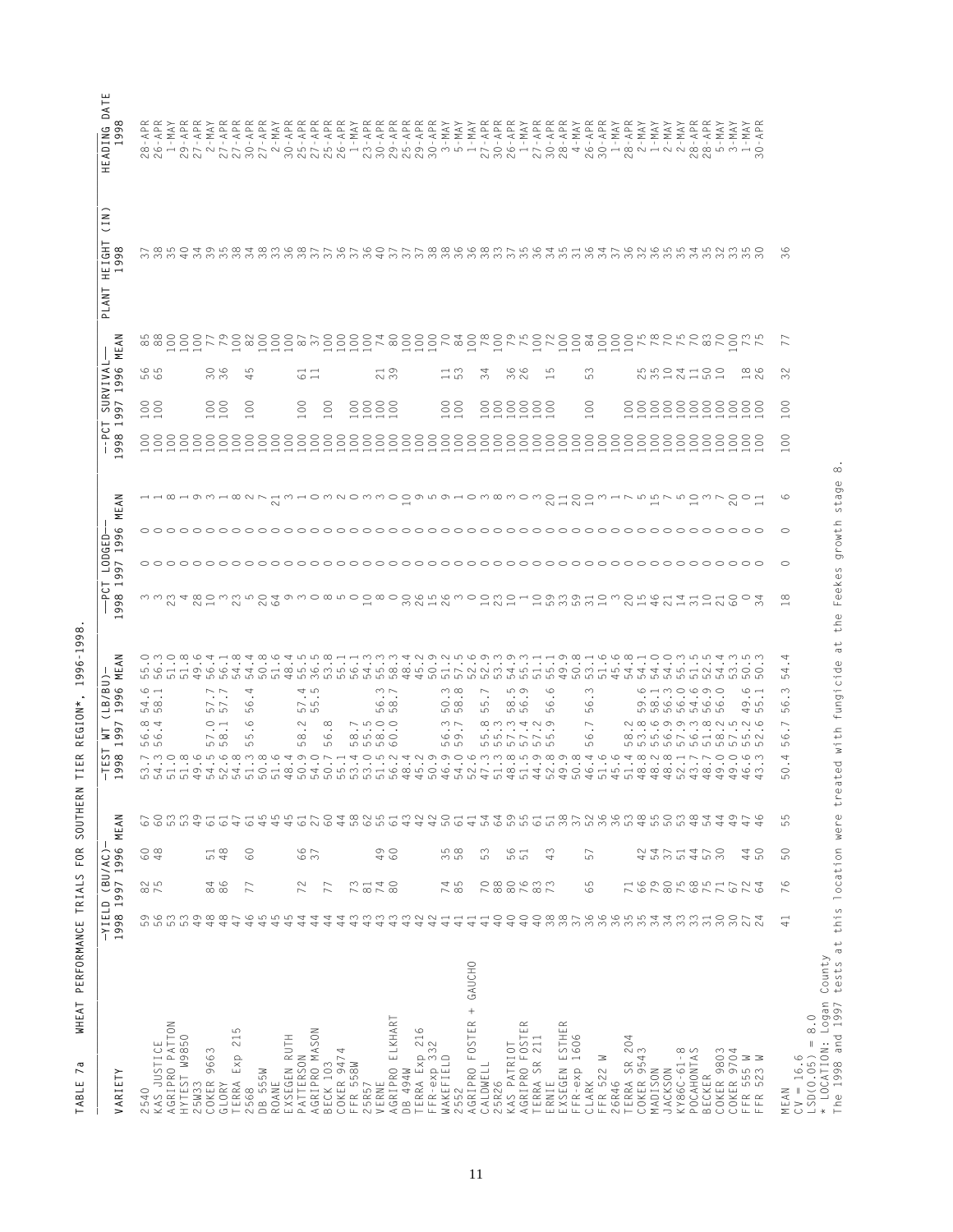| ΑΑΑΑΑΑΑ<br>ΑΡΡΡΕΚΚ<br>ΑΡΡΡΕΚΚ<br>APR<br>APR<br>APR<br>MAY<br>$\frac{1}{20}$ $\frac{1}{20}$ $\frac{1}{20}$ $\frac{1}{20}$ $\frac{1}{20}$ $\frac{1}{20}$ $\frac{1}{20}$ $\frac{1}{20}$ $\frac{1}{20}$ $\frac{1}{20}$ $\frac{1}{20}$ $\frac{1}{20}$ $\frac{1}{20}$ $\frac{1}{20}$ $\frac{1}{20}$ $\frac{1}{20}$ $\frac{1}{20}$ $\frac{1}{20}$ $\frac{1}{20}$ $\frac{1}{20}$<br>$\simeq$<br>$\mathsf{MAX}$<br>$\succ$<br>MA'<br>$3 - 1$<br>30 -<br>ておまのはどうとおおととあとてであてるのででであるともあたてであれるようなでであるともあるととなる<br>36<br>$\overline{ }$<br>G LO<br>36<br>5<br>$\frac{1}{2}$<br>$\frac{1}{5}$ 3<br>36<br>26<br>S<br>S<br>23241825<br>$\infty$<br>$\sim$<br>34<br>$\frac{1}{11}$<br><u>ဟ</u> ထ<br>4<br>မာ<br>$\overline{\phantom{0}}$<br>S<br>$\begin{smallmatrix} 0 & 0 \\ 0 & 0 \end{smallmatrix}$<br>$\begin{matrix} 0 \\ 0 \end{matrix}$<br>$\begin{smallmatrix} 0 & 0 \\ 0 & 0 \end{smallmatrix}$<br>$\infty$<br>888888888<br>$\rm ^{\circ}$<br>$\rm ^{\circ}$<br>$\rm ^{\circ}$<br>$_{\odot}$<br>8888<br>888888<br>$\circ$<br>$\circ$<br>$\overline{\phantom{0}}$<br>$\overline{\phantom{0}}$<br>$\overline{\phantom{0}}$<br>$\overline{\phantom{0}}$<br>$\epsilon$<br>$\overline{\phantom{0}}$<br>U<br>HWHOWNOWMOOMWOHOWQMOWOHOOMHNWWNWOWNOOH<br>G<br>⊶ ↔ ∞ ↔ ∞ ↔ ∞ ∾ ⊳<br>◠<br>O<br>3334803250493085000000%55200020109331032141411100<br>$\infty$<br>◅<br>4 W W W<br>4.<br>$\bullet$<br>$\cdot$<br>$\infty$<br>$\circ$<br>54<br>LO LO LO<br>$\circ$ $\rightarrow$<br>$\sim$ $\sim$<br>$\circ$<br>$\sim$<br>4<br>$\dot{4}$ $\dot{6}$<br>$\infty$<br>ഥാ ത<br>$\infty$<br>$G \rightarrow G \rightarrow G$<br>$\circ$ $\rightarrow$<br>$\sim$ $\sim$<br>$\sim$<br>$\cdot$<br>$\cdot$<br>$\rightarrow \infty$<br>$\sim$ 10<br>$\infty$<br>$\circ$ $\infty$<br>$\infty$<br>$\circ$<br>o ro<br>$\sim$ $\sim$<br>$\circ$<br>ယ<br>G<br>$\circ$<br>5<br>5<br>5<br>5<br>5<br>5<br>5<br>5<br>5<br>5<br>5<br>5<br>S<br>5<br>S<br>5<br>45<br>5<br>$\infty$ 4<br>$\circ$ $\rightarrow$<br>$\circ$<br>$\begin{array}{c} \triangleright \; \mathfrak{c} \\ \mathfrak{c} \end{array}$<br>$\sim$ $\sim$<br>$0.000400$<br>$0.000400$<br>$\sim$<br>$\infty$<br>$\overline{\phantom{0}}$<br>$\overline{ }$<br>$\cdot$<br>$\bullet$<br>$\ddot{\circ}$ . $\ddot{\circ}$ .<br>$\ddot{\circ}$<br>$\cdot$<br>$\cdot$<br>$\cdot$<br>$\ddot{o}$ m $\ddot{o}$ m $\ddot{o}$ m $\ddot{o}$ m $\ddot{o}$ m $\ddot{o}$ m $\ddot{o}$<br>$\circ$<br>$\circ$<br>$\sim \infty$<br>LO<br>$\infty$<br>G<br>G<br>666<br>ဟ ဟ<br>5<br>ယ<br>မာ<br>ယာ<br>5<br><b>55555</b><br>ம<br>မာ<br><b>5555</b><br>ယာ<br>rwowcrowwwcddor<br>$\begin{array}{c} 4 \cap D \cup D \end{array}$<br>6648881770<br>4<br>$\circ$<br>ം പ<br>ה הנוסף המשפט המספר המשפט המספר המשפט המשפט המספר המספט המספר המספר המספר המספר המספר המספר המספר המספר המספר<br>המספר המספר המספר המספר המספר המספר המספר המספר המספר המספר המספר המספר המספר המספר המספר המספר המספר המספר המ<br>$\circ$<br>ഥ<br>444<br>5<br>ഥ<br>60<br>66<br>37<br>49<br>558<br>561<br>4 5 6 7 4 7 6 9<br>4 7 7 4 7 6 9<br>$\frac{1}{48}$<br>$\overline{60}$<br>53<br>43<br>40<br>50<br>57<br>$\begin{smallmatrix}0&8\\8&8\end{smallmatrix}$<br>00007<br>$66$<br>20229276<br>825<br>88<br>86<br>73<br>74<br>85<br>ယာ<br>724<br>$\circ$<br>72<br>$\approx$<br>740<br>77<br>77<br>$\overline{\phantom{1}}$<br>$\circ$<br>$\overline{\phantom{a}}$<br>$\begin{array}{l} \alpha \alpha \alpha \alpha \alpha \alpha \alpha \alpha + \alpha + \alpha \\ \alpha + \alpha + \alpha + \alpha + \alpha + \alpha \end{array}$<br>$40$<br>44<br>44<br>44<br>$40$<br>$40$<br>30<br>30<br>₹<br>$\sim$<br>+ GAUCHO<br>$\frac{0}{8}$ .<br>$\simeq$<br>ESTHER<br>5<br>$\overline{21}$<br>1606<br>204<br>$\parallel$<br>555 M<br>523 M | County<br>* LOCATION: Logan<br>The 1998 and 1997<br>AGRIPRO ELKHART<br>2552<br>AGRIPRO FOSTER<br>AGRIPRO PATTON<br>TERRA Exp 216<br>FFR-exp 332<br>KAS PATRIOT<br>AGRIPRO FOSTE<br>AGRIPRO MASON<br>HYTEST W9850<br>25W33<br>ROANE<br>EXSEGEN RUTH<br>TERRA SR 211<br>ERNIE<br>KAS JUSTICE<br>COKER 9543<br>COKER 9663<br>COKER 9474<br>KY86C-61-8<br>POCAHONTAS<br>COKER 9803<br>COKER 9704<br>$CV = 16.6$<br>$LSD(0.05) =$<br>GLORY<br>TERRA Exp<br>PATTERSON<br>WAKEFIELD<br>CLARK<br>FFR 522 W<br>TERRA SR<br>BECK 103<br>FFR 558W<br>CALDWELL<br>EXSEGEN<br>$FFR-exp$<br>DB 494W<br>MADISON<br><b>JACKSON</b><br>DB 555W<br>BECKER<br>25R26<br>26R46<br>25R57<br>VERNE<br>:568<br>540<br>MEAN<br>FFR<br>FFR<br>$\sim$<br>$\sim$ | 1998 1997 1996 MEAN |  | $\lessapprox$<br>붇<br>96<br>$\sigma$<br>$\overline{\phantom{0}}$<br>1997<br>$5\sigma$<br>$-199$ | $\overline{\phantom{0}}$<br>98<br>$\overline{0}$ | 1996<br>997 | MEAN | $-998$ 19 | SURVIVA<br>1997 | .996<br>$\overline{ }$ | z<br>MEAI | (1N)<br><b>HEIGHT</b><br>98<br>$\infty$<br>PLANT | $^{\circ}$<br>99 |
|----------------------------------------------------------------------------------------------------------------------------------------------------------------------------------------------------------------------------------------------------------------------------------------------------------------------------------------------------------------------------------------------------------------------------------------------------------------------------------------------------------------------------------------------------------------------------------------------------------------------------------------------------------------------------------------------------------------------------------------------------------------------------------------------------------------------------------------------------------------------------------------------------------------------------------------------------------------------------------------------------------------------------------------------------------------------------------------------------------------------------------------------------------------------------------------------------------------------------------------------------------------------------------------------------------------------------------------------------------------------------------------------------------------------------------------------------------------------------------------------------------------------------------------------------------------------------------------------------------------------------------------------------------------------------------------------------------------------------------------------------------------------------------------------------------------------------------------------------------------------------------------------------------------------------------------------------------------------------------------------------------------------------------------------------------------------------------------------------------------------------------------------------------------------------------------------------------------------------------------------------------------------------------------------------------------------------------------------------------------------------------------------------------------------------------------------------------------------------------------------------------------------------------------------------------------------------------------------------------------------------------------------------------------------------------------------------------------------------------------------------------------------------------------------------------------------------------------------------------------------------------------------------------------------------------------------------------------------------------------------------------------------------------------------------------------------------------------------------------------------------------------------------------------------------------------------------------------------------------------------------------------------------------------------------------------------------------------------------------------------------------------------------------------------------------------------------------------------------------------------------------------------------------------------------------------------------------------------------------------------------------------------------------------------------------------------------------|--------------------------------------------------------------------------------------------------------------------------------------------------------------------------------------------------------------------------------------------------------------------------------------------------------------------------------------------------------------------------------------------------------------------------------------------------------------------------------------------------------------------------------------------------------------------------------------------------------------------------------------------------------------------------------------------------------------------------------------|---------------------|--|-------------------------------------------------------------------------------------------------|--------------------------------------------------|-------------|------|-----------|-----------------|------------------------|-----------|--------------------------------------------------|------------------|
|                                                                                                                                                                                                                                                                                                                                                                                                                                                                                                                                                                                                                                                                                                                                                                                                                                                                                                                                                                                                                                                                                                                                                                                                                                                                                                                                                                                                                                                                                                                                                                                                                                                                                                                                                                                                                                                                                                                                                                                                                                                                                                                                                                                                                                                                                                                                                                                                                                                                                                                                                                                                                                                                                                                                                                                                                                                                                                                                                                                                                                                                                                                                                                                                                                                                                                                                                                                                                                                                                                                                                                                                                                                                                                          |                                                                                                                                                                                                                                                                                                                                                                                                                                                                                                                                                                                                                                                                                                                                      |                     |  |                                                                                                 |                                                  |             |      |           |                 |                        |           |                                                  |                  |
|                                                                                                                                                                                                                                                                                                                                                                                                                                                                                                                                                                                                                                                                                                                                                                                                                                                                                                                                                                                                                                                                                                                                                                                                                                                                                                                                                                                                                                                                                                                                                                                                                                                                                                                                                                                                                                                                                                                                                                                                                                                                                                                                                                                                                                                                                                                                                                                                                                                                                                                                                                                                                                                                                                                                                                                                                                                                                                                                                                                                                                                                                                                                                                                                                                                                                                                                                                                                                                                                                                                                                                                                                                                                                                          |                                                                                                                                                                                                                                                                                                                                                                                                                                                                                                                                                                                                                                                                                                                                      |                     |  |                                                                                                 |                                                  |             |      |           |                 |                        |           |                                                  |                  |
|                                                                                                                                                                                                                                                                                                                                                                                                                                                                                                                                                                                                                                                                                                                                                                                                                                                                                                                                                                                                                                                                                                                                                                                                                                                                                                                                                                                                                                                                                                                                                                                                                                                                                                                                                                                                                                                                                                                                                                                                                                                                                                                                                                                                                                                                                                                                                                                                                                                                                                                                                                                                                                                                                                                                                                                                                                                                                                                                                                                                                                                                                                                                                                                                                                                                                                                                                                                                                                                                                                                                                                                                                                                                                                          |                                                                                                                                                                                                                                                                                                                                                                                                                                                                                                                                                                                                                                                                                                                                      |                     |  |                                                                                                 |                                                  |             |      |           |                 |                        |           |                                                  |                  |
|                                                                                                                                                                                                                                                                                                                                                                                                                                                                                                                                                                                                                                                                                                                                                                                                                                                                                                                                                                                                                                                                                                                                                                                                                                                                                                                                                                                                                                                                                                                                                                                                                                                                                                                                                                                                                                                                                                                                                                                                                                                                                                                                                                                                                                                                                                                                                                                                                                                                                                                                                                                                                                                                                                                                                                                                                                                                                                                                                                                                                                                                                                                                                                                                                                                                                                                                                                                                                                                                                                                                                                                                                                                                                                          |                                                                                                                                                                                                                                                                                                                                                                                                                                                                                                                                                                                                                                                                                                                                      |                     |  |                                                                                                 |                                                  |             |      |           |                 |                        |           |                                                  |                  |
|                                                                                                                                                                                                                                                                                                                                                                                                                                                                                                                                                                                                                                                                                                                                                                                                                                                                                                                                                                                                                                                                                                                                                                                                                                                                                                                                                                                                                                                                                                                                                                                                                                                                                                                                                                                                                                                                                                                                                                                                                                                                                                                                                                                                                                                                                                                                                                                                                                                                                                                                                                                                                                                                                                                                                                                                                                                                                                                                                                                                                                                                                                                                                                                                                                                                                                                                                                                                                                                                                                                                                                                                                                                                                                          |                                                                                                                                                                                                                                                                                                                                                                                                                                                                                                                                                                                                                                                                                                                                      |                     |  |                                                                                                 |                                                  |             |      |           |                 |                        |           |                                                  |                  |
|                                                                                                                                                                                                                                                                                                                                                                                                                                                                                                                                                                                                                                                                                                                                                                                                                                                                                                                                                                                                                                                                                                                                                                                                                                                                                                                                                                                                                                                                                                                                                                                                                                                                                                                                                                                                                                                                                                                                                                                                                                                                                                                                                                                                                                                                                                                                                                                                                                                                                                                                                                                                                                                                                                                                                                                                                                                                                                                                                                                                                                                                                                                                                                                                                                                                                                                                                                                                                                                                                                                                                                                                                                                                                                          |                                                                                                                                                                                                                                                                                                                                                                                                                                                                                                                                                                                                                                                                                                                                      |                     |  |                                                                                                 |                                                  |             |      |           |                 |                        |           |                                                  |                  |
|                                                                                                                                                                                                                                                                                                                                                                                                                                                                                                                                                                                                                                                                                                                                                                                                                                                                                                                                                                                                                                                                                                                                                                                                                                                                                                                                                                                                                                                                                                                                                                                                                                                                                                                                                                                                                                                                                                                                                                                                                                                                                                                                                                                                                                                                                                                                                                                                                                                                                                                                                                                                                                                                                                                                                                                                                                                                                                                                                                                                                                                                                                                                                                                                                                                                                                                                                                                                                                                                                                                                                                                                                                                                                                          |                                                                                                                                                                                                                                                                                                                                                                                                                                                                                                                                                                                                                                                                                                                                      |                     |  |                                                                                                 |                                                  |             |      |           |                 |                        |           |                                                  |                  |
|                                                                                                                                                                                                                                                                                                                                                                                                                                                                                                                                                                                                                                                                                                                                                                                                                                                                                                                                                                                                                                                                                                                                                                                                                                                                                                                                                                                                                                                                                                                                                                                                                                                                                                                                                                                                                                                                                                                                                                                                                                                                                                                                                                                                                                                                                                                                                                                                                                                                                                                                                                                                                                                                                                                                                                                                                                                                                                                                                                                                                                                                                                                                                                                                                                                                                                                                                                                                                                                                                                                                                                                                                                                                                                          |                                                                                                                                                                                                                                                                                                                                                                                                                                                                                                                                                                                                                                                                                                                                      |                     |  |                                                                                                 |                                                  |             |      |           |                 |                        |           |                                                  |                  |
|                                                                                                                                                                                                                                                                                                                                                                                                                                                                                                                                                                                                                                                                                                                                                                                                                                                                                                                                                                                                                                                                                                                                                                                                                                                                                                                                                                                                                                                                                                                                                                                                                                                                                                                                                                                                                                                                                                                                                                                                                                                                                                                                                                                                                                                                                                                                                                                                                                                                                                                                                                                                                                                                                                                                                                                                                                                                                                                                                                                                                                                                                                                                                                                                                                                                                                                                                                                                                                                                                                                                                                                                                                                                                                          |                                                                                                                                                                                                                                                                                                                                                                                                                                                                                                                                                                                                                                                                                                                                      |                     |  |                                                                                                 |                                                  |             |      |           |                 |                        |           |                                                  |                  |
|                                                                                                                                                                                                                                                                                                                                                                                                                                                                                                                                                                                                                                                                                                                                                                                                                                                                                                                                                                                                                                                                                                                                                                                                                                                                                                                                                                                                                                                                                                                                                                                                                                                                                                                                                                                                                                                                                                                                                                                                                                                                                                                                                                                                                                                                                                                                                                                                                                                                                                                                                                                                                                                                                                                                                                                                                                                                                                                                                                                                                                                                                                                                                                                                                                                                                                                                                                                                                                                                                                                                                                                                                                                                                                          |                                                                                                                                                                                                                                                                                                                                                                                                                                                                                                                                                                                                                                                                                                                                      |                     |  |                                                                                                 |                                                  |             |      |           |                 |                        |           |                                                  |                  |
|                                                                                                                                                                                                                                                                                                                                                                                                                                                                                                                                                                                                                                                                                                                                                                                                                                                                                                                                                                                                                                                                                                                                                                                                                                                                                                                                                                                                                                                                                                                                                                                                                                                                                                                                                                                                                                                                                                                                                                                                                                                                                                                                                                                                                                                                                                                                                                                                                                                                                                                                                                                                                                                                                                                                                                                                                                                                                                                                                                                                                                                                                                                                                                                                                                                                                                                                                                                                                                                                                                                                                                                                                                                                                                          |                                                                                                                                                                                                                                                                                                                                                                                                                                                                                                                                                                                                                                                                                                                                      |                     |  |                                                                                                 |                                                  |             |      |           |                 |                        |           |                                                  |                  |
|                                                                                                                                                                                                                                                                                                                                                                                                                                                                                                                                                                                                                                                                                                                                                                                                                                                                                                                                                                                                                                                                                                                                                                                                                                                                                                                                                                                                                                                                                                                                                                                                                                                                                                                                                                                                                                                                                                                                                                                                                                                                                                                                                                                                                                                                                                                                                                                                                                                                                                                                                                                                                                                                                                                                                                                                                                                                                                                                                                                                                                                                                                                                                                                                                                                                                                                                                                                                                                                                                                                                                                                                                                                                                                          |                                                                                                                                                                                                                                                                                                                                                                                                                                                                                                                                                                                                                                                                                                                                      |                     |  |                                                                                                 |                                                  |             |      |           |                 |                        |           |                                                  |                  |
|                                                                                                                                                                                                                                                                                                                                                                                                                                                                                                                                                                                                                                                                                                                                                                                                                                                                                                                                                                                                                                                                                                                                                                                                                                                                                                                                                                                                                                                                                                                                                                                                                                                                                                                                                                                                                                                                                                                                                                                                                                                                                                                                                                                                                                                                                                                                                                                                                                                                                                                                                                                                                                                                                                                                                                                                                                                                                                                                                                                                                                                                                                                                                                                                                                                                                                                                                                                                                                                                                                                                                                                                                                                                                                          |                                                                                                                                                                                                                                                                                                                                                                                                                                                                                                                                                                                                                                                                                                                                      |                     |  |                                                                                                 |                                                  |             |      |           |                 |                        |           |                                                  |                  |
|                                                                                                                                                                                                                                                                                                                                                                                                                                                                                                                                                                                                                                                                                                                                                                                                                                                                                                                                                                                                                                                                                                                                                                                                                                                                                                                                                                                                                                                                                                                                                                                                                                                                                                                                                                                                                                                                                                                                                                                                                                                                                                                                                                                                                                                                                                                                                                                                                                                                                                                                                                                                                                                                                                                                                                                                                                                                                                                                                                                                                                                                                                                                                                                                                                                                                                                                                                                                                                                                                                                                                                                                                                                                                                          |                                                                                                                                                                                                                                                                                                                                                                                                                                                                                                                                                                                                                                                                                                                                      |                     |  |                                                                                                 |                                                  |             |      |           |                 |                        |           |                                                  |                  |
|                                                                                                                                                                                                                                                                                                                                                                                                                                                                                                                                                                                                                                                                                                                                                                                                                                                                                                                                                                                                                                                                                                                                                                                                                                                                                                                                                                                                                                                                                                                                                                                                                                                                                                                                                                                                                                                                                                                                                                                                                                                                                                                                                                                                                                                                                                                                                                                                                                                                                                                                                                                                                                                                                                                                                                                                                                                                                                                                                                                                                                                                                                                                                                                                                                                                                                                                                                                                                                                                                                                                                                                                                                                                                                          |                                                                                                                                                                                                                                                                                                                                                                                                                                                                                                                                                                                                                                                                                                                                      |                     |  |                                                                                                 |                                                  |             |      |           |                 |                        |           |                                                  |                  |
|                                                                                                                                                                                                                                                                                                                                                                                                                                                                                                                                                                                                                                                                                                                                                                                                                                                                                                                                                                                                                                                                                                                                                                                                                                                                                                                                                                                                                                                                                                                                                                                                                                                                                                                                                                                                                                                                                                                                                                                                                                                                                                                                                                                                                                                                                                                                                                                                                                                                                                                                                                                                                                                                                                                                                                                                                                                                                                                                                                                                                                                                                                                                                                                                                                                                                                                                                                                                                                                                                                                                                                                                                                                                                                          |                                                                                                                                                                                                                                                                                                                                                                                                                                                                                                                                                                                                                                                                                                                                      |                     |  |                                                                                                 |                                                  |             |      |           |                 |                        |           |                                                  |                  |
|                                                                                                                                                                                                                                                                                                                                                                                                                                                                                                                                                                                                                                                                                                                                                                                                                                                                                                                                                                                                                                                                                                                                                                                                                                                                                                                                                                                                                                                                                                                                                                                                                                                                                                                                                                                                                                                                                                                                                                                                                                                                                                                                                                                                                                                                                                                                                                                                                                                                                                                                                                                                                                                                                                                                                                                                                                                                                                                                                                                                                                                                                                                                                                                                                                                                                                                                                                                                                                                                                                                                                                                                                                                                                                          |                                                                                                                                                                                                                                                                                                                                                                                                                                                                                                                                                                                                                                                                                                                                      |                     |  |                                                                                                 |                                                  |             |      |           |                 |                        |           |                                                  |                  |
|                                                                                                                                                                                                                                                                                                                                                                                                                                                                                                                                                                                                                                                                                                                                                                                                                                                                                                                                                                                                                                                                                                                                                                                                                                                                                                                                                                                                                                                                                                                                                                                                                                                                                                                                                                                                                                                                                                                                                                                                                                                                                                                                                                                                                                                                                                                                                                                                                                                                                                                                                                                                                                                                                                                                                                                                                                                                                                                                                                                                                                                                                                                                                                                                                                                                                                                                                                                                                                                                                                                                                                                                                                                                                                          |                                                                                                                                                                                                                                                                                                                                                                                                                                                                                                                                                                                                                                                                                                                                      |                     |  |                                                                                                 |                                                  |             |      |           |                 |                        |           |                                                  |                  |
|                                                                                                                                                                                                                                                                                                                                                                                                                                                                                                                                                                                                                                                                                                                                                                                                                                                                                                                                                                                                                                                                                                                                                                                                                                                                                                                                                                                                                                                                                                                                                                                                                                                                                                                                                                                                                                                                                                                                                                                                                                                                                                                                                                                                                                                                                                                                                                                                                                                                                                                                                                                                                                                                                                                                                                                                                                                                                                                                                                                                                                                                                                                                                                                                                                                                                                                                                                                                                                                                                                                                                                                                                                                                                                          |                                                                                                                                                                                                                                                                                                                                                                                                                                                                                                                                                                                                                                                                                                                                      |                     |  |                                                                                                 |                                                  |             |      |           |                 |                        |           |                                                  |                  |
|                                                                                                                                                                                                                                                                                                                                                                                                                                                                                                                                                                                                                                                                                                                                                                                                                                                                                                                                                                                                                                                                                                                                                                                                                                                                                                                                                                                                                                                                                                                                                                                                                                                                                                                                                                                                                                                                                                                                                                                                                                                                                                                                                                                                                                                                                                                                                                                                                                                                                                                                                                                                                                                                                                                                                                                                                                                                                                                                                                                                                                                                                                                                                                                                                                                                                                                                                                                                                                                                                                                                                                                                                                                                                                          |                                                                                                                                                                                                                                                                                                                                                                                                                                                                                                                                                                                                                                                                                                                                      |                     |  |                                                                                                 |                                                  |             |      |           |                 |                        |           |                                                  |                  |
|                                                                                                                                                                                                                                                                                                                                                                                                                                                                                                                                                                                                                                                                                                                                                                                                                                                                                                                                                                                                                                                                                                                                                                                                                                                                                                                                                                                                                                                                                                                                                                                                                                                                                                                                                                                                                                                                                                                                                                                                                                                                                                                                                                                                                                                                                                                                                                                                                                                                                                                                                                                                                                                                                                                                                                                                                                                                                                                                                                                                                                                                                                                                                                                                                                                                                                                                                                                                                                                                                                                                                                                                                                                                                                          |                                                                                                                                                                                                                                                                                                                                                                                                                                                                                                                                                                                                                                                                                                                                      |                     |  |                                                                                                 |                                                  |             |      |           |                 |                        |           |                                                  |                  |
|                                                                                                                                                                                                                                                                                                                                                                                                                                                                                                                                                                                                                                                                                                                                                                                                                                                                                                                                                                                                                                                                                                                                                                                                                                                                                                                                                                                                                                                                                                                                                                                                                                                                                                                                                                                                                                                                                                                                                                                                                                                                                                                                                                                                                                                                                                                                                                                                                                                                                                                                                                                                                                                                                                                                                                                                                                                                                                                                                                                                                                                                                                                                                                                                                                                                                                                                                                                                                                                                                                                                                                                                                                                                                                          |                                                                                                                                                                                                                                                                                                                                                                                                                                                                                                                                                                                                                                                                                                                                      |                     |  |                                                                                                 |                                                  |             |      |           |                 |                        |           |                                                  |                  |
|                                                                                                                                                                                                                                                                                                                                                                                                                                                                                                                                                                                                                                                                                                                                                                                                                                                                                                                                                                                                                                                                                                                                                                                                                                                                                                                                                                                                                                                                                                                                                                                                                                                                                                                                                                                                                                                                                                                                                                                                                                                                                                                                                                                                                                                                                                                                                                                                                                                                                                                                                                                                                                                                                                                                                                                                                                                                                                                                                                                                                                                                                                                                                                                                                                                                                                                                                                                                                                                                                                                                                                                                                                                                                                          |                                                                                                                                                                                                                                                                                                                                                                                                                                                                                                                                                                                                                                                                                                                                      |                     |  |                                                                                                 |                                                  |             |      |           |                 |                        |           |                                                  |                  |
|                                                                                                                                                                                                                                                                                                                                                                                                                                                                                                                                                                                                                                                                                                                                                                                                                                                                                                                                                                                                                                                                                                                                                                                                                                                                                                                                                                                                                                                                                                                                                                                                                                                                                                                                                                                                                                                                                                                                                                                                                                                                                                                                                                                                                                                                                                                                                                                                                                                                                                                                                                                                                                                                                                                                                                                                                                                                                                                                                                                                                                                                                                                                                                                                                                                                                                                                                                                                                                                                                                                                                                                                                                                                                                          |                                                                                                                                                                                                                                                                                                                                                                                                                                                                                                                                                                                                                                                                                                                                      |                     |  |                                                                                                 |                                                  |             |      |           |                 |                        |           |                                                  |                  |
|                                                                                                                                                                                                                                                                                                                                                                                                                                                                                                                                                                                                                                                                                                                                                                                                                                                                                                                                                                                                                                                                                                                                                                                                                                                                                                                                                                                                                                                                                                                                                                                                                                                                                                                                                                                                                                                                                                                                                                                                                                                                                                                                                                                                                                                                                                                                                                                                                                                                                                                                                                                                                                                                                                                                                                                                                                                                                                                                                                                                                                                                                                                                                                                                                                                                                                                                                                                                                                                                                                                                                                                                                                                                                                          |                                                                                                                                                                                                                                                                                                                                                                                                                                                                                                                                                                                                                                                                                                                                      |                     |  |                                                                                                 |                                                  |             |      |           |                 |                        |           |                                                  |                  |
|                                                                                                                                                                                                                                                                                                                                                                                                                                                                                                                                                                                                                                                                                                                                                                                                                                                                                                                                                                                                                                                                                                                                                                                                                                                                                                                                                                                                                                                                                                                                                                                                                                                                                                                                                                                                                                                                                                                                                                                                                                                                                                                                                                                                                                                                                                                                                                                                                                                                                                                                                                                                                                                                                                                                                                                                                                                                                                                                                                                                                                                                                                                                                                                                                                                                                                                                                                                                                                                                                                                                                                                                                                                                                                          |                                                                                                                                                                                                                                                                                                                                                                                                                                                                                                                                                                                                                                                                                                                                      |                     |  |                                                                                                 |                                                  |             |      |           |                 |                        |           |                                                  |                  |
|                                                                                                                                                                                                                                                                                                                                                                                                                                                                                                                                                                                                                                                                                                                                                                                                                                                                                                                                                                                                                                                                                                                                                                                                                                                                                                                                                                                                                                                                                                                                                                                                                                                                                                                                                                                                                                                                                                                                                                                                                                                                                                                                                                                                                                                                                                                                                                                                                                                                                                                                                                                                                                                                                                                                                                                                                                                                                                                                                                                                                                                                                                                                                                                                                                                                                                                                                                                                                                                                                                                                                                                                                                                                                                          |                                                                                                                                                                                                                                                                                                                                                                                                                                                                                                                                                                                                                                                                                                                                      |                     |  |                                                                                                 |                                                  |             |      |           |                 |                        |           |                                                  |                  |
|                                                                                                                                                                                                                                                                                                                                                                                                                                                                                                                                                                                                                                                                                                                                                                                                                                                                                                                                                                                                                                                                                                                                                                                                                                                                                                                                                                                                                                                                                                                                                                                                                                                                                                                                                                                                                                                                                                                                                                                                                                                                                                                                                                                                                                                                                                                                                                                                                                                                                                                                                                                                                                                                                                                                                                                                                                                                                                                                                                                                                                                                                                                                                                                                                                                                                                                                                                                                                                                                                                                                                                                                                                                                                                          |                                                                                                                                                                                                                                                                                                                                                                                                                                                                                                                                                                                                                                                                                                                                      |                     |  |                                                                                                 |                                                  |             |      |           |                 |                        |           |                                                  |                  |
|                                                                                                                                                                                                                                                                                                                                                                                                                                                                                                                                                                                                                                                                                                                                                                                                                                                                                                                                                                                                                                                                                                                                                                                                                                                                                                                                                                                                                                                                                                                                                                                                                                                                                                                                                                                                                                                                                                                                                                                                                                                                                                                                                                                                                                                                                                                                                                                                                                                                                                                                                                                                                                                                                                                                                                                                                                                                                                                                                                                                                                                                                                                                                                                                                                                                                                                                                                                                                                                                                                                                                                                                                                                                                                          |                                                                                                                                                                                                                                                                                                                                                                                                                                                                                                                                                                                                                                                                                                                                      |                     |  |                                                                                                 |                                                  |             |      |           |                 |                        |           |                                                  |                  |
|                                                                                                                                                                                                                                                                                                                                                                                                                                                                                                                                                                                                                                                                                                                                                                                                                                                                                                                                                                                                                                                                                                                                                                                                                                                                                                                                                                                                                                                                                                                                                                                                                                                                                                                                                                                                                                                                                                                                                                                                                                                                                                                                                                                                                                                                                                                                                                                                                                                                                                                                                                                                                                                                                                                                                                                                                                                                                                                                                                                                                                                                                                                                                                                                                                                                                                                                                                                                                                                                                                                                                                                                                                                                                                          |                                                                                                                                                                                                                                                                                                                                                                                                                                                                                                                                                                                                                                                                                                                                      |                     |  |                                                                                                 |                                                  |             |      |           |                 |                        |           |                                                  |                  |
|                                                                                                                                                                                                                                                                                                                                                                                                                                                                                                                                                                                                                                                                                                                                                                                                                                                                                                                                                                                                                                                                                                                                                                                                                                                                                                                                                                                                                                                                                                                                                                                                                                                                                                                                                                                                                                                                                                                                                                                                                                                                                                                                                                                                                                                                                                                                                                                                                                                                                                                                                                                                                                                                                                                                                                                                                                                                                                                                                                                                                                                                                                                                                                                                                                                                                                                                                                                                                                                                                                                                                                                                                                                                                                          |                                                                                                                                                                                                                                                                                                                                                                                                                                                                                                                                                                                                                                                                                                                                      |                     |  |                                                                                                 |                                                  |             |      |           |                 |                        |           |                                                  |                  |
|                                                                                                                                                                                                                                                                                                                                                                                                                                                                                                                                                                                                                                                                                                                                                                                                                                                                                                                                                                                                                                                                                                                                                                                                                                                                                                                                                                                                                                                                                                                                                                                                                                                                                                                                                                                                                                                                                                                                                                                                                                                                                                                                                                                                                                                                                                                                                                                                                                                                                                                                                                                                                                                                                                                                                                                                                                                                                                                                                                                                                                                                                                                                                                                                                                                                                                                                                                                                                                                                                                                                                                                                                                                                                                          |                                                                                                                                                                                                                                                                                                                                                                                                                                                                                                                                                                                                                                                                                                                                      |                     |  |                                                                                                 |                                                  |             |      |           |                 |                        |           |                                                  |                  |
|                                                                                                                                                                                                                                                                                                                                                                                                                                                                                                                                                                                                                                                                                                                                                                                                                                                                                                                                                                                                                                                                                                                                                                                                                                                                                                                                                                                                                                                                                                                                                                                                                                                                                                                                                                                                                                                                                                                                                                                                                                                                                                                                                                                                                                                                                                                                                                                                                                                                                                                                                                                                                                                                                                                                                                                                                                                                                                                                                                                                                                                                                                                                                                                                                                                                                                                                                                                                                                                                                                                                                                                                                                                                                                          |                                                                                                                                                                                                                                                                                                                                                                                                                                                                                                                                                                                                                                                                                                                                      |                     |  |                                                                                                 |                                                  |             |      |           |                 |                        |           |                                                  |                  |
|                                                                                                                                                                                                                                                                                                                                                                                                                                                                                                                                                                                                                                                                                                                                                                                                                                                                                                                                                                                                                                                                                                                                                                                                                                                                                                                                                                                                                                                                                                                                                                                                                                                                                                                                                                                                                                                                                                                                                                                                                                                                                                                                                                                                                                                                                                                                                                                                                                                                                                                                                                                                                                                                                                                                                                                                                                                                                                                                                                                                                                                                                                                                                                                                                                                                                                                                                                                                                                                                                                                                                                                                                                                                                                          |                                                                                                                                                                                                                                                                                                                                                                                                                                                                                                                                                                                                                                                                                                                                      |                     |  |                                                                                                 |                                                  |             |      |           |                 |                        |           |                                                  |                  |
|                                                                                                                                                                                                                                                                                                                                                                                                                                                                                                                                                                                                                                                                                                                                                                                                                                                                                                                                                                                                                                                                                                                                                                                                                                                                                                                                                                                                                                                                                                                                                                                                                                                                                                                                                                                                                                                                                                                                                                                                                                                                                                                                                                                                                                                                                                                                                                                                                                                                                                                                                                                                                                                                                                                                                                                                                                                                                                                                                                                                                                                                                                                                                                                                                                                                                                                                                                                                                                                                                                                                                                                                                                                                                                          |                                                                                                                                                                                                                                                                                                                                                                                                                                                                                                                                                                                                                                                                                                                                      |                     |  |                                                                                                 |                                                  |             |      |           |                 |                        |           |                                                  |                  |
|                                                                                                                                                                                                                                                                                                                                                                                                                                                                                                                                                                                                                                                                                                                                                                                                                                                                                                                                                                                                                                                                                                                                                                                                                                                                                                                                                                                                                                                                                                                                                                                                                                                                                                                                                                                                                                                                                                                                                                                                                                                                                                                                                                                                                                                                                                                                                                                                                                                                                                                                                                                                                                                                                                                                                                                                                                                                                                                                                                                                                                                                                                                                                                                                                                                                                                                                                                                                                                                                                                                                                                                                                                                                                                          |                                                                                                                                                                                                                                                                                                                                                                                                                                                                                                                                                                                                                                                                                                                                      |                     |  |                                                                                                 |                                                  |             |      |           |                 |                        |           |                                                  |                  |
|                                                                                                                                                                                                                                                                                                                                                                                                                                                                                                                                                                                                                                                                                                                                                                                                                                                                                                                                                                                                                                                                                                                                                                                                                                                                                                                                                                                                                                                                                                                                                                                                                                                                                                                                                                                                                                                                                                                                                                                                                                                                                                                                                                                                                                                                                                                                                                                                                                                                                                                                                                                                                                                                                                                                                                                                                                                                                                                                                                                                                                                                                                                                                                                                                                                                                                                                                                                                                                                                                                                                                                                                                                                                                                          |                                                                                                                                                                                                                                                                                                                                                                                                                                                                                                                                                                                                                                                                                                                                      |                     |  |                                                                                                 |                                                  |             |      |           |                 |                        |           |                                                  |                  |
|                                                                                                                                                                                                                                                                                                                                                                                                                                                                                                                                                                                                                                                                                                                                                                                                                                                                                                                                                                                                                                                                                                                                                                                                                                                                                                                                                                                                                                                                                                                                                                                                                                                                                                                                                                                                                                                                                                                                                                                                                                                                                                                                                                                                                                                                                                                                                                                                                                                                                                                                                                                                                                                                                                                                                                                                                                                                                                                                                                                                                                                                                                                                                                                                                                                                                                                                                                                                                                                                                                                                                                                                                                                                                                          |                                                                                                                                                                                                                                                                                                                                                                                                                                                                                                                                                                                                                                                                                                                                      |                     |  |                                                                                                 |                                                  |             |      |           |                 |                        |           |                                                  |                  |
|                                                                                                                                                                                                                                                                                                                                                                                                                                                                                                                                                                                                                                                                                                                                                                                                                                                                                                                                                                                                                                                                                                                                                                                                                                                                                                                                                                                                                                                                                                                                                                                                                                                                                                                                                                                                                                                                                                                                                                                                                                                                                                                                                                                                                                                                                                                                                                                                                                                                                                                                                                                                                                                                                                                                                                                                                                                                                                                                                                                                                                                                                                                                                                                                                                                                                                                                                                                                                                                                                                                                                                                                                                                                                                          |                                                                                                                                                                                                                                                                                                                                                                                                                                                                                                                                                                                                                                                                                                                                      |                     |  |                                                                                                 |                                                  |             |      |           |                 |                        |           |                                                  |                  |
|                                                                                                                                                                                                                                                                                                                                                                                                                                                                                                                                                                                                                                                                                                                                                                                                                                                                                                                                                                                                                                                                                                                                                                                                                                                                                                                                                                                                                                                                                                                                                                                                                                                                                                                                                                                                                                                                                                                                                                                                                                                                                                                                                                                                                                                                                                                                                                                                                                                                                                                                                                                                                                                                                                                                                                                                                                                                                                                                                                                                                                                                                                                                                                                                                                                                                                                                                                                                                                                                                                                                                                                                                                                                                                          |                                                                                                                                                                                                                                                                                                                                                                                                                                                                                                                                                                                                                                                                                                                                      |                     |  |                                                                                                 |                                                  |             |      |           |                 |                        |           |                                                  |                  |
|                                                                                                                                                                                                                                                                                                                                                                                                                                                                                                                                                                                                                                                                                                                                                                                                                                                                                                                                                                                                                                                                                                                                                                                                                                                                                                                                                                                                                                                                                                                                                                                                                                                                                                                                                                                                                                                                                                                                                                                                                                                                                                                                                                                                                                                                                                                                                                                                                                                                                                                                                                                                                                                                                                                                                                                                                                                                                                                                                                                                                                                                                                                                                                                                                                                                                                                                                                                                                                                                                                                                                                                                                                                                                                          |                                                                                                                                                                                                                                                                                                                                                                                                                                                                                                                                                                                                                                                                                                                                      |                     |  |                                                                                                 |                                                  |             |      |           |                 |                        |           |                                                  |                  |
|                                                                                                                                                                                                                                                                                                                                                                                                                                                                                                                                                                                                                                                                                                                                                                                                                                                                                                                                                                                                                                                                                                                                                                                                                                                                                                                                                                                                                                                                                                                                                                                                                                                                                                                                                                                                                                                                                                                                                                                                                                                                                                                                                                                                                                                                                                                                                                                                                                                                                                                                                                                                                                                                                                                                                                                                                                                                                                                                                                                                                                                                                                                                                                                                                                                                                                                                                                                                                                                                                                                                                                                                                                                                                                          |                                                                                                                                                                                                                                                                                                                                                                                                                                                                                                                                                                                                                                                                                                                                      |                     |  |                                                                                                 |                                                  |             |      |           |                 |                        |           |                                                  |                  |
|                                                                                                                                                                                                                                                                                                                                                                                                                                                                                                                                                                                                                                                                                                                                                                                                                                                                                                                                                                                                                                                                                                                                                                                                                                                                                                                                                                                                                                                                                                                                                                                                                                                                                                                                                                                                                                                                                                                                                                                                                                                                                                                                                                                                                                                                                                                                                                                                                                                                                                                                                                                                                                                                                                                                                                                                                                                                                                                                                                                                                                                                                                                                                                                                                                                                                                                                                                                                                                                                                                                                                                                                                                                                                                          |                                                                                                                                                                                                                                                                                                                                                                                                                                                                                                                                                                                                                                                                                                                                      |                     |  |                                                                                                 |                                                  |             |      |           |                 |                        |           |                                                  |                  |
|                                                                                                                                                                                                                                                                                                                                                                                                                                                                                                                                                                                                                                                                                                                                                                                                                                                                                                                                                                                                                                                                                                                                                                                                                                                                                                                                                                                                                                                                                                                                                                                                                                                                                                                                                                                                                                                                                                                                                                                                                                                                                                                                                                                                                                                                                                                                                                                                                                                                                                                                                                                                                                                                                                                                                                                                                                                                                                                                                                                                                                                                                                                                                                                                                                                                                                                                                                                                                                                                                                                                                                                                                                                                                                          |                                                                                                                                                                                                                                                                                                                                                                                                                                                                                                                                                                                                                                                                                                                                      |                     |  |                                                                                                 |                                                  |             |      |           |                 |                        |           |                                                  |                  |
|                                                                                                                                                                                                                                                                                                                                                                                                                                                                                                                                                                                                                                                                                                                                                                                                                                                                                                                                                                                                                                                                                                                                                                                                                                                                                                                                                                                                                                                                                                                                                                                                                                                                                                                                                                                                                                                                                                                                                                                                                                                                                                                                                                                                                                                                                                                                                                                                                                                                                                                                                                                                                                                                                                                                                                                                                                                                                                                                                                                                                                                                                                                                                                                                                                                                                                                                                                                                                                                                                                                                                                                                                                                                                                          |                                                                                                                                                                                                                                                                                                                                                                                                                                                                                                                                                                                                                                                                                                                                      |                     |  |                                                                                                 |                                                  |             |      |           |                 |                        |           |                                                  |                  |
|                                                                                                                                                                                                                                                                                                                                                                                                                                                                                                                                                                                                                                                                                                                                                                                                                                                                                                                                                                                                                                                                                                                                                                                                                                                                                                                                                                                                                                                                                                                                                                                                                                                                                                                                                                                                                                                                                                                                                                                                                                                                                                                                                                                                                                                                                                                                                                                                                                                                                                                                                                                                                                                                                                                                                                                                                                                                                                                                                                                                                                                                                                                                                                                                                                                                                                                                                                                                                                                                                                                                                                                                                                                                                                          |                                                                                                                                                                                                                                                                                                                                                                                                                                                                                                                                                                                                                                                                                                                                      |                     |  |                                                                                                 |                                                  |             |      |           |                 |                        |           |                                                  |                  |
|                                                                                                                                                                                                                                                                                                                                                                                                                                                                                                                                                                                                                                                                                                                                                                                                                                                                                                                                                                                                                                                                                                                                                                                                                                                                                                                                                                                                                                                                                                                                                                                                                                                                                                                                                                                                                                                                                                                                                                                                                                                                                                                                                                                                                                                                                                                                                                                                                                                                                                                                                                                                                                                                                                                                                                                                                                                                                                                                                                                                                                                                                                                                                                                                                                                                                                                                                                                                                                                                                                                                                                                                                                                                                                          |                                                                                                                                                                                                                                                                                                                                                                                                                                                                                                                                                                                                                                                                                                                                      |                     |  |                                                                                                 |                                                  |             |      |           |                 |                        |           |                                                  |                  |
|                                                                                                                                                                                                                                                                                                                                                                                                                                                                                                                                                                                                                                                                                                                                                                                                                                                                                                                                                                                                                                                                                                                                                                                                                                                                                                                                                                                                                                                                                                                                                                                                                                                                                                                                                                                                                                                                                                                                                                                                                                                                                                                                                                                                                                                                                                                                                                                                                                                                                                                                                                                                                                                                                                                                                                                                                                                                                                                                                                                                                                                                                                                                                                                                                                                                                                                                                                                                                                                                                                                                                                                                                                                                                                          |                                                                                                                                                                                                                                                                                                                                                                                                                                                                                                                                                                                                                                                                                                                                      |                     |  |                                                                                                 |                                                  |             |      |           |                 |                        |           |                                                  |                  |
|                                                                                                                                                                                                                                                                                                                                                                                                                                                                                                                                                                                                                                                                                                                                                                                                                                                                                                                                                                                                                                                                                                                                                                                                                                                                                                                                                                                                                                                                                                                                                                                                                                                                                                                                                                                                                                                                                                                                                                                                                                                                                                                                                                                                                                                                                                                                                                                                                                                                                                                                                                                                                                                                                                                                                                                                                                                                                                                                                                                                                                                                                                                                                                                                                                                                                                                                                                                                                                                                                                                                                                                                                                                                                                          |                                                                                                                                                                                                                                                                                                                                                                                                                                                                                                                                                                                                                                                                                                                                      |                     |  |                                                                                                 |                                                  |             |      |           |                 |                        |           |                                                  |                  |

WHEAT PERFORMANCE TRIALS FOR SOUTHERN TIER REGION\*, 1996-1998. **TABLE 7a WHEAT PERFORMANCE TRIALS FOR SOUTHERN TIER REGION\*, 1996-1998.** TABLE 7a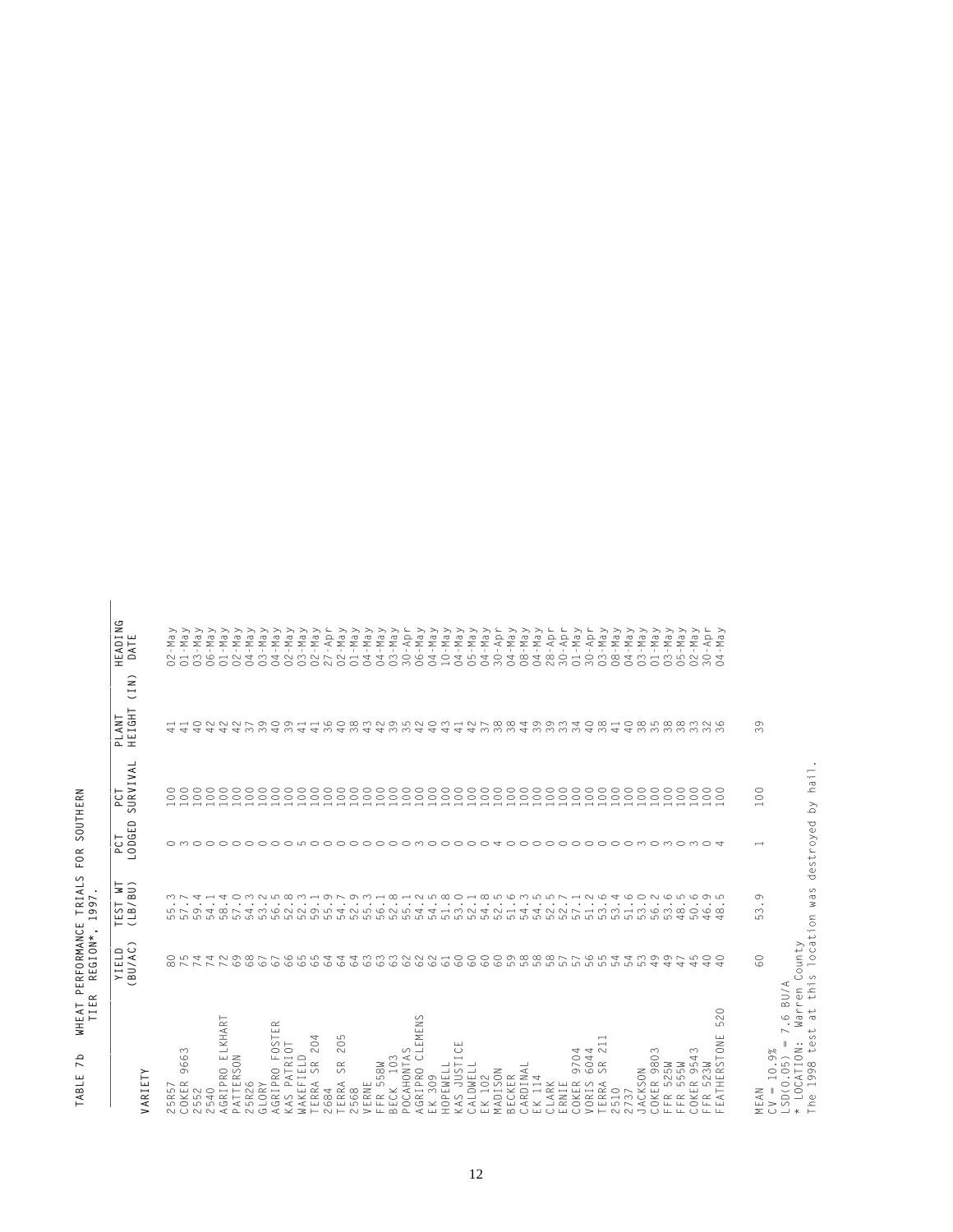| HERN<br><b>COUT</b><br>Ć<br>ć<br>ว |                                                   |
|------------------------------------|---------------------------------------------------|
| $\infty$<br>LL.                    |                                                   |
| TRIALS                             | ٠<br>r<br>$\overline{\phantom{a}}$<br>ת<br>თ<br>۰ |
| PERFORMANCE                        | ¥<br>z<br>REGIO                                   |
| EAT<br>H                           | TIER                                              |
| Q<br>r<br><b>BLE</b><br>⋜          |                                                   |

| へんかんしんしょうじゅうしゅう しょうしゅうしゅうしゅう しゅうしゅうしょう マイソソンソン アイアソリン<br>Nay<br>Apr<br>A Ray<br>Nay<br>May<br>Apr<br>Apr<br>May<br>Apr<br>May<br>May<br>いいいいいん<br>May<br>$_{\text{May}}$<br>X<br>Pay<br>Nay<br>Nay<br>ke z geb<br>a y<br>a<br>ш<br>$\geq$<br>$\sum$<br>$\sum$<br>$\sum$<br>$\geq$<br>$\mathbf{\Sigma}% _{T}=\mathbf{\Sigma}_{T}\times\mathbf{D}_{T}$<br>Σ<br>DATI<br>Σ<br>Σ<br>Σ<br>Σ<br>$\Sigma \prec \Sigma$<br>π<br>- T T<br>Ŧ<br>$\top$<br>- 17<br>π<br>$\overline{+}$<br>고<br>고고<br>$\overline{1}$<br>$\top$<br>$\overline{1}$<br>$\overline{+}$<br>- 7<br>元元<br>$\sim$ 1.<br>$\sim 10^{-1}$ . The<br>$\sim 1$<br><b>COLLECT</b><br>$\sim 10$<br>$\sim 10$<br>$\sim$ 1 $\sim$<br><b>Contract</b><br>$\pm$<br>$\sim$ 1 $\sim$<br><b>CONTRACTOR</b><br>$\sim 10$<br>$\sim 10$<br>$\sim 10^{-1}$<br>$\sim 10$<br>$\sim$<br><b>Contract Contract</b><br><b>A</b><br>$\overline{ }$<br>$\circ$ $\circ$<br>$\geq$<br>$\overline{\phantom{a}}$<br>$\check{ }$<br>PLANT<br>HEIGHT<br>$\sigma$<br>$\infty$<br>SURVIVAL<br>$\circ$<br>$\circ$<br>$\overline{\phantom{0}}$<br>LODGED<br>$\overline{\phantom{0}}$<br>LB/BU)<br>G<br>$\infty$<br>ഗ<br>$\vdash$ $\sim$<br>BU/AC)<br>80 ファファで のらのようとのころ のうのうりつりつりつ こうかい こうしゃ イオカム ひらしょうしつ しょうせい こうきょうこう しょうさつき しょうこう しょうこうしょう しょうしょうしょう しょうしょう<br>$\circ$<br>ςÖ.<br>BU/A<br>$\circ$<br>$\ddot{\circ}$<br>LEMENS<br>$\sim$<br>LKHART<br>$\simeq$<br>ပ<br>$\sqcup$<br>$\overline{\phantom{0}}$<br>F <sub>0</sub> ST<br>5<br>RSTONE<br>₹<br>$\overline{ }$<br>$\parallel$<br>$\circ$<br>$\circ$<br>ш<br>$\overline{\phantom{0}}$<br>$\cup$<br>$\sim$<br>44<br>$\infty$<br>∞<br>$\Xi$<br>$\infty$<br>$\circ$<br>4<br>$\circ$<br>$\overline{97}$<br>$\circ$ $\propto$<br>833383<br>$\circ$<br>$V = 10$<br>SD(0.0)<br>$\sigma$<br>$\lesssim$<br>VARIET<br>$\sim$<br>تب<br>$\sim$<br>2510<br>2737<br>COKER<br>FFR 52<br>FFR 56<br>FFR 565<br>$\equiv$<br>5R57<br>OKER<br>$\vdash$<br>$\tilde{z}$<br>$\propto$ $\propto$ $\prec$<br>لبنا سنا<br>ш<br>$\simeq$ $\sim$<br>$\sim$ $\sim$<br>$\cup$ $\bot$ $\bot$ |  |  |  |           |
|---------------------------------------------------------------------------------------------------------------------------------------------------------------------------------------------------------------------------------------------------------------------------------------------------------------------------------------------------------------------------------------------------------------------------------------------------------------------------------------------------------------------------------------------------------------------------------------------------------------------------------------------------------------------------------------------------------------------------------------------------------------------------------------------------------------------------------------------------------------------------------------------------------------------------------------------------------------------------------------------------------------------------------------------------------------------------------------------------------------------------------------------------------------------------------------------------------------------------------------------------------------------------------------------------------------------------------------------------------------------------------------------------------------------------------------------------------------------------------------------------------------------------------------------------------------------------------------------------------------------------------------------------------------------------------------------------------------------------------------------------------------------------------------------------------------------------------------------------------------------------------------------------------------------------------------------------------------------------------------------------------------------------------------------|--|--|--|-----------|
| $CV = 10.9%$<br>$LSD(0.05) =$<br>$*(LOCATION;$<br>The 1998 te<br>2552<br>2540<br>2540<br>26RIPRO FOS<br>26RIPRO FOS<br>26RIPRO FOS<br>40RIPRO CLE FOS 20<br>2568<br>2568<br>258ME<br>26RIPRO CLE<br>26RIPRO CLE<br>26RIPRO CLE<br>26RIPRO CLE<br>26RIPRO CLE<br>26RIPRO CLE<br>26RIPRO CLE<br>EK 309<br>HOPEWELL<br>KAS JUSTIC<br>CALDWELL<br>CALDWELL<br>ECKER<br>MADISON<br>BECKER<br>CARDINAL<br>CLARK<br>CLARK<br>CLARK 97<br>COKER 973<br>VORIS 60<br>VORIS 9737<br>2737                                                                                                                                                                                                                                                                                                                                                                                                                                                                                                                                                                                                                                                                                                                                                                                                                                                                                                                                                                                                                                                                                                                                                                                                                                                                                                                                                                                                                                                                                                                                                               |  |  |  |           |
|                                                                                                                                                                                                                                                                                                                                                                                                                                                                                                                                                                                                                                                                                                                                                                                                                                                                                                                                                                                                                                                                                                                                                                                                                                                                                                                                                                                                                                                                                                                                                                                                                                                                                                                                                                                                                                                                                                                                                                                                                                             |  |  |  |           |
|                                                                                                                                                                                                                                                                                                                                                                                                                                                                                                                                                                                                                                                                                                                                                                                                                                                                                                                                                                                                                                                                                                                                                                                                                                                                                                                                                                                                                                                                                                                                                                                                                                                                                                                                                                                                                                                                                                                                                                                                                                             |  |  |  |           |
|                                                                                                                                                                                                                                                                                                                                                                                                                                                                                                                                                                                                                                                                                                                                                                                                                                                                                                                                                                                                                                                                                                                                                                                                                                                                                                                                                                                                                                                                                                                                                                                                                                                                                                                                                                                                                                                                                                                                                                                                                                             |  |  |  |           |
|                                                                                                                                                                                                                                                                                                                                                                                                                                                                                                                                                                                                                                                                                                                                                                                                                                                                                                                                                                                                                                                                                                                                                                                                                                                                                                                                                                                                                                                                                                                                                                                                                                                                                                                                                                                                                                                                                                                                                                                                                                             |  |  |  |           |
|                                                                                                                                                                                                                                                                                                                                                                                                                                                                                                                                                                                                                                                                                                                                                                                                                                                                                                                                                                                                                                                                                                                                                                                                                                                                                                                                                                                                                                                                                                                                                                                                                                                                                                                                                                                                                                                                                                                                                                                                                                             |  |  |  |           |
|                                                                                                                                                                                                                                                                                                                                                                                                                                                                                                                                                                                                                                                                                                                                                                                                                                                                                                                                                                                                                                                                                                                                                                                                                                                                                                                                                                                                                                                                                                                                                                                                                                                                                                                                                                                                                                                                                                                                                                                                                                             |  |  |  |           |
|                                                                                                                                                                                                                                                                                                                                                                                                                                                                                                                                                                                                                                                                                                                                                                                                                                                                                                                                                                                                                                                                                                                                                                                                                                                                                                                                                                                                                                                                                                                                                                                                                                                                                                                                                                                                                                                                                                                                                                                                                                             |  |  |  |           |
|                                                                                                                                                                                                                                                                                                                                                                                                                                                                                                                                                                                                                                                                                                                                                                                                                                                                                                                                                                                                                                                                                                                                                                                                                                                                                                                                                                                                                                                                                                                                                                                                                                                                                                                                                                                                                                                                                                                                                                                                                                             |  |  |  |           |
|                                                                                                                                                                                                                                                                                                                                                                                                                                                                                                                                                                                                                                                                                                                                                                                                                                                                                                                                                                                                                                                                                                                                                                                                                                                                                                                                                                                                                                                                                                                                                                                                                                                                                                                                                                                                                                                                                                                                                                                                                                             |  |  |  | $\eth$    |
|                                                                                                                                                                                                                                                                                                                                                                                                                                                                                                                                                                                                                                                                                                                                                                                                                                                                                                                                                                                                                                                                                                                                                                                                                                                                                                                                                                                                                                                                                                                                                                                                                                                                                                                                                                                                                                                                                                                                                                                                                                             |  |  |  | $\gtrsim$ |
|                                                                                                                                                                                                                                                                                                                                                                                                                                                                                                                                                                                                                                                                                                                                                                                                                                                                                                                                                                                                                                                                                                                                                                                                                                                                                                                                                                                                                                                                                                                                                                                                                                                                                                                                                                                                                                                                                                                                                                                                                                             |  |  |  |           |
|                                                                                                                                                                                                                                                                                                                                                                                                                                                                                                                                                                                                                                                                                                                                                                                                                                                                                                                                                                                                                                                                                                                                                                                                                                                                                                                                                                                                                                                                                                                                                                                                                                                                                                                                                                                                                                                                                                                                                                                                                                             |  |  |  |           |
|                                                                                                                                                                                                                                                                                                                                                                                                                                                                                                                                                                                                                                                                                                                                                                                                                                                                                                                                                                                                                                                                                                                                                                                                                                                                                                                                                                                                                                                                                                                                                                                                                                                                                                                                                                                                                                                                                                                                                                                                                                             |  |  |  |           |
|                                                                                                                                                                                                                                                                                                                                                                                                                                                                                                                                                                                                                                                                                                                                                                                                                                                                                                                                                                                                                                                                                                                                                                                                                                                                                                                                                                                                                                                                                                                                                                                                                                                                                                                                                                                                                                                                                                                                                                                                                                             |  |  |  |           |
|                                                                                                                                                                                                                                                                                                                                                                                                                                                                                                                                                                                                                                                                                                                                                                                                                                                                                                                                                                                                                                                                                                                                                                                                                                                                                                                                                                                                                                                                                                                                                                                                                                                                                                                                                                                                                                                                                                                                                                                                                                             |  |  |  |           |
|                                                                                                                                                                                                                                                                                                                                                                                                                                                                                                                                                                                                                                                                                                                                                                                                                                                                                                                                                                                                                                                                                                                                                                                                                                                                                                                                                                                                                                                                                                                                                                                                                                                                                                                                                                                                                                                                                                                                                                                                                                             |  |  |  |           |
|                                                                                                                                                                                                                                                                                                                                                                                                                                                                                                                                                                                                                                                                                                                                                                                                                                                                                                                                                                                                                                                                                                                                                                                                                                                                                                                                                                                                                                                                                                                                                                                                                                                                                                                                                                                                                                                                                                                                                                                                                                             |  |  |  |           |
|                                                                                                                                                                                                                                                                                                                                                                                                                                                                                                                                                                                                                                                                                                                                                                                                                                                                                                                                                                                                                                                                                                                                                                                                                                                                                                                                                                                                                                                                                                                                                                                                                                                                                                                                                                                                                                                                                                                                                                                                                                             |  |  |  |           |
|                                                                                                                                                                                                                                                                                                                                                                                                                                                                                                                                                                                                                                                                                                                                                                                                                                                                                                                                                                                                                                                                                                                                                                                                                                                                                                                                                                                                                                                                                                                                                                                                                                                                                                                                                                                                                                                                                                                                                                                                                                             |  |  |  |           |
|                                                                                                                                                                                                                                                                                                                                                                                                                                                                                                                                                                                                                                                                                                                                                                                                                                                                                                                                                                                                                                                                                                                                                                                                                                                                                                                                                                                                                                                                                                                                                                                                                                                                                                                                                                                                                                                                                                                                                                                                                                             |  |  |  |           |
|                                                                                                                                                                                                                                                                                                                                                                                                                                                                                                                                                                                                                                                                                                                                                                                                                                                                                                                                                                                                                                                                                                                                                                                                                                                                                                                                                                                                                                                                                                                                                                                                                                                                                                                                                                                                                                                                                                                                                                                                                                             |  |  |  |           |
|                                                                                                                                                                                                                                                                                                                                                                                                                                                                                                                                                                                                                                                                                                                                                                                                                                                                                                                                                                                                                                                                                                                                                                                                                                                                                                                                                                                                                                                                                                                                                                                                                                                                                                                                                                                                                                                                                                                                                                                                                                             |  |  |  |           |
|                                                                                                                                                                                                                                                                                                                                                                                                                                                                                                                                                                                                                                                                                                                                                                                                                                                                                                                                                                                                                                                                                                                                                                                                                                                                                                                                                                                                                                                                                                                                                                                                                                                                                                                                                                                                                                                                                                                                                                                                                                             |  |  |  |           |
|                                                                                                                                                                                                                                                                                                                                                                                                                                                                                                                                                                                                                                                                                                                                                                                                                                                                                                                                                                                                                                                                                                                                                                                                                                                                                                                                                                                                                                                                                                                                                                                                                                                                                                                                                                                                                                                                                                                                                                                                                                             |  |  |  |           |
|                                                                                                                                                                                                                                                                                                                                                                                                                                                                                                                                                                                                                                                                                                                                                                                                                                                                                                                                                                                                                                                                                                                                                                                                                                                                                                                                                                                                                                                                                                                                                                                                                                                                                                                                                                                                                                                                                                                                                                                                                                             |  |  |  |           |
|                                                                                                                                                                                                                                                                                                                                                                                                                                                                                                                                                                                                                                                                                                                                                                                                                                                                                                                                                                                                                                                                                                                                                                                                                                                                                                                                                                                                                                                                                                                                                                                                                                                                                                                                                                                                                                                                                                                                                                                                                                             |  |  |  |           |
|                                                                                                                                                                                                                                                                                                                                                                                                                                                                                                                                                                                                                                                                                                                                                                                                                                                                                                                                                                                                                                                                                                                                                                                                                                                                                                                                                                                                                                                                                                                                                                                                                                                                                                                                                                                                                                                                                                                                                                                                                                             |  |  |  |           |
|                                                                                                                                                                                                                                                                                                                                                                                                                                                                                                                                                                                                                                                                                                                                                                                                                                                                                                                                                                                                                                                                                                                                                                                                                                                                                                                                                                                                                                                                                                                                                                                                                                                                                                                                                                                                                                                                                                                                                                                                                                             |  |  |  |           |
|                                                                                                                                                                                                                                                                                                                                                                                                                                                                                                                                                                                                                                                                                                                                                                                                                                                                                                                                                                                                                                                                                                                                                                                                                                                                                                                                                                                                                                                                                                                                                                                                                                                                                                                                                                                                                                                                                                                                                                                                                                             |  |  |  |           |
|                                                                                                                                                                                                                                                                                                                                                                                                                                                                                                                                                                                                                                                                                                                                                                                                                                                                                                                                                                                                                                                                                                                                                                                                                                                                                                                                                                                                                                                                                                                                                                                                                                                                                                                                                                                                                                                                                                                                                                                                                                             |  |  |  |           |
|                                                                                                                                                                                                                                                                                                                                                                                                                                                                                                                                                                                                                                                                                                                                                                                                                                                                                                                                                                                                                                                                                                                                                                                                                                                                                                                                                                                                                                                                                                                                                                                                                                                                                                                                                                                                                                                                                                                                                                                                                                             |  |  |  |           |
|                                                                                                                                                                                                                                                                                                                                                                                                                                                                                                                                                                                                                                                                                                                                                                                                                                                                                                                                                                                                                                                                                                                                                                                                                                                                                                                                                                                                                                                                                                                                                                                                                                                                                                                                                                                                                                                                                                                                                                                                                                             |  |  |  |           |
|                                                                                                                                                                                                                                                                                                                                                                                                                                                                                                                                                                                                                                                                                                                                                                                                                                                                                                                                                                                                                                                                                                                                                                                                                                                                                                                                                                                                                                                                                                                                                                                                                                                                                                                                                                                                                                                                                                                                                                                                                                             |  |  |  |           |
|                                                                                                                                                                                                                                                                                                                                                                                                                                                                                                                                                                                                                                                                                                                                                                                                                                                                                                                                                                                                                                                                                                                                                                                                                                                                                                                                                                                                                                                                                                                                                                                                                                                                                                                                                                                                                                                                                                                                                                                                                                             |  |  |  |           |
|                                                                                                                                                                                                                                                                                                                                                                                                                                                                                                                                                                                                                                                                                                                                                                                                                                                                                                                                                                                                                                                                                                                                                                                                                                                                                                                                                                                                                                                                                                                                                                                                                                                                                                                                                                                                                                                                                                                                                                                                                                             |  |  |  |           |
|                                                                                                                                                                                                                                                                                                                                                                                                                                                                                                                                                                                                                                                                                                                                                                                                                                                                                                                                                                                                                                                                                                                                                                                                                                                                                                                                                                                                                                                                                                                                                                                                                                                                                                                                                                                                                                                                                                                                                                                                                                             |  |  |  |           |
|                                                                                                                                                                                                                                                                                                                                                                                                                                                                                                                                                                                                                                                                                                                                                                                                                                                                                                                                                                                                                                                                                                                                                                                                                                                                                                                                                                                                                                                                                                                                                                                                                                                                                                                                                                                                                                                                                                                                                                                                                                             |  |  |  |           |
|                                                                                                                                                                                                                                                                                                                                                                                                                                                                                                                                                                                                                                                                                                                                                                                                                                                                                                                                                                                                                                                                                                                                                                                                                                                                                                                                                                                                                                                                                                                                                                                                                                                                                                                                                                                                                                                                                                                                                                                                                                             |  |  |  |           |
|                                                                                                                                                                                                                                                                                                                                                                                                                                                                                                                                                                                                                                                                                                                                                                                                                                                                                                                                                                                                                                                                                                                                                                                                                                                                                                                                                                                                                                                                                                                                                                                                                                                                                                                                                                                                                                                                                                                                                                                                                                             |  |  |  |           |
|                                                                                                                                                                                                                                                                                                                                                                                                                                                                                                                                                                                                                                                                                                                                                                                                                                                                                                                                                                                                                                                                                                                                                                                                                                                                                                                                                                                                                                                                                                                                                                                                                                                                                                                                                                                                                                                                                                                                                                                                                                             |  |  |  |           |
|                                                                                                                                                                                                                                                                                                                                                                                                                                                                                                                                                                                                                                                                                                                                                                                                                                                                                                                                                                                                                                                                                                                                                                                                                                                                                                                                                                                                                                                                                                                                                                                                                                                                                                                                                                                                                                                                                                                                                                                                                                             |  |  |  |           |
|                                                                                                                                                                                                                                                                                                                                                                                                                                                                                                                                                                                                                                                                                                                                                                                                                                                                                                                                                                                                                                                                                                                                                                                                                                                                                                                                                                                                                                                                                                                                                                                                                                                                                                                                                                                                                                                                                                                                                                                                                                             |  |  |  |           |
|                                                                                                                                                                                                                                                                                                                                                                                                                                                                                                                                                                                                                                                                                                                                                                                                                                                                                                                                                                                                                                                                                                                                                                                                                                                                                                                                                                                                                                                                                                                                                                                                                                                                                                                                                                                                                                                                                                                                                                                                                                             |  |  |  |           |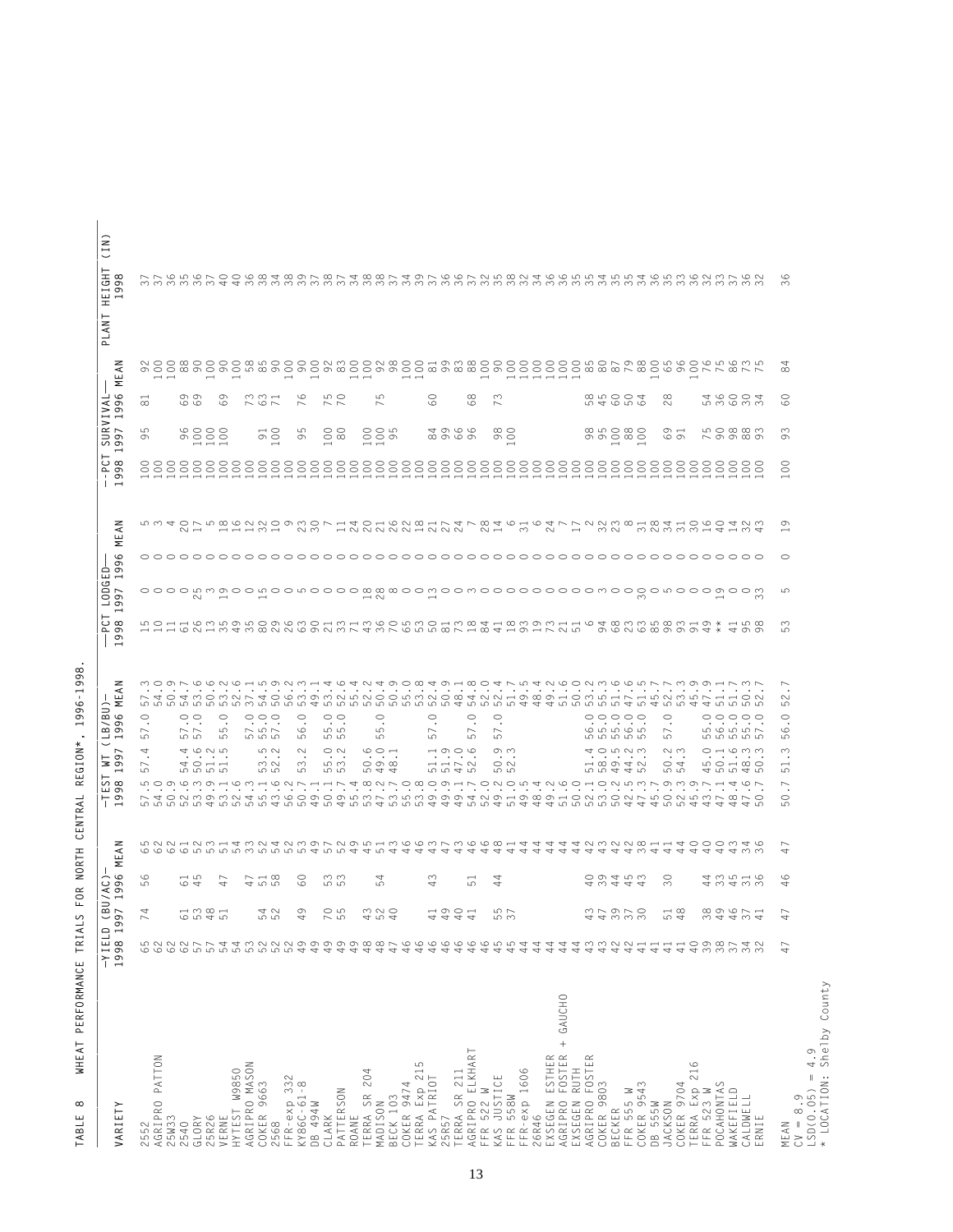| VARIETY                                            | 1998 199<br>$-YIELD$ | Ξ<br>$\overline{a}$ $\sim$<br>◡                                                                                                                                                                                                                                                                                                                                                      | $\circ$<br>ΆC<br>$\sigma$<br>$\sigma$<br>$\overline{\phantom{0}}$ | z<br>⋖<br>Ш<br>Σ                                         | z<br>≺<br>ш<br>Σ<br>B/BU<br>$\circ$<br>ō<br>$\sigma$<br>┙<br>$\overline{\phantom{0}}$<br>U<br>97<br>$\frac{6}{5}$<br>$\overline{\phantom{0}}$<br>S<br>$\infty$<br>ш<br>$\sigma$<br>$\frac{1}{9}$                                                                                                                                                                                                                                                                                                                                                                                        | $0 - 0$<br>$\sigma$<br>$\overline{\phantom{a}}$                                      | LODGI<br>$\overline{ }$<br>$\sigma$<br>$\sigma$<br>$\overline{\phantom{0}}$<br>င် စ                 | $\circ$<br>ത<br>Ê<br>ᡡ<br>$\overline{\phantom{0}}$ | z<br>⋜<br>ш<br>Σ                                                   | $\overline{\phantom{0}}$<br>င့် အ<br>ì.<br>$\circ$<br>$\overline{\phantom{0}}$ | SURVIN<br>997 19<br>$\sigma$                                      | z<br>$\tilde{E}$<br>Σ<br>$\circ$<br>$\leq$<br>$\sigma$<br>$\sigma$                                  | ≘<br>$\mapsto$<br>$\overline{\phantom{0}}$<br>IGHT<br>998<br>ш<br>$\overline{\phantom{0}}$<br>H<br>LANT<br>$\mathbf{r}$ |  |
|----------------------------------------------------|----------------------|--------------------------------------------------------------------------------------------------------------------------------------------------------------------------------------------------------------------------------------------------------------------------------------------------------------------------------------------------------------------------------------|-------------------------------------------------------------------|----------------------------------------------------------|-----------------------------------------------------------------------------------------------------------------------------------------------------------------------------------------------------------------------------------------------------------------------------------------------------------------------------------------------------------------------------------------------------------------------------------------------------------------------------------------------------------------------------------------------------------------------------------------|--------------------------------------------------------------------------------------|-----------------------------------------------------------------------------------------------------|----------------------------------------------------|--------------------------------------------------------------------|--------------------------------------------------------------------------------|-------------------------------------------------------------------|-----------------------------------------------------------------------------------------------------|-------------------------------------------------------------------------------------------------------------------------|--|
| 2552<br>AGRIPRO F                                  | 62                   | 4                                                                                                                                                                                                                                                                                                                                                                                    | $\circ$<br>LO                                                     |                                                          | $\circ$<br>$\bullet$<br>$\sim$<br>မာ<br>4<br>$\sim$<br>LO                                                                                                                                                                                                                                                                                                                                                                                                                                                                                                                               |                                                                                      |                                                                                                     |                                                    |                                                                    |                                                                                | LO<br>Ō                                                           | $\infty$                                                                                            |                                                                                                                         |  |
| PATTON<br>25W33                                    |                      |                                                                                                                                                                                                                                                                                                                                                                                      |                                                                   | LONA HAWHAWAHAWANA MARHARARAN GERALA HAWANA SHAHAOOOWA G | MOQF0000HD900H404049D0049H804FD4N600NW600FFW99HFWF<br>the contract of the contract of the contract of<br>N 4 0 4 M 0 M N N 4 0 W M 9 M N N 0 0 W M N 0 0 4 N N H 9 0 0 H 0 M M H H W N M M N H H O N<br>coocoocoocoocoocoductoocoocoocoocoocoocaductoocoductooducto<br>LO D C MONO HO M HO N N H H N T Q M N O B O D H N O N O W 4 N C O H O N LO M D M D N O M O N H T C N<br>$\cdot$                                                                                                                                                                                                  | HHH WONH MA MONU WOON MA HA MA WOOD WA WA HA HA HA WA                                | LO H H LO M LO D LO D LO H M H M LO D LO D H H W H H W H D M H H O H H W H W M M M M M H D X H LO W |                                                    | rwador wago ang awo r hadhaa ah ar aa ah aa ku sa ah aa ah dadaa w | ---------------------------------                                              |                                                                   | $- -$                                                                                               |                                                                                                                         |  |
| 540<br>$\sim$                                      |                      |                                                                                                                                                                                                                                                                                                                                                                                      |                                                                   |                                                          | $\bullet$<br>$\sim$ $\sim$<br>ဟ ဟ<br>$\cdot$ $\cdot$                                                                                                                                                                                                                                                                                                                                                                                                                                                                                                                                    |                                                                                      |                                                                                                     |                                                    |                                                                    |                                                                                |                                                                   |                                                                                                     |                                                                                                                         |  |
| GLORY                                              |                      | $\rightarrow \infty$ $\rightarrow$<br>عا                                                                                                                                                                                                                                                                                                                                             | $\overline{\phantom{0}}$<br>$\varphi$ 4                           |                                                          | $\circ$<br>$\cdot$<br>4625<br>$\cdots\cdots\cdots\cdots$<br>$\Rightarrow$ $\Rightarrow$ $\Rightarrow$ $\Rightarrow$<br><b>ம் ம</b> ம                                                                                                                                                                                                                                                                                                                                                                                                                                                    |                                                                                      | $\sim$                                                                                              |                                                    | $\sim$ $-$                                                         |                                                                                | \$888                                                             | on on<br>$\circ$ $\circ$                                                                            |                                                                                                                         |  |
| 25R26<br>VERNE                                     |                      | ഥ                                                                                                                                                                                                                                                                                                                                                                                    | $\sim$<br>4                                                       |                                                          | $\circ$<br>ယာ<br>ယာ<br>$\cdot$                                                                                                                                                                                                                                                                                                                                                                                                                                                                                                                                                          |                                                                                      | $\overline{\phantom{0}}$                                                                            |                                                    |                                                                    |                                                                                |                                                                   | $\overline{\phantom{0}}$<br>G<br>$\circ$                                                            |                                                                                                                         |  |
| HYTEST W9850                                       |                      |                                                                                                                                                                                                                                                                                                                                                                                      |                                                                   |                                                          | $\cdot$ $\cdot$                                                                                                                                                                                                                                                                                                                                                                                                                                                                                                                                                                         |                                                                                      |                                                                                                     |                                                    |                                                                    |                                                                                |                                                                   | $\overline{\phantom{0}}$                                                                            |                                                                                                                         |  |
| AGRIPRO MASON                                      |                      |                                                                                                                                                                                                                                                                                                                                                                                      |                                                                   |                                                          | $\cdot$                                                                                                                                                                                                                                                                                                                                                                                                                                                                                                                                                                                 |                                                                                      |                                                                                                     |                                                    |                                                                    |                                                                                |                                                                   |                                                                                                     |                                                                                                                         |  |
| COKER 9663                                         |                      | 4 0                                                                                                                                                                                                                                                                                                                                                                                  | $\sim$ $\rightarrow$ $\infty$<br>460                              |                                                          | $\circ \circ \circ$<br>$\cdot$<br>$\sim$ 10 $\sim$<br>ro ro ro<br>5 U<br>$\cdot$<br>m <sub>1</sub><br>மற                                                                                                                                                                                                                                                                                                                                                                                                                                                                                |                                                                                      |                                                                                                     |                                                    | $- - - 0 -$                                                        |                                                                                | $\overline{50}$                                                   | $\omega \omega -$<br>$\sim$ $\circ$ $\sim$                                                          |                                                                                                                         |  |
| 2568                                               |                      |                                                                                                                                                                                                                                                                                                                                                                                      |                                                                   |                                                          | $\cdot$                                                                                                                                                                                                                                                                                                                                                                                                                                                                                                                                                                                 |                                                                                      |                                                                                                     |                                                    |                                                                    |                                                                                |                                                                   |                                                                                                     |                                                                                                                         |  |
| FFR-exp 332<br>KY86C-61-8                          |                      | $\sigma$                                                                                                                                                                                                                                                                                                                                                                             | $\circ$                                                           |                                                          | $\circ$<br>$\circ$<br>$\sqrt{2}$<br>$\sim$<br>ഥ<br><b>Contract Contract</b>                                                                                                                                                                                                                                                                                                                                                                                                                                                                                                             |                                                                                      |                                                                                                     |                                                    |                                                                    |                                                                                | ഗ                                                                 | $\overline{\phantom{0}}$<br>$\circ$<br>$\sim$                                                       |                                                                                                                         |  |
| DB 494W                                            |                      |                                                                                                                                                                                                                                                                                                                                                                                      | $\circ$                                                           |                                                          | $\bullet$<br>$\sim$                                                                                                                                                                                                                                                                                                                                                                                                                                                                                                                                                                     |                                                                                      |                                                                                                     |                                                    | $\sim$ $\sim$                                                      |                                                                                | $\sigma$                                                          | $\overline{\phantom{0}}$                                                                            |                                                                                                                         |  |
| CLARK                                              | 49                   |                                                                                                                                                                                                                                                                                                                                                                                      |                                                                   |                                                          | $\cdot$<br><b>Contract Contract</b>                                                                                                                                                                                                                                                                                                                                                                                                                                                                                                                                                     |                                                                                      |                                                                                                     |                                                    |                                                                    |                                                                                |                                                                   | $\sim$ $\sim$                                                                                       |                                                                                                                         |  |
| PATTERSON                                          | 49                   | $\circ$                                                                                                                                                                                                                                                                                                                                                                              | ო ო<br>ယ ယ                                                        |                                                          | $\circ$<br>ယ ယ<br>ယ ယ<br>$\circ$ $\sim$<br>10 <sub>m</sub><br>ഗഗ                                                                                                                                                                                                                                                                                                                                                                                                                                                                                                                        |                                                                                      |                                                                                                     |                                                    |                                                                    |                                                                                | $\begin{matrix} 0 \\ 0 \\ 0 \end{matrix}$                         | 5 G                                                                                                 |                                                                                                                         |  |
| ROANE                                              | 49                   |                                                                                                                                                                                                                                                                                                                                                                                      |                                                                   |                                                          |                                                                                                                                                                                                                                                                                                                                                                                                                                                                                                                                                                                         |                                                                                      |                                                                                                     |                                                    |                                                                    |                                                                                |                                                                   | $- -$                                                                                               |                                                                                                                         |  |
| TERRA SR 204                                       | 48                   | $M \cap N$                                                                                                                                                                                                                                                                                                                                                                           |                                                                   |                                                          | $\circ$ $\circ$ $\rightarrow$<br>$\circ$ $\circ$ $\circ$<br>rv 4<br>$\ddot{\phantom{0}}$                                                                                                                                                                                                                                                                                                                                                                                                                                                                                                |                                                                                      | $\overline{\phantom{0}}$                                                                            |                                                    |                                                                    |                                                                                | 885                                                               |                                                                                                     |                                                                                                                         |  |
| BECK 103<br><b>MADISON</b>                         | $48$<br>47           |                                                                                                                                                                                                                                                                                                                                                                                      | 4<br>ပ                                                            |                                                          | $\circ$<br>5<br>ပ<br>$\cdot$ $\cdot$ $\cdot$<br>₹<br>$\sim$                                                                                                                                                                                                                                                                                                                                                                                                                                                                                                                             |                                                                                      |                                                                                                     |                                                    |                                                                    |                                                                                |                                                                   | 5<br>$\sim$                                                                                         |                                                                                                                         |  |
| COKER 9474                                         | 46                   |                                                                                                                                                                                                                                                                                                                                                                                      |                                                                   |                                                          | $\cdot$                                                                                                                                                                                                                                                                                                                                                                                                                                                                                                                                                                                 |                                                                                      |                                                                                                     |                                                    | <b>ANNANAANNA</b>                                                  |                                                                                |                                                                   |                                                                                                     |                                                                                                                         |  |
| TERRA Exp 215                                      | 46                   |                                                                                                                                                                                                                                                                                                                                                                                      |                                                                   |                                                          | $\cdot$                                                                                                                                                                                                                                                                                                                                                                                                                                                                                                                                                                                 |                                                                                      |                                                                                                     |                                                    |                                                                    |                                                                                |                                                                   | $-1$                                                                                                |                                                                                                                         |  |
| KAS PATRIOT                                        | 46                   |                                                                                                                                                                                                                                                                                                                                                                                      | $\infty$<br>4                                                     |                                                          | $\circ$<br>$\bullet$<br>$\sim$<br>5<br>5<br>5<br>$\sim$                                                                                                                                                                                                                                                                                                                                                                                                                                                                                                                                 |                                                                                      |                                                                                                     |                                                    |                                                                    |                                                                                |                                                                   | $\circ$<br>$\circ$                                                                                  |                                                                                                                         |  |
| 25R57                                              | 46                   |                                                                                                                                                                                                                                                                                                                                                                                      |                                                                   |                                                          | $\cdot$                                                                                                                                                                                                                                                                                                                                                                                                                                                                                                                                                                                 |                                                                                      |                                                                                                     |                                                    |                                                                    |                                                                                |                                                                   |                                                                                                     |                                                                                                                         |  |
| TERRA SR 211                                       | 46                   | $\overline{a}$ $\overline{a}$ $\overline{a}$ $\overline{a}$ $\overline{a}$ $\overline{a}$ $\overline{a}$ $\overline{a}$ $\overline{a}$ $\overline{a}$ $\overline{a}$ $\overline{a}$ $\overline{a}$ $\overline{a}$ $\overline{a}$ $\overline{a}$ $\overline{a}$ $\overline{a}$ $\overline{a}$ $\overline{a}$ $\overline{a}$ $\overline{a}$ $\overline{a}$ $\overline{a}$ $\overline{$ |                                                                   |                                                          | $\Box$ $\Box$ $\Box$ $\Box$<br><b>Service Control</b><br>$\frac{1}{2}$<br>4.7                                                                                                                                                                                                                                                                                                                                                                                                                                                                                                           |                                                                                      |                                                                                                     |                                                    |                                                                    |                                                                                | 89698                                                             |                                                                                                     |                                                                                                                         |  |
| AGRIPRO ELKHART<br>$\geq$<br>FFR 522               | 46<br>46             |                                                                                                                                                                                                                                                                                                                                                                                      | LO                                                                |                                                          | $\circ$<br>$\bullet$<br>$\sim$<br>မာ<br>$\cdots$                                                                                                                                                                                                                                                                                                                                                                                                                                                                                                                                        |                                                                                      |                                                                                                     |                                                    |                                                                    |                                                                                |                                                                   | $\overline{\phantom{0}}$<br>$\infty$<br>$\circ$                                                     |                                                                                                                         |  |
| JUSTICE<br>KAS                                     | 45                   |                                                                                                                                                                                                                                                                                                                                                                                      | 4<br>$\overline{ }$                                               |                                                          | $\circ$<br>$\bullet$<br>$\overline{\phantom{0}}$<br>ယ<br>$\bullet$                                                                                                                                                                                                                                                                                                                                                                                                                                                                                                                      |                                                                                      |                                                                                                     |                                                    | $\sim$ $-$                                                         |                                                                                |                                                                   | $\sim$<br>$\sim$                                                                                    |                                                                                                                         |  |
| FFR 558W                                           | 45                   | $5 -$                                                                                                                                                                                                                                                                                                                                                                                |                                                                   |                                                          | o w<br>$\circ$ $\sim$<br>மம                                                                                                                                                                                                                                                                                                                                                                                                                                                                                                                                                             |                                                                                      |                                                                                                     |                                                    |                                                                    |                                                                                | 800                                                               |                                                                                                     |                                                                                                                         |  |
| FFR-exp 1606                                       | 44                   |                                                                                                                                                                                                                                                                                                                                                                                      |                                                                   |                                                          | $\sim$ , and $\sim$ , and $\sim$                                                                                                                                                                                                                                                                                                                                                                                                                                                                                                                                                        |                                                                                      |                                                                                                     |                                                    | $\infty$                                                           |                                                                                |                                                                   |                                                                                                     |                                                                                                                         |  |
| 26R46                                              | $\overline{4}$       |                                                                                                                                                                                                                                                                                                                                                                                      |                                                                   |                                                          |                                                                                                                                                                                                                                                                                                                                                                                                                                                                                                                                                                                         |                                                                                      |                                                                                                     |                                                    |                                                                    |                                                                                |                                                                   |                                                                                                     |                                                                                                                         |  |
| + GAUCHO<br>ESTHER<br>FOSTER<br>EXSEGEN<br>AGRIPRO | 44<br>44             |                                                                                                                                                                                                                                                                                                                                                                                      |                                                                   |                                                          | the company of the company of the company of the company of the company of the company of the company of the company of the company of the company of the company of the company of the company of the company of the company                                                                                                                                                                                                                                                                                                                                                           |                                                                                      |                                                                                                     |                                                    | $\sim$                                                             | ------------------                                                             |                                                                   | ------                                                                                              |                                                                                                                         |  |
| EXSEGEN RUTH                                       | 44                   |                                                                                                                                                                                                                                                                                                                                                                                      |                                                                   |                                                          | $\cdots$                                                                                                                                                                                                                                                                                                                                                                                                                                                                                                                                                                                |                                                                                      |                                                                                                     |                                                    | $\overline{\phantom{0}}$                                           |                                                                                |                                                                   |                                                                                                     |                                                                                                                         |  |
| AGRIPRO FOSTER                                     | $43$                 |                                                                                                                                                                                                                                                                                                                                                                                      |                                                                   |                                                          | $\cdot$                                                                                                                                                                                                                                                                                                                                                                                                                                                                                                                                                                                 |                                                                                      |                                                                                                     |                                                    |                                                                    |                                                                                |                                                                   |                                                                                                     |                                                                                                                         |  |
| COKER 9803                                         | $43$                 |                                                                                                                                                                                                                                                                                                                                                                                      |                                                                   |                                                          | ro ro 4<br>$\cdot$                                                                                                                                                                                                                                                                                                                                                                                                                                                                                                                                                                      |                                                                                      |                                                                                                     |                                                    |                                                                    |                                                                                |                                                                   |                                                                                                     |                                                                                                                         |  |
| BECKER                                             | $4\,2$               | $M \wedge N \wedge N$                                                                                                                                                                                                                                                                                                                                                                | 0.9470<br>40444                                                   |                                                          | $\sim$ , and $\sim$ , and $\sim$<br>$\circ\circ\circ\circ\circ$<br>65565<br><b>555555</b><br>40523<br>$\cdots$<br>$ \infty$ $\infty$ $\infty$<br>$\ddot{\phantom{1}}$                                                                                                                                                                                                                                                                                                                                                                                                                   |                                                                                      |                                                                                                     |                                                    | $\sim$ $\sim$                                                      |                                                                                | 88888                                                             | $\begin{array}{c} \infty \; \text{in} \; \circ \; \circ \; \circ \; \text{in} \end{array}$<br>04000 |                                                                                                                         |  |
| FFR 555 W                                          | 42                   |                                                                                                                                                                                                                                                                                                                                                                                      |                                                                   |                                                          | 40<br>$\cdot$                                                                                                                                                                                                                                                                                                                                                                                                                                                                                                                                                                           |                                                                                      |                                                                                                     |                                                    |                                                                    |                                                                                |                                                                   |                                                                                                     |                                                                                                                         |  |
| COKER 9543                                         | $\overline{41}$      |                                                                                                                                                                                                                                                                                                                                                                                      |                                                                   |                                                          | $\bullet$                                                                                                                                                                                                                                                                                                                                                                                                                                                                                                                                                                               |                                                                                      |                                                                                                     |                                                    |                                                                    |                                                                                |                                                                   |                                                                                                     |                                                                                                                         |  |
| DB 555W<br>JACKSON                                 | $\frac{1}{4}$        |                                                                                                                                                                                                                                                                                                                                                                                      |                                                                   |                                                          | $\sim$<br>$\cdot$                                                                                                                                                                                                                                                                                                                                                                                                                                                                                                                                                                       |                                                                                      |                                                                                                     |                                                    |                                                                    |                                                                                |                                                                   | $\overline{\phantom{0}}$                                                                            |                                                                                                                         |  |
| COKER 9704                                         | $\overline{4}$       | $\rightarrow \infty$                                                                                                                                                                                                                                                                                                                                                                 | $\circ$<br>$\infty$                                               |                                                          | $\circ$<br>$\bullet$<br>မာ<br>S 2<br>$\cap$ +<br>மம<br>$\cdot$                                                                                                                                                                                                                                                                                                                                                                                                                                                                                                                          | $\sigma$ $\omega$ $\sim$ $\omega$ $\sigma$ $\sigma$ $\sigma$ $\sigma$ $\tau$ $\star$ |                                                                                                     |                                                    |                                                                    |                                                                                | $\circ$ $\overline{\phantom{0}}$<br>$\overline{6}$ $\overline{0}$ | $\infty$<br>$\sim$                                                                                  |                                                                                                                         |  |
|                                                    | 40                   |                                                                                                                                                                                                                                                                                                                                                                                      |                                                                   |                                                          |                                                                                                                                                                                                                                                                                                                                                                                                                                                                                                                                                                                         |                                                                                      |                                                                                                     |                                                    |                                                                    |                                                                                |                                                                   |                                                                                                     |                                                                                                                         |  |
| TERRA Exp 216<br>FFR 523 W                         |                      |                                                                                                                                                                                                                                                                                                                                                                                      |                                                                   |                                                          | $\cdot$                                                                                                                                                                                                                                                                                                                                                                                                                                                                                                                                                                                 |                                                                                      |                                                                                                     |                                                    |                                                                    |                                                                                |                                                                   |                                                                                                     |                                                                                                                         |  |
| POCAHONTAS                                         |                      |                                                                                                                                                                                                                                                                                                                                                                                      |                                                                   |                                                          | $\sim$ 40 $\sim$                                                                                                                                                                                                                                                                                                                                                                                                                                                                                                                                                                        |                                                                                      |                                                                                                     |                                                    |                                                                    |                                                                                |                                                                   |                                                                                                     |                                                                                                                         |  |
| WAKEFIELD                                          |                      |                                                                                                                                                                                                                                                                                                                                                                                      |                                                                   |                                                          | $\cdot$ $\cdot$                                                                                                                                                                                                                                                                                                                                                                                                                                                                                                                                                                         |                                                                                      |                                                                                                     |                                                    |                                                                    |                                                                                |                                                                   |                                                                                                     |                                                                                                                         |  |
| CALDWELL<br>ERNIE                                  | 22222                | $m \wedge m$                                                                                                                                                                                                                                                                                                                                                                         | 4 W W H O<br>4 6 4 6 6                                            |                                                          | $\circ \circ \circ \circ \circ$<br>56557<br><b>555555</b><br>0 – 6 w w<br>$\mathfrak{S} \circ \mathfrak{S} \circ \mathfrak{S} \circ \mathfrak{S} \circ \mathfrak{S} \circ \mathfrak{S} \circ \mathfrak{S} \circ \mathfrak{S} \circ \mathfrak{S} \circ \mathfrak{S} \circ \mathfrak{S} \circ \mathfrak{S} \circ \mathfrak{S} \circ \mathfrak{S} \circ \mathfrak{S} \circ \mathfrak{S} \circ \mathfrak{S} \circ \mathfrak{S} \circ \mathfrak{S} \circ \mathfrak{S} \circ \mathfrak{S} \circ \mathfrak{S} \circ \mathfrak{S} \circ \mathfrak{S} \circ \mathfrak$<br>45545<br>$\cdot$<br>45 | 400                                                                                  |                                                                                                     |                                                    | mÑmmm H H H M H                                                    |                                                                                | 50883                                                             | 40004<br>ഥന ഗാന                                                                                     |                                                                                                                         |  |
|                                                    |                      |                                                                                                                                                                                                                                                                                                                                                                                      |                                                                   |                                                          |                                                                                                                                                                                                                                                                                                                                                                                                                                                                                                                                                                                         |                                                                                      |                                                                                                     |                                                    |                                                                    |                                                                                |                                                                   |                                                                                                     |                                                                                                                         |  |
| $CV = 8.9$<br>MEAN                                 | 47                   | $\overline{ }$                                                                                                                                                                                                                                                                                                                                                                       | $\circ$<br>$\overline{ }$                                         | $\overline{ }$<br>4                                      | $\mathord{\hspace{1pt}\text{--}\hspace{1pt}}$<br>$\sim$<br>5<br>$\circ$<br>$\circ$<br>ഥ<br>$\sim$<br>$\overline{\phantom{0}}$<br>$\overline{5}$<br>$\overline{ }$<br>$\cdot$<br>$\circ$<br>LO                                                                                                                                                                                                                                                                                                                                                                                           | S                                                                                    | ഥ<br>$\infty$                                                                                       | $\circ$                                            | ത<br>$\overline{\phantom{0}}$                                      | $_{\odot}$<br>$\overline{\phantom{0}}$                                         | $\infty$<br>$\infty$                                              | 4<br>$\infty$<br>$\circ$<br>$\circ$                                                                 | CO<br>$\infty$                                                                                                          |  |
|                                                    |                      |                                                                                                                                                                                                                                                                                                                                                                                      |                                                                   |                                                          |                                                                                                                                                                                                                                                                                                                                                                                                                                                                                                                                                                                         |                                                                                      |                                                                                                     |                                                    |                                                                    |                                                                                |                                                                   |                                                                                                     |                                                                                                                         |  |
| LSD(0.05) = 4.9<br>* LOCATION: Shelby County       |                      |                                                                                                                                                                                                                                                                                                                                                                                      |                                                                   |                                                          |                                                                                                                                                                                                                                                                                                                                                                                                                                                                                                                                                                                         |                                                                                      |                                                                                                     |                                                    |                                                                    |                                                                                |                                                                   |                                                                                                     |                                                                                                                         |  |

WHEAT PERFORMANCE TRIALS FOR NORTH CENTRAL REGION\*, 1996-1998. **TABLE 8 WHEAT PERFORMANCE TRIALS FOR NORTH CENTRAL REGION\*, 1996-1998.** TABLE 8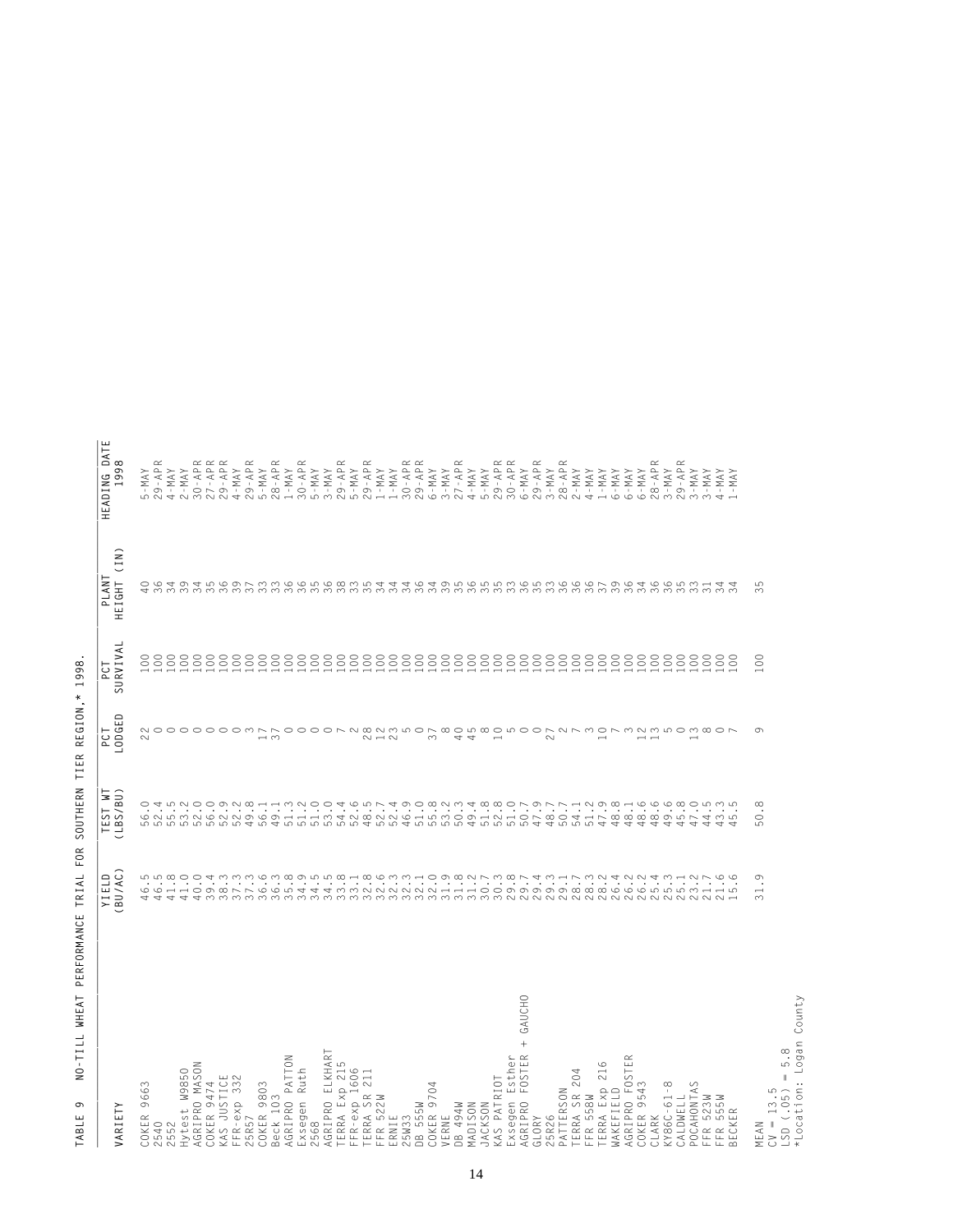| <b>JARIETY</b>                                               | BU/AC)<br>YIELD | TEST WT<br>(LBS/BU)                                                                                                                                                                                                                                                                                                                  | LODGED<br>PCT                                    | SURVIVAL<br>PCT                                                       | (1N)<br>PLANT<br>HEIGHT                        | HEADING DATE<br>1998          |
|--------------------------------------------------------------|-----------------|--------------------------------------------------------------------------------------------------------------------------------------------------------------------------------------------------------------------------------------------------------------------------------------------------------------------------------------|--------------------------------------------------|-----------------------------------------------------------------------|------------------------------------------------|-------------------------------|
|                                                              |                 |                                                                                                                                                                                                                                                                                                                                      |                                                  |                                                                       |                                                |                               |
| 9663<br>COKER<br>2540<br>2552                                |                 | O T LONO O D N W H<br>C N LONO O N N D C<br>S                                                                                                                                                                                                                                                                                        | 22                                               | $\begin{array}{c} 0000000000 \\ 000000000 \\ 00000000 \\ \end{array}$ | 484                                            | $5 - MAY$                     |
|                                                              |                 | <u> မ</u>                                                                                                                                                                                                                                                                                                                            | $\circ$                                          |                                                                       |                                                | $29 - APR$                    |
|                                                              |                 |                                                                                                                                                                                                                                                                                                                                      |                                                  |                                                                       |                                                | $4 - MAX$                     |
| Hytest W9850<br>AGRIPRO MASON                                |                 | ضا                                                                                                                                                                                                                                                                                                                                   | $\circ$                                          |                                                                       |                                                | $2 - MAX$                     |
|                                                              |                 | 5<br>5<br>5                                                                                                                                                                                                                                                                                                                          |                                                  |                                                                       |                                                | $30 - APR$                    |
| COKER 9474                                                   |                 |                                                                                                                                                                                                                                                                                                                                      |                                                  |                                                                       |                                                | $27 - APR$<br>$29 - APR$      |
| KAS JUSTICE<br>FFR-exp 332<br>25R57<br>COKER 9803            |                 | $\mathfrak{S}$                                                                                                                                                                                                                                                                                                                       | $\circ$                                          |                                                                       |                                                |                               |
|                                                              |                 | $\overline{5}$                                                                                                                                                                                                                                                                                                                       | $\circ$                                          |                                                                       |                                                | $4 - MAY$                     |
|                                                              |                 | 4                                                                                                                                                                                                                                                                                                                                    |                                                  | $\begin{smallmatrix} 0 & 0 \\ 0 & 0 \end{smallmatrix}$                |                                                | $29 - APR$                    |
|                                                              |                 | $\overline{5}$                                                                                                                                                                                                                                                                                                                       | $\Gamma$                                         |                                                                       |                                                | $5 - MAX$                     |
| Beck 103<br>AGRIPRO PATTON                                   |                 |                                                                                                                                                                                                                                                                                                                                      | $\overline{37}$                                  |                                                                       |                                                | $28 - APR$                    |
|                                                              |                 |                                                                                                                                                                                                                                                                                                                                      | $\circ$                                          |                                                                       |                                                | $1 - MAXY$                    |
|                                                              |                 |                                                                                                                                                                                                                                                                                                                                      | $\circ$                                          |                                                                       |                                                | $30 - APR$                    |
| Exsegen Ruth<br>2568<br>AGRIPRO ELKHART                      |                 |                                                                                                                                                                                                                                                                                                                                      | $\circ$                                          |                                                                       |                                                | $5 - MAX$                     |
|                                                              |                 |                                                                                                                                                                                                                                                                                                                                      | $\circ$                                          |                                                                       |                                                | $3 - MAY$                     |
| TERRA Exp 215<br>FFR-exp 1606                                |                 |                                                                                                                                                                                                                                                                                                                                      |                                                  |                                                                       |                                                | $29 - APR$<br>5 - MAY         |
|                                                              |                 |                                                                                                                                                                                                                                                                                                                                      | $\sim$                                           |                                                                       |                                                |                               |
| 211<br>TERRA SR 2<br>FFR 522W<br>ERNIE                       |                 |                                                                                                                                                                                                                                                                                                                                      | 8235007                                          |                                                                       |                                                | $29 - APR$<br>$1 - MAY$       |
|                                                              |                 |                                                                                                                                                                                                                                                                                                                                      |                                                  |                                                                       |                                                |                               |
|                                                              |                 |                                                                                                                                                                                                                                                                                                                                      |                                                  |                                                                       |                                                | $1 - MAX$                     |
|                                                              |                 |                                                                                                                                                                                                                                                                                                                                      |                                                  |                                                                       | $\mathcal{L}$                                  | $30 - APR$                    |
| 25W33<br>DB 555W                                             |                 |                                                                                                                                                                                                                                                                                                                                      |                                                  |                                                                       | 36                                             | $29 - APR$                    |
|                                                              |                 |                                                                                                                                                                                                                                                                                                                                      |                                                  |                                                                       |                                                | $6 - MAY$                     |
|                                                              |                 |                                                                                                                                                                                                                                                                                                                                      |                                                  |                                                                       |                                                | $3-MAY$                       |
| COKER 9704<br>VERNE<br>DB 494W                               |                 |                                                                                                                                                                                                                                                                                                                                      |                                                  |                                                                       |                                                | $27 - APR$                    |
| MADISON                                                      |                 |                                                                                                                                                                                                                                                                                                                                      |                                                  |                                                                       |                                                | $4 - MAX$                     |
| <b>JACKSON</b>                                               |                 |                                                                                                                                                                                                                                                                                                                                      |                                                  |                                                                       |                                                | $5 - MAY$                     |
| KAS PATRIOT                                                  |                 |                                                                                                                                                                                                                                                                                                                                      |                                                  |                                                                       |                                                | $29 - APRR$ 30 - APR          |
| Exsegen Esther                                               |                 |                                                                                                                                                                                                                                                                                                                                      |                                                  |                                                                       |                                                |                               |
| GAUCHO<br>$^{+}$<br>FOSTER<br><b>AGRIPRO</b>                 |                 |                                                                                                                                                                                                                                                                                                                                      | $\circ$                                          |                                                                       |                                                | $6 - MAX$                     |
| GLORY                                                        |                 |                                                                                                                                                                                                                                                                                                                                      | $\circ$                                          |                                                                       |                                                | $29 - APR$                    |
|                                                              |                 |                                                                                                                                                                                                                                                                                                                                      | 27                                               |                                                                       |                                                | $3-MAY$                       |
| 25R26<br>PATTERSON                                           |                 |                                                                                                                                                                                                                                                                                                                                      | $\begin{array}{c}\n0 \\ 0 \\ 0\n\end{array}$     |                                                                       |                                                | $\frac{28 - APR}{2 - MAY}$    |
| TERRA SR 204<br>FFR 558W                                     |                 | $1.0001$<br>$4.10001$<br>ம்                                                                                                                                                                                                                                                                                                          |                                                  |                                                                       |                                                |                               |
|                                                              |                 | $\overline{5}$                                                                                                                                                                                                                                                                                                                       |                                                  |                                                                       |                                                | $4 - MAY$                     |
| TERRA Exp 216                                                |                 | 4                                                                                                                                                                                                                                                                                                                                    |                                                  |                                                                       |                                                | $1 - MAX$                     |
| <b>MAKEFIELD</b>                                             |                 | 4                                                                                                                                                                                                                                                                                                                                    |                                                  |                                                                       |                                                | $6 - MAX$                     |
| AGRIPRO FOSTE                                                |                 | 4                                                                                                                                                                                                                                                                                                                                    | $\infty$                                         |                                                                       |                                                | $6 - MAY$                     |
| COKER 9543<br>CLARK                                          |                 | $8.6$<br>8.<br>4                                                                                                                                                                                                                                                                                                                     | $12$                                             |                                                                       |                                                | $6 - MAX$                     |
|                                                              |                 | 4                                                                                                                                                                                                                                                                                                                                    | $\begin{array}{c} 0.7 \\ 0.7 \\ 0.7 \end{array}$ |                                                                       |                                                | $28 - APR$<br>3 - MAY         |
| $(186C - 61 - 8$                                             |                 | 4                                                                                                                                                                                                                                                                                                                                    |                                                  |                                                                       |                                                |                               |
| CALDWELL                                                     |                 | 4                                                                                                                                                                                                                                                                                                                                    |                                                  |                                                                       |                                                | $29 - APR$                    |
| POCAHONTAS                                                   |                 | $\begin{array}{c} 0 & 0 & 0 & 0 \\ 0 & 0 & 0 & 0 \\ 0 & 0 & 0 & 0 \\ 0 & 0 & 0 & 0 \\ 0 & 0 & 0 & 0 \\ 0 & 0 & 0 & 0 \\ 0 & 0 & 0 & 0 \\ 0 & 0 & 0 & 0 \\ 0 & 0 & 0 & 0 \\ 0 & 0 & 0 & 0 \\ 0 & 0 & 0 & 0 \\ 0 & 0 & 0 & 0 \\ 0 & 0 & 0 & 0 \\ 0 & 0 & 0 & 0 \\ 0 & 0 & 0 & 0 \\ 0 & 0 & 0 & 0 \\ 0 & 0 & 0 & 0 & 0 \\ 0 & 0 &$<br>4 | $\infty$                                         |                                                                       |                                                | $3 - MAX$                     |
| 523M<br>WS32<br>$\begin{array}{c}\nF \\ \hline\n\end{array}$ |                 | 4                                                                                                                                                                                                                                                                                                                                    | $\infty$                                         |                                                                       |                                                | $3 - MAY$                     |
| BECKER<br>FFR                                                |                 | LO<br>4                                                                                                                                                                                                                                                                                                                              |                                                  |                                                                       | さりうるうちろうとうこうのう アクタル いんこうさんさんこう せつうろうこうこうこうこうこう | $4 - \text{MAX}$<br>$1 - MAX$ |
|                                                              |                 |                                                                                                                                                                                                                                                                                                                                      |                                                  |                                                                       |                                                |                               |
| MEAN                                                         | 31.9            | 50.8                                                                                                                                                                                                                                                                                                                                 | $\sigma$                                         | $\rm ^{\rm c}$                                                        | မာ<br>$\sim$                                   |                               |
| $CV = 13.5$                                                  |                 |                                                                                                                                                                                                                                                                                                                                      |                                                  |                                                                       |                                                |                               |
| 5.8<br>$\parallel$<br>LSD (.05)                              |                 |                                                                                                                                                                                                                                                                                                                                      |                                                  |                                                                       |                                                |                               |
| *Location: Logan County                                      |                 |                                                                                                                                                                                                                                                                                                                                      |                                                  |                                                                       |                                                |                               |

TABLE 9 NO-TILL WHEAT PERFORMANCE TRIAL FOR SOUTHERN TIER REGION,\* 1998. **TABLE 9 NO-TILL WHEAT PERFORMANCE TRIAL FOR SOUTHERN TIER REGION,\* 1998.**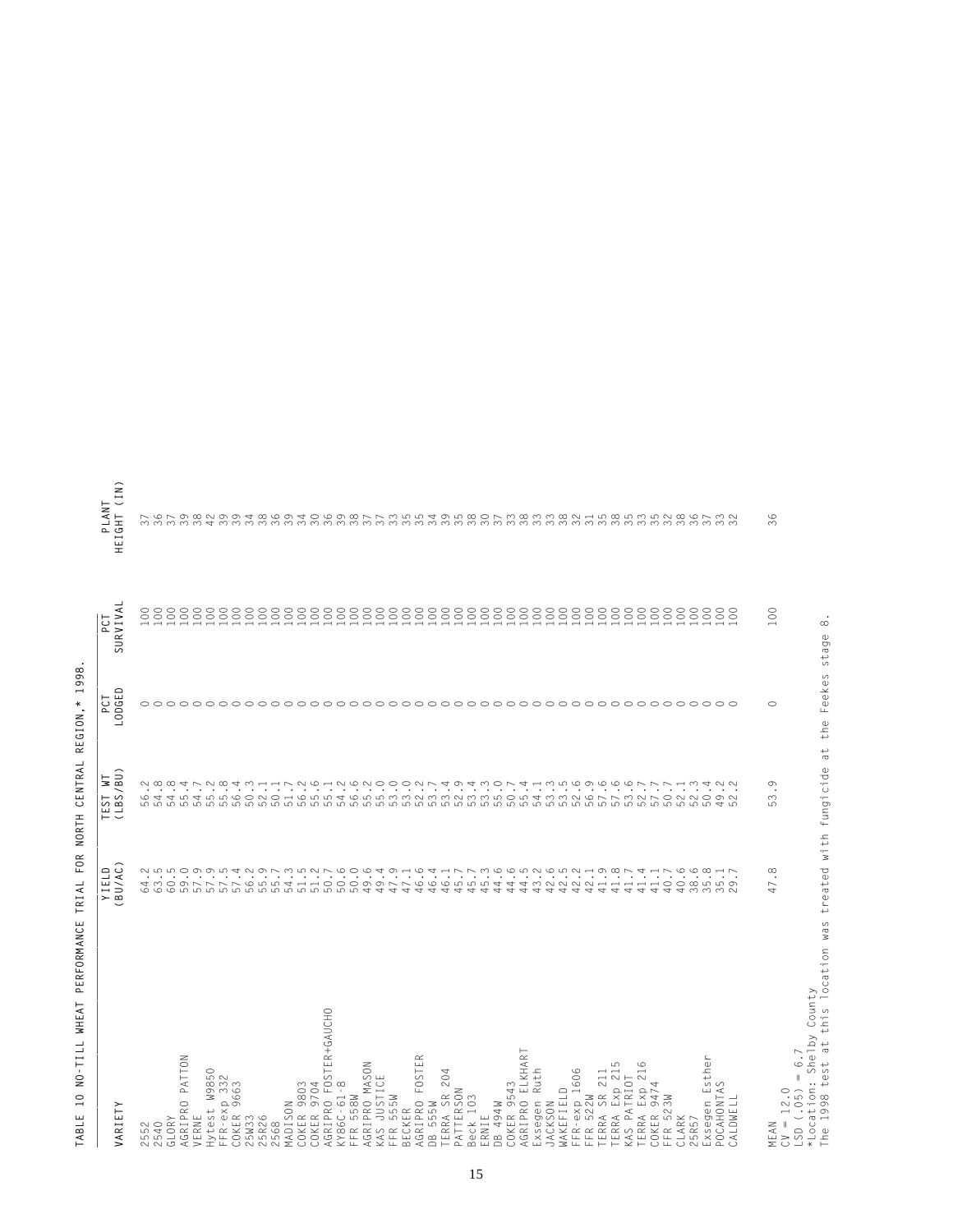| VARIETY                                                  | BU/AC)<br>YIELD             | (LBS/BU)<br>5<br>TEST                                               | LODGED<br>FCT  | SURVIVA<br>PCT                                                    | (1N)<br>PLANT<br><b>HEIGHT</b>                                                                                                                                                                                                  |
|----------------------------------------------------------|-----------------------------|---------------------------------------------------------------------|----------------|-------------------------------------------------------------------|---------------------------------------------------------------------------------------------------------------------------------------------------------------------------------------------------------------------------------|
| 2552<br>2540                                             |                             |                                                                     | ⌒              | $_{\odot}$                                                        |                                                                                                                                                                                                                                 |
| GLORY                                                    |                             |                                                                     | o o            | $\substack{0\\0\ 0}$                                              |                                                                                                                                                                                                                                 |
| PATTON<br>AGRIPRO                                        |                             |                                                                     | $\bigcap$      | 100                                                               |                                                                                                                                                                                                                                 |
| VERNE                                                    |                             |                                                                     |                | 100                                                               |                                                                                                                                                                                                                                 |
| W9850<br>Hytest                                          |                             |                                                                     |                | 100<br>100                                                        |                                                                                                                                                                                                                                 |
| FFR-exp 332<br>COKER 9663<br>COKER                       |                             |                                                                     |                | 100                                                               |                                                                                                                                                                                                                                 |
| 25W33<br>25R26                                           |                             |                                                                     |                | $100$<br>$100$                                                    |                                                                                                                                                                                                                                 |
|                                                          |                             |                                                                     | 00000000000000 |                                                                   |                                                                                                                                                                                                                                 |
| 2568<br>MADISON                                          |                             |                                                                     |                | $100$<br>$100$                                                    |                                                                                                                                                                                                                                 |
|                                                          |                             |                                                                     |                | 100                                                               |                                                                                                                                                                                                                                 |
| COKER 9803<br>COKER 9704                                 |                             |                                                                     |                | 100                                                               |                                                                                                                                                                                                                                 |
| AGRIPRO FOSTER+GAUCHO                                    |                             |                                                                     |                | 100                                                               |                                                                                                                                                                                                                                 |
| KY86C-61-8                                               |                             |                                                                     |                | $100\,$                                                           |                                                                                                                                                                                                                                 |
| FFR 558W<br>AGRIPRO MASON                                |                             |                                                                     |                | $\begin{matrix} 1 & 0 & 0 \\ 0 & 0 & 0 \\ 1 & 0 & 0 \end{matrix}$ |                                                                                                                                                                                                                                 |
|                                                          |                             |                                                                     |                | 100                                                               |                                                                                                                                                                                                                                 |
| KAS JUSTICE<br>FFR 555W<br>BECKER                        |                             |                                                                     |                | $100$<br>$100$                                                    |                                                                                                                                                                                                                                 |
| $\simeq$                                                 |                             |                                                                     | coco           |                                                                   |                                                                                                                                                                                                                                 |
| AGRIPRO FOSTEI<br>DB 555W                                |                             |                                                                     |                | $\frac{100}{100}$                                                 |                                                                                                                                                                                                                                 |
| 4<br>TERRA SR 204<br>PATTERSON                           |                             |                                                                     | aaaaaa         | 100                                                               |                                                                                                                                                                                                                                 |
| Beck 103                                                 |                             |                                                                     |                | $\begin{array}{c} 100 \\ 100 \end{array}$                         |                                                                                                                                                                                                                                 |
|                                                          |                             |                                                                     |                |                                                                   |                                                                                                                                                                                                                                 |
| 494W<br>ERNIE<br>DB 494                                  |                             |                                                                     |                | $\frac{100}{100}$                                                 |                                                                                                                                                                                                                                 |
| AGRIPRO ELKHART<br>COKER 9543                            |                             |                                                                     |                | $100$<br>$100$                                                    |                                                                                                                                                                                                                                 |
| Ruth<br>Exsegen                                          |                             |                                                                     |                |                                                                   |                                                                                                                                                                                                                                 |
| <b>JACKSON</b>                                           |                             |                                                                     | $\circ$        | $100$<br>$100$                                                    |                                                                                                                                                                                                                                 |
| WAKEFIELD                                                |                             |                                                                     | O O            | 100                                                               |                                                                                                                                                                                                                                 |
| FFR-exp 1606<br>FFR 522W                                 |                             |                                                                     |                | $\begin{matrix} 1 & 0 & 0 \\ 1 & 0 & 0 \end{matrix}$              |                                                                                                                                                                                                                                 |
| SR 211<br>TERRA :                                        |                             |                                                                     |                | $100\,$                                                           |                                                                                                                                                                                                                                 |
| TERRA Exp 215<br>KAS PATRIOT                             | $41.8$<br>$41.7$            |                                                                     |                | 100                                                               |                                                                                                                                                                                                                                 |
| 216<br>TERRA                                             | 41.4                        |                                                                     |                | $100$<br>$100$                                                    |                                                                                                                                                                                                                                 |
| Exp 2<br>COKER                                           |                             |                                                                     |                |                                                                   |                                                                                                                                                                                                                                 |
| FFR 523W                                                 | $41.1$<br>$40.7$            |                                                                     |                | $100$<br>$100$                                                    |                                                                                                                                                                                                                                 |
| CLARK<br>25R57                                           | 40.6<br>38                  |                                                                     |                | $100$<br>$100$                                                    |                                                                                                                                                                                                                                 |
|                                                          | $\circ$<br>$\infty$         | 4.<br>$\circ$<br>ம                                                  |                | $\rm ^{\circ}$                                                    |                                                                                                                                                                                                                                 |
| Exsegen Esther<br>POCAHONTAS                             | $35.18$<br>$35.7$           | $\sim$<br>$\ddot{\phantom{0}}$<br>$\circ$ $\circ$<br>$\overline{ }$ | nnnnnnnnnn     | $\begin{array}{c} 8 \\ 0 \end{array}$                             | ר פר מת ממט את המשה שפח שם ממט אר משה שה משה מסר אה ממט מה ממט אה הממט ה ממט את הממט את הממט אותה ממט אותה ממט<br>הממט את הממט את הממט את הממט אר המשה הממט את הממט את הממט אין הממט את הממט את הממט את הממט אין הממט אין המונו |
| CALDWELL                                                 |                             |                                                                     |                |                                                                   |                                                                                                                                                                                                                                 |
| 6.7<br>$\parallel$<br>$CV = 12.0$<br>$LSD (-05)$<br>MEAN | $\infty$<br>$\overline{47}$ | ී.<br>53.                                                           | Ċ              | 100                                                               | $\circ$<br>$\infty$                                                                                                                                                                                                             |
|                                                          |                             |                                                                     |                |                                                                   |                                                                                                                                                                                                                                 |

TABLE 10 NO-TILL WHEAT PERFORMANCE TRIAL FOR NORTH CENTRAL REGION,\* 1998. **TABLE 10 NO-TILL WHEAT PERFORMANCE TRIAL FOR NORTH CENTRAL REGION,\* 1998.**

\*Location: Shelby County

\*Location: Shelby County<br>The 1998 test at this location was treated with fungicide at the Feekes stage 8. The 1998 test at this location was treated with fungicide at the Feekes stage 8.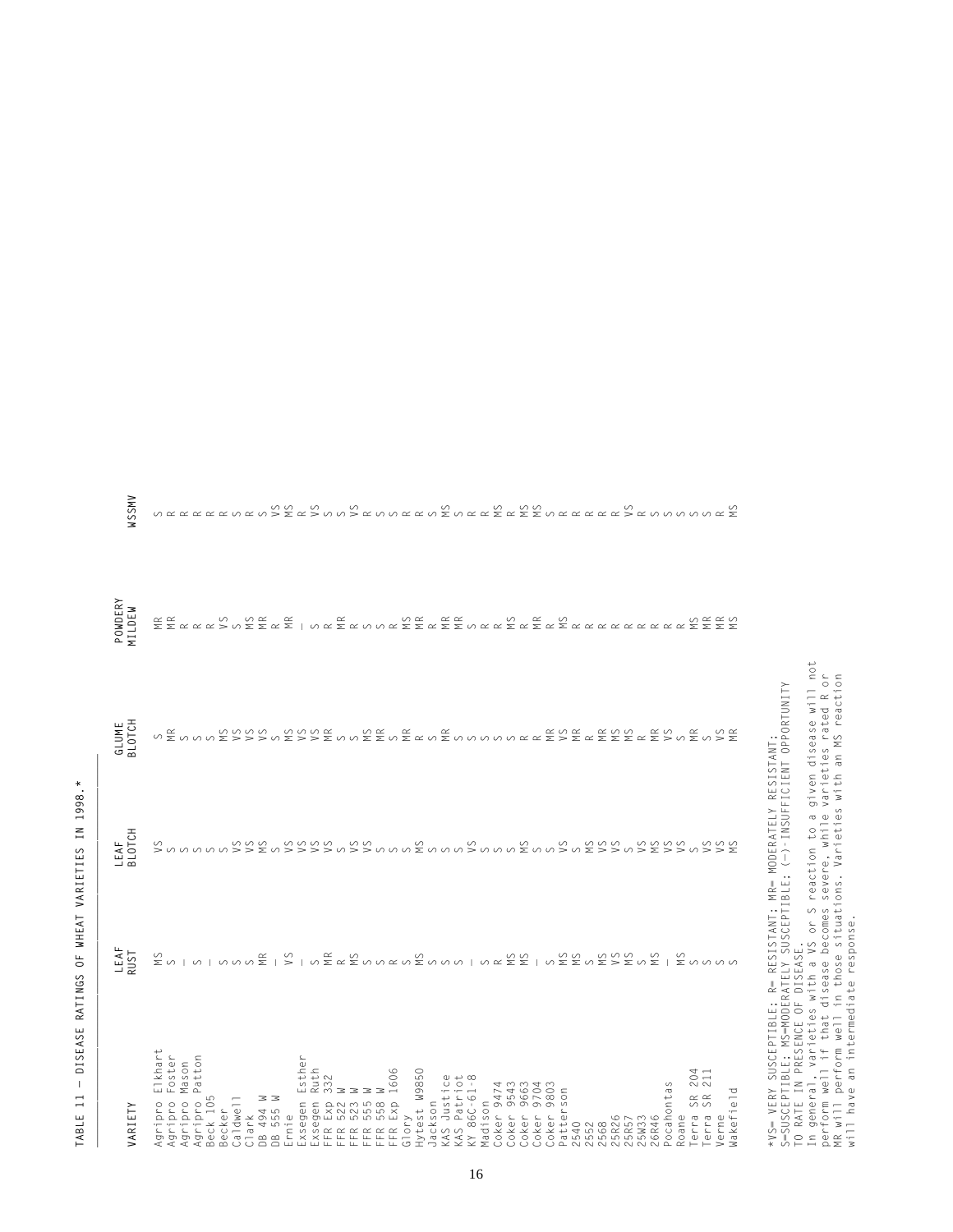| ×                                                                            |
|------------------------------------------------------------------------------|
| C<br>t<br>).<br>¢<br>j<br>١<br>¢<br>ı<br>÷<br>ı                              |
| z<br>н<br>Ŧ.                                                                 |
| Ċ<br>١<br>L<br>J<br>į<br>Ï<br>١<br>I<br>l<br>J<br>l<br>١<br>١<br>C<br>٥<br>ž |
| I<br>i<br>Ĺ<br>J<br>ī<br>ĵ<br>3                                              |
| Ц<br>Ï<br>$\circ$                                                            |
| $\overline{\mathbf{C}}$<br>J.<br>֚֚֚֬<br>¢<br>í<br>l<br>֚֡֕<br>I<br>í<br>١   |
| l<br>ı<br>ł<br>ζ<br>,<br>1<br>ׇ֦֧֚<br>Ĺ<br>J<br>ł<br>Ċ<br>l<br>٥<br>נ        |
| ı<br>I<br>ł<br>t                                                             |
| ł.<br>ŧ<br>ı<br>j                                                            |
| j<br>j<br>j<br>ï<br>Ī                                                        |

| VARIETY                                                                                                              | LEAF<br>UST | LEAF<br>3LOTCH                                                                                            | <b>GLUME</b><br>BLOTCH | POWDERY<br>MILDEW | WSSMV                                                                                                                                                                                                                                                                                                                                                                                                                                                                                                                                                                                   |
|----------------------------------------------------------------------------------------------------------------------|-------------|-----------------------------------------------------------------------------------------------------------|------------------------|-------------------|-----------------------------------------------------------------------------------------------------------------------------------------------------------------------------------------------------------------------------------------------------------------------------------------------------------------------------------------------------------------------------------------------------------------------------------------------------------------------------------------------------------------------------------------------------------------------------------------|
| Elkhart<br>Foster<br>Mason<br>Patton<br>Agripro I<br>Agripro I<br>Agripro<br>Agripro                                 |             |                                                                                                           |                        |                   |                                                                                                                                                                                                                                                                                                                                                                                                                                                                                                                                                                                         |
| Caldwell<br>$\frac{1}{2}$<br>Becker<br>Beck                                                                          |             |                                                                                                           |                        |                   |                                                                                                                                                                                                                                                                                                                                                                                                                                                                                                                                                                                         |
| Clark<br>DB 494 W<br>DB 555 W<br>Ernie                                                                               |             |                                                                                                           |                        |                   |                                                                                                                                                                                                                                                                                                                                                                                                                                                                                                                                                                                         |
| Esther<br>Ruth<br>332<br>Exsegen                                                                                     |             |                                                                                                           |                        |                   |                                                                                                                                                                                                                                                                                                                                                                                                                                                                                                                                                                                         |
| $\circ$<br>160<br>Exsegen<br>FFR 5221<br>FFR 5221<br>FFR 5221<br>FFFR 5581<br>FFFR 5581                              |             |                                                                                                           |                        |                   |                                                                                                                                                                                                                                                                                                                                                                                                                                                                                                                                                                                         |
| Hytest W9850<br>KAS Justice<br>KAS Patriot<br>KY 86C-61-8<br>Jackson<br>Glory                                        |             |                                                                                                           |                        |                   |                                                                                                                                                                                                                                                                                                                                                                                                                                                                                                                                                                                         |
| 9474<br>9543<br>9663<br>9704<br>Madison<br>Coker 9<br>Coker<br>Coker<br>Coker                                        |             |                                                                                                           |                        |                   |                                                                                                                                                                                                                                                                                                                                                                                                                                                                                                                                                                                         |
| 980<br>Patter<br>Coker<br><b>5R26</b><br>,552<br>2568<br>2540                                                        |             |                                                                                                           |                        |                   |                                                                                                                                                                                                                                                                                                                                                                                                                                                                                                                                                                                         |
| 204<br>211<br>Pocahontas<br>Wakefield<br>SR<br>SR<br>erra<br>erra<br>Roane<br>25W33<br>erne<br><b>15R57</b><br>26R46 |             | ανα αανα ανα αγανα αγαναλαγια του αγανα ανα αγανα<br>Σ<α<<< ανα ανα αγαναλαγια αγαναλαγια της αγαναλαγιας |                        |                   | $\begin{array}{l} \mathcal{N}\subset\mathcal{N}\subset\mathcal{N}\subset\mathcal{N}\subset\mathcal{N}\subset\mathcal{N}\subset\mathcal{N}\subset\mathcal{N}\subset\mathcal{N}\subset\mathcal{N}\subset\mathcal{N}\subset\mathcal{N}\subset\mathcal{N}\subset\mathcal{N}\subset\mathcal{N}\subset\mathcal{N}\subset\mathcal{N}\subset\mathcal{N}\subset\mathcal{N}\subset\mathcal{N}\subset\mathcal{N}\subset\mathcal{N}\subset\mathcal{N}\subset\mathcal{N}\subset\mathcal{N}\subset\mathcal{N}\subset\mathcal{N}\subset\mathcal{N}\subset\mathcal{N}\subset\mathcal{N}\subset\mathcal$ |

\*VS= VERY SUSCEPTIBLE; R= RESISTANT; MR= MODERATELY RESISTANT; S=SUSCEPTIBLE; MS=MODERATELY SUSCEPTIBLE; (—)-INSUFFICIENT OPPORTUNITY TO RATE IN PRESENCE OF DISEASE.

\*VS= VERY SUSCEPTIBLE; R= RESISTANT; MR= MODERATELY RESISTANT;<br>S=SUSCEPTIBLE; MS=MODERATELY SUSCEPTIBLE; (->–INSUFFICIENT OPPORTUNITY<br>TO RATE IN PRESENCE OF DISEASE.<br>In general, varieties with a VS or S reaction to a give In general, varieties with a VS or S reaction to a given disease will not perform well if that disease becomes severe, while varieties rated R or MR will perform well in those situations. Varieties with an MS reaction will have an intermediate response.

WSSMV  $\begin{array}{c} \mathcal{N}\; \mathcal{R}\; \mathcal{R}\; \mathcal{R}\; \mathcal{R}\; \mathcal{R}\; \mathcal{R}\; \mathcal{R}\; \mathcal{R}\; \mathcal{R}\; \mathcal{R}\; \mathcal{R}\; \mathcal{R}\; \mathcal{R}\; \mathcal{R}\; \mathcal{R}\; \mathcal{R}\; \mathcal{R}\; \mathcal{R}\; \mathcal{R}\; \mathcal{R}\; \mathcal{R}\; \mathcal{R}\; \mathcal{R}\; \mathcal{R}\; \mathcal{R}\; \mathcal{R}\; \mathcal{R}\; \mathcal{R}\; \mathcal{R}\; \mathcal$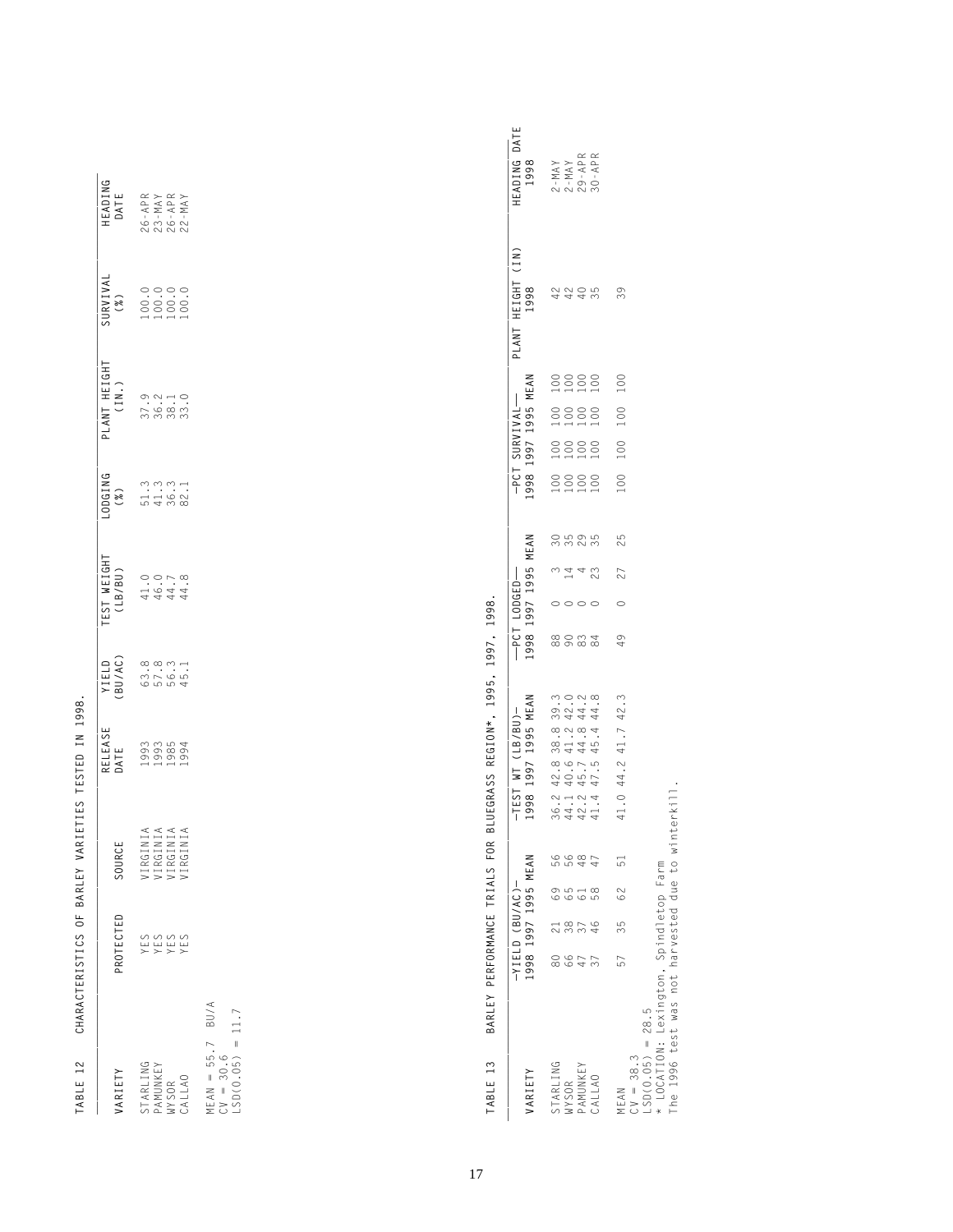| ¢<br>ׇ֚֘֝֬<br>⋝<br>Ï<br>l<br>Ć<br>١<br>l<br>J<br>I<br>Ċ<br>l<br>ׇ֓֕֡<br>ı<br>I<br>Ó<br>ı<br>Ï<br>J<br>l<br>ׇ֚֘֕֡<br>I<br>Ï<br>J<br>j<br>ׇ֘֝֬֡<br>í<br>í<br>Į<br>j<br>J<br>l<br>l<br>1<br>Ï<br>١<br>Į<br>ı<br>¢<br>ć<br>¢<br>l<br>Ì<br>١<br>l<br>l<br>I<br>¢<br>j<br>l<br>í<br>í<br>l<br>י<br>I<br>I<br>j<br>Ó<br>l<br>¢<br>l<br>J<br>ı<br>I<br>l<br>١<br>1<br>I | Ì<br>¢ |
|-----------------------------------------------------------------------------------------------------------------------------------------------------------------------------------------------------------------------------------------------------------------------------------------------------------------------------------------------------------------|--------|
|                                                                                                                                                                                                                                                                                                                                                                 |        |
|                                                                                                                                                                                                                                                                                                                                                                 |        |
|                                                                                                                                                                                                                                                                                                                                                                 |        |
|                                                                                                                                                                                                                                                                                                                                                                 |        |
|                                                                                                                                                                                                                                                                                                                                                                 |        |
|                                                                                                                                                                                                                                                                                                                                                                 |        |
|                                                                                                                                                                                                                                                                                                                                                                 |        |
|                                                                                                                                                                                                                                                                                                                                                                 |        |
|                                                                                                                                                                                                                                                                                                                                                                 |        |
|                                                                                                                                                                                                                                                                                                                                                                 |        |
|                                                                                                                                                                                                                                                                                                                                                                 |        |
|                                                                                                                                                                                                                                                                                                                                                                 |        |
|                                                                                                                                                                                                                                                                                                                                                                 |        |
|                                                                                                                                                                                                                                                                                                                                                                 |        |

| ARIETY                                            | <b>ROTECTED</b>          | SOURCE                                       | RELEASE<br>JATE | <b>YIELD<br/>BU/AC)</b><br>BU/AC)<br>GD, 3<br>GD, 3<br>GD, 45, 1 | 00GING<br>(%)<br>51.3<br>54.36.1<br>82.1 | PLANT HEIGHT<br>(IN.)                                                         | SURVIVAL<br>(%)<br>100.00.0<br>100.00.0<br>100.00.0 | HEADING<br>DATE<br>26- APR<br>23- APR<br>25- APR<br>22- MAY |
|---------------------------------------------------|--------------------------|----------------------------------------------|-----------------|------------------------------------------------------------------|------------------------------------------|-------------------------------------------------------------------------------|-----------------------------------------------------|-------------------------------------------------------------|
|                                                   |                          |                                              |                 |                                                                  |                                          | $\begin{array}{c} 9.01 \\ -0.01 \\ -0.000 \\ -0.000 \\ -0.000 \\ \end{array}$ |                                                     |                                                             |
|                                                   |                          |                                              |                 |                                                                  |                                          |                                                                               |                                                     |                                                             |
|                                                   | 0<br>11 11 11<br>2 X X X | VIRGINIA<br>VIRGINIA<br>VIRGINIA<br>VIRGINIA |                 |                                                                  |                                          |                                                                               |                                                     |                                                             |
| STARLING<br>PAMUNKEY<br>VYSOR<br>CALLAO           |                          |                                              |                 |                                                                  |                                          |                                                                               |                                                     |                                                             |
| MEAN = 55.7 BU/A<br>CV = 30.6<br>LSD(0.05) = 11.7 |                          |                                              |                 |                                                                  |                                          |                                                                               |                                                     |                                                             |

TABLE 13 BARLEY PERFORMANCE TRIALS FOR BLUEGRASS REGION\*, 1995, 1997, 1998.  **TABLE 13 BARLEY PERFORMANCE TRIALS FOR BLUEGRASS REGION\*, 1995, 1997, 1998.**

| <b>ARIETY</b>                                                                           |    |               | -YIELD (BU/AC)-<br>1998–1997–1995 MEAN |    | -TEST WT (LB/BU)-<br>1998 1997 1995 MEAN                                                 |               |                                             | --PCT LODGED-<br>1998 1997 1995 MEAN |             |                                                                                                                                                                                                                                                                                                                                |                                                                                | -PCT SURVIVAL--<br>1998 1997 1995 MEAN | PLANT HEIGHT (IN)<br>1998 | HEADING DATE<br>1998                       |
|-----------------------------------------------------------------------------------------|----|---------------|----------------------------------------|----|------------------------------------------------------------------------------------------|---------------|---------------------------------------------|--------------------------------------|-------------|--------------------------------------------------------------------------------------------------------------------------------------------------------------------------------------------------------------------------------------------------------------------------------------------------------------------------------|--------------------------------------------------------------------------------|----------------------------------------|---------------------------|--------------------------------------------|
|                                                                                         |    | 80 21 69      |                                        |    |                                                                                          | $\frac{8}{8}$ |                                             |                                      |             |                                                                                                                                                                                                                                                                                                                                |                                                                                |                                        |                           |                                            |
| STARLING<br>NYSOR                                                                       |    | 38            | 65                                     |    |                                                                                          |               | $\begin{array}{c} 0 \\ 0 \\ 14 \end{array}$ | ca<br>Cangra                         | 8888<br>HHH | $\begin{matrix} 0 & 0 & 0 & 0 \\ 0 & 0 & 0 & 0 \\ 0 & 0 & 0 & 0 \\ 0 & 0 & 0 & 0 \\ 0 & 0 & 0 & 0 \\ 0 & 0 & 0 & 0 \\ 0 & 0 & 0 & 0 \\ 0 & 0 & 0 & 0 \\ 0 & 0 & 0 & 0 \\ 0 & 0 & 0 & 0 \\ 0 & 0 & 0 & 0 \\ 0 & 0 & 0 & 0 \\ 0 & 0 & 0 & 0 \\ 0 & 0 & 0 & 0 & 0 \\ 0 & 0 & 0 & 0 & 0 \\ 0 & 0 & 0 & 0 & 0 \\ 0 & 0 & 0 & 0 & 0$ | $\begin{array}{c} 0 & 0 & 0 & 0 \\ 0 & 0 & 0 & 0 \\ 1 & 1 & 1 & 1 \end{array}$ |                                        | 4444                      | 2 - MAY<br>2 - MAY<br>29 - APR<br>30 - APR |
|                                                                                         | 47 |               |                                        |    |                                                                                          | 0.84          |                                             |                                      |             |                                                                                                                                                                                                                                                                                                                                |                                                                                |                                        |                           |                                            |
| PAMUNKEY<br>CALLAO                                                                      |    | $\frac{9}{5}$ | 58                                     |    | 36.2 42.8 38.8 39.3<br>44.1 40.6 41.2 42.0<br>42.2 45.7 44.8 44.2<br>41.4 47.5 45.4 44.8 |               |                                             | 23                                   |             |                                                                                                                                                                                                                                                                                                                                |                                                                                |                                        |                           |                                            |
| MEAN                                                                                    | 57 |               | 35 62                                  | 51 | 41.0 44.2 41.7 42.3                                                                      | $\frac{9}{4}$ | $\circ$                                     | 25<br>27                             | 100         | 100                                                                                                                                                                                                                                                                                                                            | 100                                                                            | 100                                    | 39                        |                                            |
| $SD(0.05) = 28.5$<br>$V = 38.3$                                                         |    |               |                                        |    |                                                                                          |               |                                             |                                      |             |                                                                                                                                                                                                                                                                                                                                |                                                                                |                                        |                           |                                            |
| * LOCATION: Lexington, Spindletop Farm<br>The 1996 test was not harvested due to winter |    |               |                                        |    |                                                                                          |               |                                             |                                      |             |                                                                                                                                                                                                                                                                                                                                |                                                                                |                                        |                           |                                            |
|                                                                                         |    |               |                                        |    | rkill.                                                                                   |               |                                             |                                      |             |                                                                                                                                                                                                                                                                                                                                |                                                                                |                                        |                           |                                            |